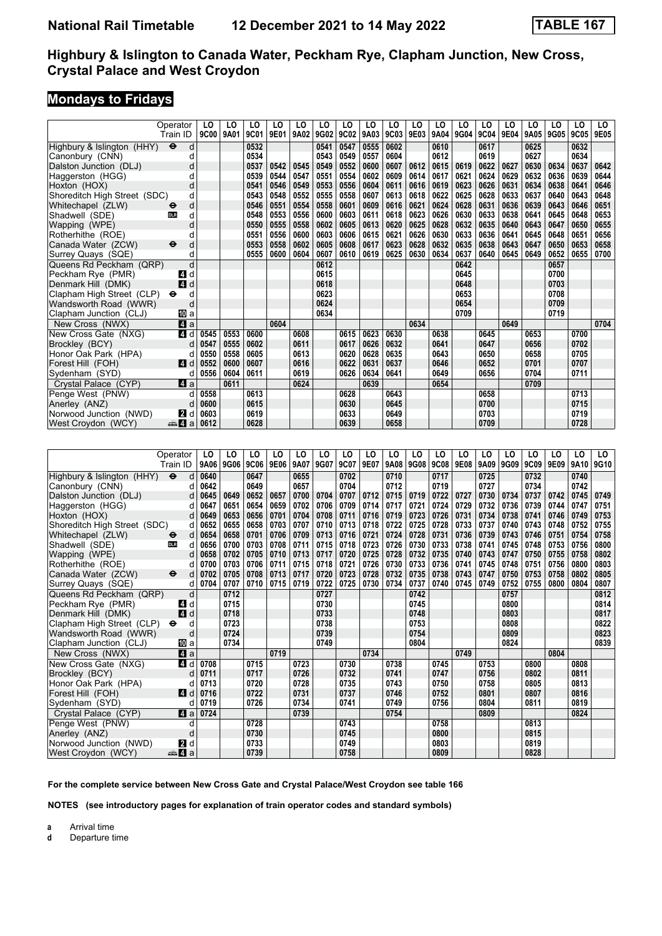# **Mondays to Fridays**

|                              | Operator                          | LO          | LO   | LO   | LO   | LO   | LO   | LO   | LO   | LO   | LO   | LO   | LO   | LO   | LO   | LO   | LO   | LO   | LO.  |
|------------------------------|-----------------------------------|-------------|------|------|------|------|------|------|------|------|------|------|------|------|------|------|------|------|------|
|                              | Train ID                          | <b>9C00</b> | 9A01 | 9C01 | 9E01 | 9A02 | 9G02 | 9C02 | 9A03 | 9C03 | 9E03 | 9A04 | 9G04 | 9C04 | 9E04 | 9A05 | 9G05 | 9C05 | 9E05 |
| Highbury & Islington (HHY)   | $\ddot{\boldsymbol{\Theta}}$<br>d |             |      | 0532 |      |      | 0541 | 0547 | 0555 | 0602 |      | 0610 |      | 0617 |      | 0625 |      | 0632 |      |
| Canonbury (CNN)              | d                                 |             |      | 0534 |      |      | 0543 | 0549 | 0557 | 0604 |      | 0612 |      | 0619 |      | 0627 |      | 0634 |      |
| Dalston Junction (DLJ)       | d                                 |             |      | 0537 | 0542 | 0545 | 0549 | 0552 | 0600 | 0607 | 0612 | 0615 | 0619 | 0622 | 0627 | 0630 | 0634 | 0637 | 0642 |
| Haggerston (HGG)             | d                                 |             |      | 0539 | 0544 | 0547 | 0551 | 0554 | 0602 | 0609 | 0614 | 0617 | 0621 | 0624 | 0629 | 0632 | 0636 | 0639 | 0644 |
| Hoxton (HOX)                 | d                                 |             |      | 0541 | 0546 | 0549 | 0553 | 0556 | 0604 | 0611 | 0616 | 0619 | 0623 | 0626 | 0631 | 0634 | 0638 | 0641 | 0646 |
| Shoreditch High Street (SDC) | d                                 |             |      | 0543 | 0548 | 0552 | 0555 | 0558 | 0607 | 0613 | 0618 | 0622 | 0625 | 0628 | 0633 | 0637 | 0640 | 0643 | 0648 |
| Whitechapel (ZLW)            | d<br>⊖                            |             |      | 0546 | 0551 | 0554 | 0558 | 0601 | 0609 | 0616 | 0621 | 0624 | 0628 | 0631 | 0636 | 0639 | 0643 | 0646 | 0651 |
| Shadwell (SDE)               | d<br>DLR                          |             |      | 0548 | 0553 | 0556 | 0600 | 0603 | 0611 | 0618 | 0623 | 0626 | 0630 | 0633 | 0638 | 0641 | 0645 | 0648 | 0653 |
| Wapping (WPE)                | d                                 |             |      | 0550 | 0555 | 0558 | 0602 | 0605 | 0613 | 0620 | 0625 | 0628 | 0632 | 0635 | 0640 | 0643 | 0647 | 0650 | 0655 |
| Rotherhithe (ROE)            | d                                 |             |      | 0551 | 0556 | 0600 | 0603 | 0606 | 0615 | 0621 | 0626 | 0630 | 0633 | 0636 | 0641 | 0645 | 0648 | 0651 | 0656 |
| Canada Water (ZCW)           | d<br>⊖                            |             |      | 0553 | 0558 | 0602 | 0605 | 0608 | 0617 | 0623 | 0628 | 0632 | 0635 | 0638 | 0643 | 0647 | 0650 | 0653 | 0658 |
| Surrey Quays (SQE)           | d                                 |             |      | 0555 | 0600 | 0604 | 0607 | 0610 | 0619 | 0625 | 0630 | 0634 | 0637 | 0640 | 0645 | 0649 | 0652 | 0655 | 0700 |
| Queens Rd Peckham (QRP)      | d                                 |             |      |      |      |      | 0612 |      |      |      |      |      | 0642 |      |      |      | 0657 |      |      |
| Peckham Rye (PMR)            | d<br>4                            |             |      |      |      |      | 0615 |      |      |      |      |      | 0645 |      |      |      | 0700 |      |      |
| Denmark Hill (DMK)           | $\overline{A}$<br>d               |             |      |      |      |      | 0618 |      |      |      |      |      | 0648 |      |      |      | 0703 |      |      |
| Clapham High Street (CLP)    | d<br>⊖                            |             |      |      |      |      | 0623 |      |      |      |      |      | 0653 |      |      |      | 0708 |      |      |
| Wandsworth Road (WWR)        | d                                 |             |      |      |      |      | 0624 |      |      |      |      |      | 0654 |      |      |      | 0709 |      |      |
| Clapham Junction (CLJ)       | <b>ID</b> a                       |             |      |      |      |      | 0634 |      |      |      |      |      | 0709 |      |      |      | 0719 |      |      |
| New Cross (NWX)              | a                                 |             |      |      | 0604 |      |      |      |      |      | 0634 |      |      |      | 0649 |      |      |      | 0704 |
| New Cross Gate (NXG)         | ZI d                              | 0545        | 0553 | 0600 |      | 0608 |      | 0615 | 0623 | 0630 |      | 0638 |      | 0645 |      | 0653 |      | 0700 |      |
| Brockley (BCY)               | d                                 | 0547        | 0555 | 0602 |      | 0611 |      | 0617 | 0626 | 0632 |      | 0641 |      | 0647 |      | 0656 |      | 0702 |      |
| Honor Oak Park (HPA)         | d                                 | 0550        | 0558 | 0605 |      | 0613 |      | 0620 | 0628 | 0635 |      | 0643 |      | 0650 |      | 0658 |      | 0705 |      |
| Forest Hill (FOH)            | ZI d                              | 0552        | 0600 | 0607 |      | 0616 |      | 0622 | 0631 | 0637 |      | 0646 |      | 0652 |      | 0701 |      | 0707 |      |
| Sydenham (SYD)               | d                                 | 0556        | 0604 | 0611 |      | 0619 |      | 0626 | 0634 | 0641 |      | 0649 |      | 0656 |      | 0704 |      | 0711 |      |
| Crystal Palace (CYP)         | $\blacksquare$ a                  |             | 0611 |      |      | 0624 |      |      | 0639 |      |      | 0654 |      |      |      | 0709 |      |      |      |
| Penge West (PNW)             | d                                 | 0558        |      | 0613 |      |      |      | 0628 |      | 0643 |      |      |      | 0658 |      |      |      | 0713 |      |
| Anerley (ANZ)                | d                                 | 0600        |      | 0615 |      |      |      | 0630 |      | 0645 |      |      |      | 0700 |      |      |      | 0715 |      |
| Norwood Junction (NWD)       | <b>2</b> d                        | 0603        |      | 0619 |      |      |      | 0633 |      | 0649 |      |      |      | 0703 |      |      |      | 0719 |      |
| West Croydon (WCY)           | $\Rightarrow$ 4<br>a              | 0612        |      | 0628 |      |      |      | 0639 |      | 0658 |      |      |      | 0709 |      |      |      | 0728 |      |
|                              |                                   |             |      |      |      |      |      |      |      |      |      |      |      |      |      |      |      |      |      |
|                              |                                   |             |      |      |      |      |      |      |      |      |      |      |      |      |      |      |      |      |      |
|                              | Operator                          | LO          | LO   | LO   | LO   | LO   | LO   | LO   | LO   | LO   | LO   | LO   | LO   | LO   | LO   | LO   | LO   | LO   | LO   |
|                              | Train ID                          | 9A06        | 9G06 | 9C06 | 9E06 | 9A07 | 9G07 | 9C07 | 9E07 | 9A08 | 9G08 | 9C08 | 9E08 | 9A09 | 9G09 | 9C09 | 9E09 | 9A10 | 9G10 |
| Highbury & Islington (HHY)   | $\ddot{\boldsymbol{\Theta}}$<br>d | 0640        |      | 0647 |      | 0655 |      | 0702 |      | 0710 |      | 0717 |      | 0725 |      | 0732 |      | 0740 |      |
| $Canohirv$ $(CNN)$           | Ч                                 | 0642        |      | 0649 |      | 0657 |      | 0704 |      | 0712 |      | 0719 |      | 0727 |      | 0734 |      | 0742 |      |

|                              | Tiall ID                          |      | 3AU0 3UU0 3UU0 3EU0 1 |      |      |      | <b>JAVIIJUVII</b> |      | $5001$ $501$ |      | <b>JAVO JUVO</b> |      | <b>JUUO I JEUO I</b> |      | JAUJIJUJIJUJIJEUJ |      |      | <u>1980 1991 1994 1994 1995 1996 1996 1997 1998 1998 1999 19</u> |      |
|------------------------------|-----------------------------------|------|-----------------------|------|------|------|-------------------|------|--------------|------|------------------|------|----------------------|------|-------------------|------|------|------------------------------------------------------------------|------|
| Highbury & Islington (HHY)   | $\ddot{\boldsymbol{\Theta}}$<br>d | 0640 |                       | 0647 |      | 0655 |                   | 0702 |              | 0710 |                  | 0717 |                      | 0725 |                   | 0732 |      | 0740                                                             |      |
| Canonbury (CNN)              |                                   | 0642 |                       | 0649 |      | 0657 |                   | 0704 |              | 0712 |                  | 0719 |                      | 0727 |                   | 0734 |      | 0742                                                             |      |
| Dalston Junction (DLJ)       | d                                 | 0645 | 0649                  | 0652 | 0657 | 0700 | 0704              | 0707 | 0712         | 0715 | 0719             | 0722 | 0727                 | 0730 | 0734              | 0737 | 0742 | 0745                                                             | 0749 |
| Haggerston (HGG)             | d                                 | 0647 | 0651                  | 0654 | 0659 | 0702 | 0706              | 0709 | 0714         | 0717 | 0721             | 0724 | 0729                 | 0732 | 0736              | 0739 | 0744 | 0747                                                             | 0751 |
| Hoxton (HOX)                 | d                                 | 0649 | 0653                  | 0656 | 0701 | 0704 | 0708              | 0711 | 0716         | 0719 | 0723             | 0726 | 0731                 | 0734 | 0738              | 0741 | 0746 | 0749                                                             | 0753 |
| Shoreditch High Street (SDC) | d                                 | 0652 | 0655                  | 0658 | 0703 | 0707 | 0710              | 0713 | 0718         | 0722 | 0725             | 0728 | 0733                 | 0737 | 0740              | 0743 | 0748 | 0752                                                             | 0755 |
| Whitechapel (ZLW)            | d<br>$\bullet$                    | 0654 | 0658                  | 0701 | 0706 | 0709 | 0713              | 0716 | 0721         | 0724 | 0728             | 0731 | 0736                 | 0739 | 0743              | 0746 | 0751 | 0754                                                             | 0758 |
| Shadwell (SDE)               | <b>DLR</b><br>d                   | 0656 | 0700                  | 0703 | 0708 | 0711 | 0715              | 0718 | 0723         | 0726 | 0730             | 0733 | 0738                 | 0741 | 0745              | 0748 | 0753 | 0756                                                             | 0800 |
| Wapping (WPE)                | d                                 | 0658 | 0702                  | 0705 | 0710 | 0713 | 0717              | 0720 | 0725         | 0728 | 0732             | 0735 | 0740                 | 0743 | 0747              | 0750 | 0755 | 0758                                                             | 0802 |
| Rotherhithe (ROE)            |                                   | 0700 | 0703                  | 0706 | 0711 | 0715 | 0718              | 0721 | 0726         | 0730 | 0733             | 0736 | 0741                 | 0745 | 0748              | 0751 | 0756 | 0800                                                             | 0803 |
| Canada Water (ZCW)           | $\ddot{\boldsymbol{\Theta}}$<br>d | 0702 | 0705                  | 0708 | 0713 | 0717 | 0720              | 0723 | 0728         | 0732 | 0735             | 0738 | 0743                 | 0747 | 0750              | 0753 | 0758 | 0802                                                             | 0805 |
| Surrey Quays (SQE)           | d                                 | 0704 | 0707                  | 0710 | 0715 | 0719 | 0722              | 0725 | 0730         | 0734 | 0737             | 0740 | 0745                 | 0749 | 0752              | 0755 | 0800 | 0804                                                             | 0807 |
| Queens Rd Peckham (QRP)      | d                                 |      | 0712                  |      |      |      | 0727              |      |              |      | 0742             |      |                      |      | 0757              |      |      |                                                                  | 0812 |
| Peckham Rye (PMR)            | <b>4</b> d                        |      | 0715                  |      |      |      | 0730              |      |              |      | 0745             |      |                      |      | 0800              |      |      |                                                                  | 0814 |
| Denmark Hill (DMK)           | 4d                                |      | 0718                  |      |      |      | 0733              |      |              |      | 0748             |      |                      |      | 0803              |      |      |                                                                  | 0817 |
| Clapham High Street (CLP)    | d<br>$\bullet$                    |      | 0723                  |      |      |      | 0738              |      |              |      | 0753             |      |                      |      | 0808              |      |      |                                                                  | 0822 |
| Wandsworth Road (WWR)        | d                                 |      | 0724                  |      |      |      | 0739              |      |              |      | 0754             |      |                      |      | 0809              |      |      |                                                                  | 0823 |
| Clapham Junction (CLJ)       | [[] a                             |      | 0734                  |      |      |      | 0749              |      |              |      | 0804             |      |                      |      | 0824              |      |      |                                                                  | 0839 |
| New Cross (NWX)              | 4a                                |      |                       |      | 0719 |      |                   |      | 0734         |      |                  |      | 0749                 |      |                   |      | 0804 |                                                                  |      |
| New Cross Gate (NXG)         | 4 d                               | 0708 |                       | 0715 |      | 0723 |                   | 0730 |              | 0738 |                  | 0745 |                      | 0753 |                   | 0800 |      | 0808                                                             |      |
| Brockley (BCY)               | d                                 | 0711 |                       | 0717 |      | 0726 |                   | 0732 |              | 0741 |                  | 0747 |                      | 0756 |                   | 0802 |      | 0811                                                             |      |
| Honor Oak Park (HPA)         |                                   | 0713 |                       | 0720 |      | 0728 |                   | 0735 |              | 0743 |                  | 0750 |                      | 0758 |                   | 0805 |      | 0813                                                             |      |
| Forest Hill (FOH)            | 4d                                | 0716 |                       | 0722 |      | 0731 |                   | 0737 |              | 0746 |                  | 0752 |                      | 0801 |                   | 0807 |      | 0816                                                             |      |
| Sydenham (SYD)               | C                                 | 0719 |                       | 0726 |      | 0734 |                   | 0741 |              | 0749 |                  | 0756 |                      | 0804 |                   | 0811 |      | 0819                                                             |      |
| Crystal Palace (CYP)         | <b>Z</b> a                        | 0724 |                       |      |      | 0739 |                   |      |              | 0754 |                  |      |                      | 0809 |                   |      |      | 0824                                                             |      |
| Penge West (PNW)             | d                                 |      |                       | 0728 |      |      |                   | 0743 |              |      |                  | 0758 |                      |      |                   | 0813 |      |                                                                  |      |
| Anerley (ANZ)                | C                                 |      |                       | 0730 |      |      |                   | 0745 |              |      |                  | 0800 |                      |      |                   | 0815 |      |                                                                  |      |
| Norwood Junction (NWD)       | <b>2</b> d                        |      |                       | 0733 |      |      |                   | 0749 |              |      |                  | 0803 |                      |      |                   | 0819 |      |                                                                  |      |
| West Croydon (WCY)           | <del>⊯</del> ⊿ а                  |      |                       | 0739 |      |      |                   | 0758 |              |      |                  | 0809 |                      |      |                   | 0828 |      |                                                                  |      |

**For the complete service between New Cross Gate and Crystal Palace/West Croydon see table 1**

**NOTES (see introductory pages for explanation of train operator codes and standard symbols)**

**a** Arrival time<br>**d** Departure t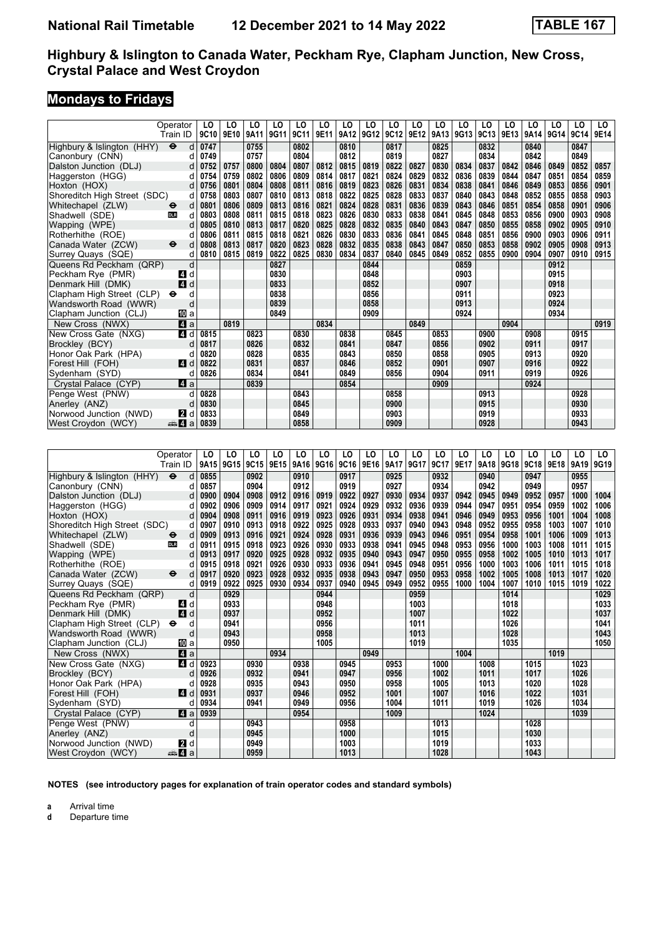### **Mondays to Fridays**

|                              | Operator                 | LO   | LO   | LO        | LO   | LO   | LO   | LO   | LO   | LO   | LO   | LO   | LO   | LO   | LO   | LO   | LO   | LO   | LO.  |
|------------------------------|--------------------------|------|------|-----------|------|------|------|------|------|------|------|------|------|------|------|------|------|------|------|
|                              | Train ID                 | 9C10 | 9E10 | 9A11      | 9G11 | 9C11 | 9E11 | 9A12 | 9G12 | 9C12 | 9E12 | 9A13 | 9G13 | 9C13 | 9E13 | 9A14 | 9G14 | 9C14 | 9E14 |
| Highbury & Islington (HHY)   | $\ddot{\mathbf{e}}$<br>d | 0747 |      | 0755      |      | 0802 |      | 0810 |      | 0817 |      | 0825 |      | 0832 |      | 0840 |      | 0847 |      |
| Canonbury (CNN)              | d                        | 0749 |      | 0757      |      | 0804 |      | 0812 |      | 0819 |      | 0827 |      | 0834 |      | 0842 |      | 0849 |      |
| Dalston Junction (DLJ)       | d                        | 0752 | 0757 | 0800      | 0804 | 0807 | 0812 | 0815 | 0819 | 0822 | 0827 | 0830 | 0834 | 0837 | 0842 | 0846 | 0849 | 0852 | 0857 |
| Haggerston (HGG)             | d                        | 0754 | 0759 | 0802      | 0806 | 0809 | 0814 | 0817 | 0821 | 0824 | 0829 | 0832 | 0836 | 0839 | 0844 | 0847 | 0851 | 0854 | 0859 |
| Hoxton (HOX)                 | d                        | 0756 | 0801 | 0804      | 0808 | 0811 | 0816 | 0819 | 0823 | 0826 | 0831 | 0834 | 0838 | 0841 | 0846 | 0849 | 0853 | 0856 | 0901 |
| Shoreditch High Street (SDC) | d                        | 0758 | 0803 | 0807      | 0810 | 0813 | 0818 | 0822 | 0825 | 0828 | 0833 | 0837 | 0840 | 0843 | 0848 | 0852 | 0855 | 0858 | 0903 |
| Whitechapel (ZLW)            | d<br>⊖                   | 0801 | 0806 | 0809      | 0813 | 0816 | 0821 | 0824 | 0828 | 0831 | 0836 | 0839 | 0843 | 0846 | 0851 | 0854 | 0858 | 0901 | 0906 |
| Shadwell (SDE)               | d<br><b>DLR</b>          | 0803 | 0808 | 0811      | 0815 | 0818 | 0823 | 0826 | 0830 | 0833 | 0838 | 0841 | 0845 | 0848 | 0853 | 0856 | 0900 | 0903 | 0908 |
| Wapping (WPE)                | d                        | 0805 | 0810 | 0813      | 0817 | 0820 | 0825 | 0828 | 0832 | 0835 | 0840 | 0843 | 0847 | 0850 | 0855 | 0858 | 0902 | 0905 | 0910 |
| Rotherhithe (ROE)            | d                        | 0806 | 0811 | 0815      | 0818 | 0821 | 0826 | 0830 | 0833 | 0836 | 0841 | 0845 | 0848 | 0851 | 0856 | 0900 | 0903 | 0906 | 0911 |
| Canada Water (ZCW)           | ⊖<br>d                   | 0808 | 0813 | 0817      | 0820 | 0823 | 0828 | 0832 | 0835 | 0838 | 0843 | 0847 | 0850 | 0853 | 0858 | 0902 | 0905 | 0908 | 0913 |
| Surrey Quays (SQE)           | d                        | 0810 | 0815 | 0819      | 0822 | 0825 | 0830 | 0834 | 0837 | 0840 | 0845 | 0849 | 0852 | 0855 | 0900 | 0904 | 0907 | 0910 | 0915 |
| Queens Rd Peckham (QRP)      | d                        |      |      |           | 0827 |      |      |      | 0844 |      |      |      | 0859 |      |      |      | 0912 |      |      |
| Peckham Rye (PMR)            | 41 d                     |      |      |           | 0830 |      |      |      | 0848 |      |      |      | 0903 |      |      |      | 0915 |      |      |
| Denmark Hill (DMK)           | 4<br>d                   |      |      |           | 0833 |      |      |      | 0852 |      |      |      | 0907 |      |      |      | 0918 |      |      |
| Clapham High Street (CLP)    | d<br>$\bullet$           |      |      |           | 0838 |      |      |      | 0856 |      |      |      | 0911 |      |      |      | 0923 |      |      |
| Wandsworth Road (WWR)        | d                        |      |      |           | 0839 |      |      |      | 0858 |      |      |      | 0913 |      |      |      | 0924 |      |      |
| Clapham Junction (CLJ)       | 100 a                    |      |      |           | 0849 |      |      |      | 0909 |      |      |      | 0924 |      |      |      | 0934 |      |      |
| New Cross (NWX)              | L4 a                     |      | 0819 |           |      |      | 0834 |      |      |      | 0849 |      |      |      | 0904 |      |      |      | 0919 |
| New Cross Gate (NXG)         | 4 d                      | 0815 |      | 0823      |      | 0830 |      | 0838 |      | 0845 |      | 0853 |      | 0900 |      | 0908 |      | 0915 |      |
| Brockley (BCY)               | d                        | 0817 |      | 0826      |      | 0832 |      | 0841 |      | 0847 |      | 0856 |      | 0902 |      | 0911 |      | 0917 |      |
| Honor Oak Park (HPA)         | d                        | 0820 |      | 0828      |      | 0835 |      | 0843 |      | 0850 |      | 0858 |      | 0905 |      | 0913 |      | 0920 |      |
| Forest Hill (FOH)            | ZI d                     | 0822 |      | 0831      |      | 0837 |      | 0846 |      | 0852 |      | 0901 |      | 0907 |      | 0916 |      | 0922 |      |
| Sydenham (SYD)               | d                        | 0826 |      | 0834      |      | 0841 |      | 0849 |      | 0856 |      | 0904 |      | 0911 |      | 0919 |      | 0926 |      |
| Crystal Palace (CYP)         | ZI a                     |      |      | 0839      |      |      |      | 0854 |      |      |      | 0909 |      |      |      | 0924 |      |      |      |
| Penge West (PNW)             | d                        | 0828 |      |           |      | 0843 |      |      |      | 0858 |      |      |      | 0913 |      |      |      | 0928 |      |
| Anerley (ANZ)                | d                        | 0830 |      |           |      | 0845 |      |      |      | 0900 |      |      |      | 0915 |      |      |      | 0930 |      |
| Norwood Junction (NWD)       | <b>2</b> d               | 0833 |      |           |      | 0849 |      |      |      | 0903 |      |      |      | 0919 |      |      |      | 0933 |      |
| West Croydon (WCY)           | ⊯ 4 a                    | 0839 |      |           |      | 0858 |      |      |      | 0909 |      |      |      | 0928 |      |      |      | 0943 |      |
|                              |                          |      |      |           |      |      |      |      |      |      |      |      |      |      |      |      |      |      |      |
|                              |                          |      |      |           |      |      |      |      |      |      |      |      |      |      |      |      |      |      |      |
|                              | Operator                 | LO   | LO   | LO        | LO   | LO   | LO   | LO   | LO   | LO   | LO   | LO   | LO   | LO   | LO   | LO   | LO   | LO   | LO.  |
|                              | Train ID                 | 9A15 |      | 9G15 9C15 | 9E15 | 9A16 | 9G16 | 9C16 | 9E16 | 9A17 | 9G17 | 9C17 | 9E17 | 9A18 | 9G18 | 9C18 | 9E18 | 9A19 | 9G19 |
| Highbury & Islington (HHY)   | $\ddot{\mathbf{e}}$<br>d | 0855 |      | 0902      |      | 0910 |      | 0917 |      | 0925 |      | 0932 |      | 0940 |      | 0947 |      | 0955 |      |
| Canonbury (CNN)              | d                        | 0857 |      | 0904      |      | 0912 |      | 0919 |      | 0927 |      | 0934 |      | 0942 |      | 0949 |      | 0957 |      |
| Dalston Junction (DLJ)       | d                        | 0900 | 0904 | 0908      | 0912 | 0916 | 0919 | 0922 | 0927 | 0930 | 0934 | 0937 | 0942 | 0945 | 0949 | 0952 | 0957 | 1000 | 1004 |
| Haggerston (HGG)             | d                        | 0902 | 0906 | 0909      | 0914 | 0917 | 0921 | 0924 | 0929 | 0932 | 0936 | 0939 | 0944 | 0947 | 0951 | 0954 | 0959 | 1002 | 1006 |
| Hoxton (HOX)                 | d                        | 0904 | 0908 | 0911      | 0916 | 0919 | 0923 | 0926 | 0931 | 0934 | 0938 | 0941 | 0946 | 0949 | 0953 | 0956 | 1001 | 1004 | 1008 |
| Shoreditch High Street (SDC) | d                        | 0907 | 0910 | 0913      | 0918 | 0922 | 0925 | 0928 | 0933 | 0937 | 0940 | 0943 | 0948 | 0952 | 0955 | 0958 | 1003 | 1007 | 1010 |
| Whitechapel (ZLW)            | d<br>⊖                   | 0909 | 0913 | 0916      | 0921 | 0924 | 0928 | 0931 | 0936 | 0939 | 0943 | 0946 | 0951 | 0954 | 0958 | 1001 | 1006 | 1009 | 1013 |
| Shadwell (SDE)               | <b>DLR</b><br>d          | 0911 | 0915 | 0918      | 0923 | 0926 | 0930 | 0933 | 0938 | 0941 | 0945 | 0948 | 0953 | 0956 | 1000 | 1003 | 1008 | 1011 | 1015 |
| Wapping (WPE)                | d                        | 0913 | 0917 | 0920      | 0925 | 0928 | 0932 | 0935 | 0940 | 0943 | 0947 | 0950 | 0955 | 0958 | 1002 | 1005 | 1010 | 1013 | 1017 |
| Rotherhithe (ROE)            | d                        | 0915 | 0918 | 0921      | 0926 | 0930 | 0933 | 0936 | 0941 | 0945 | 0948 | 0951 | 0956 | 1000 | 1003 | 1006 | 1011 | 1015 | 1018 |
| Canada Water (ZCW)           | d<br>⊖                   | 0917 | 0920 | 0923      | 0928 | 0932 | 0935 | 0938 | 0943 | 0947 | 0950 | 0953 | 0958 | 1002 | 1005 | 1008 | 1013 | 1017 | 1020 |
| Surrey Quays (SQE)           | d                        | 0919 | 0922 | 0925      | 0930 | 0934 | 0937 | 0940 | 0945 | 0949 | 0952 | 0955 | 1000 | 1004 | 1007 | 1010 | 1015 | 1019 | 1022 |
| Queens Rd Peckham (QRP)      | d                        |      | 0929 |           |      |      | 0944 |      |      |      | 0959 |      |      |      | 1014 |      |      |      | 1029 |
| Peckham Rye (PMR)            | d<br>41                  |      | 0933 |           |      |      | 0948 |      |      |      | 1003 |      |      |      | 1018 |      |      |      | 1033 |
| Denmark Hill (DMK)           | 4 d                      |      | 0937 |           |      |      | 0952 |      |      |      | 1007 |      |      |      | 1022 |      |      |      | 1037 |
| Clapham High Street (CLP)    | d<br>$\bullet$           |      | 0941 |           |      |      | 0956 |      |      |      | 1011 |      |      |      | 1026 |      |      |      | 1041 |
|                              |                          |      |      |           |      |      |      |      |      |      |      |      |      |      |      |      |      |      |      |

 Clapham High Street (CLP) T d **0941 0956 1011 1026 1041**  Wandsworth Road (WWR) d **0943 0958 1013 1028 1043**

**Clapham Junction (CLJ) 10** a **10950 1005 1005 1019 1019 1004 1035 1019 1019 1019 1019 1019** New Cross (NWX) **21 a 1004 <b>21 a 1004 <b>1004 1004 1006 1015 1016 1016 1016 1016 1016 1016 1016** 

 New Cross Gate (N;G) z d **0923 0930 0938 0945 0953 1000 1008 1015 1023**  Brockley (BCY) d **0926 0932 0941 0947 0956 1002 1011 1017 1026**  Honor Oak Park (HPA) d **0928 0935 0943 0950 0958 1005 1013 1020 1028**  Forest Hill (FOH) z d **0931 0937 0946 0952 1001 1007 1016 1022 1031**

 Crystal Palace (CYP) z a **0939 0954 1009 1024 1039**

 Penge West (PNW) d **0943 0958 1013 1028**  Anerley (AN=) d **0945 1000 1015 1030** Norwood Junction (NWD) **2** d **10949 1003 1003 1003 1019 1033 1019 1033 1028 1043** 

**NOTES (see introductory pages for explanation of train operator codes and standard symbols)**

**a** Arrival time<br>**d** Departure t

 $Sy$ denham<sup>(SYD)</sup>

**d** Departure time

**10111024 24.10101 (WCY)**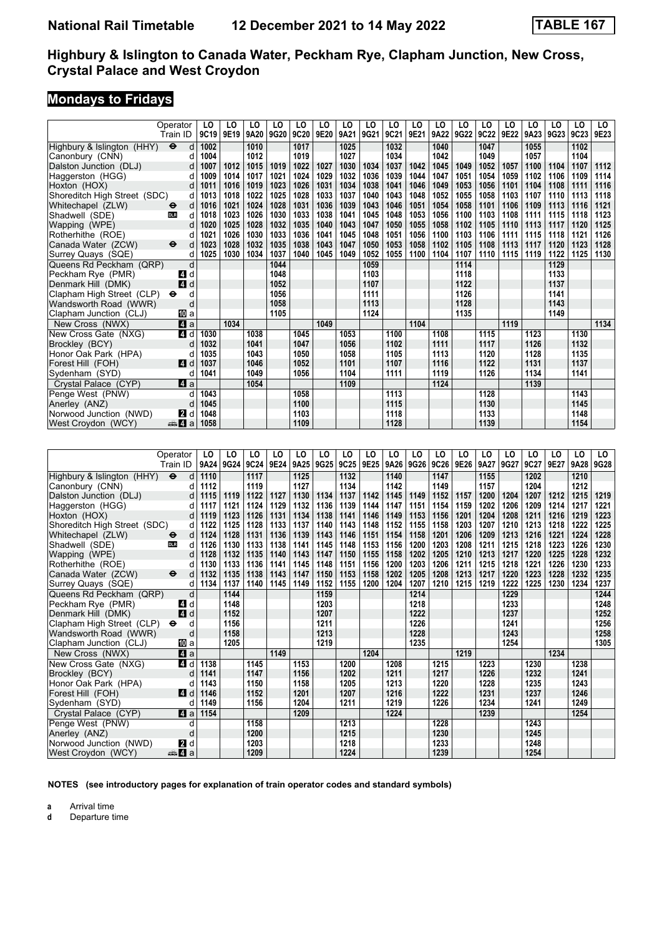# **Mondays to Fridays**

|                                                 | Operator<br>Train ID    | LO<br>9C19   | LO<br>9E19 | LO<br>9A20   | LO<br>9G20   | LO<br>9C20   | LO<br>9E20 | LO<br>9A21   | LO<br>9G21   | LO<br>9C21   | LO<br>9E21 | LO<br>9A22   | LO<br>9G22   | LO<br>9C22   | LO<br>9E22 | LO<br>9A23   | LO<br>9G23   | LO<br>9C23   | LO<br>9E23 |
|-------------------------------------------------|-------------------------|--------------|------------|--------------|--------------|--------------|------------|--------------|--------------|--------------|------------|--------------|--------------|--------------|------------|--------------|--------------|--------------|------------|
| Highbury & Islington (HHY)                      | $\bullet$<br>d          | 1002         |            | 1010         |              | 1017         |            | 1025         |              | 1032         |            | 1040         |              | 1047         |            | 1055         |              | 1102         |            |
| Canonbury (CNN)                                 | d                       | 1004         |            | 1012         |              | 1019         |            | 1027         |              | 1034         |            | 1042         |              | 1049         |            | 1057         |              | 1104         |            |
| Dalston Junction (DLJ)                          | d                       | 1007         | 1012       | 1015         | 1019         | 1022         | 1027       | 1030         | 1034         | 1037         | 1042       | 1045         | 1049         | 1052         | 1057       | 1100         | 1104         | 1107         | 1112       |
| Haggerston (HGG)                                | d                       | 1009         | 1014       | 1017         | 1021         | 1024         | 1029       | 1032         | 1036         | 1039         | 1044       | 1047         | 1051         | 1054         | 1059       | 1102         | 1106         | 1109         | 1114       |
| Hoxton (HOX)                                    | d                       | 1011         | 1016       | 1019         | 1023         | 1026         | 1031       | 1034         | 1038         | 1041         | 1046       | 1049         | 1053         | 1056         | 1101       | 1104         | 1108         | 1111         | 1116       |
| Shoreditch High Street (SDC)                    | d                       | 1013         | 1018       | 1022         | 1025         | 1028         | 1033       | 1037         | 1040         | 1043         | 1048       | 1052         | 1055         | 1058         | 1103       | 1107         | 1110         | 1113         | 1118       |
| Whitechapel (ZLW)                               | d<br>⊖                  | 1016         | 1021       | 1024         | 1028         | 1031         | 1036       | 1039         | 1043         | 1046         | 1051       | 1054         | 1058         | 1101         | 1106       | 1109         | 1113         | 1116         | 1121       |
| Shadwell (SDE)                                  | d<br>DLR                | 1018         | 1023       | 1026         | 1030         | 1033         | 1038       | 1041         | 1045         | 1048         | 1053       | 1056         | 1100         | 1103         | 1108       | 1111         | 1115         | 1118         | 1123       |
| Wapping (WPE)                                   | d                       | 1020         | 1025       | 1028         | 1032         | 1035         | 1040       | 1043         | 1047         | 1050         | 1055       | 1058         | 1102         | 1105         | 1110       | 1113         | 1117         | 1120         | 1125       |
| Rotherhithe (ROE)                               | d                       | 1021         | 1026       | 1030         | 1033         | 1036         | 1041       | 1045         | 1048         | 1051         | 1056       | 1100         | 1103         | 1106         | 1111       | 1115         | 1118         | 1121         | 1126       |
| Canada Water (ZCW)                              | ⊖<br>d                  | 1023         | 1028       | 1032         | 1035         | 1038         | 1043       | 1047         | 1050         | 1053         | 1058       | 1102         | 1105         | 1108         | 1113       | 1117         | 1120         | 1123         | 1128       |
| Surrey Quays (SQE)                              | d                       | 1025         | 1030       | 1034         | 1037         | 1040         | 1045       | 1049         | 1052         | 1055         | 1100       | 1104         | 1107         | 1110         | 1115       | 1119         | 1122         | 1125         | 1130       |
| Queens Rd Peckham (QRP)                         | d                       |              |            |              | 1044         |              |            |              | 1059         |              |            |              | 1114         |              |            |              | 1129         |              |            |
| Peckham Rye (PMR)                               | 4 d<br>4 d              |              |            |              | 1048         |              |            |              | 1103         |              |            |              | 1118<br>1122 |              |            |              | 1133         |              |            |
| Denmark Hill (DMK)<br>Clapham High Street (CLP) | d<br>θ                  |              |            |              | 1052<br>1056 |              |            |              | 1107<br>1111 |              |            |              | 1126         |              |            |              | 1137<br>1141 |              |            |
| Wandsworth Road (WWR)                           | d                       |              |            |              | 1058         |              |            |              | 1113         |              |            |              | 1128         |              |            |              | 1143         |              |            |
| Clapham Junction (CLJ)                          | 100la                   |              |            |              | 1105         |              |            |              | 1124         |              |            |              | 1135         |              |            |              | 1149         |              |            |
| New Cross (NWX)                                 | 41 a                    |              | 1034       |              |              |              | 1049       |              |              |              | 1104       |              |              |              | 1119       |              |              |              | 1134       |
| New Cross Gate (NXG)                            | 4 d                     | 1030         |            | 1038         |              | 1045         |            | 1053         |              | 1100         |            | 1108         |              | 1115         |            | 1123         |              | 1130         |            |
| Brockley (BCY)                                  | d                       | 1032         |            | 1041         |              | 1047         |            | 1056         |              | 1102         |            | 1111         |              | 1117         |            | 1126         |              | 1132         |            |
| Honor Oak Park (HPA)                            | d                       | 1035         |            | 1043         |              | 1050         |            | 1058         |              | 1105         |            | 1113         |              | 1120         |            | 1128         |              | 1135         |            |
| Forest Hill (FOH)                               | 4 d                     | 1037         |            | 1046         |              | 1052         |            | 1101         |              | 1107         |            | 1116         |              | 1122         |            | 1131         |              | 1137         |            |
| Sydenham (SYD)                                  | d                       | 1041         |            | 1049         |              | 1056         |            | 1104         |              | 1111         |            | 1119         |              | 1126         |            | 1134         |              | 1141         |            |
| Crystal Palace (CYP)                            | ZI a                    |              |            | 1054         |              |              |            | 1109         |              |              |            | 1124         |              |              |            | 1139         |              |              |            |
| Penge West (PNW)                                | d                       | 1043         |            |              |              | 1058         |            |              |              | 1113         |            |              |              | 1128         |            |              |              | 1143         |            |
| Anerley (ANZ)                                   | d                       | 1045         |            |              |              | 1100         |            |              |              | 1115         |            |              |              | 1130         |            |              |              | 1145         |            |
| Norwood Junction (NWD)                          | d<br>2                  | 1048         |            |              |              | 1103         |            |              |              | 1118         |            |              |              | 1133         |            |              |              | 1148         |            |
|                                                 |                         |              |            |              |              |              |            |              |              | 1128         |            |              |              |              |            |              |              | 1154         |            |
| West Croydon (WCY)                              | anna <mark>a</mark> n ⊿ | 1058         |            |              |              | 1109         |            |              |              |              |            |              |              | 1139         |            |              |              |              |            |
|                                                 |                         |              |            |              |              |              |            |              |              |              |            |              |              |              |            |              |              |              |            |
|                                                 |                         |              |            |              |              |              |            |              |              |              |            |              |              |              |            |              |              |              |            |
|                                                 | Operator<br>Train ID    | LO           | LO         | LO           | LO<br>9E24   | LO           | LO         | LO           | LO           | LO           | LO         | LO           | LO<br>9E26   | LO           | LO<br>9G27 | LO           | LO<br>9E27   | LO           | LO<br>9G28 |
|                                                 |                         | 9A24         | 9G24       | 9C24         |              | 9A25         | 9G25       | 9C25         | 9E25         | 9A26         | 9G26       | 9C26         |              | 9A27         |            | 9C27         |              | 9A28         |            |
| Highbury & Islington (HHY)                      | d<br>$\bullet$          | 1110         |            | 1117         |              | 1125         |            | 1132         |              | 1140         |            | 1147         |              | 1155         |            | 1202         |              | 1210         |            |
| Canonbury (CNN)                                 | d<br>d                  | 1112<br>1115 | 1119       | 1119<br>1122 | 1127         | 1127<br>1130 | 1134       | 1134<br>1137 | 1142         | 1142<br>1145 | 1149       | 1149<br>1152 | 1157         | 1157<br>1200 | 1204       | 1204<br>1207 | 1212         | 1212<br>1215 | 1219       |
| Dalston Junction (DLJ)                          | d                       | 1117         | 1121       | 1124         | 1129         | 1132         | 1136       | 1139         | 1144         | 1147         | 1151       | 1154         | 1159         | 1202         | 1206       | 1209         | 1214         | 1217         | 1221       |
| Haggerston (HGG)<br>Hoxton (HOX)                | d                       | 1119         | 1123       | 1126         | 1131         | 1134         | 1138       | 1141         | 1146         | 1149         | 1153       | 1156         | 1201         | 1204         | 1208       | 1211         | 1216         | 1219         | 1223       |
| Shoreditch High Street (SDC)                    | d                       | 1122         | 1125       | 1128         | 1133         | 1137         | 1140       | 1143         | 1148         | 1152         | 1155       | 1158         | 1203         | 1207         | 1210       | 1213         | 1218         | 1222         | 1225       |
| Whitechapel (ZLW)                               | d<br>⊖                  | 1124         | 1128       | 1131         | 1136         | 1139         | 1143       | 1146         | 1151         | 1154         | 1158       | 1201         | 1206         | 1209         | 1213       | 1216         | 1221         | 1224         | 1228       |
| Shadwell (SDE)                                  | d<br><b>DLR</b>         | 1126         | 1130       | 1133         | 1138         | 1141         | 1145       | 1148         | 1153         | 1156         | 1200       | 1203         | 1208         | 1211         | 1215       | 1218         | 1223         | 1226         | 1230       |
| Wapping (WPE)                                   | d                       | 1128         | 1132       | 1135         | 1140         | 1143         | 1147       | 1150         | 1155         | 1158         | 1202       | 1205         | 1210         | 1213         | 1217       | 1220         | 1225         | 1228         | 1232       |
| Rotherhithe (ROE)                               | d                       | 1130         | 1133       | 1136         | 1141         | 1145         | 1148       | 1151         | 1156         | 1200         | 1203       | 1206         | 1211         | 1215         | 1218       | 1221         | 1226         | 1230         | 1233       |
| Canada Water (ZCW)                              | $\bullet$<br>d          | 1132         | 1135       | 1138         | 1143         | 1147         | 1150       | 1153         | 1158         | 1202         | 1205       | 1208         | 1213         | 1217         | 1220       | 1223         | 1228         | 1232         | 1235       |
| Surrey Quays (SQE)                              | d                       | 1134         | 1137       | 1140         | 1145         | 1149         | 1152       | 1155         | 1200         | 1204         | 1207       | 1210         | 1215         | 1219         | 1222       | 1225         | 1230         | 1234         | 1237       |
| Queens Rd Peckham (QRP)                         | d                       |              | 1144       |              |              |              | 1159       |              |              |              | 1214       |              |              |              | 1229       |              |              |              | 1244       |
| Peckham Rye (PMR)                               | ZI d                    |              | 1148       |              |              |              | 1203       |              |              |              | 1218       |              |              |              | 1233       |              |              |              | 1248       |
| Denmark Hill (DMK)                              | $\overline{A}$<br>d     |              | 1152       |              |              |              | 1207       |              |              |              | 1222       |              |              |              | 1237       |              |              |              | 1252       |
| Clapham High Street (CLP) $\Theta$              | d                       |              | 1156       |              |              |              | 1211       |              |              |              | 1226       |              |              |              | 1241       |              |              |              | 1256       |
| Wandsworth Road (WWR)                           | d                       |              | 1158       |              |              |              | 1213       |              |              |              | 1228       |              |              |              | 1243       |              |              |              | 1258       |
| Clapham Junction (CLJ)                          | <b>ID</b> a             |              | 1205       |              |              |              | 1219       |              |              |              | 1235       |              |              |              | 1254       |              |              |              | 1305       |
| New Cross (NWX)                                 | 41 a                    |              |            |              | 1149         |              |            |              | 1204         |              |            |              | 1219         |              |            |              | 1234         |              |            |
| New Cross Gate (NXG)                            | d                       | 4 d 1138     |            | 1145         |              | 1153         |            | 1200<br>1202 |              | 1208<br>1211 |            | 1215<br>1217 |              | 1223<br>1226 |            | 1230         |              | 1238<br>1241 |            |
| Brockley (BCY)<br>Honor Oak Park (HPA)          | d                       | 1141<br>1143 |            | 1147         |              | 1156         |            | 1205         |              | 1213         |            | 1220         |              |              |            | 1232<br>1235 |              | 1243         |            |
| Forest Hill (FOH)                               | 4 d                     | 1146         |            | 1150<br>1152 |              | 1158<br>1201 |            | 1207         |              | 1216         |            | 1222         |              | 1228<br>1231 |            | 1237         |              | 1246         |            |
| Sydenham (SYD)                                  | d                       | 1149         |            | 1156         |              | 1204         |            | 1211         |              | 1219         |            | 1226         |              | 1234         |            | 1241         |              | 1249         |            |
| Crystal Palace (CYP)                            | ZI a                    | 1154         |            |              |              | 1209         |            |              |              | 1224         |            |              |              | 1239         |            |              |              | 1254         |            |
| Penge West (PNW)                                | d                       |              |            | 1158         |              |              |            | 1213         |              |              |            | 1228         |              |              |            | 1243         |              |              |            |
| Anerley (ANZ)<br>Norwood Junction (NWD)         | $\sf d$<br>2 d          |              |            | 1200<br>1203 |              |              |            | 1215<br>1218 |              |              |            | 1230<br>1233 |              |              |            | 1245<br>1248 |              |              |            |

**NOTES (see introductory pages for explanation of train operator codes and standard symbols)**

 West Croydon (WCY) 5z a **1209 1224 1239 1254**

**a** Arrival time<br>**d** Departure t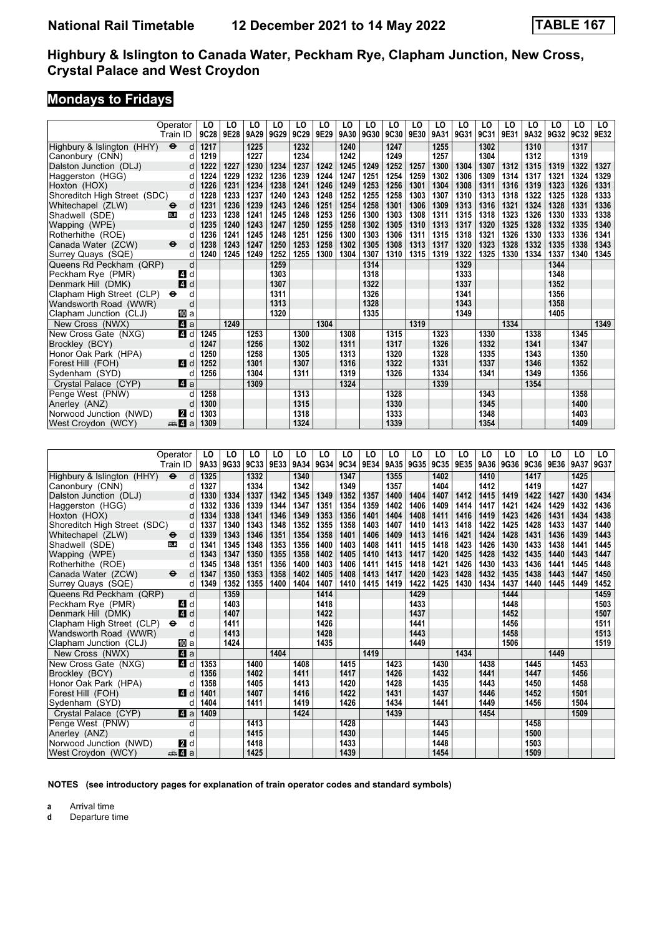## **Mondays to Fridays**

|                                    | Operator            | LO       | LO   | LO   | LO   | LO   | LO   | LO   | LO   | LO   | LO   | LO   | LO   | LO   | LO   | LO   | LO   | LO   | LO   |
|------------------------------------|---------------------|----------|------|------|------|------|------|------|------|------|------|------|------|------|------|------|------|------|------|
|                                    | Train ID            | 9C28     | 9E28 | 9A29 | 9G29 | 9C29 | 9E29 | 9A30 | 9G30 | 9C30 | 9E30 | 9A31 | 9G31 | 9C31 | 9E31 | 9A32 | 9G32 | 9C32 | 9E32 |
| Highbury & Islington (HHY)         | $\bullet$<br>d      | 1217     |      | 1225 |      | 1232 |      | 1240 |      | 1247 |      | 1255 |      | 1302 |      | 1310 |      | 1317 |      |
| Canonbury (CNN)                    | d                   | 1219     |      | 1227 |      | 1234 |      | 1242 |      | 1249 |      | 1257 |      | 1304 |      | 1312 |      | 1319 |      |
| Dalston Junction (DLJ)             | d                   | 1222     | 1227 | 1230 | 1234 | 1237 | 1242 | 1245 | 1249 | 1252 | 1257 | 1300 | 1304 | 1307 | 1312 | 1315 | 1319 | 1322 | 1327 |
| Haggerston (HGG)                   | d                   | 1224     | 1229 | 1232 | 1236 | 1239 | 1244 | 1247 | 1251 | 1254 | 1259 | 1302 | 1306 | 1309 | 1314 | 1317 | 1321 | 1324 | 1329 |
| Hoxton (HOX)                       | d                   | 1226     | 1231 | 1234 | 1238 | 1241 | 1246 | 1249 | 1253 | 1256 | 1301 | 1304 | 1308 | 1311 | 1316 | 1319 | 1323 | 1326 | 1331 |
| Shoreditch High Street (SDC)       | d                   | 1228     | 1233 | 1237 | 1240 | 1243 | 1248 | 1252 | 1255 | 1258 | 1303 | 1307 | 1310 | 1313 | 1318 | 1322 | 1325 | 1328 | 1333 |
| Whitechapel (ZLW)                  | d<br>⊖              | 1231     | 1236 | 1239 | 1243 | 1246 | 1251 | 1254 | 1258 | 1301 | 1306 | 1309 | 1313 | 1316 | 1321 | 1324 | 1328 | 1331 | 1336 |
| Shadwell (SDE)                     | d<br><b>DLR</b>     | 1233     | 1238 | 1241 | 1245 | 1248 | 1253 | 1256 | 1300 | 1303 | 1308 | 1311 | 1315 | 1318 | 1323 | 1326 | 1330 | 1333 | 1338 |
| Wapping (WPE)                      | d                   | 1235     | 1240 | 1243 | 1247 | 1250 | 1255 | 1258 | 1302 | 1305 | 1310 | 1313 | 1317 | 1320 | 1325 | 1328 | 1332 | 1335 | 1340 |
| Rotherhithe (ROE)                  | d                   | 1236     | 1241 | 1245 | 1248 | 1251 | 1256 | 1300 | 1303 | 1306 | 1311 | 1315 | 1318 | 1321 | 1326 | 1330 | 1333 | 1336 | 1341 |
| Canada Water (ZCW)                 | ⊖<br>d              | 1238     | 1243 | 1247 | 1250 | 1253 | 1258 | 1302 | 1305 | 1308 | 1313 | 1317 | 1320 | 1323 | 1328 | 1332 | 1335 | 1338 | 1343 |
| Surrey Quays (SQE)                 | d                   | 1240     | 1245 | 1249 | 1252 | 1255 | 1300 | 1304 | 1307 | 1310 | 1315 | 1319 | 1322 | 1325 | 1330 | 1334 | 1337 | 1340 | 1345 |
| Queens Rd Peckham (QRP)            | d                   |          |      |      | 1259 |      |      |      | 1314 |      |      |      | 1329 |      |      |      | 1344 |      |      |
| Peckham Rye (PMR)                  | ZI d                |          |      |      | 1303 |      |      |      | 1318 |      |      |      | 1333 |      |      |      | 1348 |      |      |
| Denmark Hill (DMK)                 | 4<br>d              |          |      |      | 1307 |      |      |      | 1322 |      |      |      | 1337 |      |      |      | 1352 |      |      |
| Clapham High Street (CLP)          | d<br>⊖              |          |      |      | 1311 |      |      |      | 1326 |      |      |      | 1341 |      |      |      | 1356 |      |      |
| Wandsworth Road (WWR)              | d                   |          |      |      | 1313 |      |      |      | 1328 |      |      |      | 1343 |      |      |      | 1358 |      |      |
| Clapham Junction (CLJ)             | 100 a               |          |      |      | 1320 |      |      |      | 1335 |      |      |      | 1349 |      |      |      | 1405 |      |      |
| New Cross (NWX)                    | ZI a                |          | 1249 |      |      |      | 1304 |      |      |      | 1319 |      |      |      | 1334 |      |      |      | 1349 |
| New Cross Gate (NXG)               | 4<br>d              | 1245     |      | 1253 |      | 1300 |      | 1308 |      | 1315 |      | 1323 |      | 1330 |      | 1338 |      | 1345 |      |
| Brockley (BCY)                     | d                   | 1247     |      | 1256 |      | 1302 |      | 1311 |      | 1317 |      | 1326 |      | 1332 |      | 1341 |      | 1347 |      |
| Honor Oak Park (HPA)               | d                   | 1250     |      | 1258 |      | 1305 |      | 1313 |      | 1320 |      | 1328 |      | 1335 |      | 1343 |      | 1350 |      |
| Forest Hill (FOH)                  | 4<br>d              | 1252     |      | 1301 |      | 1307 |      | 1316 |      | 1322 |      | 1331 |      | 1337 |      | 1346 |      | 1352 |      |
| Sydenham (SYD)                     | d                   | 1256     |      | 1304 |      | 1311 |      | 1319 |      | 1326 |      | 1334 |      | 1341 |      | 1349 |      | 1356 |      |
| Crystal Palace (CYP)               | ZI a                |          |      | 1309 |      |      |      | 1324 |      |      |      | 1339 |      |      |      | 1354 |      |      |      |
| Penge West (PNW)                   | d                   | 1258     |      |      |      | 1313 |      |      |      | 1328 |      |      |      | 1343 |      |      |      | 1358 |      |
| Anerley (ANZ)                      | d                   | 1300     |      |      |      | 1315 |      |      |      | 1330 |      |      |      | 1345 |      |      |      | 1400 |      |
| Norwood Junction (NWD)             | 2<br>d              | 1303     |      |      |      | 1318 |      |      |      | 1333 |      |      |      | 1348 |      |      |      | 1403 |      |
| West Croydon (WCY)                 | $\oplus$ 4<br>a     | 1309     |      |      |      | 1324 |      |      |      | 1339 |      |      |      | 1354 |      |      |      | 1409 |      |
|                                    |                     |          |      |      |      |      |      |      |      |      |      |      |      |      |      |      |      |      |      |
|                                    |                     |          |      |      |      |      |      |      |      |      |      |      |      |      |      |      |      |      |      |
|                                    | Operator            | LO       | LO   | LO   | LO   | LO   | LO   | LO   | LO   | LO   | LO   | LO   | LO   | LO   | LO   | LO   | LO   | LO   | LO   |
|                                    | Train ID            | 9A33     | 9G33 | 9C33 | 9E33 | 9A34 | 9G34 | 9C34 | 9E34 | 9A35 | 9G35 | 9C35 | 9E35 | 9A36 | 9G36 | 9C36 | 9E36 | 9A37 | 9G37 |
|                                    |                     |          |      |      |      |      |      |      |      |      |      |      |      |      |      |      |      |      |      |
| Highbury & Islington (HHY)         | $\bullet$<br>d      | 1325     |      | 1332 |      | 1340 |      | 1347 |      | 1355 |      | 1402 |      | 1410 |      | 1417 |      | 1425 |      |
| Canonbury (CNN)                    | d                   | 1327     |      | 1334 |      | 1342 |      | 1349 |      | 1357 |      | 1404 |      | 1412 |      | 1419 |      | 1427 |      |
| Dalston Junction (DLJ)             | d                   | 1330     | 1334 | 1337 | 1342 | 1345 | 1349 | 1352 | 1357 | 1400 | 1404 | 1407 | 1412 | 1415 | 1419 | 1422 | 1427 | 1430 | 1434 |
| Haggerston (HGG)                   | d                   | 1332     | 1336 | 1339 | 1344 | 1347 | 1351 | 1354 | 1359 | 1402 | 1406 | 1409 | 1414 | 1417 | 1421 | 1424 | 1429 | 1432 | 1436 |
| Hoxton (HOX)                       | d                   | 1334     | 1338 | 1341 | 1346 | 1349 | 1353 | 1356 | 1401 | 1404 | 1408 | 1411 | 1416 | 1419 | 1423 | 1426 | 1431 | 1434 | 1438 |
| Shoreditch High Street (SDC)       | d                   | 1337     | 1340 | 1343 | 1348 | 1352 | 1355 | 1358 | 1403 | 1407 | 1410 | 1413 | 1418 | 1422 | 1425 | 1428 | 1433 | 1437 | 1440 |
| Whitechapel (ZLW)                  | d<br>⊖              | 1339     | 1343 | 1346 | 1351 | 1354 | 1358 | 1401 | 1406 | 1409 | 1413 | 1416 | 1421 | 1424 | 1428 | 1431 | 1436 | 1439 | 1443 |
| Shadwell (SDE)                     | <b>DLR</b><br>d     | 1341     | 1345 | 1348 | 1353 | 1356 | 1400 | 1403 | 1408 | 1411 | 1415 | 1418 | 1423 | 1426 | 1430 | 1433 | 1438 | 1441 | 1445 |
| Wapping (WPE)                      | d                   | 1343     | 1347 | 1350 | 1355 | 1358 | 1402 | 1405 | 1410 | 1413 | 1417 | 1420 | 1425 | 1428 | 1432 | 1435 | 1440 | 1443 | 1447 |
| Rotherhithe (ROE)                  | d                   | 1345     | 1348 | 1351 | 1356 | 1400 | 1403 | 1406 | 1411 | 1415 | 1418 | 1421 | 1426 | 1430 | 1433 | 1436 | 1441 | 1445 | 1448 |
| Canada Water (ZCW)                 | d<br>⊖              | 1347     | 1350 | 1353 | 1358 | 1402 | 1405 | 1408 | 1413 | 1417 | 1420 | 1423 | 1428 | 1432 | 1435 | 1438 | 1443 | 1447 | 1450 |
| Surrey Quays (SQE)                 | d                   | 1349     | 1352 | 1355 | 1400 | 1404 | 1407 | 1410 | 1415 | 1419 | 1422 | 1425 | 1430 | 1434 | 1437 | 1440 | 1445 | 1449 | 1452 |
| Queens Rd Peckham (QRP)            | d                   |          | 1359 |      |      |      | 1414 |      |      |      | 1429 |      |      |      | 1444 |      |      |      | 1459 |
| Peckham Rye (PMR)                  | 4 d                 |          | 1403 |      |      |      | 1418 |      |      |      | 1433 |      |      |      | 1448 |      |      |      | 1503 |
| Denmark Hill (DMK)                 | $\overline{4}$<br>d |          | 1407 |      |      |      | 1422 |      |      |      | 1437 |      |      |      | 1452 |      |      |      | 1507 |
| Clapham High Street (CLP) $\Theta$ | d                   |          | 1411 |      |      |      | 1426 |      |      |      | 1441 |      |      |      | 1456 |      |      |      | 1511 |
| Wandsworth Road (WWR)              | d                   |          | 1413 |      |      |      | 1428 |      |      |      | 1443 |      |      |      | 1458 |      |      |      | 1513 |
| Clapham Junction (CLJ)             | [10] a              |          | 1424 |      |      |      | 1435 |      |      |      | 1449 |      |      |      | 1506 |      |      |      | 1519 |
| New Cross (NWX)                    | 41 a                |          |      |      | 1404 |      |      |      | 1419 |      |      |      | 1434 |      |      |      | 1449 |      |      |
| New Cross Gate (NXG)               |                     | 4 d 1353 |      | 1400 |      | 1408 |      | 1415 |      | 1423 |      | 1430 |      | 1438 |      | 1445 |      | 1453 |      |
| Brockley (BCY)                     | d                   | 1356     |      | 1402 |      | 1411 |      | 1417 |      | 1426 |      | 1432 |      | 1441 |      | 1447 |      | 1456 |      |
| Honor Oak Park (HPA)               | d                   | 1358     |      | 1405 |      | 1413 |      | 1420 |      | 1428 |      | 1435 |      | 1443 |      | 1450 |      | 1458 |      |
| Forest Hill (FOH)                  |                     | 4 d 1401 |      | 1407 |      | 1416 |      | 1422 |      | 1431 |      | 1437 |      | 1446 |      | 1452 |      | 1501 |      |
| Sydenham (SYD)                     |                     | $d$ 1404 |      | 1411 |      | 1419 |      | 1426 |      | 1434 |      | 1441 |      | 1449 |      | 1456 |      | 1504 |      |

 Crystal Palace (CYP) z a **1409 1424 1439 1454 1509**

Penge West (PNW) d 1413 1428 1443<br>Anerley (ANZ) d 1415 1500  Anerley (AN=) d **1415 1430 1445 1500 Norwood Junction (NWD)** 2 d 1418 1448 1433 1448 1503  West Croydon (WCY) 5z a **1425 1439 1454 1509**

**NOTES (see introductory pages for explanation of train operator codes and standard symbols)**

**a** Arrival time<br>**d** Departure t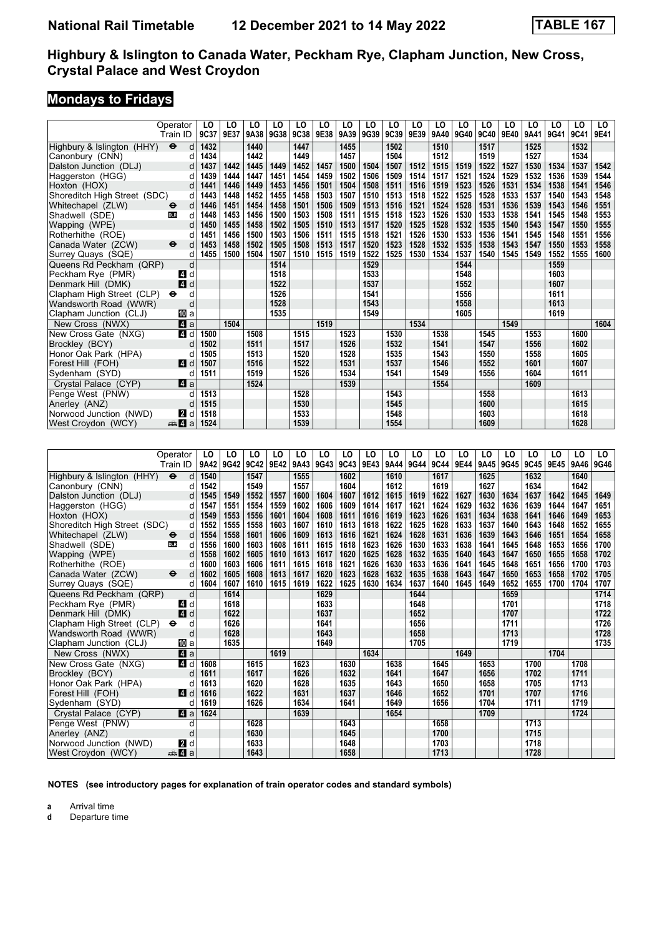## **Mondays to Fridays**

|                              | Operator                          | LO   | LO   | LO   | LO   | LO   | LO   | LO   | LO   | LO   | LO   | LO   | LO   | LO   | LO   | LO   | LO   | LO   | LO   |
|------------------------------|-----------------------------------|------|------|------|------|------|------|------|------|------|------|------|------|------|------|------|------|------|------|
|                              | Train ID                          | 9C37 | 9E37 | 9A38 | 9G38 | 9C38 | 9E38 | 9A39 | 9G39 | 9C39 | 9E39 | 9A40 | 9G40 | 9C40 | 9E40 | 9A41 | 9G41 | 9C41 | 9E41 |
| Highbury & Islington (HHY)   | $\ddot{\boldsymbol{\Theta}}$<br>d | 1432 |      | 1440 |      | 1447 |      | 1455 |      | 1502 |      | 1510 |      | 1517 |      | 1525 |      | 1532 |      |
| Canonbury (CNN)              | d                                 | 1434 |      | 1442 |      | 1449 |      | 1457 |      | 1504 |      | 1512 |      | 1519 |      | 1527 |      | 1534 |      |
| Dalston Junction (DLJ)       | d                                 | 1437 | 1442 | 1445 | 1449 | 1452 | 1457 | 1500 | 1504 | 1507 | 1512 | 1515 | 1519 | 1522 | 1527 | 1530 | 1534 | 1537 | 1542 |
| Haggerston (HGG)             | d                                 | 1439 | 1444 | 1447 | 1451 | 1454 | 1459 | 1502 | 1506 | 1509 | 1514 | 1517 | 1521 | 1524 | 1529 | 1532 | 1536 | 1539 | 1544 |
| Hoxton (HOX)                 | d                                 | 1441 | 1446 | 1449 | 1453 | 1456 | 1501 | 1504 | 1508 | 1511 | 1516 | 1519 | 1523 | 1526 | 1531 | 1534 | 1538 | 1541 | 1546 |
| Shoreditch High Street (SDC) | d                                 | 1443 | 1448 | 1452 | 1455 | 1458 | 1503 | 1507 | 1510 | 1513 | 1518 | 1522 | 1525 | 1528 | 1533 | 1537 | 1540 | 1543 | 1548 |
| Whitechapel (ZLW)            | d<br>ө                            | 1446 | 1451 | 1454 | 1458 | 1501 | 1506 | 1509 | 1513 | 1516 | 1521 | 1524 | 1528 | 1531 | 1536 | 1539 | 1543 | 1546 | 1551 |
| Shadwell (SDE)               | d<br><b>DLR</b>                   | 1448 | 1453 | 1456 | 1500 | 1503 | 1508 | 1511 | 1515 | 1518 | 1523 | 1526 | 1530 | 1533 | 1538 | 1541 | 1545 | 1548 | 1553 |
| Wapping (WPE)                | d                                 | 1450 | 1455 | 1458 | 1502 | 1505 | 1510 | 1513 | 1517 | 1520 | 1525 | 1528 | 1532 | 1535 | 1540 | 1543 | 1547 | 1550 | 1555 |
| Rotherhithe (ROE)            | d                                 | 1451 | 1456 | 1500 | 1503 | 1506 | 1511 | 1515 | 1518 | 1521 | 1526 | 1530 | 1533 | 1536 | 1541 | 1545 | 1548 | 1551 | 1556 |
| Canada Water (ZCW)           | $\ddot{\bm{\Theta}}$<br>d         | 1453 | 1458 | 1502 | 1505 | 1508 | 1513 | 1517 | 1520 | 1523 | 1528 | 1532 | 1535 | 1538 | 1543 | 1547 | 1550 | 1553 | 1558 |
| Surrey Quays (SQE)           | d                                 | 1455 | 1500 | 1504 | 1507 | 1510 | 1515 | 1519 | 1522 | 1525 | 1530 | 1534 | 1537 | 1540 | 1545 | 1549 | 1552 | 1555 | 1600 |
| Queens Rd Peckham (QRP)      | d                                 |      |      |      | 1514 |      |      |      | 1529 |      |      |      | 1544 |      |      |      | 1559 |      |      |
| Peckham Rye (PMR)            | 41 d                              |      |      |      | 1518 |      |      |      | 1533 |      |      |      | 1548 |      |      |      | 1603 |      |      |
| Denmark Hill (DMK)           | $\blacksquare$ d                  |      |      |      | 1522 |      |      |      | 1537 |      |      |      | 1552 |      |      |      | 1607 |      |      |
| Clapham High Street (CLP)    | d<br>$\bullet$                    |      |      |      | 1526 |      |      |      | 1541 |      |      |      | 1556 |      |      |      | 1611 |      |      |
| Wandsworth Road (WWR)        | d                                 |      |      |      | 1528 |      |      |      | 1543 |      |      |      | 1558 |      |      |      | 1613 |      |      |
| Clapham Junction (CLJ)       | 100 a                             |      |      |      | 1535 |      |      |      | 1549 |      |      |      | 1605 |      |      |      | 1619 |      |      |
| New Cross (NWX)              | ZI a                              |      | 1504 |      |      |      | 1519 |      |      |      | 1534 |      |      |      | 1549 |      |      |      | 1604 |
| New Cross Gate (NXG)         | 4 d                               | 1500 |      | 1508 |      | 1515 |      | 1523 |      | 1530 |      | 1538 |      | 1545 |      | 1553 |      | 1600 |      |
| Brockley (BCY)               | d                                 | 1502 |      | 1511 |      | 1517 |      | 1526 |      | 1532 |      | 1541 |      | 1547 |      | 1556 |      | 1602 |      |
| Honor Oak Park (HPA)         | d                                 | 1505 |      | 1513 |      | 1520 |      | 1528 |      | 1535 |      | 1543 |      | 1550 |      | 1558 |      | 1605 |      |
| Forest Hill (FOH)            | ZI d                              | 1507 |      | 1516 |      | 1522 |      | 1531 |      | 1537 |      | 1546 |      | 1552 |      | 1601 |      | 1607 |      |
| Sydenham (SYD)               | d                                 | 1511 |      | 1519 |      | 1526 |      | 1534 |      | 1541 |      | 1549 |      | 1556 |      | 1604 |      | 1611 |      |
| Crystal Palace (CYP)         | ZI a                              |      |      | 1524 |      |      |      | 1539 |      |      |      | 1554 |      |      |      | 1609 |      |      |      |
| Penge West (PNW)             | d                                 | 1513 |      |      |      | 1528 |      |      |      | 1543 |      |      |      | 1558 |      |      |      | 1613 |      |
| Anerley (ANZ)                | d                                 | 1515 |      |      |      | 1530 |      |      |      | 1545 |      |      |      | 1600 |      |      |      | 1615 |      |
| Norwood Junction (NWD)       | <b>2</b> d                        | 1518 |      |      |      | 1533 |      |      |      | 1548 |      |      |      | 1603 |      |      |      | 1618 |      |
| West Croydon (WCY)           | <del>⊯</del> Ма                   | 1524 |      |      |      | 1539 |      |      |      | 1554 |      |      |      | 1609 |      |      |      | 1628 |      |
|                              |                                   |      |      |      |      |      |      |      |      |      |      |      |      |      |      |      |      |      |      |
|                              |                                   |      |      |      |      |      |      |      |      |      |      |      |      |      |      |      |      |      |      |
|                              | Operator                          | LO   | LO   | LO   | LO   | LO   | LO   | LO   | LO   | LO   | LO   | LO   | LO   | LO   | LO   | LO   | LO   | LO   | LO   |
|                              | Train ID                          | 9A42 | 9G42 | 9C42 | 9E42 | 9A43 | 9G43 | 9C43 | 9E43 | 9A44 | 9G44 | 9C44 | 9E44 | 9A45 | 9G45 | 9C45 | 9E45 | 9A46 | 9G46 |
| Highbury & Islington (HHY)   | $\ddot{\bm{\Theta}}$<br>d         | 1540 |      | 1547 |      | 1555 |      | 1602 |      | 1610 |      | 1617 |      | 1625 |      | 1632 |      | 1640 |      |
| Canonbury (CNN)              | d                                 | 1542 |      | 1549 |      | 1557 |      | 1604 |      | 1612 |      | 1619 |      | 1627 |      | 1634 |      | 1642 |      |
| Dalston Junction (DLJ)       | d                                 | 1545 | 1549 | 1552 | 1557 | 1600 | 1604 | 1607 | 1612 | 1615 | 1619 | 1622 | 1627 | 1630 | 1634 | 1637 | 1642 | 1645 | 1649 |
| Haggerston (HGG)             | d                                 | 1547 | 1551 | 1554 | 1559 | 1602 | 1606 | 1609 | 1614 | 1617 | 1621 | 1624 | 1629 | 1632 | 1636 | 1639 | 1644 | 1647 | 1651 |
| Hoxton (HOX)                 | d                                 | 1549 | 1553 | 1556 | 1601 | 1604 | 1608 | 1611 | 1616 | 1619 | 1623 | 1626 | 1631 | 1634 | 1638 | 1641 | 1646 | 1649 | 1653 |
| Shoreditch High Street (SDC) | d                                 | 1552 | 1555 | 1558 | 1603 | 1607 | 1610 | 1613 | 1618 | 1622 | 1625 | 1628 | 1633 | 1637 | 1640 | 1643 | 1648 | 1652 | 1655 |
| Whitechapel (ZLW)            | d<br>$\ddot{\mathbf{e}}$          | 1554 | 1558 | 1601 | 1606 | 1609 | 1613 | 1616 | 1621 | 1624 | 1628 | 1631 | 1636 | 1639 | 1643 | 1646 | 1651 | 1654 | 1658 |
| Shadwell (SDE)               | d<br><b>DLR</b>                   | 1556 | 1600 | 1603 | 1608 | 1611 | 1615 | 1618 | 1623 | 1626 | 1630 | 1633 | 1638 | 1641 | 1645 | 1648 | 1653 | 1656 | 1700 |
| Wapping (WPE)                | d                                 | 1558 | 1602 | 1605 | 1610 | 1613 | 1617 | 1620 | 1625 | 1628 | 1632 | 1635 | 1640 | 1643 | 1647 | 1650 | 1655 | 1658 | 1702 |
| Rotherhithe (ROE)            | d                                 | 1600 | 1603 | 1606 | 1611 | 1615 | 1618 | 1621 | 1626 | 1630 | 1633 | 1636 | 1641 | 1645 | 1648 | 1651 | 1656 | 1700 | 1703 |
| Canada Water (ZCW)           | ⊖<br>d                            | 1602 | 1605 | 1608 | 1613 | 1617 | 1620 | 1623 | 1628 | 1632 | 1635 | 1638 | 1643 | 1647 | 1650 | 1653 | 1658 | 1702 | 1705 |
| Surrey Quays (SQE)           | d                                 | 1604 | 1607 | 1610 | 1615 | 1619 | 1622 | 1625 | 1630 | 1634 | 1637 | 1640 | 1645 | 1649 | 1652 | 1655 | 1700 | 1704 | 1707 |
| Queens Rd Peckham (QRP)      | d                                 |      | 1614 |      |      |      | 1629 |      |      |      | 1644 |      |      |      | 1659 |      |      |      | 1714 |
| Peckham Rye (PMR)            | d<br>4                            |      | 1618 |      |      |      | 1633 |      |      |      | 1648 |      |      |      | 1701 |      |      |      | 1718 |
| Denmark Hill (DMK)           | 4 d                               |      | 1622 |      |      |      | 1637 |      |      |      | 1652 |      |      |      | 1707 |      |      |      | 1722 |
| Clapham High Street (CLP)    | d<br>$\bullet$                    |      | 1626 |      |      |      | 1641 |      |      |      | 1656 |      |      |      | 1711 |      |      |      | 1726 |
| Wandsworth Road (WWR)        | d                                 |      | 1628 |      |      |      | 1643 |      |      |      | 1658 |      |      |      | 1713 |      |      |      | 1728 |
| Clapham Junction (CLJ)       | IM a                              |      | 1635 |      |      |      | 1649 |      |      |      | 1705 |      |      |      | 1719 |      |      |      | 1735 |
| New Cross (NWX)              | 4 a                               |      |      |      | 1619 |      |      |      | 1634 |      |      |      | 1649 |      |      |      | 1704 |      |      |

**NOTES (see introductory pages for explanation of train operator codes and standard symbols)**

 Forest Hill (FOH) z d **1616 1622 1631 1637 1646 1652 1701 1707 1716**

New Cross (NWX) **21 a 1619 1634 1649 1649 1649 1700**<br>New Cross Gate (NXG) **21 d** 1608 **1615 1623 1630 1638 1645 1653 1700** 

 Penge West (PNW) d **1628 1643 1658 1713** Anerley (ANZ) d 1630 **1645 1700 1715 1715 1716 1716 1716 1716 1716 1716 1716 1716 1716 1716 1716 1716 1718 1718 1718 1718 1718 1718 1718 1728** Norwood Junction (NWD) **2** d **1633 1648 1703 1718 1718 1728 1728 1728 1728** 

 New Cross Gate (N;G) z d **1608 1615 1623 1630 1638 1645 1653 1700 1708**  Brockley (BCY) d **1611 1617 1626 1632 1641 1647 1656 1702 1711**  Honor Oak Park (HPA) d **1613 1620 1628 1635 1643 1650 1658 1705 1713**

 Crystal Palace (CYP) z a **1624 1639 1654 1709 1724**

**a** Arrival time<br>**d** Departure t

 $S$ ydenham<sup>(SYD)</sup>

**d** Departure time

**1643 1658 1643 1658 1658 1659 1659 1659 1659 1659 1659 1659 1659 1659**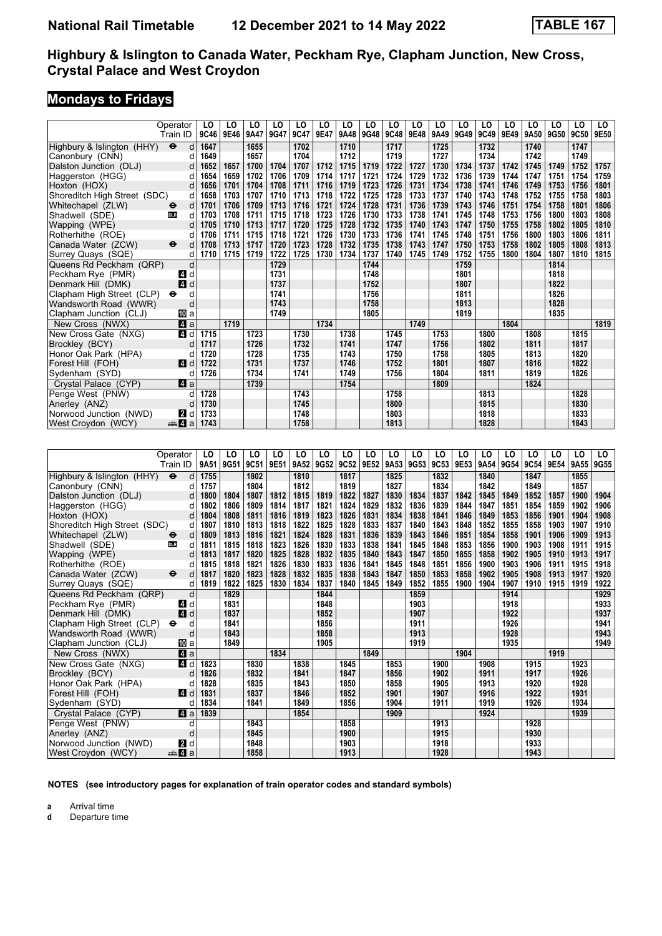## **Mondays to Fridays**

|                                               | Operator<br>Train ID      | LO<br>9C46        | LO<br>9E46   | LO<br>9A47   | LO<br>9G47   | LO<br>9C47   | LO<br>9E47   | LO<br>9A48   | LO<br>9G48   | LO<br>9C48   | LO<br>9E48   | LO<br>9A49   | LO<br>9G49   | LO<br>9C49   | LO<br>9E49   | LO<br>9A50   | LO<br>9G50   | LO<br>9C50   | LO<br>9E50   |
|-----------------------------------------------|---------------------------|-------------------|--------------|--------------|--------------|--------------|--------------|--------------|--------------|--------------|--------------|--------------|--------------|--------------|--------------|--------------|--------------|--------------|--------------|
| Highbury & Islington (HHY)                    | $\bullet$<br>d            | 1647              |              | 1655         |              | 1702         |              | 1710         |              | 1717         |              | 1725         |              | 1732         |              | 1740         |              | 1747         |              |
| Canonbury (CNN)                               | d                         | 1649              |              | 1657         |              | 1704         |              | 1712         |              | 1719         |              | 1727         |              | 1734         |              | 1742         |              | 1749         |              |
| Dalston Junction (DLJ)                        | d                         | 1652              | 1657         | 1700         | 1704         | 1707         | 1712         | 1715         | 1719         | 1722         | 1727         | 1730         | 1734         | 1737         | 1742         | 1745         | 1749         | 1752         | 1757         |
| Haggerston (HGG)                              | d                         | 1654              | 1659         | 1702         | 1706         | 1709         | 1714         | 1717         | 1721         | 1724         | 1729         | 1732         | 1736         | 1739         | 1744         | 1747         | 1751         | 1754         | 1759         |
| Hoxton (HOX)                                  | d                         | 1656              | 1701         | 1704         | 1708         | 1711         | 1716         | 1719         | 1723         | 1726         | 1731         | 1734         | 1738         | 1741         | 1746         | 1749         | 1753         | 1756         | 1801         |
| Shoreditch High Street (SDC)                  | d                         | 1658              | 1703         | 1707         | 1710         | 1713         | 1718         | 1722         | 1725         | 1728         | 1733         | 1737         | 1740         | 1743         | 1748         | 1752         | 1755         | 1758         | 1803         |
| Whitechapel (ZLW)                             | d<br>⊖                    | 1701              | 1706         | 1709         | 1713         | 1716         | 1721         | 1724         | 1728         | 1731         | 1736         | 1739         | 1743         | 1746         | 1751         | 1754         | 1758         | 1801         | 1806         |
| Shadwell (SDE)                                | d<br><b>DLR</b>           | 1703              | 1708         | 1711         | 1715         | 1718         | 1723         | 1726         | 1730         | 1733         | 1738         | 1741         | 1745         | 1748         | 1753         | 1756         | 1800         | 1803         | 1808         |
| Wapping (WPE)                                 | d                         | 1705              | 1710         | 1713         | 1717         | 1720         | 1725         | 1728         | 1732         | 1735         | 1740         | 1743         | 1747         | 1750         | 1755         | 1758         | 1802         | 1805         | 1810         |
| Rotherhithe (ROE)                             | d                         | 1706              | 1711         | 1715         | 1718         | 1721         | 1726         | 1730         | 1733         | 1736         | 1741         | 1745         | 1748         | 1751         | 1756         | 1800         | 1803         | 1806         | 1811         |
| Canada Water (ZCW)                            | $\bullet$<br>d            | 1708              | 1713         | 1717         | 1720         | 1723         | 1728         | 1732         | 1735         | 1738         | 1743         | 1747         | 1750         | 1753         | 1758         | 1802         | 1805         | 1808         | 1813         |
| Surrey Quays (SQE)                            | d                         | 1710              | 1715         | 1719         | 1722         | 1725         | 1730         | 1734         | 1737         | 1740         | 1745         | 1749         | 1752         | 1755         | 1800         | 1804         | 1807         | 1810         | 1815         |
| Queens Rd Peckham (QRP)                       | d                         |                   |              |              | 1729         |              |              |              | 1744         |              |              |              | 1759         |              |              |              | 1814         |              |              |
| Peckham Rye (PMR)                             | ZI d                      |                   |              |              | 1731         |              |              |              | 1748         |              |              |              | 1801         |              |              |              | 1818         |              |              |
| Denmark Hill (DMK)                            | 4 d                       |                   |              |              | 1737         |              |              |              | 1752         |              |              |              | 1807         |              |              |              | 1822         |              |              |
| Clapham High Street (CLP)                     | d<br>⊖                    |                   |              |              | 1741         |              |              |              | 1756         |              |              |              | 1811         |              |              |              | 1826         |              |              |
| Wandsworth Road (WWR)                         | d                         |                   |              |              | 1743         |              |              |              | 1758         |              |              |              | 1813         |              |              |              | 1828         |              |              |
| Clapham Junction (CLJ)                        | 100 a                     |                   |              |              | 1749         |              |              |              | 1805         |              |              |              | 1819         |              |              |              | 1835         |              |              |
| New Cross (NWX)                               | 41 a                      |                   | 1719         |              |              |              | 1734         |              |              |              | 1749         |              |              |              | 1804         |              |              |              | 1819         |
| New Cross Gate (NXG)                          | 4 d                       | 1715              |              | 1723         |              | 1730         |              | 1738         |              | 1745         |              | 1753         |              | 1800         |              | 1808         |              | 1815         |              |
| Brockley (BCY)                                | d                         | 1717              |              | 1726         |              | 1732         |              | 1741         |              | 1747         |              | 1756         |              | 1802         |              | 1811         |              | 1817         |              |
| Honor Oak Park (HPA)                          | d                         | 1720              |              | 1728         |              | 1735         |              | 1743         |              | 1750         |              | 1758         |              | 1805         |              | 1813         |              | 1820         |              |
| Forest Hill (FOH)                             | ZI d                      | 1722              |              | 1731         |              | 1737         |              | 1746         |              | 1752         |              | 1801         |              | 1807         |              | 1816         |              | 1822         |              |
| Sydenham (SYD)                                | d                         | 1726              |              | 1734         |              | 1741         |              | 1749         |              | 1756         |              | 1804         |              | 1811         |              | 1819         |              | 1826         |              |
| Crystal Palace (CYP)                          | ZI a                      |                   |              | 1739         |              |              |              | 1754         |              |              |              | 1809         |              |              |              | 1824         |              |              |              |
| Penge West (PNW)                              | d                         | 1728              |              |              |              | 1743         |              |              |              | 1758         |              |              |              | 1813         |              |              |              | 1828         |              |
| Anerley (ANZ)                                 | d                         | 1730              |              |              |              | 1745         |              |              |              | 1800         |              |              |              | 1815         |              |              |              | 1830         |              |
| Norwood Junction (NWD)                        | 2 d                       | 1733              |              |              |              | 1748         |              |              |              | 1803         |              |              |              | 1818         |              |              |              | 1833         |              |
| West Croydon (WCY)                            | ্ষী 4 a                   | 1743              |              |              |              | 1758         |              |              |              | 1813         |              |              |              | 1828         |              |              |              | 1843         |              |
|                                               |                           |                   |              |              |              |              |              |              |              |              |              |              |              |              |              |              |              |              |              |
|                                               |                           |                   |              |              |              |              |              |              |              |              |              |              |              |              |              |              |              |              |              |
|                                               |                           |                   |              |              |              |              |              |              |              |              |              |              |              |              |              |              |              |              |              |
|                                               | Operator                  | LO                | LO           | LO           | LO           | LO           | LO           | LO           | LO           | LO           | LO           | LO           | LO           | LO           | LO           | LO           | LO           | LO           | LO           |
|                                               | Train ID                  | 9A51              | 9G51         | 9C51         | 9E51         | 9A52         | 9G52         | 9C52         | 9E52         | 9A53         | 9G53         | 9C53         | 9E53         | 9A54         | 9G54         | 9C54         | 9E54         | 9A55         | 9G55         |
| Highbury & Islington (HHY)                    | $\ddot{\bm{\Theta}}$<br>d | 1755              |              | 1802         |              | 1810         |              | 1817         |              | 1825         |              | 1832         |              | 1840         |              | 1847         |              | 1855         |              |
| Canonbury (CNN)                               | d                         | 1757              |              | 1804         |              | 1812         |              | 1819         |              | 1827         |              | 1834         |              | 1842         |              | 1849         |              | 1857         |              |
| Dalston Junction (DLJ)                        | d                         | 1800              | 1804         | 1807         | 1812         | 1815         | 1819         | 1822         | 1827         | 1830         | 1834         | 1837         | 1842         | 1845         | 1849         | 1852         | 1857         | 1900         | 1904         |
| Haggerston (HGG)                              | d                         | 1802              | 1806         | 1809         | 1814         | 1817         | 1821         | 1824         | 1829         | 1832         | 1836         | 1839         | 1844         | 1847         | 1851         | 1854         | 1859         | 1902         | 1906         |
| Hoxton (HOX)                                  | d                         | 1804              | 1808         | 1811         | 1816         | 1819         | 1823         | 1826         | 1831         | 1834         | 1838         | 1841         | 1846         | 1849         | 1853         | 1856         | 1901         | 1904         | 1908         |
| Shoreditch High Street (SDC)                  | d                         | 1807              | 1810         | 1813         | 1818         | 1822         | 1825         | 1828         | 1833         | 1837         | 1840         | 1843         | 1848         | 1852         | 1855         | 1858         | 1903         | 1907         | 1910         |
| Whitechapel (ZLW)                             | d<br>⊖                    | 1809              | 1813         | 1816         | 1821         | 1824         | 1828         | 1831         | 1836         | 1839         | 1843         | 1846         | 1851         | 1854         | 1858         | 1901         | 1906         | 1909         | 1913         |
| Shadwell (SDE)                                | d<br><b>DLR</b>           | 1811              | 1815         | 1818         | 1823         | 1826         | 1830         | 1833         | 1838         | 1841         | 1845         | 1848         | 1853         | 1856         | 1900         | 1903         | 1908         | 1911         | 1915         |
| Wapping (WPE)                                 | d<br>d                    | 1813              | 1817         | 1820         | 1825         | 1828         | 1832         | 1835         | 1840         | 1843         | 1847         | 1850         | 1855         | 1858         | 1902         | 1905         | 1910         | 1913         | 1917         |
| Rotherhithe (ROE)                             | d<br>$\bullet$            | 1815<br>1817      | 1818<br>1820 | 1821<br>1823 | 1826<br>1828 | 1830<br>1832 | 1833<br>1835 | 1836<br>1838 | 1841<br>1843 | 1845<br>1847 | 1848<br>1850 | 1851<br>1853 | 1856<br>1858 | 1900<br>1902 | 1903<br>1905 | 1906<br>1908 | 1911<br>1913 | 1915<br>1917 | 1918<br>1920 |
| Canada Water (ZCW)                            | d                         | 1819              | 1822         | 1825         | 1830         | 1834         | 1837         | 1840         | 1845         | 1849         | 1852         | 1855         | 1900         | 1904         | 1907         | 1910         | 1915         | 1919         | 1922         |
| Surrey Quays (SQE)<br>Queens Rd Peckham (QRP) | d                         |                   | 1829         |              |              |              | 1844         |              |              |              | 1859         |              |              |              | 1914         |              |              |              | 1929         |
| Peckham Rye (PMR)                             | ZI d                      |                   | 1831         |              |              |              | 1848         |              |              |              | 1903         |              |              |              | 1918         |              |              |              | 1933         |
| Denmark Hill (DMK)                            | 4<br>d                    |                   | 1837         |              |              |              | 1852         |              |              |              | 1907         |              |              |              | 1922         |              |              |              | 1937         |
| Clapham High Street (CLP) $\Theta$            | d                         |                   | 1841         |              |              |              | 1856         |              |              |              | 1911         |              |              |              | 1926         |              |              |              | 1941         |
| Wandsworth Road (WWR)                         | d                         |                   | 1843         |              |              |              | 1858         |              |              |              | 1913         |              |              |              | 1928         |              |              |              | 1943         |
| Clapham Junction (CLJ)                        | 吅 a                       |                   | 1849         |              |              |              | 1905         |              |              |              | 1919         |              |              |              | 1935         |              |              |              | 1949         |
| New Cross (NWX)                               | 41 a                      |                   |              |              | 1834         |              |              |              | 1849         |              |              |              | 1904         |              |              |              | 1919         |              |              |
| New Cross Gate (NXG)                          |                           | 4 d 1823          |              | 1830         |              | 1838         |              | 1845         |              | 1853         |              | 1900         |              | 1908         |              | 1915         |              | 1923         |              |
| Brockley (BCY)                                | d                         | 1826              |              | 1832         |              | 1841         |              | 1847         |              | 1856         |              | 1902         |              | 1911         |              | 1917         |              | 1926         |              |
| Honor Oak Park (HPA)                          | d                         | 1828              |              | 1835         |              | 1843         |              | 1850         |              | 1858         |              | 1905         |              | 1913         |              | 1920         |              | 1928         |              |
| Forest Hill (FOH)                             | 4 d                       | 1831              |              | 1837         |              | 1846         |              | 1852         |              | 1901         |              | 1907         |              | 1916         |              | 1922         |              | 1931         |              |
| Sydenham (SYD)<br>Crystal Palace (CYP)        | d                         | 1834<br>Z1 a 1839 |              | 1841         |              | 1849<br>1854 |              | 1856         |              | 1904<br>1909 |              | 1911         |              | 1919<br>1924 |              | 1926         |              | 1934<br>1939 |              |

**NOTES (see introductory pages for explanation of train operator codes and standard symbols)**

Penge West (PNW) d 1843<br>
Anerley (ANZ) d 1845 1900 1913 1915 1930  Anerley (AN=) d **1845 1900 1915 1930 Norwood Junction (NWD)** 2 d 1848 1933  West Croydon (WCY) 5z a **1858 1913 1928 1943**

**a** Arrival time<br>**d** Departure t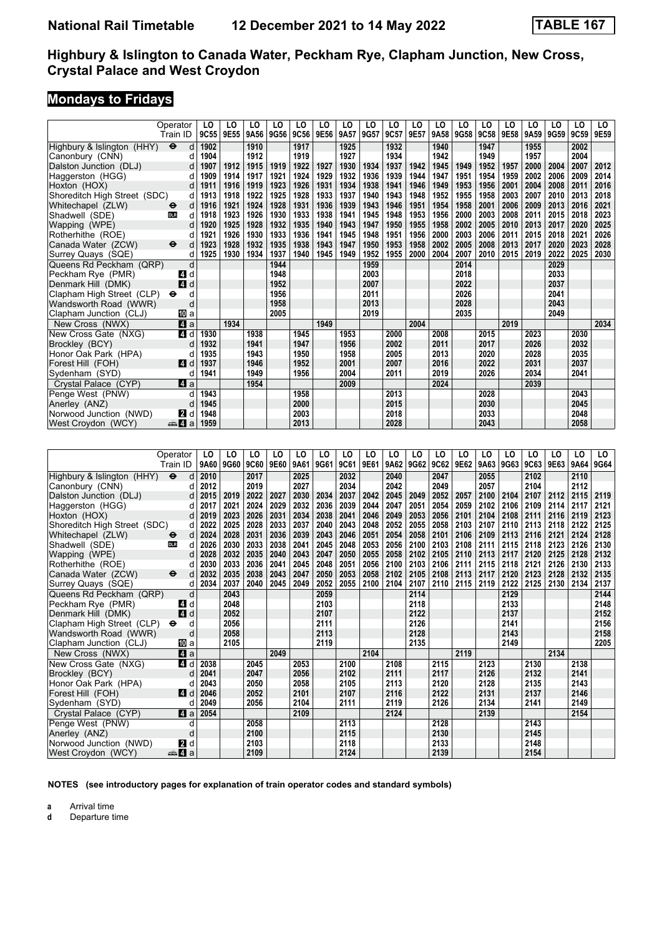## **Mondays to Fridays**

|                              | Operator                  | LO   | LO   | LO   | LO   | LO   | LO   | LO   | LO   | LO   | LO   | LO   | LO   | LO   | LO   | LO   | LO   | LO               | LO   |
|------------------------------|---------------------------|------|------|------|------|------|------|------|------|------|------|------|------|------|------|------|------|------------------|------|
|                              | Train ID                  | 9C55 | 9E55 | 9A56 | 9G56 | 9C56 | 9E56 | 9A57 | 9G57 | 9C57 | 9E57 | 9A58 | 9G58 | 9C58 | 9E58 | 9A59 | 9G59 | 9C <sub>59</sub> | 9E59 |
| Highbury & Islington (HHY)   | $\ddot{\bm{\Theta}}$<br>d | 1902 |      | 1910 |      | 1917 |      | 1925 |      | 1932 |      | 1940 |      | 1947 |      | 1955 |      | 2002             |      |
| Canonbury (CNN)              | d                         | 1904 |      | 1912 |      | 1919 |      | 1927 |      | 1934 |      | 1942 |      | 1949 |      | 1957 |      | 2004             |      |
| Dalston Junction (DLJ)       | d                         | 1907 | 1912 | 1915 | 1919 | 1922 | 1927 | 1930 | 1934 | 1937 | 1942 | 1945 | 1949 | 1952 | 1957 | 2000 | 2004 | 2007             | 2012 |
| Haggerston (HGG)             | d                         | 1909 | 1914 | 1917 | 1921 | 1924 | 1929 | 1932 | 1936 | 1939 | 1944 | 1947 | 1951 | 1954 | 1959 | 2002 | 2006 | 2009             | 2014 |
| Hoxton (HOX)                 | d                         | 1911 | 1916 | 1919 | 1923 | 1926 | 1931 | 1934 | 1938 | 1941 | 1946 | 1949 | 1953 | 1956 | 2001 | 2004 | 2008 | 2011             | 2016 |
| Shoreditch High Street (SDC) | d                         | 1913 | 1918 | 1922 | 1925 | 1928 | 1933 | 1937 | 1940 | 1943 | 1948 | 1952 | 1955 | 1958 | 2003 | 2007 | 2010 | 2013             | 2018 |
| Whitechapel (ZLW)            | d<br>⊖                    | 1916 | 1921 | 1924 | 1928 | 1931 | 1936 | 1939 | 1943 | 1946 | 1951 | 1954 | 1958 | 2001 | 2006 | 2009 | 2013 | 2016             | 2021 |
| Shadwell (SDE)               | d<br><b>DLR</b>           | 1918 | 1923 | 1926 | 1930 | 1933 | 1938 | 1941 | 1945 | 1948 | 1953 | 1956 | 2000 | 2003 | 2008 | 2011 | 2015 | 2018             | 2023 |
| Wapping (WPE)                | d                         | 1920 | 1925 | 1928 | 1932 | 1935 | 1940 | 1943 | 1947 | 1950 | 1955 | 1958 | 2002 | 2005 | 2010 | 2013 | 2017 | 2020             | 2025 |
| Rotherhithe (ROE)            | d                         | 1921 | 1926 | 1930 | 1933 | 1936 | 1941 | 1945 | 1948 | 1951 | 1956 | 2000 | 2003 | 2006 | 2011 | 2015 | 2018 | 2021             | 2026 |
| Canada Water (ZCW)           | ⊖<br>d                    | 1923 | 1928 | 1932 | 1935 | 1938 | 1943 | 1947 | 1950 | 1953 | 1958 | 2002 | 2005 | 2008 | 2013 | 2017 | 2020 | 2023             | 2028 |
| Surrey Quays (SQE)           | d                         | 1925 | 1930 | 1934 | 1937 | 1940 | 1945 | 1949 | 1952 | 1955 | 2000 | 2004 | 2007 | 2010 | 2015 | 2019 | 2022 | 2025             | 2030 |
| Queens Rd Peckham (QRP)      | d                         |      |      |      | 1944 |      |      |      | 1959 |      |      |      | 2014 |      |      |      | 2029 |                  |      |
| Peckham Rye (PMR)            | d<br>4                    |      |      |      | 1948 |      |      |      | 2003 |      |      |      | 2018 |      |      |      | 2033 |                  |      |
| Denmark Hill (DMK)           | ZI d                      |      |      |      | 1952 |      |      |      | 2007 |      |      |      | 2022 |      |      |      | 2037 |                  |      |
| Clapham High Street (CLP)    | d<br>⊖                    |      |      |      | 1956 |      |      |      | 2011 |      |      |      | 2026 |      |      |      | 2041 |                  |      |
| Wandsworth Road (WWR)        | d                         |      |      |      | 1958 |      |      |      | 2013 |      |      |      | 2028 |      |      |      | 2043 |                  |      |
| Clapham Junction (CLJ)       | i∭ a                      |      |      |      | 2005 |      |      |      | 2019 |      |      |      | 2035 |      |      |      | 2049 |                  |      |
| New Cross (NWX)              | ZI a                      |      | 1934 |      |      |      | 1949 |      |      |      | 2004 |      |      |      | 2019 |      |      |                  | 2034 |
| New Cross Gate (NXG)         | 4<br>d                    | 1930 |      | 1938 |      | 1945 |      | 1953 |      | 2000 |      | 2008 |      | 2015 |      | 2023 |      | 2030             |      |
| Brockley (BCY)               | d                         | 1932 |      | 1941 |      | 1947 |      | 1956 |      | 2002 |      | 2011 |      | 2017 |      | 2026 |      | 2032             |      |
| Honor Oak Park (HPA)         | d                         | 1935 |      | 1943 |      | 1950 |      | 1958 |      | 2005 |      | 2013 |      | 2020 |      | 2028 |      | 2035             |      |
| Forest Hill (FOH)            | 4<br>d                    | 1937 |      | 1946 |      | 1952 |      | 2001 |      | 2007 |      | 2016 |      | 2022 |      | 2031 |      | 2037             |      |
| Sydenham (SYD)               | d                         | 1941 |      | 1949 |      | 1956 |      | 2004 |      | 2011 |      | 2019 |      | 2026 |      | 2034 |      | 2041             |      |
| Crystal Palace (CYP)         | ZI a                      |      |      | 1954 |      |      |      | 2009 |      |      |      | 2024 |      |      |      | 2039 |      |                  |      |
| Penge West (PNW)             | d                         | 1943 |      |      |      | 1958 |      |      |      | 2013 |      |      |      | 2028 |      |      |      | 2043             |      |
| Anerley (ANZ)                | d                         | 1945 |      |      |      | 2000 |      |      |      | 2015 |      |      |      | 2030 |      |      |      | 2045             |      |
| Norwood Junction (NWD)       | <b>2</b> d                | 1948 |      |      |      | 2003 |      |      |      | 2018 |      |      |      | 2033 |      |      |      | 2048             |      |
| West Croydon (WCY)           | anna <mark>a</mark> nn.   | 1959 |      |      |      | 2013 |      |      |      | 2028 |      |      |      | 2043 |      |      |      | 2058             |      |
|                              |                           |      |      |      |      |      |      |      |      |      |      |      |      |      |      |      |      |                  |      |
|                              |                           |      |      |      |      |      |      |      |      |      |      |      |      |      |      |      |      |                  |      |
|                              | Operator                  | LO   | LO   | LO   | LO   | LO   | LO   | LO   | LO   | LO   | LO   | LO   | LO   | LO   | LO   | LO   | LO   | LO               | LO   |
|                              | Train ID                  | 9A60 | 9G60 | 9C60 | 9E60 | 9A61 | 9G61 | 9C61 | 9E61 | 9A62 | 9G62 | 9C62 | 9E62 | 9A63 | 9G63 | 9C63 | 9E63 | 9A64             | 9G64 |
| Highbury & Islington (HHY)   | $\ddot{\bm{\Theta}}$<br>d | 2010 |      | 2017 |      | 2025 |      | 2032 |      | 2040 |      | 2047 |      | 2055 |      | 2102 |      | 2110             |      |
| Canonbury (CNN)              | d                         | 2012 |      | 2019 |      | 2027 |      | 2034 |      | 2042 |      | 2049 |      | 2057 |      | 2104 |      | 2112             |      |
| Dalston Junction (DLJ)       | d                         | 2015 | 2019 | 2022 | 2027 | 2030 | 2034 | 2037 | 2042 | 2045 | 2049 | 2052 | 2057 | 2100 | 2104 | 2107 | 2112 | 2115             | 2119 |
| Haggerston (HGG)             | d                         | 2017 | 2021 | 2024 | 2029 | 2032 | 2036 | 2039 | 2044 | 2047 | 2051 | 2054 | 2059 | 2102 | 2106 | 2109 | 2114 | 2117             | 2121 |
| Hoxton (HOX)                 | d                         | 2019 | 2023 | 2026 | 2031 | 2034 | 2038 | 2041 | 2046 | 2049 | 2053 | 2056 | 2101 | 2104 | 2108 | 2111 | 2116 | 2119             | 2123 |
| Shoreditch High Street (SDC) | d                         | 2022 | 2025 | 2028 | 2033 | 2037 | 2040 | 2043 | 2048 | 2052 | 2055 | 2058 | 2103 | 2107 | 2110 | 2113 | 2118 | 2122             | 2125 |
| Whitechapel (ZLW)            | d<br>е                    | 2024 | 2028 | 2031 | 2036 | 2039 | 2043 | 2046 | 2051 | 2054 | 2058 | 2101 | 2106 | 2109 | 2113 | 2116 | 2121 | 2124             | 2128 |
| Shadwell (SDE)               | d<br><b>DLR</b>           | 2026 | 2030 | 2033 | 2038 | 2041 | 2045 | 2048 | 2053 | 2056 | 2100 | 2103 | 2108 | 2111 | 2115 | 2118 | 2123 | 2126             | 2130 |
| Wapping (WPE)                | d                         | 2028 | 2032 | 2035 | 2040 | 2043 | 2047 | 2050 | 2055 | 2058 | 2102 | 2105 | 2110 | 2113 | 2117 | 2120 | 2125 | 2128             | 2132 |
| Rotherhithe (ROE)            | d                         | 2030 | 2033 | 2036 | 2041 | 2045 | 2048 | 2051 | 2056 | 2100 | 2103 | 2106 | 2111 | 2115 | 2118 | 2121 | 2126 | 2130             | 2133 |
| Canada Water (ZCW)           | $\bullet$<br>d            | 2032 | 2035 | 2038 | 2043 | 2047 | 2050 | 2053 | 2058 | 2102 | 2105 | 2108 | 2113 | 2117 | 2120 | 2123 | 2128 | 2132             | 2135 |
| Surrey Quays (SQE)           | d                         | 2034 | 2037 | 2040 | 2045 | 2049 | 2052 | 2055 | 2100 | 2104 | 2107 | 2110 | 2115 | 2119 | 2122 | 2125 | 2130 | 2134             | 2137 |
| Queens Rd Peckham (QRP)      | d                         |      | 2043 |      |      |      | 2059 |      |      |      | 2114 |      |      |      | 2129 |      |      |                  | 2144 |
| Peckham Rye (PMR)            | 41 d                      |      | 2048 |      |      |      | 2103 |      |      |      | 2118 |      |      |      | 2133 |      |      |                  | 2148 |
| Denmark Hill (DMK)           | ZI d                      |      | 2052 |      |      |      | 2107 |      |      |      | 2122 |      |      |      | 2137 |      |      |                  | 2152 |

 Clapham High Street (CLP) T d **2056 2111 2126 2141 2156**  Wandsworth Road (WWR) d **2058 2113 2128 2143 2158**

**Clapham Junction (CLJ)**<br>
New Cross (NWX)<br> **2135 2149 2134 2134 2134 2134 2134 2134 2134 2134 2134** New Cross (NWX) **21.12 a 20.49 2104 2104 2119 2119 2119 2123 2130 2130 2130 2130 2130 2130 2130** 

 New Cross Gate (N;G) z d **2038 2045 2053 2100 2108 2115 2123 2130 2138**  Brockley (BCY) d **2041 2047 2056 2102 2111 2117 2126 2132 2141**  Honor Oak Park (HPA) d **2043 2050 2058 2105 2113 2120 2128 2135 2143**  Forest Hill (FOH) z d **2046 2052 2101 2107 2116 2122 2131 2137 2146**

 Crystal Palace (CYP) z a **2054 2109 2124 2139 2154**

**NOTES (see introductory pages for explanation of train operator codes and standard symbols)**

**Norwood Junction (NWD) 21 d 2103 2103 2118 2124 2133 2139 2139** 

 Sydenham (SYD) d **2049 2056 2104 2111 2119 2126 2134 2141 2149**

 Penge West (PNW) d **2058 2113 2128 2143** Anerley (ANZ) d<br>
Norwood Junction (NWD) **21** d<br>
West Crovdon (WCY) **2120** 2109 2124<br>
2139 2154<br>
2154<br>
2154<br>
2154

**a** Arrival time<br>**d** Departure t

**d** Departure time

**2212** West Croydon (WCY)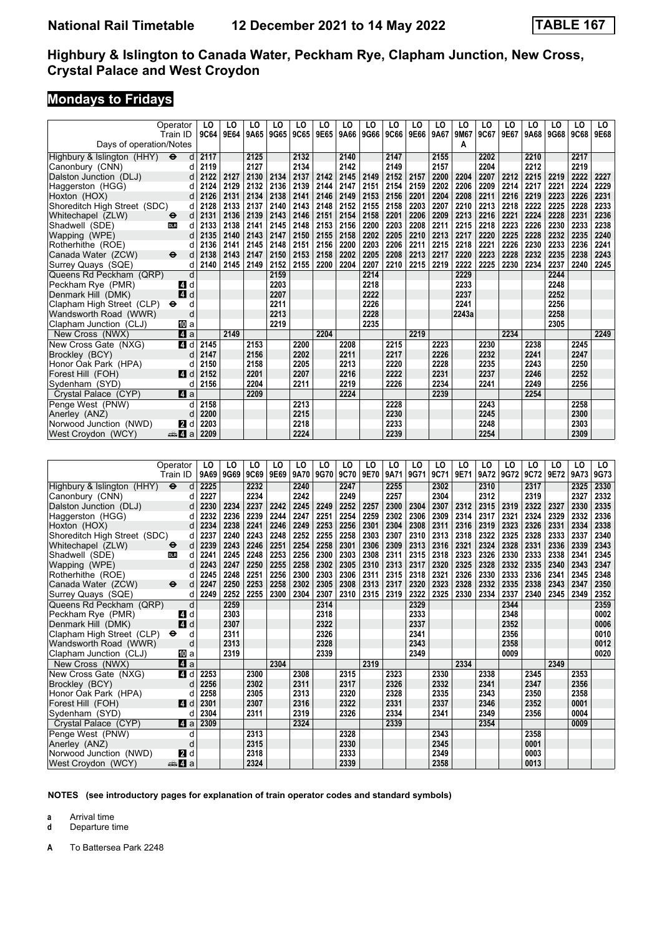# **Mondays to Fridays**

| Operator<br>Train ID                                       | LO<br>9C64 | LO<br>9E64 | LO<br>9A65 | LO<br>9G65 | LO<br>9C65 | LO<br>9E65 | LO<br>9A66 | LO<br>9G66 | LO<br>9C66 | LO<br>9E66 | LO<br>9A67 | LO<br>9M67 | LO<br>9C67 | LO<br>9E67 | LO<br>9A68 | LO<br>9G68 | LO<br>9C68 | LO<br>9E68 |
|------------------------------------------------------------|------------|------------|------------|------------|------------|------------|------------|------------|------------|------------|------------|------------|------------|------------|------------|------------|------------|------------|
| Days of operation/Notes                                    |            |            |            |            |            |            |            |            |            |            |            | A          |            |            |            |            |            |            |
| Highbury & Islington (HHY)<br>$\ddot{\boldsymbol{\Theta}}$ | 2117<br>d  |            | 2125       |            | 2132       |            | 2140       |            | 2147       |            | 2155       |            | 2202       |            | 2210       |            | 2217       |            |
| Canonbury (CNN)                                            | 2119<br>d  |            | 2127       |            | 2134       |            | 2142       |            | 2149       |            | 2157       |            | 2204       |            | 2212       |            | 2219       |            |
| Dalston Junction (DLJ)                                     | 2122<br>d  | 2127       | 2130       | 2134       | 2137       | 2142       | 2145       | 2149       | 2152       | 2157       | 2200       | 2204       | 2207       | 2212       | 2215       | 2219       | 2222       | 2227       |
| Haggerston (HGG)                                           | 2124<br>d  | 2129       | 2132       | 2136       | 2139       | 2144       | 2147       | 2151       | 2154       | 2159       | 2202       | 2206       | 2209       | 2214       | 2217       | 2221       | 2224       | 2229       |
| Hoxton (HOX)                                               | 2126<br>d  | 2131       | 2134       | 2138       | 2141       | 2146       | 2149       | 2153       | 2156       | 2201       | 2204       | 2208       | 2211       | 2216       | 2219       | 2223       | 2226       | 2231       |
| Shoreditch High Street (SDC)                               | 2128<br>d  | 2133       | 2137       | 2140       | 2143       | 2148       | 2152       | 2155       | 2158       | 2203       | 2207       | 2210       | 2213       | 2218       | 2222       | 2225       | 2228       | 2233       |
| Whitechapel (ZLW)<br>$\ddot{\mathbf{e}}$                   | d<br>2131  | 2136       | 2139       | 2143       | 2146       | 2151       | 2154       | 2158       | 2201       | 2206       | 2209       | 2213       | 2216       | 2221       | 2224       | 2228       | 2231       | 2236       |
| Shadwell (SDE)<br><b>DLR</b>                               | 2133<br>d  | 2138       | 2141       | 2145       | 2148       | 2153       | 2156       | 2200       | 2203       | 2208       | 2211       | 2215       | 2218       | 2223       | 2226       | 2230       | 2233       | 2238       |
| Wapping (WPE)                                              | 2135<br>d  | 2140       | 2143       | 2147       | 2150       | 2155       | 2158       | 2202       | 2205       | 2210       | 2213       | 2217       | 2220       | 2225       | 2228       | 2232       | 2235       | 2240       |
| Rotherhithe (ROE)                                          | 2136<br>d  | 2141       | 2145       | 2148       | 2151       | 2156       | 2200       | 2203       | 2206       | 2211       | 2215       | 2218       | 2221       | 2226       | 2230       | 2233       | 2236       | 2241       |
| Canada Water (ZCW)<br>$\ddot{\mathbf{e}}$                  | 2138<br>d  | 2143       | 2147       | 2150       | 2153       | 2158       | 2202       | 2205       | 2208       | 2213       | 2217       | 2220       | 2223       | 2228       | 2232       | 2235       | 2238       | 2243       |
| Surrey Quays (SQE)                                         | 2140<br>d  | 2145       | 2149       | 2152       | 2155       | 2200       | 2204       | 2207       | 2210       | 2215       | 2219       | 2222       | 2225       | 2230       | 2234       | 2237       | 2240       | 2245       |
| Queens Rd Peckham (QRP)                                    | d          |            |            | 2159       |            |            |            | 2214       |            |            |            | 2229       |            |            |            | 2244       |            |            |
| Peckham Rye (PMR)<br>4                                     | d          |            |            | 2203       |            |            |            | 2218       |            |            |            | 2233       |            |            |            | 2248       |            |            |
| 4d<br>Denmark Hill (DMK)                                   |            |            |            | 2207       |            |            |            | 2222       |            |            |            | 2237       |            |            |            | 2252       |            |            |
| Clapham High Street (CLP)<br>$\bullet$                     | d          |            |            | 2211       |            |            |            | 2226       |            |            |            | 2241       |            |            |            | 2256       |            |            |
| Wandsworth Road (WWR)                                      | d          |            |            | 2213       |            |            |            | 2228       |            |            |            | 2243a      |            |            |            | 2258       |            |            |
| Clapham Junction (CLJ)<br>吅 a                              |            |            |            | 2219       |            |            |            | 2235       |            |            |            |            |            |            |            | 2305       |            |            |
| Z1 a<br>New Cross (NWX)                                    |            | 2149       |            |            |            | 2204       |            |            |            | 2219       |            |            |            | 2234       |            |            |            | 2249       |
| 41 d<br>New Cross Gate (NXG)                               | 2145       |            | 2153       |            | 2200       |            | 2208       |            | 2215       |            | 2223       |            | 2230       |            | 2238       |            | 2245       |            |
| Brockley (BCY)                                             | 2147<br>d  |            | 2156       |            | 2202       |            | 2211       |            | 2217       |            | 2226       |            | 2232       |            | 2241       |            | 2247       |            |
| Honor Oak Park (HPA)                                       | 2150<br>d  |            | 2158       |            | 2205       |            | 2213       |            | 2220       |            | 2228       |            | 2235       |            | 2243       |            | 2250       |            |
| Forest Hill (FOH)<br>ZI d                                  | 2152       |            | 2201       |            | 2207       |            | 2216       |            | 2222       |            | 2231       |            | 2237       |            | 2246       |            | 2252       |            |
| Sydenham (SYD)                                             | 2156<br>d  |            | 2204       |            | 2211       |            | 2219       |            | 2226       |            | 2234       |            | 2241       |            | 2249       |            | 2256       |            |
| $\blacksquare$ a<br>Crystal Palace (CYP)                   |            |            | 2209       |            |            |            | 2224       |            |            |            | 2239       |            |            |            | 2254       |            |            |            |
| Penge West (PNW)                                           | 2158<br>d  |            |            |            | 2213       |            |            |            | 2228       |            |            |            | 2243       |            |            |            | 2258       |            |
| Anerley (ANZ)                                              | 2200<br>d  |            |            |            | 2215       |            |            |            | 2230       |            |            |            | 2245       |            |            |            | 2300       |            |
| Norwood Junction (NWD)<br><b>2</b> d                       | 2203       |            |            |            | 2218       |            |            |            | 2233       |            |            |            | 2248       |            |            |            | 2303       |            |
| <del>⊯</del> Иа<br>West Croydon (WCY)                      | 2209       |            |            |            | 2224       |            |            |            | 2239       |            |            |            | 2254       |            |            |            | 2309       |            |
|                                                            |            |            |            |            |            |            |            |            |            |            |            |            |            |            |            |            |            |            |

|                              | Operator                          | LO   | LO   | LO          | LO   | LO   | LO   | LO   | LO   | LO   | LO   | LO   | LO   | LO   | LO   | LO   | LO   | LO   | LO.  |
|------------------------------|-----------------------------------|------|------|-------------|------|------|------|------|------|------|------|------|------|------|------|------|------|------|------|
|                              | Train ID                          | 9A69 | 9G69 | <b>9C69</b> | 9E69 | 9A70 | 9G70 | 9C70 | 9E70 | 9A71 | 9G71 | 9C71 | 9E71 | 9A72 | 9G72 | 9C72 | 9E72 | 9A73 | 9G73 |
| Highbury & Islington (HHY)   | $\ddot{\boldsymbol{\Theta}}$<br>d | 2225 |      | 2232        |      | 2240 |      | 2247 |      | 2255 |      | 2302 |      | 2310 |      | 2317 |      | 2325 | 2330 |
| Canonbury (CNN)              | d                                 | 2227 |      | 2234        |      | 2242 |      | 2249 |      | 2257 |      | 2304 |      | 2312 |      | 2319 |      | 2327 | 2332 |
| Dalston Junction (DLJ)       |                                   | 2230 | 2234 | 2237        | 2242 | 2245 | 2249 | 2252 | 2257 | 2300 | 2304 | 2307 | 2312 | 2315 | 2319 | 2322 | 2327 | 2330 | 2335 |
| Haggerston (HGG)             | d                                 | 2232 | 2236 | 2239        | 2244 | 2247 | 2251 | 2254 | 2259 | 2302 | 2306 | 2309 | 2314 | 2317 | 2321 | 2324 | 2329 | 2332 | 2336 |
| Hoxton (HOX)                 | d                                 | 2234 | 2238 | 2241        | 2246 | 2249 | 2253 | 2256 | 2301 | 2304 | 2308 | 2311 | 2316 | 2319 | 2323 | 2326 | 2331 | 2334 | 2338 |
| Shoreditch High Street (SDC) | d                                 | 2237 | 2240 | 2243        | 2248 | 2252 | 2255 | 2258 | 2303 | 2307 | 2310 | 2313 | 2318 | 2322 | 2325 | 2328 | 2333 | 2337 | 2340 |
| Whitechapel (ZLW)            | d<br>$\bullet$                    | 2239 | 2243 | 2246        | 2251 | 2254 | 2258 | 2301 | 2306 | 2309 | 2313 | 2316 | 2321 | 2324 | 2328 | 2331 | 2336 | 2339 | 2343 |
| Shadwell (SDE)               | <b>DLR</b><br>d                   | 2241 | 2245 | 2248        | 2253 | 2256 | 2300 | 2303 | 2308 | 2311 | 2315 | 2318 | 2323 | 2326 | 2330 | 2333 | 2338 | 2341 | 2345 |
| Wapping (WPE)                | d                                 | 2243 | 2247 | 2250        | 2255 | 2258 | 2302 | 2305 | 2310 | 2313 | 2317 | 2320 | 2325 | 2328 | 2332 | 2335 | 2340 | 2343 | 2347 |
| Rotherhithe (ROE)            | d                                 | 2245 | 2248 | 2251        | 2256 | 2300 | 2303 | 2306 | 2311 | 2315 | 2318 | 2321 | 2326 | 2330 | 2333 | 2336 | 2341 | 2345 | 2348 |
| Canada Water (ZCW)           | $\ddot{\mathbf{e}}$<br>d          | 2247 | 2250 | 2253        | 2258 | 2302 | 2305 | 2308 | 2313 | 2317 | 2320 | 2323 | 2328 | 2332 | 2335 | 2338 | 2343 | 2347 | 2350 |
| Surrey Quays (SQE)           | d                                 | 2249 | 2252 | 2255        | 2300 | 2304 | 2307 | 2310 | 2315 | 2319 | 2322 | 2325 | 2330 | 2334 | 2337 | 2340 | 2345 | 2349 | 2352 |
| Queens Rd Peckham (QRP)      | d                                 |      | 2259 |             |      |      | 2314 |      |      |      | 2329 |      |      |      | 2344 |      |      |      | 2359 |
| Peckham Rye (PMR)            | <b>4</b> d                        |      | 2303 |             |      |      | 2318 |      |      |      | 2333 |      |      |      | 2348 |      |      |      | 0002 |
| Denmark Hill (DMK)           | 4 d                               |      | 2307 |             |      |      | 2322 |      |      |      | 2337 |      |      |      | 2352 |      |      |      | 0006 |
| Clapham High Street (CLP)    | d<br>$\bullet$                    |      | 2311 |             |      |      | 2326 |      |      |      | 2341 |      |      |      | 2356 |      |      |      | 0010 |
| Wandsworth Road (WWR)        | d                                 |      | 2313 |             |      |      | 2328 |      |      |      | 2343 |      |      |      | 2358 |      |      |      | 0012 |
| Clapham Junction (CLJ)       | 吅 a                               |      | 2319 |             |      |      | 2339 |      |      |      | 2349 |      |      |      | 0009 |      |      |      | 0020 |
| New Cross (NWX)              | 4 a                               |      |      |             | 2304 |      |      |      | 2319 |      |      |      | 2334 |      |      |      | 2349 |      |      |
| New Cross Gate (NXG)         | 4 d                               | 2253 |      | 2300        |      | 2308 |      | 2315 |      | 2323 |      | 2330 |      | 2338 |      | 2345 |      | 2353 |      |
| Brockley (BCY)               |                                   | 2256 |      | 2302        |      | 2311 |      | 2317 |      | 2326 |      | 2332 |      | 2341 |      | 2347 |      | 2356 |      |
| Honor Oak Park (HPA)         |                                   | 2258 |      | 2305        |      | 2313 |      | 2320 |      | 2328 |      | 2335 |      | 2343 |      | 2350 |      | 2358 |      |
| Forest Hill (FOH)            | ZI d                              | 2301 |      | 2307        |      | 2316 |      | 2322 |      | 2331 |      | 2337 |      | 2346 |      | 2352 |      | 0001 |      |
| Sydenham (SYD)               |                                   | 2304 |      | 2311        |      | 2319 |      | 2326 |      | 2334 |      | 2341 |      | 2349 |      | 2356 |      | 0004 |      |
| Crystal Palace (CYP)         | ZI a                              | 2309 |      |             |      | 2324 |      |      |      | 2339 |      |      |      | 2354 |      |      |      | 0009 |      |
| Penge West (PNW)             | d                                 |      |      | 2313        |      |      |      | 2328 |      |      |      | 2343 |      |      |      | 2358 |      |      |      |
| Anerley (ANZ)                | d                                 |      |      | 2315        |      |      |      | 2330 |      |      |      | 2345 |      |      |      | 0001 |      |      |      |
| Norwood Junction (NWD)       | <b>2</b> d                        |      |      | 2318        |      |      |      | 2333 |      |      |      | 2349 |      |      |      | 0003 |      |      |      |
| West Croydon (WCY)           | ≞Ma                               |      |      | 2324        |      |      |      | 2339 |      |      |      | 2358 |      |      |      | 0013 |      |      |      |

**NOTES (see introductory pages for explanation of train operator codes and standard symbols)**

**a** Arrival time<br>**d** Departure t

**d** Departure time

**A** To Battersea Park 2248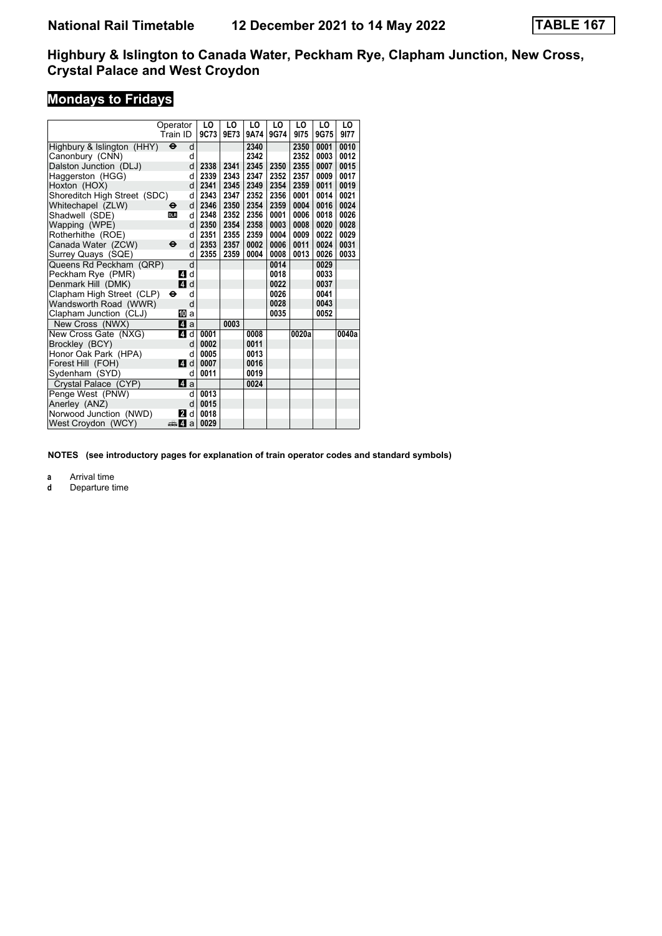# **Mondays to Fridays**

|                              | Operator            |              | LO   | LO   | LO   | LO   | LO    | LO   | LO    |  |
|------------------------------|---------------------|--------------|------|------|------|------|-------|------|-------|--|
|                              | Train ID            |              | 9C73 | 9E73 | 9A74 | 9G74 | 9175  | 9G75 | 9177  |  |
| Highbury & Islington (HHY)   | $\ddot{\mathbf{e}}$ | d            |      |      | 2340 |      | 2350  | 0001 | 0010  |  |
| Canonbury (CNN)              |                     | d            |      |      | 2342 |      | 2352  | 0003 | 0012  |  |
| Dalston Junction (DLJ)       |                     | d            | 2338 | 2341 | 2345 | 2350 | 2355  | 0007 | 0015  |  |
| Haggerston (HGG)             |                     | d            | 2339 | 2343 | 2347 | 2352 | 2357  | 0009 | 0017  |  |
| Hoxton (HOX)                 |                     | d            | 2341 | 2345 | 2349 | 2354 | 2359  | 0011 | 0019  |  |
| Shoreditch High Street (SDC) |                     | d            | 2343 | 2347 | 2352 | 2356 | 0001  | 0014 | 0021  |  |
| Whitechapel (ZLW)            | $\bullet$           | d            | 2346 | 2350 | 2354 | 2359 | 0004  | 0016 | 0024  |  |
| Shadwell (SDE)               | <b>DLR</b>          | d            | 2348 | 2352 | 2356 | 0001 | 0006  | 0018 | 0026  |  |
| Wapping (WPE)                |                     | d            | 2350 | 2354 | 2358 | 0003 | 0008  | 0020 | 0028  |  |
| Rotherhithe (ROE)            |                     | d            | 2351 | 2355 | 2359 | 0004 | 0009  | 0022 | 0029  |  |
| Canada Water (ZCW)           | $\ddot{\mathbf{e}}$ | d            | 2353 | 2357 | 0002 | 0006 | 0011  | 0024 | 0031  |  |
| Surrey Quays (SQE)           |                     | d            | 2355 | 2359 | 0004 | 0008 | 0013  | 0026 | 0033  |  |
| Queens Rd Peckham (QRP)      |                     | d            |      |      |      | 0014 |       | 0029 |       |  |
| Peckham Rye (PMR)            | 4                   | d            |      |      |      | 0018 |       | 0033 |       |  |
| Denmark Hill (DMK)           |                     | 4d           |      |      |      | 0022 |       | 0037 |       |  |
| Clapham High Street (CLP)    | ⊖                   | d            |      |      |      | 0026 |       | 0041 |       |  |
| Wandsworth Road (WWR)        |                     | d            |      |      |      | 0028 |       | 0043 |       |  |
| Clapham Junction (CLJ)       |                     | [[] a        |      |      |      | 0035 |       | 0052 |       |  |
| New Cross (NWX)              |                     | 41 a         |      | 0003 |      |      |       |      |       |  |
| New Cross Gate (NXG)         | 4                   | d            | 0001 |      | 0008 |      | 0020a |      | 0040a |  |
| Brockley (BCY)               |                     | d            | 0002 |      | 0011 |      |       |      |       |  |
| Honor Oak Park (HPA)         |                     | d            | 0005 |      | 0013 |      |       |      |       |  |
| Forest Hill (FOH)            | 4 d                 |              | 0007 |      | 0016 |      |       |      |       |  |
| Sydenham (SYD)               |                     | d            | 0011 |      | 0019 |      |       |      |       |  |
| Crystal Palace (CYP)         |                     | $\mathbf{a}$ |      |      | 0024 |      |       |      |       |  |
| Penge West (PNW)             |                     | d            | 0013 |      |      |      |       |      |       |  |
| Anerley (ANZ)                |                     | d            | 0015 |      |      |      |       |      |       |  |
| Norwood Junction (NWD)       | 12                  | d            | 0018 |      |      |      |       |      |       |  |
| West Croydon (WCY)           | <del>⊯</del> 4 а    |              | 0029 |      |      |      |       |      |       |  |

**NOTES (see introductory pages for explanation of train operator codes and standard symbols)**

**a** Arrival time<br>**d** Departure t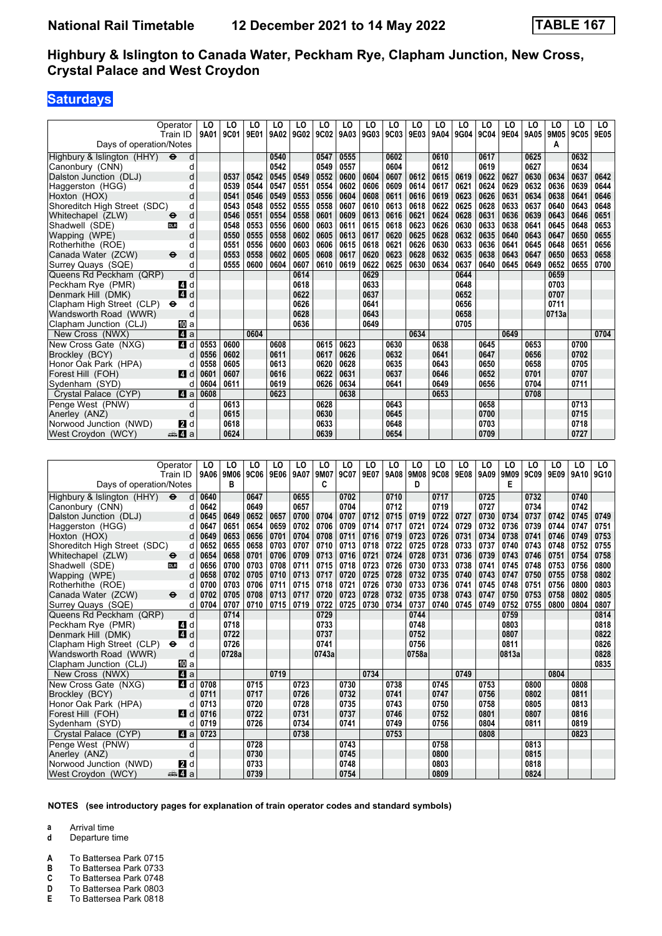## **Saturdays**

|                              | Operator<br>Train ID     | LO<br>9A01 | LO<br>9C01 | LO<br>9E01 | LO<br>9A02 | LO<br>9G02 | LO<br>9C02 | LO<br>9A03 | LO<br>9G03 | LO<br>9C03 | LO<br>9E03 | LO<br>9A04 | LO<br>9G04 | LO<br>9C04 | LO<br><b>9E04</b> | LO<br>9A05 | LO<br>9M05 | LO<br>9C05 | LO<br>9E05 |
|------------------------------|--------------------------|------------|------------|------------|------------|------------|------------|------------|------------|------------|------------|------------|------------|------------|-------------------|------------|------------|------------|------------|
| Days of operation/Notes      |                          |            |            |            |            |            |            |            |            |            |            |            |            |            |                   |            | A          |            |            |
| Highbury & Islington (HHY)   | $\ddot{\mathbf{e}}$<br>d |            |            |            | 0540       |            | 0547       | 0555       |            | 0602       |            | 0610       |            | 0617       |                   | 0625       |            | 0632       |            |
| Canonbury (CNN)              | d                        |            |            |            | 0542       |            | 0549       | 0557       |            | 0604       |            | 0612       |            | 0619       |                   | 0627       |            | 0634       |            |
| Dalston Junction (DLJ)       | d                        |            | 0537       | 0542       | 0545       | 0549       | 0552       | 0600       | 0604       | 0607       | 0612       | 0615       | 0619       | 0622       | 0627              | 0630       | 0634       | 0637       | 0642       |
| Haggerston (HGG)             | d                        |            | 0539       | 0544       | 0547       | 0551       | 0554       | 0602       | 0606       | 0609       | 0614       | 0617       | 0621       | 0624       | 0629              | 0632       | 0636       | 0639       | 0644       |
| Hoxton (HOX)                 | d                        |            | 0541       | 0546       | 0549       | 0553       | 0556       | 0604       | 0608       | 0611       | 0616       | 0619       | 0623       | 0626       | 0631              | 0634       | 0638       | 0641       | 0646       |
| Shoreditch High Street (SDC) | d                        |            | 0543       | 0548       | 0552       | 0555       | 0558       | 0607       | 0610       | 0613       | 0618       | 0622       | 0625       | 0628       | 0633              | 0637       | 0640       | 0643       | 0648       |
| Whitechapel (ZLW)            | d                        |            | 0546       | 0551       | 0554       | 0558       | 0601       | 0609       | 0613       | 0616       | 0621       | 0624       | 0628       | 0631       | 0636              | 0639       | 0643       | 0646       | 0651       |
| Shadwell (SDE)               | d<br>DLR                 |            | 0548       | 0553       | 0556       | 0600       | 0603       | 0611       | 0615       | 0618       | 0623       | 0626       | 0630       | 0633       | 0638              | 0641       | 0645       | 0648       | 0653       |
| Wapping (WPE)                | d                        |            | 0550       | 0555       | 0558       | 0602       | 0605       | 0613       | 0617       | 0620       | 0625       | 0628       | 0632       | 0635       | 0640              | 0643       | 0647       | 0650       | 0655       |
| Rotherhithe (ROE)            | d                        |            | 0551       | 0556       | 0600       | 0603       | 0606       | 0615       | 0618       | 0621       | 0626       | 0630       | 0633       | 0636       | 0641              | 0645       | 0648       | 0651       | 0656       |
| Canada Water (ZCW)           | d<br>$\ddot{\mathbf{e}}$ |            | 0553       | 0558       | 0602       | 0605       | 0608       | 0617       | 0620       | 0623       | 0628       | 0632       | 0635       | 0638       | 0643              | 0647       | 0650       | 0653       | 0658       |
| Surrey Quays (SQE)           | d                        |            | 0555       | 0600       | 0604       | 0607       | 0610       | 0619       | 0622       | 0625       | 0630       | 0634       | 0637       | 0640       | 0645              | 0649       | 0652       | 0655       | 0700       |
| Queens Rd Peckham (QRP)      | d                        |            |            |            |            | 0614       |            |            | 0629       |            |            |            | 0644       |            |                   |            | 0659       |            |            |
| Peckham Rye (PMR)            | d<br>$\mathbf{A}$        |            |            |            |            | 0618       |            |            | 0633       |            |            |            | 0648       |            |                   |            | 0703       |            |            |
| Denmark Hill (DMK)           | $\overline{4}$<br>d      |            |            |            |            | 0622       |            |            | 0637       |            |            |            | 0652       |            |                   |            | 0707       |            |            |
| Clapham High Street (CLP)    | d<br>$\bullet$           |            |            |            |            | 0626       |            |            | 0641       |            |            |            | 0656       |            |                   |            | 0711       |            |            |
| Wandsworth Road (WWR)        | d                        |            |            |            |            | 0628       |            |            | 0643       |            |            |            | 0658       |            |                   |            | 0713a      |            |            |
| Clapham Junction (CLJ)       | <b>ID</b> a              |            |            |            |            | 0636       |            |            | 0649       |            |            |            | 0705       |            |                   |            |            |            |            |
| New Cross (NWX)              | 4a                       |            |            | 0604       |            |            |            |            |            |            | 0634       |            |            |            | 0649              |            |            |            | 0704       |
| New Cross Gate (NXG)         | 4 d                      | 0553       | 0600       |            | 0608       |            | 0615       | 0623       |            | 0630       |            | 0638       |            | 0645       |                   | 0653       |            | 0700       |            |
| Brockley (BCY)               | d                        | 0556       | 0602       |            | 0611       |            | 0617       | 0626       |            | 0632       |            | 0641       |            | 0647       |                   | 0656       |            | 0702       |            |
| Honor Oak Park (HPA)         |                          | 0558       | 0605       |            | 0613       |            | 0620       | 0628       |            | 0635       |            | 0643       |            | 0650       |                   | 0658       |            | 0705       |            |
| Forest Hill (FOH)            | ZI d                     | 0601       | 0607       |            | 0616       |            | 0622       | 0631       |            | 0637       |            | 0646       |            | 0652       |                   | 0701       |            | 0707       |            |
| Sydenham (SYD)               |                          | 0604       | 0611       |            | 0619       |            | 0626       | 0634       |            | 0641       |            | 0649       |            | 0656       |                   | 0704       |            | 0711       |            |
| Crystal Palace (CYP)         | ZI a                     | 0608       |            |            | 0623       |            |            | 0638       |            |            |            | 0653       |            |            |                   | 0708       |            |            |            |
| Penge West (PNW)             | d                        |            | 0613       |            |            |            | 0628       |            |            | 0643       |            |            |            | 0658       |                   |            |            | 0713       |            |
| Anerley (ANZ)                | d                        |            | 0615       |            |            |            | 0630       |            |            | 0645       |            |            |            | 0700       |                   |            |            | 0715       |            |
| Norwood Junction (NWD)       | <b>2</b> d               |            | 0618       |            |            |            | 0633       |            |            | 0648       |            |            |            | 0703       |                   |            |            | 0718       |            |
| West Croydon (WCY)           | <del>⊯</del> ⊿ а         |            | 0624       |            |            |            | 0639       |            |            | 0654       |            |            |            | 0709       |                   |            |            | 0727       |            |

|                              | Operator                 | LO   | LO    | LO   | LO   | LO   | LO    | LO   | LO   | LO   | LO    | LO   | LO   | LO   | LO    | LO   | LO   | LO   | LO.  |
|------------------------------|--------------------------|------|-------|------|------|------|-------|------|------|------|-------|------|------|------|-------|------|------|------|------|
|                              | Train ID                 | 9A06 | 9M06  | 9C06 | 9E06 | 9A07 | 9M07  | 9C07 | 9E07 | 9A08 | 9M08  | 9C08 | 9E08 | 9A09 | 9M09  | 9C09 | 9E09 | 9A10 | 9G10 |
| Days of operation/Notes      |                          |      | в     |      |      |      | C     |      |      |      | D     |      |      |      | Е     |      |      |      |      |
| Highbury & Islington (HHY)   | $\bullet$<br>d           | 0640 |       | 0647 |      | 0655 |       | 0702 |      | 0710 |       | 0717 |      | 0725 |       | 0732 |      | 0740 |      |
| Canonbury (CNN)              | d                        | 0642 |       | 0649 |      | 0657 |       | 0704 |      | 0712 |       | 0719 |      | 0727 |       | 0734 |      | 0742 |      |
| Dalston Junction (DLJ)       | d                        | 0645 | 0649  | 0652 | 0657 | 0700 | 0704  | 0707 | 0712 | 0715 | 0719  | 0722 | 0727 | 0730 | 0734  | 0737 | 0742 | 0745 | 0749 |
| Haggerston (HGG)             | d                        | 0647 | 0651  | 0654 | 0659 | 0702 | 0706  | 0709 | 0714 | 0717 | 0721  | 0724 | 0729 | 0732 | 0736  | 0739 | 0744 | 0747 | 0751 |
| Hoxton (HOX)                 | d                        | 0649 | 0653  | 0656 | 0701 | 0704 | 0708  | 0711 | 0716 | 0719 | 0723  | 0726 | 0731 | 0734 | 0738  | 0741 | 0746 | 0749 | 0753 |
| Shoreditch High Street (SDC) | d                        | 0652 | 0655  | 0658 | 0703 | 0707 | 0710  | 0713 | 0718 | 0722 | 0725  | 0728 | 0733 | 0737 | 0740  | 0743 | 0748 | 0752 | 0755 |
| Whitechapel (ZLW)            | d<br>$\bullet$           | 0654 | 0658  | 0701 | 0706 | 0709 | 0713  | 0716 | 0721 | 0724 | 0728  | 0731 | 0736 | 0739 | 0743  | 0746 | 0751 | 0754 | 0758 |
| Shadwell (SDE)               | <b>DLR</b><br>d          | 0656 | 0700  | 0703 | 0708 | 0711 | 0715  | 0718 | 0723 | 0726 | 0730  | 0733 | 0738 | 0741 | 0745  | 0748 | 0753 | 0756 | 0800 |
| Wapping (WPE)                | d                        | 0658 | 0702  | 0705 | 0710 | 0713 | 0717  | 0720 | 0725 | 0728 | 0732  | 0735 | 0740 | 0743 | 0747  | 0750 | 0755 | 0758 | 0802 |
| Rotherhithe (ROE)            | U                        | 0700 | 0703  | 0706 | 0711 | 0715 | 0718  | 0721 | 0726 | 0730 | 0733  | 0736 | 0741 | 0745 | 0748  | 0751 | 0756 | 0800 | 0803 |
| Canada Water (ZCW)           | $\ddot{\mathbf{e}}$<br>d | 0702 | 0705  | 0708 | 0713 | 0717 | 0720  | 0723 | 0728 | 0732 | 0735  | 0738 | 0743 | 0747 | 0750  | 0753 | 0758 | 0802 | 0805 |
| Surrey Quays (SQE)           | d                        | 0704 | 0707  | 0710 | 0715 | 0719 | 0722  | 0725 | 0730 | 0734 | 0737  | 0740 | 0745 | 0749 | 0752  | 0755 | 0800 | 0804 | 0807 |
| Queens Rd Peckham (QRP)      | d                        |      | 0714  |      |      |      | 0729  |      |      |      | 0744  |      |      |      | 0759  |      |      |      | 0814 |
| Peckham Rye (PMR)            | ZI d                     |      | 0718  |      |      |      | 0733  |      |      |      | 0748  |      |      |      | 0803  |      |      |      | 0818 |
| Denmark Hill (DMK)           | 4 d                      |      | 0722  |      |      |      | 0737  |      |      |      | 0752  |      |      |      | 0807  |      |      |      | 0822 |
| Clapham High Street (CLP)    | $\bullet$<br>d           |      | 0726  |      |      |      | 0741  |      |      |      | 0756  |      |      |      | 0811  |      |      |      | 0826 |
| Wandsworth Road (WWR)        | d                        |      | 0728a |      |      |      | 0743a |      |      |      | 0758a |      |      |      | 0813a |      |      |      | 0828 |
| Clapham Junction (CLJ)       | 吅 a                      |      |       |      |      |      |       |      |      |      |       |      |      |      |       |      |      |      | 0835 |
| New Cross (NWX)              | 4 a                      |      |       |      | 0719 |      |       |      | 0734 |      |       |      | 0749 |      |       |      | 0804 |      |      |
| New Cross Gate (NXG)         | ZI d                     | 0708 |       | 0715 |      | 0723 |       | 0730 |      | 0738 |       | 0745 |      | 0753 |       | 0800 |      | 0808 |      |
| Brockley (BCY)               |                          | 0711 |       | 0717 |      | 0726 |       | 0732 |      | 0741 |       | 0747 |      | 0756 |       | 0802 |      | 0811 |      |
| Honor Oak Park (HPA)         | U                        | 0713 |       | 0720 |      | 0728 |       | 0735 |      | 0743 |       | 0750 |      | 0758 |       | 0805 |      | 0813 |      |
| Forest Hill (FOH)            | ZI d                     | 0716 |       | 0722 |      | 0731 |       | 0737 |      | 0746 |       | 0752 |      | 0801 |       | 0807 |      | 0816 |      |
| Sydenham (SYD)               |                          | 0719 |       | 0726 |      | 0734 |       | 0741 |      | 0749 |       | 0756 |      | 0804 |       | 0811 |      | 0819 |      |
| Crystal Palace (CYP)         | 4a                       | 0723 |       |      |      | 0738 |       |      |      | 0753 |       |      |      | 0808 |       |      |      | 0823 |      |
| Penge West (PNW)             | d                        |      |       | 0728 |      |      |       | 0743 |      |      |       | 0758 |      |      |       | 0813 |      |      |      |
| Anerley (ANZ)                | d                        |      |       | 0730 |      |      |       | 0745 |      |      |       | 0800 |      |      |       | 0815 |      |      |      |
| Norwood Junction (NWD)       | <b>2</b> d               |      |       | 0733 |      |      |       | 0748 |      |      |       | 0803 |      |      |       | 0818 |      |      |      |
| West Croydon (WCY)           | da 4a                    |      |       | 0739 |      |      |       | 0754 |      |      |       | 0809 |      |      |       | 0824 |      |      |      |

**NOTES (see introductory pages for explanation of train operator codes and standard symbols)**

**a** Arrival time

**d** Departure time

**A** To Battersea Park 0715<br>**B** To Battersea Park 0733 To Battersea Park 0733

**C** To Battersea Park 0748<br>**D** To Battersea Park 0803

**D** To Battersea Park 0803<br>**E** To Battersea Park 0818 To Battersea Park 0818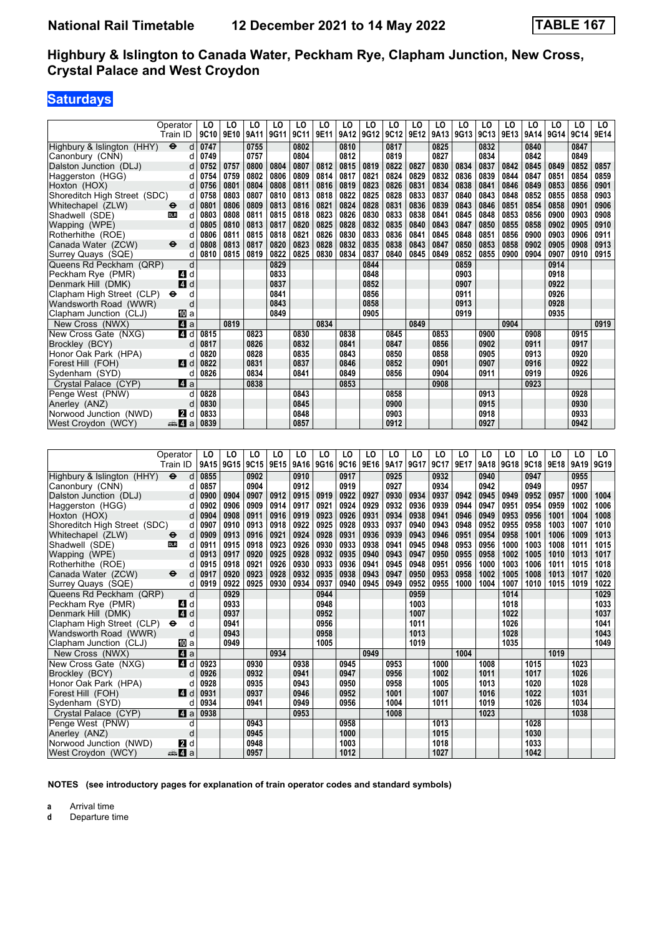# **Saturdays**

|                              | Operator                | LO        | LO             | LO   | LO          | LO   | LO                  | LO   | LO   | LO   | LO               | LO          | LO          | LO          | LO        | LO   | LO   | LO   | LO   |
|------------------------------|-------------------------|-----------|----------------|------|-------------|------|---------------------|------|------|------|------------------|-------------|-------------|-------------|-----------|------|------|------|------|
|                              | Train ID                | 9C10      | 9E10           | 9A11 | 9G11        | 9C11 | 9E11                | 9A12 | 9G12 | 9C12 | 9E12             | 9A13 9G13   |             | 9C13        | 9E13      | 9A14 | 9G14 | 9C14 | 9E14 |
| Highbury & Islington (HHY)   | $\bullet$               | 0747<br>d |                | 0755 |             | 0802 |                     | 0810 |      | 0817 |                  | 0825        |             | 0832        |           | 0840 |      | 0847 |      |
| Canonbury (CNN)              |                         | d<br>0749 |                | 0757 |             | 0804 |                     | 0812 |      | 0819 |                  | 0827        |             | 0834        |           | 0842 |      | 0849 |      |
| Dalston Junction (DLJ)       |                         | 0752<br>d | 0757           | 0800 | 0804        | 0807 | 0812                | 0815 | 0819 | 0822 | 0827             | 0830        | 0834        | 0837        | 0842      | 0845 | 0849 | 0852 | 0857 |
| Haggerston (HGG)             |                         | 0754<br>d | 0759           | 0802 | 0806        | 0809 | 0814                | 0817 | 0821 | 0824 | 0829             | 0832        | 0836        | 0839        | 0844      | 0847 | 0851 | 0854 | 0859 |
| Hoxton (HOX)                 |                         | 0756<br>d | 0801           | 0804 | 0808        | 0811 | 0816                | 0819 | 0823 | 0826 | 0831             | 0834        | 0838        | 0841        | 0846      | 0849 | 0853 | 0856 | 0901 |
| Shoreditch High Street (SDC) |                         | d<br>0758 | 0803           | 0807 | 0810        | 0813 | 0818                | 0822 | 0825 | 0828 | 0833             | 0837        | 0840        | 0843        | 0848      | 0852 | 0855 | 0858 | 0903 |
| Whitechapel (ZLW)            | ⊖                       | 0801<br>d | 0806           | 0809 | 0813        | 0816 | 0821                | 0824 | 0828 | 0831 | 0836             | 0839        | 0843        | 0846        | 0851      | 0854 | 0858 | 0901 | 0906 |
| Shadwell (SDE)               | <b>DLR</b>              | 0803<br>d | 0808           | 0811 | 0815        | 0818 | 0823                | 0826 | 0830 | 0833 | 0838             | 0841        | 0845        | 0848        | 0853      | 0856 | 0900 | 0903 | 0908 |
| Wapping (WPE)                |                         | 0805<br>d | 0810           | 0813 | 0817        | 0820 | 0825                | 0828 | 0832 | 0835 | 0840             | 0843        | 0847        | 0850        | 0855      | 0858 | 0902 | 0905 | 0910 |
| Rotherhithe (ROE)            |                         | 0806<br>d | 0811           | 0815 | 0818        | 0821 | 0826                | 0830 | 0833 | 0836 | 0841             | 0845        | 0848        | 0851        | 0856      | 0900 | 0903 | 0906 | 0911 |
| Canada Water (ZCW)           | d<br>⊖                  | 0808      | 0813           | 0817 | 0820        | 0823 | 0828                | 0832 | 0835 | 0838 | 0843             | 0847        | 0850        | 0853        | 0858      | 0902 | 0905 | 0908 | 0913 |
| Surrey Quays (SQE)           |                         | 0810<br>d | 0815           | 0819 | 0822        | 0825 | 0830                | 0834 | 0837 | 0840 | 0845             | 0849        | 0852        | 0855        | 0900      | 0904 | 0907 | 0910 | 0915 |
| Queens Rd Peckham (QRP)      |                         | d         |                |      | 0829        |      |                     |      | 0844 |      |                  |             | 0859        |             |           |      | 0914 |      |      |
| Peckham Rye (PMR)            | 4 d                     |           |                |      | 0833        |      |                     |      | 0848 |      |                  |             | 0903        |             |           |      | 0918 |      |      |
| Denmark Hill (DMK)           | 4<br>d                  |           |                |      | 0837        |      |                     |      | 0852 |      |                  |             | 0907        |             |           |      | 0922 |      |      |
| Clapham High Street (CLP)    | ⊖                       | d         |                |      | 0841        |      |                     |      | 0856 |      |                  |             | 0911        |             |           |      | 0926 |      |      |
| Wandsworth Road (WWR)        |                         | d         |                |      | 0843        |      |                     |      | 0858 |      |                  |             | 0913        |             |           |      | 0928 |      |      |
| Clapham Junction (CLJ)       | III a                   |           |                |      | 0849        |      |                     |      | 0905 |      |                  |             | 0919        |             |           |      | 0935 |      |      |
| New Cross (NWX)              | $\blacksquare$ a        |           | 0819           |      |             |      | 0834                |      |      |      | 0849             |             |             |             | 0904      |      |      |      | 0919 |
| New Cross Gate (NXG)         | $\boldsymbol{A}$        | d<br>0815 |                | 0823 |             | 0830 |                     | 0838 |      | 0845 |                  | 0853        |             | 0900        |           | 0908 |      | 0915 |      |
| Brockley (BCY)               | d                       | 0817      |                | 0826 |             | 0832 |                     | 0841 |      | 0847 |                  | 0856        |             | 0902        |           | 0911 |      | 0917 |      |
| Honor Oak Park (HPA)         |                         | 0820<br>d |                | 0828 |             | 0835 |                     | 0843 |      | 0850 |                  | 0858        |             | 0905        |           | 0913 |      | 0920 |      |
| Forest Hill (FOH)            | 4<br>d                  | 0822      |                | 0831 |             | 0837 |                     | 0846 |      | 0852 |                  | 0901        |             | 0907        |           | 0916 |      | 0922 |      |
| Sydenham (SYD)               |                         | 0826<br>d |                | 0834 |             | 0841 |                     | 0849 |      | 0856 |                  | 0904        |             | 0911        |           | 0919 |      | 0926 |      |
| Crystal Palace (CYP)         | ZI a                    |           |                | 0838 |             |      |                     | 0853 |      |      |                  | 0908        |             |             |           | 0923 |      |      |      |
| Penge West (PNW)             |                         | 0828<br>d |                |      |             | 0843 |                     |      |      | 0858 |                  |             |             | 0913        |           |      |      | 0928 |      |
| Anerley (ANZ)                |                         | 0830<br>d |                |      |             | 0845 |                     |      |      | 0900 |                  |             |             | 0915        |           |      |      | 0930 |      |
| Norwood Junction (NWD)       | 2                       | 0833<br>d |                |      |             | 0848 |                     |      |      | 0903 |                  |             |             | 0918        |           |      |      | 0933 |      |
| West Croydon (WCY)           | anna <mark>a</mark> nn. | 0839      |                |      |             | 0857 |                     |      |      | 0912 |                  |             |             | 0927        |           |      |      | 0942 |      |
|                              |                         |           |                |      |             |      |                     |      |      |      |                  |             |             |             |           |      |      |      |      |
|                              |                         |           |                |      |             |      |                     |      |      |      |                  |             |             |             |           |      |      |      |      |
|                              | Operator                | LO        | LO             | LO   | LO          | LO   | LO                  | LO   | LO   | LO   | LO               | LO          | LO          | LO          | LO        | LO   | LO   | LO   | LO   |
|                              | Train ID                |           | 9A15 9G15 9C15 |      |             |      | 9E15 9A16 9G16 9C16 |      | 9E16 | 9A17 | 9G17             | 9C17        | 9E17        | <b>9A18</b> | 9G18 9C18 |      | 9E18 | 9A19 | 9G19 |
| Highbury & Islington (HHY)   | $\ddot{\mathbf{e}}$     | 0855<br>d |                | 0902 |             | 0910 |                     | 0917 |      | 0925 |                  | 0932        |             | 0940        |           | 0947 |      | 0955 |      |
| Canonbury (CNN)              |                         | 0857<br>d |                | 0904 |             | 0912 |                     | 0919 |      | 0927 |                  | 0934        |             | 0942        |           | 0949 |      | 0957 |      |
| Dalston Junction (DLJ)       |                         | 0900<br>d | 0904           | 0907 | 0912        | 0915 | 0919                | 0922 | 0927 | 0930 | 0934             | 0937        | 0942        | 0945        | 0949      | 0952 | 0957 | 1000 | 1004 |
| Haggerston (HGG)             |                         | 0902<br>d | 0906           | 0909 | 0914        | 0917 | 0921                | 0924 | 0929 | 0932 | 0936             | 0939        | 0944        | 0947        | 0951      | 0954 | 0959 | 1002 | 1006 |
| Hoxton (HOX)                 |                         | 0904<br>d | 0908           | 0911 | 0916        | 0919 | 0923                | 0926 | 0931 | 0934 | 0938             | 0941        | 0946        | 0949        | 0953      | 0956 | 1001 | 1004 | 1008 |
| Shoreditch High Street (SDC) |                         | 0907<br>d | 0910           | 0913 | 0918        | 0922 | 0925                | 0928 | 0933 | 0937 | 0940             | 0943        | 0948        | 0952        | 0955      | 0958 | 1003 | 1007 | 1010 |
| Whitechapel (ZLW)            | ⊖                       | 0909<br>d | 0913           | 0916 | 0921        | 0924 | 0928                | 0931 | 0936 | 0939 | 0943             | 0946        | 0951        | 0954        | 0958      | 1001 | 1006 | 1009 | 1013 |
| Shadwell (SDE)               | <b>DLR</b>              | 0911<br>d | 0915           | 0918 | 0923        | 0926 | 0930                | 0933 | 0938 | 0941 | 0945             | 0948        | 0953        | 0956        | 1000      | 1003 | 1008 | 1011 | 1015 |
| Wapping (WPE)                |                         | d<br>0913 | 0917           | 0920 | 0925        | 0928 | 0932                | 0935 | 0940 | 0943 | 0947             | 0950        | 0955        | 0958        | 1002      | 1005 | 1010 | 1013 | 1017 |
| Rotherhithe (ROE)            |                         | d<br>0915 | 0918           | 0921 | 0926        | 0930 | 0933                | 0936 | 0941 | 0945 | 0948             | 0951        | 0956        | 1000        | 1003      | 1006 | 1011 | 1015 | 1018 |
| $C$ gnada Water (70 $M$ )    |                         | 0047      | nnon.          | ccoo | <b>nnno</b> | ccon | 0025                | nnan | 0012 | 0047 | 00E <sub>0</sub> | <b>OOE2</b> | <b>OOED</b> | 1002        | A         | 4000 | 4042 | 4047 | 1020 |

|                              | 11aii 1D                  |      | ∣ טו⊾טן טוטטן טוטטן טרור <i>ט</i> |      |      |      |      | J N 1 V 7 V 1 V 7 V 1 V 7 L 1 V |      |      | $3011$ 3017 3017 3117 3127 3130 3010 3010 |      |      |      |      |      |      | $J$ nij | JU 1J |
|------------------------------|---------------------------|------|-----------------------------------|------|------|------|------|---------------------------------|------|------|-------------------------------------------|------|------|------|------|------|------|---------|-------|
| Highbury & Islington (HHY)   | $\ddot{\bm{\Theta}}$<br>d | 0855 |                                   | 0902 |      | 0910 |      | 0917                            |      | 0925 |                                           | 0932 |      | 0940 |      | 0947 |      | 0955    |       |
| Canonbury (CNN)              |                           | 0857 |                                   | 0904 |      | 0912 |      | 0919                            |      | 0927 |                                           | 0934 |      | 0942 |      | 0949 |      | 0957    |       |
| Dalston Junction (DLJ)       | d                         | 0900 | 0904                              | 0907 | 0912 | 0915 | 0919 | 0922                            | 0927 | 0930 | 0934                                      | 0937 | 0942 | 0945 | 0949 | 0952 | 0957 | 1000    | 1004  |
| Haggerston (HGG)             | d                         | 0902 | 0906                              | 0909 | 0914 | 0917 | 0921 | 0924                            | 0929 | 0932 | 0936                                      | 0939 | 0944 | 0947 | 0951 | 0954 | 0959 | 1002    | 1006  |
| Hoxton (HOX)                 | d                         | 0904 | 0908                              | 0911 | 0916 | 0919 | 0923 | 0926                            | 0931 | 0934 | 0938                                      | 0941 | 0946 | 0949 | 0953 | 0956 | 1001 | 1004    | 1008  |
| Shoreditch High Street (SDC) | d                         | 0907 | 0910                              | 0913 | 0918 | 0922 | 0925 | 0928                            | 0933 | 0937 | 0940                                      | 0943 | 0948 | 0952 | 0955 | 0958 | 1003 | 1007    | 1010  |
| Whitechapel (ZLW)            | d<br>$\bullet$            | 0909 | 0913                              | 0916 | 0921 | 0924 | 0928 | 0931                            | 0936 | 0939 | 0943                                      | 0946 | 0951 | 0954 | 0958 | 1001 | 1006 | 1009    | 1013  |
| Shadwell (SDE)               | <b>DLR</b><br>d           | 0911 | 0915                              | 0918 | 0923 | 0926 | 0930 | 0933                            | 0938 | 0941 | 0945                                      | 0948 | 0953 | 0956 | 1000 | 1003 | 1008 | 1011    | 1015  |
| Wapping (WPE)                | d                         | 0913 | 0917                              | 0920 | 0925 | 0928 | 0932 | 0935                            | 0940 | 0943 | 0947                                      | 0950 | 0955 | 0958 | 1002 | 1005 | 1010 | 1013    | 1017  |
| Rotherhithe (ROE)            |                           | 0915 | 0918                              | 0921 | 0926 | 0930 | 0933 | 0936                            | 0941 | 0945 | 0948                                      | 0951 | 0956 | 1000 | 1003 | 1006 | 1011 | 1015    | 1018  |
| Canada Water (ZCW)           | $\ddot{\mathbf{e}}$<br>d  | 0917 | 0920                              | 0923 | 0928 | 0932 | 0935 | 0938                            | 0943 | 0947 | 0950                                      | 0953 | 0958 | 1002 | 1005 | 1008 | 1013 | 1017    | 1020  |
| Surrey Quays (SQE)           | d                         | 0919 | 0922                              | 0925 | 0930 | 0934 | 0937 | 0940                            | 0945 | 0949 | 0952                                      | 0955 | 1000 | 1004 | 1007 | 1010 | 1015 | 1019    | 1022  |
| Queens Rd Peckham (QRP)      | d                         |      | 0929                              |      |      |      | 0944 |                                 |      |      | 0959                                      |      |      |      | 1014 |      |      |         | 1029  |
| Peckham Rye (PMR)            | 4 d                       |      | 0933                              |      |      |      | 0948 |                                 |      |      | 1003                                      |      |      |      | 1018 |      |      |         | 1033  |
| Denmark Hill (DMK)           | 4d                        |      | 0937                              |      |      |      | 0952 |                                 |      |      | 1007                                      |      |      |      | 1022 |      |      |         | 1037  |
| Clapham High Street (CLP)    | $\bullet$<br>d            |      | 0941                              |      |      |      | 0956 |                                 |      |      | 1011                                      |      |      |      | 1026 |      |      |         | 1041  |
| Wandsworth Road (WWR)        | d                         |      | 0943                              |      |      |      | 0958 |                                 |      |      | 1013                                      |      |      |      | 1028 |      |      |         | 1043  |
| Clapham Junction (CLJ)       | <b>ID</b> a               |      | 0949                              |      |      |      | 1005 |                                 |      |      | 1019                                      |      |      |      | 1035 |      |      |         | 1049  |
| New Cross (NWX)              | 4a                        |      |                                   |      | 0934 |      |      |                                 | 0949 |      |                                           |      | 1004 |      |      |      | 1019 |         |       |
| New Cross Gate (NXG)         | 4 d                       | 0923 |                                   | 0930 |      | 0938 |      | 0945                            |      | 0953 |                                           | 1000 |      | 1008 |      | 1015 |      | 1023    |       |
| Brockley (BCY)               |                           | 0926 |                                   | 0932 |      | 0941 |      | 0947                            |      | 0956 |                                           | 1002 |      | 1011 |      | 1017 |      | 1026    |       |
| Honor Oak Park (HPA)         |                           | 0928 |                                   | 0935 |      | 0943 |      | 0950                            |      | 0958 |                                           | 1005 |      | 1013 |      | 1020 |      | 1028    |       |
| Forest Hill (FOH)            | ZI d                      | 0931 |                                   | 0937 |      | 0946 |      | 0952                            |      | 1001 |                                           | 1007 |      | 1016 |      | 1022 |      | 1031    |       |
| Sydenham (SYD)               |                           | 0934 |                                   | 0941 |      | 0949 |      | 0956                            |      | 1004 |                                           | 1011 |      | 1019 |      | 1026 |      | 1034    |       |
| Crystal Palace (CYP)         | ZI a                      | 0938 |                                   |      |      | 0953 |      |                                 |      | 1008 |                                           |      |      | 1023 |      |      |      | 1038    |       |
| Penge West (PNW)             | d                         |      |                                   | 0943 |      |      |      | 0958                            |      |      |                                           | 1013 |      |      |      | 1028 |      |         |       |
| Anerley (ANZ)                | d                         |      |                                   | 0945 |      |      |      | 1000                            |      |      |                                           | 1015 |      |      |      | 1030 |      |         |       |
| Norwood Junction (NWD)       | 21 d                      |      |                                   | 0948 |      |      |      | 1003                            |      |      |                                           | 1018 |      |      |      | 1033 |      |         |       |
| West Croydon (WCY)           | <del>⊯</del> ⊿a           |      |                                   | 0957 |      |      |      | 1012                            |      |      |                                           | 1027 |      |      |      | 1042 |      |         |       |

**NOTES (see introductory pages for explanation of train operator codes and standard symbols)**

**a** Arrival time<br>**d** Departure t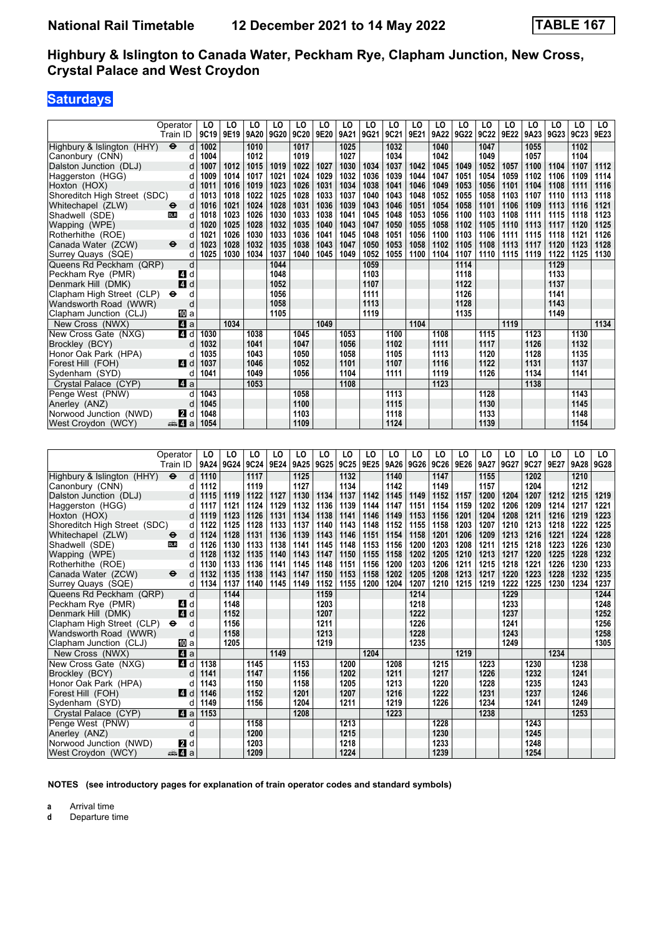## **Saturdays**

| Operator                                            | LO                      | LO           | LO           | LO           | LO           | LO           | LO           | LO           | LO           | LO           | LO           | LO           | LO           | LO           | LO           | LO           | LO           | LO.          |
|-----------------------------------------------------|-------------------------|--------------|--------------|--------------|--------------|--------------|--------------|--------------|--------------|--------------|--------------|--------------|--------------|--------------|--------------|--------------|--------------|--------------|
| Train ID                                            | 9C19                    | 9E19         | 9A20         | 9G20         | 9C20         | 9E20         | 9A21         | 9G21         | 9C21         | 9E21         | 9A22         | 9G22         | 9C22         | 9E22         | 9A23         | 9G23         | 9C23         | 9E23         |
| Highbury & Islington (HHY)<br>$\ddot{\mathbf{e}}$   | 1002<br>d               |              | 1010         |              | 1017         |              | 1025         |              | 1032         |              | 1040         |              | 1047         |              | 1055         |              | 1102         |              |
| Canonbury (CNN)                                     | 1004<br>d               |              | 1012         |              | 1019         |              | 1027         |              | 1034         |              | 1042         |              | 1049         |              | 1057         |              | 1104         |              |
| Dalston Junction (DLJ)                              | d<br>1007               | 1012         | 1015         | 1019         | 1022         | 1027         | 1030         | 1034         | 1037         | 1042         | 1045         | 1049         | 1052         | 1057         | 1100         | 1104         | 1107         | 1112         |
| Haggerston (HGG)                                    | 1009<br>d               | 1014         | 1017         | 1021         | 1024         | 1029         | 1032         | 1036         | 1039         | 1044         | 1047         | 1051         | 1054         | 1059         | 1102         | 1106         | 1109         | 1114         |
| Hoxton (HOX)                                        | 1011<br>d               | 1016         | 1019         | 1023         | 1026         | 1031         | 1034         | 1038         | 1041         | 1046         | 1049         | 1053         | 1056         | 1101         | 1104         | 1108         | 1111         | 1116         |
| Shoreditch High Street (SDC)                        | 1013<br>d               | 1018         | 1022         | 1025         | 1028         | 1033         | 1037         | 1040         | 1043         | 1048         | 1052         | 1055         | 1058         | 1103         | 1107         | 1110         | 1113         | 1118         |
| Whitechapel (ZLW)<br>⊖                              | d<br>1016               | 1021         | 1024         | 1028         | 1031         | 1036         | 1039         | 1043         | 1046         | 1051         | 1054         | 1058         | 1101         | 1106         | 1109         | 1113         | 1116         | 1121         |
| Shadwell (SDE)<br><b>DLR</b>                        | 1018<br>d               | 1023         | 1026         | 1030         | 1033         | 1038         | 1041         | 1045         | 1048         | 1053         | 1056         | 1100         | 1103         | 1108         | 1111         | 1115         | 1118         | 1123         |
| Wapping (WPE)                                       | d<br>1020               | 1025         | 1028         | 1032         | 1035         | 1040         | 1043         | 1047         | 1050         | 1055         | 1058         | 1102         | 1105         | 1110         | 1113         | 1117         | 1120         | 1125         |
| Rotherhithe (ROE)                                   | 1021<br>d               | 1026         | 1030         | 1033         | 1036         | 1041         | 1045         | 1048         | 1051         | 1056         | 1100         | 1103         | 1106         | 1111         | 1115         | 1118         | 1121         | 1126         |
| Canada Water (ZCW)<br>⊖                             | 1023<br>d               | 1028         | 1032         | 1035         | 1038         | 1043         | 1047         | 1050         | 1053         | 1058         | 1102         | 1105         | 1108         | 1113         | 1117         | 1120         | 1123         | 1128         |
| Surrey Quays (SQE)                                  | 1025<br>d               | 1030         | 1034         | 1037         | 1040         | 1045         | 1049         | 1052         | 1055         | 1100         | 1104         | 1107         | 1110         | 1115         | 1119         | 1122         | 1125         | 1130         |
| Queens Rd Peckham (QRP)<br>Peckham Rye (PMR)<br>4 d | d                       |              |              | 1044<br>1048 |              |              |              | 1059<br>1103 |              |              |              | 1114<br>1118 |              |              |              | 1129<br>1133 |              |              |
| Denmark Hill (DMK)<br>4 d                           |                         |              |              | 1052         |              |              |              | 1107         |              |              |              | 1122         |              |              |              | 1137         |              |              |
| Clapham High Street (CLP)<br>$\bullet$              | d                       |              |              | 1056         |              |              |              | 1111         |              |              |              | 1126         |              |              |              | 1141         |              |              |
| Wandsworth Road (WWR)                               | d                       |              |              | 1058         |              |              |              | 1113         |              |              |              | 1128         |              |              |              | 1143         |              |              |
| Clapham Junction (CLJ)<br>100la                     |                         |              |              | 1105         |              |              |              | 1119         |              |              |              | 1135         |              |              |              | 1149         |              |              |
| New Cross (NWX)<br>Z4 a                             |                         | 1034         |              |              |              | 1049         |              |              |              | 1104         |              |              |              | 1119         |              |              |              | 1134         |
| New Cross Gate (NXG)<br>4 d                         | 1030                    |              | 1038         |              | 1045         |              | 1053         |              | 1100         |              | 1108         |              | 1115         |              | 1123         |              | 1130         |              |
| Brockley (BCY)                                      | 1032<br>d               |              | 1041         |              | 1047         |              | 1056         |              | 1102         |              | 1111         |              | 1117         |              | 1126         |              | 1132         |              |
| Honor Oak Park (HPA)                                | 1035<br>d               |              | 1043         |              | 1050         |              | 1058         |              | 1105         |              | 1113         |              | 1120         |              | 1128         |              | 1135         |              |
| Forest Hill (FOH)<br><b>4</b> d                     | 1037                    |              | 1046         |              | 1052         |              | 1101         |              | 1107         |              | 1116         |              | 1122         |              | 1131         |              | 1137         |              |
| Sydenham (SYD)                                      | 1041<br>d               |              | 1049         |              | 1056         |              | 1104         |              | 1111         |              | 1119         |              | 1126         |              | 1134         |              | 1141         |              |
| ZI a<br>Crystal Palace (CYP)                        |                         |              | 1053         |              |              |              | 1108         |              |              |              | 1123         |              |              |              | 1138         |              |              |              |
| Penge West (PNW)                                    | 1043<br>d               |              |              |              | 1058         |              |              |              | 1113         |              |              |              | 1128         |              |              |              | 1143         |              |
| Anerley (ANZ)                                       | 1045<br>d               |              |              |              | 1100         |              |              |              | 1115         |              |              |              | 1130         |              |              |              | 1145         |              |
| Norwood Junction (NWD)<br><b>2</b> d                | 1048                    |              |              |              | 1103         |              |              |              | 1118         |              |              |              | 1133         |              |              |              | 1148         |              |
| West Croydon (WCY)<br>anna <mark>a</mark> n ⊿       | 1054                    |              |              |              | 1109         |              |              |              | 1124         |              |              |              | 1139         |              |              |              | 1154         |              |
|                                                     |                         |              |              |              |              |              |              |              |              |              |              |              |              |              |              |              |              |              |
|                                                     |                         |              |              |              |              |              |              |              |              |              |              |              |              |              |              |              |              |              |
|                                                     |                         |              |              |              |              |              |              |              |              |              |              |              |              |              |              |              |              |              |
| Operator                                            | LO                      | LO           | LO           | LO           | LO           | LO           | LO           | LO           | LO           | LO           | LO           | LO           | LO           | LO           | LO           | LO           | LO           | LO           |
| Train ID                                            | 9A24                    | 9G24         | 9C24         | 9E24         | 9A25         | 9G25         | 9C25         | 9E25         | 9A26         | 9G26         | 9C26         | 9E26         | 9A27         | 9G27         | 9C27         | 9E27         | 9A28         | 9G28         |
| Highbury & Islington (HHY)<br>$\ddot{\bm{\Theta}}$  | 1110<br>d               |              | 1117         |              | 1125         |              | 1132         |              | 1140         |              | 1147         |              | 1155         |              | 1202         |              | 1210         |              |
| Canonbury (CNN)                                     | d<br>1112               |              | 1119         |              | 1127         |              | 1134         |              | 1142         |              | 1149         |              | 1157         |              | 1204         |              | 1212         |              |
| Dalston Junction (DLJ)                              | 1115<br>d               | 1119         | 1122         | 1127         | 1130         | 1134         | 1137         | 1142         | 1145         | 1149         | 1152         | 1157         | 1200         | 1204         | 1207         | 1212         | 1215         | 1219         |
| Haggerston (HGG)                                    | 1117<br>d               | 1121         | 1124         | 1129         | 1132         | 1136         | 1139         | 1144         | 1147         | 1151         | 1154         | 1159         | 1202         | 1206         | 1209         | 1214         | 1217         | 1221         |
| Hoxton (HOX)                                        | 1119<br>d               | 1123         | 1126         | 1131         | 1134         | 1138         | 1141         | 1146         | 1149         | 1153         | 1156         | 1201         | 1204         | 1208         | 1211         | 1216         | 1219         | 1223         |
| Shoreditch High Street (SDC)                        | 1122<br>d               | 1125         | 1128         | 1133         | 1137         | 1140         | 1143         | 1148         | 1152         | 1155         | 1158         | 1203         | 1207         | 1210         | 1213         | 1218         | 1222         | 1225         |
| Whitechapel (ZLW)<br>⊖                              | 1124<br>d               | 1128         | 1131         | 1136         | 1139         | 1143         | 1146         | 1151         | 1154         | 1158         | 1201         | 1206         | 1209         | 1213         | 1216         | 1221         | 1224         | 1228         |
| Shadwell (SDE)<br><b>DLR</b><br>Wapping (WPE)       | d<br>1126<br>d<br>1128  | 1130<br>1132 | 1133<br>1135 | 1138<br>1140 | 1141<br>1143 | 1145<br>1147 | 1148<br>1150 | 1153<br>1155 | 1156<br>1158 | 1200<br>1202 | 1203<br>1205 | 1208<br>1210 | 1211<br>1213 | 1215<br>1217 | 1218<br>1220 | 1223<br>1225 | 1226<br>1228 | 1230<br>1232 |
| Rotherhithe (ROE)                                   | d<br>1130               | 1133         | 1136         | 1141         | 1145         | 1148         | 1151         | 1156         | 1200         | 1203         | 1206         | 1211         | 1215         | 1218         | 1221         | 1226         | 1230         | 1233         |
| Canada Water (ZCW)<br>$\bullet$                     | 1132<br>d               | 1135         | 1138         | 1143         | 1147         | 1150         | 1153         | 1158         | 1202         | 1205         | 1208         | 1213         | 1217         | 1220         | 1223         | 1228         | 1232         | 1235         |
| Surrey Quays (SQE)                                  | d<br>1134               | 1137         | 1140         | 1145         | 1149         | 1152         | 1155         | 1200         | 1204         | 1207         | 1210         | 1215         | 1219         | 1222         | 1225         | 1230         | 1234         | 1237         |
| Queens Rd Peckham (QRP)                             | d                       | 1144         |              |              |              | 1159         |              |              |              | 1214         |              |              |              | 1229         |              |              |              | 1244         |
| 74 d<br>Peckham Rye (PMR)                           |                         | 1148         |              |              |              | 1203         |              |              |              | 1218         |              |              |              | 1233         |              |              |              | 1248         |
| 4d<br>Denmark Hill (DMK)                            |                         | 1152         |              |              |              | 1207         |              |              |              | 1222         |              |              |              | 1237         |              |              |              | 1252         |
| Clapham High Street (CLP) $\Theta$<br>d             |                         | 1156         |              |              |              | 1211         |              |              |              | 1226         |              |              |              | 1241         |              |              |              | 1256         |
| Wandsworth Road (WWR)                               | d                       | 1158         |              |              |              | 1213         |              |              |              | 1228         |              |              |              | 1243         |              |              |              | 1258         |
| Clapham Junction (CLJ)<br>[10] a                    |                         | 1205         |              |              |              | 1219         |              |              |              | 1235         |              |              |              | 1249         |              |              |              | 1305         |
| New Cross (NWX)<br>4a                               |                         |              |              | 1149         |              |              |              | 1204         |              |              |              | 1219         |              |              |              | 1234         |              |              |
| New Cross Gate (NXG)                                | 4 d 1138                |              | 1145         |              | 1153         |              | 1200         |              | 1208         |              | 1215         |              | 1223         |              | 1230         |              | 1238         |              |
| Brockley (BCY)                                      | 1141<br>d               |              | 1147         |              | 1156         |              | 1202         |              | 1211         |              | 1217         |              | 1226         |              | 1232         |              | 1241         |              |
| Honor Oak Park (HPA)                                | 1143<br>d               |              | 1150         |              | 1158         |              | 1205         |              | 1213         |              | 1220         |              | 1228         |              | 1235         |              | 1243         |              |
| Forest Hill (FOH)                                   | $\blacksquare$ d   1146 |              | 1152         |              | 1201         |              | 1207         |              | 1216         |              | 1222         |              | 1231         |              | 1237         |              | 1246         |              |
| Sydenham (SYD)                                      | d   1149                |              | 1156         |              | 1204         |              | 1211         |              | 1219         |              | 1226         |              | 1234         |              | 1241         |              | 1249         |              |
| Crystal Palace (CYP)<br>4a                          | 1153                    |              |              |              | 1208         |              |              |              | 1223         |              |              |              | 1238         |              |              |              | 1253         |              |
| Penge West (PNW)                                    | d                       |              | 1158         |              |              |              | 1213         |              |              |              | 1228         |              |              |              | 1243         |              |              |              |
| Anerley (ANZ)<br>Norwood Junction (NWD)<br>2 d      | d                       |              | 1200<br>1203 |              |              |              | 1215<br>1218 |              |              |              | 1230<br>1233 |              |              |              | 1245<br>1248 |              |              |              |

**NOTES (see introductory pages for explanation of train operator codes and standard symbols)**

**a** Arrival time<br>**d** Departure t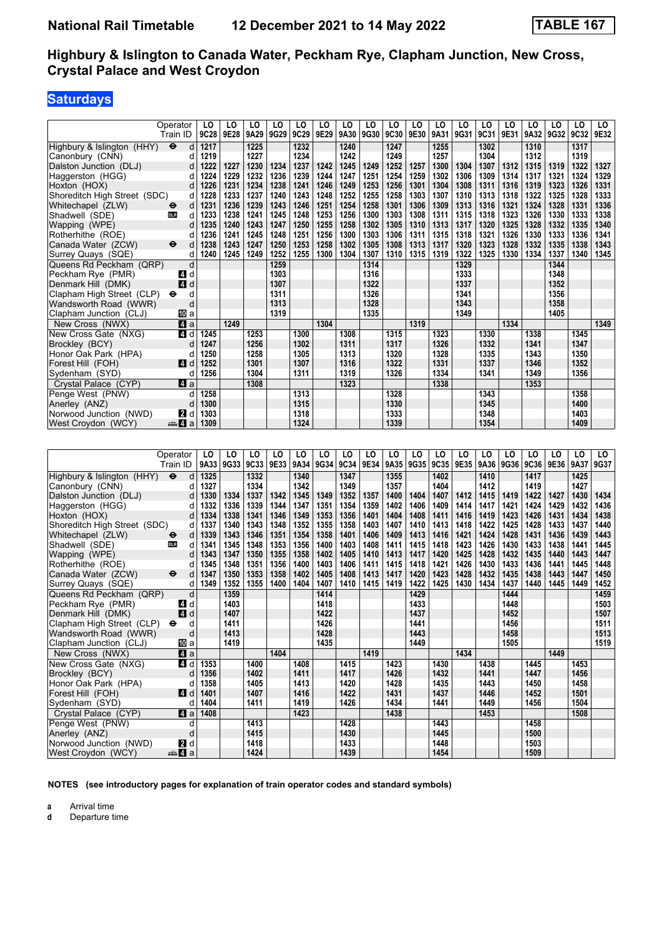## **Saturdays**

|                                               | Operator<br>Train ID        | LO<br>9C28              | LO<br> 9E28  | LO<br>9A29   | LO<br>9G29   | LO<br>9C29   | LO<br>9E29   | LO<br>9A30   | LO<br>9G30   | LO<br>9C30   | LO<br>9E30   | LO<br>9A31   | LO<br>9G31   | LO<br>9C31   | LO<br>9E31   | LO<br>9A32   | LO<br>9G32   | LO<br>9C32   | LO<br>9E32   |
|-----------------------------------------------|-----------------------------|-------------------------|--------------|--------------|--------------|--------------|--------------|--------------|--------------|--------------|--------------|--------------|--------------|--------------|--------------|--------------|--------------|--------------|--------------|
| Highbury & Islington (HHY)<br>Canonbury (CNN) | $\bullet$<br>d<br>d         | 1217<br>1219            |              | 1225<br>1227 |              | 1232<br>1234 |              | 1240<br>1242 |              | 1247<br>1249 |              | 1255<br>1257 |              | 1302<br>1304 |              | 1310<br>1312 |              | 1317<br>1319 |              |
| Dalston Junction (DLJ)                        | d                           | 1222                    | 1227         | 1230         | 1234         | 1237         | 1242         | 1245         | 1249         | 1252         | 1257         | 1300         | 1304         | 1307         | 1312         | 1315         | 1319         | 1322         | 1327         |
| Haggerston (HGG)                              | d                           | 1224                    | 1229         | 1232         | 1236         | 1239         | 1244         | 1247         | 1251         | 1254         | 1259         | 1302         | 1306         | 1309         | 1314         | 1317         | 1321         | 1324         | 1329         |
| Hoxton (HOX)                                  | d                           | 1226                    | 1231         | 1234         | 1238         | 1241         | 1246         | 1249         | 1253         | 1256         | 1301         | 1304         | 1308         | 1311         | 1316         | 1319         | 1323         | 1326         | 1331         |
| Shoreditch High Street (SDC)                  | d                           | 1228                    | 1233         | 1237         | 1240         | 1243         | 1248         | 1252         | 1255         | 1258         | 1303         | 1307         | 1310         | 1313         | 1318         | 1322         | 1325         | 1328         | 1333         |
| Whitechapel (ZLW)                             | d<br>⊖                      | 1231                    | 1236         | 1239         | 1243         | 1246         | 1251         | 1254         | 1258         | 1301         | 1306         | 1309         | 1313         | 1316         | 1321         | 1324         | 1328         | 1331         | 1336         |
| Shadwell (SDE)                                | d<br><b>DLR</b>             | 1233                    | 1238         | 1241         | 1245         | 1248         | 1253         | 1256         | 1300         | 1303         | 1308         | 1311         | 1315         | 1318         | 1323         | 1326         | 1330         | 1333         | 1338         |
| Wapping (WPE)                                 | d                           | 1235                    | 1240         | 1243         | 1247         | 1250         | 1255         | 1258         | 1302         | 1305         | 1310         | 1313         | 1317         | 1320         | 1325         | 1328         | 1332         | 1335         | 1340         |
| Rotherhithe (ROE)                             | d                           | 1236                    | 1241         | 1245         | 1248         | 1251         | 1256         | 1300         | 1303         | 1306         | 1311         | 1315         | 1318         | 1321         | 1326         | 1330         | 1333         | 1336         | 1341         |
| Canada Water (ZCW)                            | ⊖<br>d                      | 1238                    | 1243         | 1247         | 1250         | 1253         | 1258         | 1302         | 1305         | 1308         | 1313         | 1317         | 1320         | 1323         | 1328         | 1332         | 1335         | 1338         | 1343         |
| Surrey Quays (SQE)                            | d                           | 1240                    | 1245         | 1249         | 1252         | 1255         | 1300         | 1304         | 1307         | 1310         | 1315         | 1319         | 1322         | 1325         | 1330         | 1334         | 1337         | 1340         | 1345         |
| Queens Rd Peckham (QRP)                       | d                           |                         |              |              | 1259         |              |              |              | 1314         |              |              |              | 1329         |              |              |              | 1344         |              |              |
| Peckham Rye (PMR)                             | ZI d                        |                         |              |              | 1303         |              |              |              | 1316         |              |              |              | 1333         |              |              |              | 1348         |              |              |
| Denmark Hill (DMK)                            | 4<br>d                      |                         |              |              | 1307         |              |              |              | 1322         |              |              |              | 1337         |              |              |              | 1352         |              |              |
| Clapham High Street (CLP)                     | d<br>⊖                      |                         |              |              | 1311         |              |              |              | 1326         |              |              |              | 1341         |              |              |              | 1356         |              |              |
| Wandsworth Road (WWR)                         | d                           |                         |              |              | 1313         |              |              |              | 1328         |              |              |              | 1343         |              |              |              | 1358         |              |              |
| Clapham Junction (CLJ)                        | ID a                        |                         |              |              | 1319         |              |              |              | 1335         |              |              |              | 1349         |              |              |              | 1405         |              |              |
| New Cross (NWX)                               | 4<br>a                      |                         | 1249         |              |              |              | 1304         |              |              |              | 1319         |              |              |              | 1334         |              |              |              | 1349         |
| New Cross Gate (NXG)                          | 4 d                         | 1245                    |              | 1253         |              | 1300         |              | 1308         |              | 1315         |              | 1323         |              | 1330         |              | 1338         |              | 1345         |              |
| Brockley (BCY)                                | d                           | 1247                    |              | 1256         |              | 1302         |              | 1311         |              | 1317         |              | 1326         |              | 1332         |              | 1341         |              | 1347         |              |
| Honor Oak Park (HPA)                          | d                           | 1250                    |              | 1258         |              | 1305         |              | 1313         |              | 1320         |              | 1328         |              | 1335         |              | 1343         |              | 1350         |              |
| Forest Hill (FOH)                             | 4<br>d                      | 1252                    |              | 1301         |              | 1307         |              | 1316         |              | 1322         |              | 1331         |              | 1337         |              | 1346         |              | 1352         |              |
| Sydenham (SYD)                                | d                           | 1256                    |              | 1304         |              | 1311         |              | 1319         |              | 1326         |              | 1334         |              | 1341         |              | 1349         |              | 1356         |              |
| Crystal Palace (CYP)                          | ZI a                        |                         |              | 1308         |              |              |              | 1323         |              |              |              | 1338         |              |              |              | 1353         |              |              |              |
| Penge West (PNW)                              | d                           | 1258                    |              |              |              | 1313         |              |              |              | 1328         |              |              |              | 1343         |              |              |              | 1358         |              |
| Anerley (ANZ)                                 | d                           | 1300                    |              |              |              | 1315         |              |              |              | 1330         |              |              |              | 1345         |              |              |              | 1400         |              |
| Norwood Junction (NWD)                        | <b>2</b> d                  | 1303                    |              |              |              | 1318         |              |              |              | 1333         |              |              |              | 1348         |              |              |              | 1403         |              |
| West Crovdon (WCY)                            | $\oplus$ 4<br>a             | 1309                    |              |              |              | 1324         |              |              |              | 1339         |              |              |              | 1354         |              |              |              | 1409         |              |
|                                               |                             |                         |              |              |              |              |              |              |              |              |              |              |              |              |              |              |              |              |              |
|                                               |                             |                         |              |              |              |              |              |              |              |              |              |              |              |              |              |              |              |              |              |
|                                               | Operator                    | LO                      | LO           | LO           | LO           | LO           | LO           | LO           | LO           | LO           | LO           | LO           | LO           | LO           | LO           | LO           | LO           | LO           | LO           |
|                                               | Train ID                    | 9A33                    | 9G33         | 9C33         | 9E33         | 9A34         | 9G34         | 9C34         | 9E34         | 9A35         | 9G35         | 9C35         | 9E35         | 9A36         | 9G36         | 9C36         | 9E36         | 9A37         | 9G37         |
| Highbury & Islington (HHY)                    | $\bullet$<br>d              | 1325                    |              | 1332         |              | 1340         |              | 1347         |              | 1355         |              | 1402         |              | 1410         |              | 1417         |              | 1425         |              |
| Canonbury (CNN)                               | d                           | 1327                    |              | 1334         |              | 1342         |              | 1349         |              | 1357         |              | 1404         |              | 1412         |              | 1419         |              | 1427         |              |
| Dalston Junction (DLJ)                        | d                           | 1330                    | 1334         | 1337         | 1342         | 1345         | 1349         | 1352         | 1357         | 1400         | 1404         | 1407         | 1412         | 1415         | 1419         | 1422         | 1427         | 1430         | 1434         |
| Haggerston (HGG)                              | d                           | 1332                    | 1336         | 1339         | 1344         | 1347         | 1351         | 1354         | 1359         | 1402         | 1406         | 1409         | 1414         | 1417         | 1421         | 1424         | 1429         | 1432         | 1436         |
| Hoxton (HOX)                                  | d                           | 1334                    | 1338         | 1341         | 1346         | 1349         | 1353         | 1356         | 1401         | 1404         | 1408         | 1411         | 1416         | 1419         | 1423         | 1426         | 1431         | 1434         | 1438         |
| Shoreditch High Street (SDC)                  | d                           | 1337<br>1339            | 1340         | 1343         | 1348<br>1351 | 1352<br>1354 | 1355<br>1358 | 1358<br>1401 | 1403         | 1407<br>1409 | 1410<br>1413 | 1413<br>1416 | 1418         | 1422<br>1424 | 1425         | 1428         | 1433         | 1437<br>1439 | 1440<br>1443 |
| Whitechapel (ZLW)                             | d<br>⊖<br>d<br><b>DLR</b>   | 1341                    | 1343         | 1346         |              | 1356         |              | 1403         | 1406<br>1408 | 1411         | 1415         | 1418         | 1421<br>1423 |              | 1428         | 1431         | 1436         | 1441         | 1445         |
| Shadwell (SDE)<br>Wapping (WPE)               | d                           | 1343                    | 1345<br>1347 | 1348<br>1350 | 1353<br>1355 | 1358         | 1400<br>1402 | 1405         | 1410         | 1413         | 1417         | 1420         | 1425         | 1426<br>1428 | 1430<br>1432 | 1433<br>1435 | 1438<br>1440 | 1443         | 1447         |
| Rotherhithe (ROE)                             | d                           | 1345                    | 1348         | 1351         | 1356         | 1400         | 1403         | 1406         | 1411         | 1415         | 1418         | 1421         | 1426         | 1430         | 1433         | 1436         | 1441         | 1445         | 1448         |
| Canada Water (ZCW)                            | d<br>⊖                      | 1347                    | 1350         | 1353         | 1358         | 1402         | 1405         | 1408         | 1413         | 1417         | 1420         | 1423         | 1428         | 1432         | 1435         | 1438         | 1443         | 1447         | 1450         |
| Surrey Quays (SQE)                            | d                           | 1349                    | 1352         | 1355         | 1400         | 1404         | 1407         | 1410         | 1415         | 1419         | 1422         | 1425         | 1430         | 1434         | 1437         | 1440         | 1445         | 1449         | 1452         |
| Queens Rd Peckham (QRP)                       | d                           |                         | 1359         |              |              |              | 1414         |              |              |              | 1429         |              |              |              | 1444         |              |              |              | 1459         |
| Peckham Rye (PMR)                             | 4 d                         |                         | 1403         |              |              |              | 1418         |              |              |              | 1433         |              |              |              | 1448         |              |              |              | 1503         |
| Denmark Hill (DMK)                            | 4d                          |                         | 1407         |              |              |              | 1422         |              |              |              | 1437         |              |              |              | 1452         |              |              |              | 1507         |
| Clapham High Street (CLP) $\Theta$            | d                           |                         | 1411         |              |              |              | 1426         |              |              |              | 1441         |              |              |              | 1456         |              |              |              | 1511         |
| Wandsworth Road (WWR)                         | $\operatorname{\mathsf{d}}$ |                         | 1413         |              |              |              | 1428         |              |              |              | 1443         |              |              |              | 1458         |              |              |              | 1513         |
| Clapham Junction (CLJ)                        | <b>iD</b> a                 |                         | 1419         |              |              |              | 1435         |              |              |              | 1449         |              |              |              | 1505         |              |              |              | 1519         |
| New Cross (NWX)                               | $\mathbf{a}$                |                         |              |              | 1404         |              |              |              | 1419         |              |              |              | 1434         |              |              |              | 1449         |              |              |
| New Cross Gate (NXG)                          |                             | $\blacksquare$ d   1353 |              | 1400         |              | 1408         |              | 1415         |              | 1423         |              | 1430         |              | 1438         |              | 1445         |              | 1453         |              |
| Brockley (BCY)                                | d                           | 1356                    |              | 1402         |              | 1411         |              | 1417         |              | 1426         |              | 1432         |              | 1441         |              | 1447         |              | 1456         |              |
| Honor Oak Park (HPA)                          | d                           | 1358                    |              | 1405         |              | 1413         |              | 1420         |              | 1428         |              | 1435         |              | 1443         |              | 1450         |              | 1458         |              |
| Forest Hill (FOH)                             |                             | 4 d 1401                |              | 1407         |              | 1416         |              | 1422         |              | 1431         |              | 1437         |              | 1446         |              | 1452         |              | 1501         |              |

**NOTES (see introductory pages for explanation of train operator codes and standard symbols)**

 Sydenham (SYD) d **1404 1411 1419 1426 1434 1441 1449 1456 1504**  Crystal Palace (CYP) z a **1408 1423 1438 1453 1508**

Penge West (PNW) d 1413 **1428 1443 1443 1443 1458 1443 1468 1468 1468 1500**  Anerley (AN=) d **1415 1430 1445 1500 Norwood Junction (NWD)** 2 d 1418 1448 1433 1448 1503  West Croydon (WCY) 5z a **1424 1439 1454 1509**

**a** Arrival time<br>**d** Departure t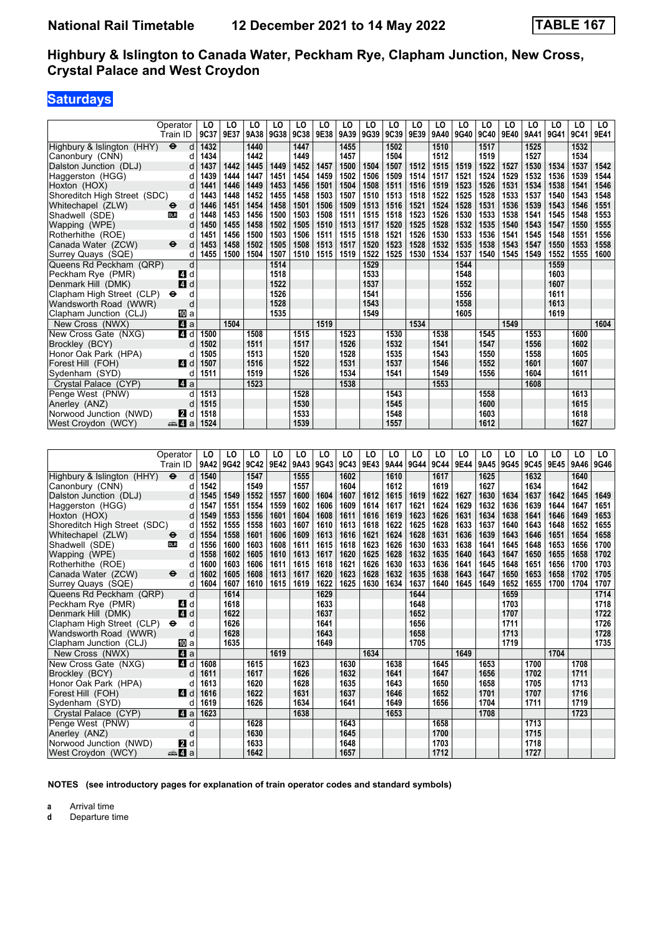### **Saturdays**

|                              | Operator                  | LO   | LO   | LO   | LO   | LO   | LO          | LO   | LO   | LO   | LO   | LO   | LO   | LO   | LO   | LO   | LO   | LO   | LO   |
|------------------------------|---------------------------|------|------|------|------|------|-------------|------|------|------|------|------|------|------|------|------|------|------|------|
|                              | Train ID                  | 9C37 | 9E37 | 9A38 | 9G38 | 9C38 | 9E38        | 9A39 | 9G39 | 9C39 | 9E39 | 9A40 | 9G40 | 9C40 | 9E40 | 9A41 | 9G41 | 9C41 | 9E41 |
| Highbury & Islington (HHY)   | $\ddot{\mathbf{e}}$<br>d  | 1432 |      | 1440 |      | 1447 |             | 1455 |      | 1502 |      | 1510 |      | 1517 |      | 1525 |      | 1532 |      |
| Canonbury (CNN)              | d                         | 1434 |      | 1442 |      | 1449 |             | 1457 |      | 1504 |      | 1512 |      | 1519 |      | 1527 |      | 1534 |      |
| Dalston Junction (DLJ)       | d                         | 1437 | 1442 | 1445 | 1449 | 1452 | 1457        | 1500 | 1504 | 1507 | 1512 | 1515 | 1519 | 1522 | 1527 | 1530 | 1534 | 1537 | 1542 |
| Haggerston (HGG)             | d                         | 1439 | 1444 | 1447 | 1451 | 1454 | 1459        | 1502 | 1506 | 1509 | 1514 | 1517 | 1521 | 1524 | 1529 | 1532 | 1536 | 1539 | 1544 |
| Hoxton (HOX)                 | d                         | 1441 | 1446 | 1449 | 1453 | 1456 | 1501        | 1504 | 1508 | 1511 | 1516 | 1519 | 1523 | 1526 | 1531 | 1534 | 1538 | 1541 | 1546 |
| Shoreditch High Street (SDC) | d                         | 1443 | 1448 | 1452 | 1455 | 1458 | 1503        | 1507 | 1510 | 1513 | 1518 | 1522 | 1525 | 1528 | 1533 | 1537 | 1540 | 1543 | 1548 |
| Whitechapel (ZLW)            | d<br>⊖                    | 1446 | 1451 | 1454 | 1458 | 1501 | 1506        | 1509 | 1513 | 1516 | 1521 | 1524 | 1528 | 1531 | 1536 | 1539 | 1543 | 1546 | 1551 |
| Shadwell (SDE)               | d<br>DLR                  | 1448 | 1453 | 1456 | 1500 | 1503 | 1508        | 1511 | 1515 | 1518 | 1523 | 1526 | 1530 | 1533 | 1538 | 1541 | 1545 | 1548 | 1553 |
| Wapping (WPE)                | d                         | 1450 | 1455 | 1458 | 1502 | 1505 | 1510        | 1513 | 1517 | 1520 | 1525 | 1528 | 1532 | 1535 | 1540 | 1543 | 1547 | 1550 | 1555 |
| Rotherhithe (ROE)            | d                         | 1451 | 1456 | 1500 | 1503 | 1506 | 1511        | 1515 | 1518 | 1521 | 1526 | 1530 | 1533 | 1536 | 1541 | 1545 | 1548 | 1551 | 1556 |
| Canada Water (ZCW)           | d<br>⊖                    | 1453 | 1458 | 1502 | 1505 | 1508 | 1513        | 1517 | 1520 | 1523 | 1528 | 1532 | 1535 | 1538 | 1543 | 1547 | 1550 | 1553 | 1558 |
| Surrey Quays (SQE)           | d                         | 1455 | 1500 | 1504 | 1507 | 1510 | 1515        | 1519 | 1522 | 1525 | 1530 | 1534 | 1537 | 1540 | 1545 | 1549 | 1552 | 1555 | 1600 |
| Queens Rd Peckham (QRP)      | d                         |      |      |      | 1514 |      |             |      | 1529 |      |      |      | 1544 |      |      |      | 1559 |      |      |
| Peckham Rye (PMR)            | 4 d                       |      |      |      | 1518 |      |             |      | 1533 |      |      |      | 1548 |      |      |      | 1603 |      |      |
| Denmark Hill (DMK)           | 4<br>d                    |      |      |      | 1522 |      |             |      | 1537 |      |      |      | 1552 |      |      |      | 1607 |      |      |
| Clapham High Street (CLP)    | d<br>$\bullet$            |      |      |      | 1526 |      |             |      | 1541 |      |      |      | 1556 |      |      |      | 1611 |      |      |
| Wandsworth Road (WWR)        | d                         |      |      |      | 1528 |      |             |      | 1543 |      |      |      | 1558 |      |      |      | 1613 |      |      |
| Clapham Junction (CLJ)       | f0la                      |      |      |      | 1535 |      |             |      | 1549 |      |      |      | 1605 |      |      |      | 1619 |      |      |
| New Cross (NWX)              | 41 a                      |      | 1504 |      |      |      | 1519        |      |      |      | 1534 |      |      |      | 1549 |      |      |      | 1604 |
| New Cross Gate (NXG)         | 4 d                       | 1500 |      | 1508 |      | 1515 |             | 1523 |      | 1530 |      | 1538 |      | 1545 |      | 1553 |      | 1600 |      |
| Brockley (BCY)               | d                         | 1502 |      | 1511 |      | 1517 |             | 1526 |      | 1532 |      | 1541 |      | 1547 |      | 1556 |      | 1602 |      |
| Honor Oak Park (HPA)         | d                         | 1505 |      | 1513 |      | 1520 |             | 1528 |      | 1535 |      | 1543 |      | 1550 |      | 1558 |      | 1605 |      |
| Forest Hill (FOH)            | ZI d                      | 1507 |      | 1516 |      | 1522 |             | 1531 |      | 1537 |      | 1546 |      | 1552 |      | 1601 |      | 1607 |      |
| Sydenham (SYD)               | d                         | 1511 |      | 1519 |      | 1526 |             | 1534 |      | 1541 |      | 1549 |      | 1556 |      | 1604 |      | 1611 |      |
| Crystal Palace (CYP)         | ZI a                      |      |      | 1523 |      |      |             | 1538 |      |      |      | 1553 |      |      |      | 1608 |      |      |      |
| Penge West (PNW)             | d                         | 1513 |      |      |      | 1528 |             |      |      | 1543 |      |      |      | 1558 |      |      |      | 1613 |      |
| Anerley (ANZ)                | d                         | 1515 |      |      |      | 1530 |             |      |      | 1545 |      |      |      | 1600 |      |      |      | 1615 |      |
| Norwood Junction (NWD)       | <b>2</b> d                | 1518 |      |      |      | 1533 |             |      |      | 1548 |      |      |      | 1603 |      |      |      | 1618 |      |
| West Croydon (WCY)           | ⊯м Иа                     | 1524 |      |      |      | 1539 |             |      |      | 1557 |      |      |      | 1612 |      |      |      | 1627 |      |
|                              |                           |      |      |      |      |      |             |      |      |      |      |      |      |      |      |      |      |      |      |
|                              |                           |      |      |      |      |      |             |      |      |      |      |      |      |      |      |      |      |      |      |
|                              | Operator                  | LO   | LO   | LO   | LO   | LO   | LO          | LO   | LO   | LO   | LO   | LO   | LO   | LO   | LO   | LO   | LO   | LO   | LO   |
|                              | Train ID                  | 9A42 | 9G42 | 9C42 | 9E42 | 9A43 | <b>9G43</b> | 9C43 | 9E43 | 9A44 | 9G44 | 9C44 | 9E44 | 9A45 | 9G45 | 9C45 | 9E45 | 9A46 | 9G46 |
| Highbury & Islington (HHY)   | d<br>$\ddot{\bm{\Theta}}$ | 1540 |      | 1547 |      | 1555 |             | 1602 |      | 1610 |      | 1617 |      | 1625 |      | 1632 |      | 1640 |      |
| Canonbury (CNN)              | d                         | 1542 |      | 1549 |      | 1557 |             | 1604 |      | 1612 |      | 1619 |      | 1627 |      | 1634 |      | 1642 |      |
| Dalston Junction (DLJ)       | d                         | 1545 | 1549 | 1552 | 1557 | 1600 | 1604        | 1607 | 1612 | 1615 | 1619 | 1622 | 1627 | 1630 | 1634 | 1637 | 1642 | 1645 | 1649 |
| Haggerston (HGG)             | d                         | 1547 | 1551 | 1554 | 1559 | 1602 | 1606        | 1609 | 1614 | 1617 | 1621 | 1624 | 1629 | 1632 | 1636 | 1639 | 1644 | 1647 | 1651 |
| Hoxton (HOX)                 | d                         | 1549 | 1553 | 1556 | 1601 | 1604 | 1608        | 1611 | 1616 | 1619 | 1623 | 1626 | 1631 | 1634 | 1638 | 1641 | 1646 | 1649 | 1653 |
| Shoreditch High Street (SDC) | d                         | 1552 | 1555 | 1558 | 1603 | 1607 | 1610        | 1613 | 1618 | 1622 | 1625 | 1628 | 1633 | 1637 | 1640 | 1643 | 1648 | 1652 | 1655 |
| Whitechapel (ZLW)            | d<br>θ                    | 1554 | 1558 | 1601 | 1606 | 1609 | 1613        | 1616 | 1621 | 1624 | 1628 | 1631 | 1636 | 1639 | 1643 | 1646 | 1651 | 1654 | 1658 |
| Shadwell (SDE)               | d<br><b>DLR</b>           | 1556 | 1600 | 1603 | 1608 | 1611 | 1615        | 1618 | 1623 | 1626 | 1630 | 1633 | 1638 | 1641 | 1645 | 1648 | 1653 | 1656 | 1700 |
| Wapping (WPE)                | d                         | 1558 | 1602 | 1605 | 1610 | 1613 | 1617        | 1620 | 1625 | 1628 | 1632 | 1635 | 1640 | 1643 | 1647 | 1650 | 1655 | 1658 | 1702 |
| Rotherhithe (ROE)            | d                         | 1600 | 1603 | 1606 | 1611 | 1615 | 1618        | 1621 | 1626 | 1630 | 1633 | 1636 | 1641 | 1645 | 1648 | 1651 | 1656 | 1700 | 1703 |
| Canada Water (ZCW)           | d<br>$\bullet$            | 1602 | 1605 | 1608 | 1613 | 1617 | 1620        | 1623 | 1628 | 1632 | 1635 | 1638 | 1643 | 1647 | 1650 | 1653 | 1658 | 1702 | 1705 |
| Surrey Quays (SQE)           | d                         | 1604 | 1607 | 1610 | 1615 | 1619 | 1622        | 1625 | 1630 | 1634 | 1637 | 1640 | 1645 | 1649 | 1652 | 1655 | 1700 | 1704 | 1707 |
| Queens Rd Peckham (QRP)      | d                         |      | 1614 |      |      |      | 1629        |      |      |      | 1644 |      |      |      | 1659 |      |      |      | 1714 |
| Peckham Rye (PMR)            | 4 d                       |      | 1618 |      |      |      | 1633        |      |      |      | 1648 |      |      |      | 1703 |      |      |      | 1718 |

 Peckham Rye (PMR) z d **1618 1633 1648 1703 1718**  Denmark Hill (DMK) z d **1622 1637 1652 1707 1722** Clapham High Street (CLP) ← d **1626 1641 1641 1656 1711 1711 1726**<br>Wandsworth Road (WWR) d 1628 1643 1643 1658 1713 1713  Wandsworth Road (WWR) d **1628 1643 1658 1713 1728**

**1649 1705 1719 1719 1719 1704 1635 1649 1649 1705 1705 1719 1704 1704 1704** New Cross (NWX) **2. 1** a **1619 1634 1649 1649 1649 1700**<br>New Cross Gate (NXG) **2. 1** a **1608 1615 1623 1630 1638 1645 1653 1700** 

 New Cross Gate (N;G) z d **1608 1615 1623 1630 1638 1645 1653 1700 1708**  Brockley (BCY) d **1611 1617 1626 1632 1641 1647 1656 1702 1711**  Honor Oak Park (HPA) d **1613 1620 1628 1635 1643 1650 1658 1705 1713**

 Crystal Palace (CYP) z a **1623 1638 1653 1708 1723**

 Penge West (PNW) d **1628 1643 1658 1713** Anerley (ANZ) d<br>
Norwood Junction (NWD) **20** d<br>
West Crovdon (WCY) **20 d**<br> **1642** 1642 1657 1712 1727 1712 1727 Norwood Junction (NWD) **2** d **1633 1648 1703 1718 1718 1718 1727 1727 1727** 

**NOTES (see introductory pages for explanation of train operator codes and standard symbols)**

 Forest Hill (FOH) z d **1616 1622 1631 1637 1646 1652 1701 1707 1716**

**a** Arrival time<br>**d** Departure t

 $S$ ydenham<sup>(SYD)</sup>

**d** Departure time

**1641 165 1642 165 165 165 165 165 165 165 165 165 165 165 165 165 165 165 165 165 165 165 165 165 165 165 165 165 165 165 165 165 165 165 165 165 165**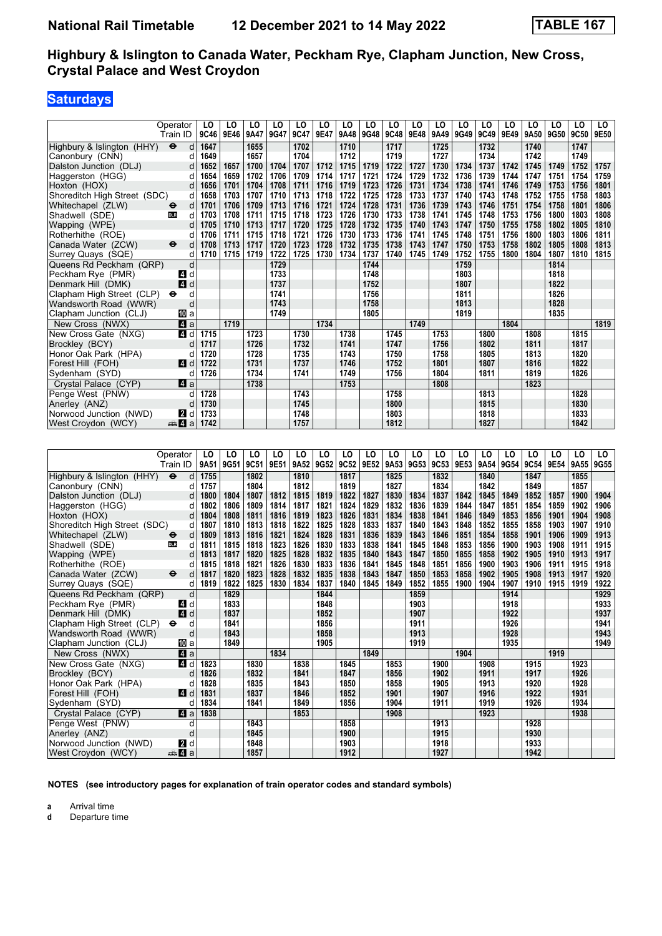## **Saturdays**

|                                        | Operator<br>Train ID     | LO<br>9C46              | LO<br>9E46 | LO<br>9A47 | LO<br>9G47 | LO<br>9C47   | LO<br>9E47 | LO<br>9A48 | LO<br>9G48 | LO<br>9C48   | LO<br>9E48 | LO<br>9A49 | LO<br>9G49 | LO<br>9C49   | LO<br>9E49 | LO<br>9A50 | LO<br>9G50 | LO<br>9C50   | LO.<br>9E50 |
|----------------------------------------|--------------------------|-------------------------|------------|------------|------------|--------------|------------|------------|------------|--------------|------------|------------|------------|--------------|------------|------------|------------|--------------|-------------|
|                                        |                          |                         |            |            |            |              |            |            |            |              |            |            |            |              |            |            |            |              |             |
| Highbury & Islington (HHY)             | $\ddot{\mathbf{e}}$<br>d | 1647                    |            | 1655       |            | 1702         |            | 1710       |            | 1717         |            | 1725       |            | 1732         |            | 1740       |            | 1747         |             |
| Canonbury (CNN)                        | d                        | 1649                    |            | 1657       |            | 1704         |            | 1712       |            | 1719         |            | 1727       |            | 1734         |            | 1742       |            | 1749         |             |
| Dalston Junction (DLJ)                 | d                        | 1652                    | 1657       | 1700       | 1704       | 1707         | 1712       | 1715       | 1719       | 1722         | 1727       | 1730       | 1734       | 1737         | 1742       | 1745       | 1749       | 1752         | 1757        |
|                                        |                          |                         |            |            |            |              |            |            |            |              |            |            |            |              |            |            |            |              |             |
| Haggerston (HGG)                       | d                        | 1654                    | 1659       | 1702       | 1706       | 1709         | 1714       | 1717       | 1721       | 1724         | 1729       | 1732       | 1736       | 1739         | 1744       | 1747       | 1751       | 1754         | 1759        |
| Hoxton (HOX)                           | d                        | 1656                    | 1701       | 1704       | 1708       | 1711         | 1716       | 1719       | 1723       | 1726         | 1731       | 1734       | 1738       | 1741         | 1746       | 1749       | 1753       | 1756         | 1801        |
| Shoreditch High Street (SDC)           | d                        | 1658                    | 1703       | 1707       | 1710       | 1713         | 1718       | 1722       | 1725       | 1728         | 1733       | 1737       | 1740       | 1743         | 1748       | 1752       | 1755       | 1758         | 1803        |
| Whitechapel (ZLW)                      | d<br>⊖                   | 1701                    | 1706       | 1709       | 1713       | 1716         | 1721       | 1724       | 1728       | 1731         | 1736       | 1739       | 1743       | 1746         | 1751       | 1754       | 1758       | 1801         | 1806        |
| Shadwell (SDE)                         | d<br><b>DLR</b>          | 1703                    | 1708       | 1711       | 1715       | 1718         | 1723       | 1726       | 1730       | 1733         | 1738       | 1741       | 1745       | 1748         | 1753       | 1756       | 1800       | 1803         | 1808        |
| Wapping (WPE)                          | d                        | 1705                    | 1710       | 1713       | 1717       | 1720         | 1725       | 1728       | 1732       | 1735         | 1740       | 1743       | 1747       | 1750         | 1755       | 1758       | 1802       | 1805         | 1810        |
| Rotherhithe (ROE)                      | d                        | 1706                    | 1711       | 1715       | 1718       | 1721         | 1726       | 1730       | 1733       | 1736         | 1741       | 1745       | 1748       | 1751         | 1756       | 1800       | 1803       | 1806         | 1811        |
|                                        |                          |                         | 1713       | 1717       | 1720       | 1723         | 1728       | 1732       | 1735       | 1738         | 1743       | 1747       |            | 1753         |            |            |            |              | 1813        |
| Canada Water (ZCW)                     | d<br>⊖                   | 1708                    |            |            |            |              |            |            |            |              |            |            | 1750       |              | 1758       | 1802       | 1805       | 1808         |             |
| Surrey Quays (SQE)                     | d                        | 1710                    | 1715       | 1719       | 1722       | 1725         | 1730       | 1734       | 1737       | 1740         | 1745       | 1749       | 1752       | 1755         | 1800       | 1804       | 1807       | 1810         | 1815        |
| Queens Rd Peckham (QRP)                | d                        |                         |            |            | 1729       |              |            |            | 1744       |              |            |            | 1759       |              |            |            | 1814       |              |             |
| Peckham Rye (PMR)                      | 4 d                      |                         |            |            | 1733       |              |            |            | 1748       |              |            |            | 1803       |              |            |            | 1818       |              |             |
| Denmark Hill (DMK)                     | 4 d                      |                         |            |            | 1737       |              |            |            | 1752       |              |            |            | 1807       |              |            |            | 1822       |              |             |
| Clapham High Street (CLP)              | d<br>$\bullet$           |                         |            |            | 1741       |              |            |            | 1756       |              |            |            | 1811       |              |            |            | 1826       |              |             |
| Wandsworth Road (WWR)                  | d                        |                         |            |            | 1743       |              |            |            | 1758       |              |            |            | 1813       |              |            |            | 1828       |              |             |
|                                        |                          |                         |            |            | 1749       |              |            |            | 1805       |              |            |            | 1819       |              |            |            | 1835       |              |             |
| Clapham Junction (CLJ)                 | ID a                     |                         |            |            |            |              |            |            |            |              |            |            |            |              |            |            |            |              |             |
| New Cross (NWX)                        | ZI a                     |                         | 1719       |            |            |              | 1734       |            |            |              | 1749       |            |            |              | 1804       |            |            |              | 1819        |
| New Cross Gate (NXG)                   | 4 d                      | 1715                    |            | 1723       |            | 1730         |            | 1738       |            | 1745         |            | 1753       |            | 1800         |            | 1808       |            | 1815         |             |
| Brockley (BCY)                         | $\mathsf{d}$             | 1717                    |            | 1726       |            | 1732         |            | 1741       |            | 1747         |            | 1756       |            | 1802         |            | 1811       |            | 1817         |             |
| Honor Oak Park (HPA)                   | d                        | 1720                    |            | 1728       |            | 1735         |            | 1743       |            | 1750         |            | 1758       |            | 1805         |            | 1813       |            | 1820         |             |
| Forest Hill (FOH)                      | <b>4</b> d               | 1722                    |            | 1731       |            | 1737         |            | 1746       |            | 1752         |            | 1801       |            | 1807         |            | 1816       |            | 1822         |             |
|                                        | d                        | 1726                    |            | 1734       |            | 1741         |            | 1749       |            | 1756         |            | 1804       |            | 1811         |            | 1819       |            | 1826         |             |
| Sydenham (SYD)                         |                          |                         |            |            |            |              |            |            |            |              |            |            |            |              |            |            |            |              |             |
| Crystal Palace (CYP)                   | ZI a                     |                         |            | 1738       |            |              |            | 1753       |            |              |            | 1808       |            |              |            | 1823       |            |              |             |
| Penge West (PNW)                       | d                        | 1728                    |            |            |            | 1743         |            |            |            | 1758         |            |            |            | 1813         |            |            |            | 1828         |             |
| Anerley (ANZ)                          | d                        | 1730                    |            |            |            | 1745         |            |            |            | 1800         |            |            |            | 1815         |            |            |            | 1830         |             |
| Norwood Junction (NWD)                 | <b>2</b> d               | 1733                    |            |            |            | 1748         |            |            |            | 1803         |            |            |            | 1818         |            |            |            | 1833         |             |
|                                        |                          |                         |            |            |            |              |            |            |            |              |            |            |            |              |            |            |            |              |             |
|                                        |                          |                         |            |            |            |              |            |            |            |              |            |            |            |              |            |            |            |              |             |
| West Croydon (WCY)                     | de 4 a                   | 1742                    |            |            |            | 1757         |            |            |            | 1812         |            |            |            | 1827         |            |            |            | 1842         |             |
|                                        |                          |                         |            |            |            |              |            |            |            |              |            |            |            |              |            |            |            |              |             |
|                                        |                          |                         |            |            |            |              |            |            |            |              |            |            |            |              |            |            |            |              |             |
|                                        | Operator                 | LO                      | LO         | LO         | LO         | LO           | LO         | LO         | LO         | LO           | LO         | LO         | LO         | LO           | LO         | LO         | LO         | LO           | LO          |
|                                        | Train ID                 | 9A51                    | 9G51       | 9C51       | 9E51       | 9A52         | 9G52       | 9C52       | 9E52       | 9A53         | 9G53       | 9C53       | 9E53       | 9A54         | 9G54       | 9C54       | 9E54       | 9A55         | 9G55        |
|                                        |                          |                         |            |            |            |              |            |            |            |              |            |            |            |              |            |            |            |              |             |
| Highbury & Islington (HHY)             | $\bullet$<br>d           | 1755                    |            | 1802       |            | 1810         |            | 1817       |            | 1825         |            | 1832       |            | 1840         |            | 1847       |            | 1855         |             |
| Canonbury (CNN)                        | d                        | 1757                    |            | 1804       |            | 1812         |            | 1819       |            | 1827         |            | 1834       |            | 1842         |            | 1849       |            | 1857         |             |
| Dalston Junction (DLJ)                 | d                        | 1800                    | 1804       | 1807       | 1812       | 1815         | 1819       | 1822       | 1827       | 1830         | 1834       | 1837       | 1842       | 1845         | 1849       | 1852       | 1857       | 1900         | 1904        |
| Haggerston (HGG)                       | d                        | 1802                    | 1806       | 1809       | 1814       | 1817         | 1821       | 1824       | 1829       | 1832         | 1836       | 1839       | 1844       | 1847         | 1851       | 1854       | 1859       | 1902         | 1906        |
| Hoxton (HOX)                           | d                        | 1804                    | 1808       | 1811       | 1816       | 1819         | 1823       | 1826       | 1831       | 1834         | 1838       | 1841       | 1846       | 1849         | 1853       | 1856       | 1901       | 1904         | 1908        |
| Shoreditch High Street (SDC)           | d                        | 1807                    | 1810       | 1813       | 1818       | 1822         | 1825       | 1828       | 1833       | 1837         | 1840       | 1843       | 1848       | 1852         | 1855       | 1858       | 1903       | 1907         | 1910        |
| Whitechapel (ZLW)                      | d<br>⊖                   | 1809                    | 1813       | 1816       | 1821       | 1824         | 1828       | 1831       | 1836       | 1839         | 1843       | 1846       | 1851       | 1854         | 1858       | 1901       | 1906       | 1909         | 1913        |
| Shadwell (SDE)                         | <b>DLR</b><br>d          | 1811                    | 1815       | 1818       | 1823       | 1826         | 1830       | 1833       | 1838       | 1841         | 1845       | 1848       | 1853       | 1856         | 1900       | 1903       | 1908       | 1911         | 1915        |
| Wapping (WPE)                          | d                        | 1813                    | 1817       | 1820       | 1825       | 1828         | 1832       | 1835       | 1840       | 1843         | 1847       | 1850       | 1855       | 1858         | 1902       | 1905       | 1910       | 1913         | 1917        |
|                                        | d                        |                         |            |            |            |              |            |            | 1841       | 1845         | 1848       | 1851       | 1856       | 1900         | 1903       | 1906       | 1911       |              |             |
| Rotherhithe (ROE)                      |                          | 1815                    | 1818       | 1821       | 1826       | 1830         | 1833       | 1836       |            |              |            |            |            |              |            |            |            | 1915         | 1918        |
| Canada Water (ZCW)                     | d<br>$\bullet$           | 1817                    | 1820       | 1823       | 1828       | 1832         | 1835       | 1838       | 1843       | 1847         | 1850       | 1853       | 1858       | 1902         | 1905       | 1908       | 1913       | 1917         | 1920        |
| Surrey Quays (SQE)                     | d                        | 1819                    | 1822       | 1825       | 1830       | 1834         | 1837       | 1840       | 1845       | 1849         | 1852       | 1855       | 1900       | 1904         | 1907       | 1910       | 1915       | 1919         | 1922        |
| Queens Rd Peckham (QRP)                | d                        |                         | 1829       |            |            |              | 1844       |            |            |              | 1859       |            |            |              | 1914       |            |            |              | 1929        |
| Peckham Rye (PMR)                      | $\blacksquare$           |                         | 1833       |            |            |              | 1848       |            |            |              | 1903       |            |            |              | 1918       |            |            |              | 1933        |
| Denmark Hill (DMK)                     | 4d                       |                         | 1837       |            |            |              | 1852       |            |            |              | 1907       |            |            |              | 1922       |            |            |              | 1937        |
| Clapham High Street (CLP) $\Theta$     | d                        |                         | 1841       |            |            |              | 1856       |            |            |              | 1911       |            |            |              | 1926       |            |            |              | 1941        |
| Wandsworth Road (WWR)                  | d                        |                         | 1843       |            |            |              | 1858       |            |            |              | 1913       |            |            |              | 1928       |            |            |              | 1943        |
| Clapham Junction (CLJ)                 |                          |                         |            |            |            |              |            |            |            |              |            |            |            |              |            |            |            |              | 1949        |
|                                        | 100 a                    |                         | 1849       |            |            |              | 1905       |            |            |              | 1919       |            |            |              | 1935       |            |            |              |             |
| New Cross (NWX)                        | Z1 a                     |                         |            |            | 1834       |              |            |            | 1849       |              |            |            | 1904       |              |            |            | 1919       |              |             |
| New Cross Gate (NXG)                   | 4 d                      | 1823                    |            | 1830       |            | 1838         |            | 1845       |            | 1853         |            | 1900       |            | 1908         |            | 1915       |            | 1923         |             |
| Brockley (BCY)                         | d                        | 1826                    |            | 1832       |            | 1841         |            | 1847       |            | 1856         |            | 1902       |            | 1911         |            | 1917       |            | 1926         |             |
| Honor Oak Park (HPA)                   | d                        | 1828                    |            | 1835       |            | 1843         |            | 1850       |            | 1858         |            | 1905       |            | 1913         |            | 1920       |            | 1928         |             |
| Forest Hill (FOH)                      |                          | $\blacksquare$ d   1831 |            | 1837       |            | 1846         |            | 1852       |            | 1901         |            | 1907       |            | 1916         |            | 1922       |            | 1931         |             |
| Sydenham (SYD)<br>Crystal Palace (CYP) |                          | $d$ 1834<br>4 a 1838    |            | 1841       |            | 1849<br>1853 |            | 1856       |            | 1904<br>1908 |            | 1911       |            | 1919<br>1923 |            | 1926       |            | 1934<br>1938 |             |

**NOTES (see introductory pages for explanation of train operator codes and standard symbols)**

  Crystal Palace (CYP) z a **1838 1853 1908 1923 1938**  Penge West (PNW) d **1843 1858 1913 1928**  Anerley (AN=) d **1845 1900 1915 1930 Norwood Junction (NWD)** 2 d 1848 1933  West Croydon (WCY) 5z a **1857 1912 1927 1942**

**a** Arrival time<br>**d** Departure t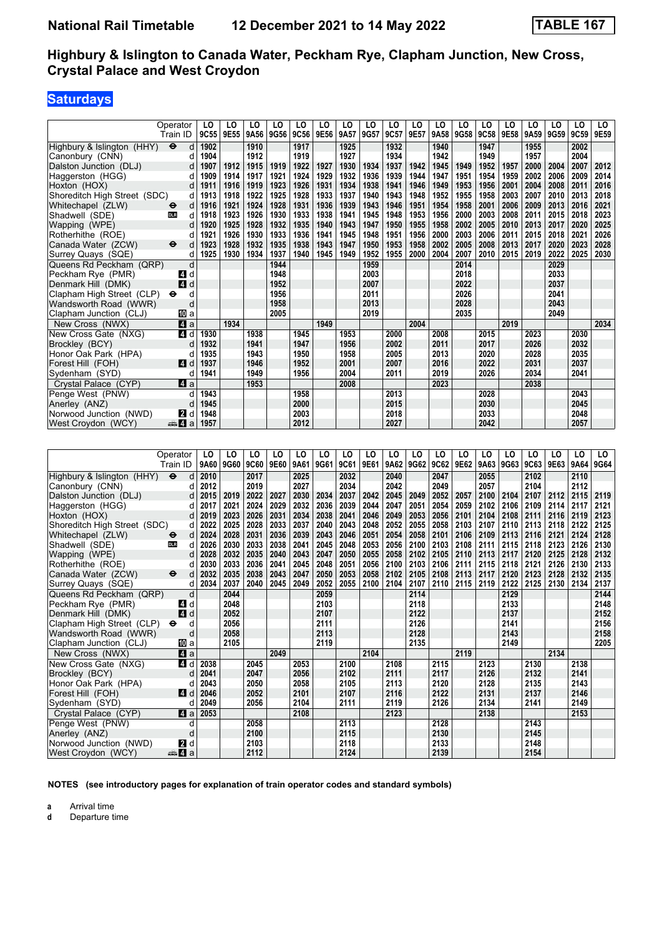## **Saturdays**

|                              | Operator                  | LO   | LO   | LO   | LO   | LO   | LO   | LO   | LO   | LO   | LO   | LO   | LO   | LO   | LO   | LO   | LO   | LO   | LO   |
|------------------------------|---------------------------|------|------|------|------|------|------|------|------|------|------|------|------|------|------|------|------|------|------|
|                              | Train ID                  | 9C55 | 9E55 | 9A56 | 9G56 | 9C56 | 9E56 | 9A57 | 9G57 | 9C57 | 9E57 | 9A58 | 9G58 | 9C58 | 9E58 | 9A59 | 9G59 | 9C59 | 9E59 |
| Highbury & Islington (HHY)   | d<br>$\bullet$            | 1902 |      | 1910 |      | 1917 |      | 1925 |      | 1932 |      | 1940 |      | 1947 |      | 1955 |      | 2002 |      |
| Canonbury (CNN)              | d                         | 1904 |      | 1912 |      | 1919 |      | 1927 |      | 1934 |      | 1942 |      | 1949 |      | 1957 |      | 2004 |      |
| Dalston Junction (DLJ)       | d                         | 1907 | 1912 | 1915 | 1919 | 1922 | 1927 | 1930 | 1934 | 1937 | 1942 | 1945 | 1949 | 1952 | 1957 | 2000 | 2004 | 2007 | 2012 |
| Haggerston (HGG)             | d                         | 1909 | 1914 | 1917 | 1921 | 1924 | 1929 | 1932 | 1936 | 1939 | 1944 | 1947 | 1951 | 1954 | 1959 | 2002 | 2006 | 2009 | 2014 |
| Hoxton (HOX)                 | d                         | 1911 | 1916 | 1919 | 1923 | 1926 | 1931 | 1934 | 1938 | 1941 | 1946 | 1949 | 1953 | 1956 | 2001 | 2004 | 2008 | 2011 | 2016 |
| Shoreditch High Street (SDC) | d                         | 1913 | 1918 | 1922 | 1925 | 1928 | 1933 | 1937 | 1940 | 1943 | 1948 | 1952 | 1955 | 1958 | 2003 | 2007 | 2010 | 2013 | 2018 |
| Whitechapel (ZLW)            | d<br>⊖                    | 1916 | 1921 | 1924 | 1928 | 1931 | 1936 | 1939 | 1943 | 1946 | 1951 | 1954 | 1958 | 2001 | 2006 | 2009 | 2013 | 2016 | 2021 |
| Shadwell (SDE)               | d<br><b>DLR</b>           | 1918 | 1923 | 1926 | 1930 | 1933 | 1938 | 1941 | 1945 | 1948 | 1953 | 1956 | 2000 | 2003 | 2008 | 2011 | 2015 | 2018 | 2023 |
| Wapping (WPE)                | d                         | 1920 | 1925 | 1928 | 1932 | 1935 | 1940 | 1943 | 1947 | 1950 | 1955 | 1958 | 2002 | 2005 | 2010 | 2013 | 2017 | 2020 | 2025 |
| Rotherhithe (ROE)            | d                         | 1921 | 1926 | 1930 | 1933 | 1936 | 1941 | 1945 | 1948 | 1951 | 1956 | 2000 | 2003 | 2006 | 2011 | 2015 | 2018 | 2021 | 2026 |
| Canada Water (ZCW)           | ⊖<br>d                    | 1923 | 1928 | 1932 | 1935 | 1938 | 1943 | 1947 | 1950 | 1953 | 1958 | 2002 | 2005 | 2008 | 2013 | 2017 | 2020 | 2023 | 2028 |
| Surrey Quays (SQE)           | d                         | 1925 | 1930 | 1934 | 1937 | 1940 | 1945 | 1949 | 1952 | 1955 | 2000 | 2004 | 2007 | 2010 | 2015 | 2019 | 2022 | 2025 | 2030 |
| Queens Rd Peckham (QRP)      | d                         |      |      |      | 1944 |      |      |      | 1959 |      |      |      | 2014 |      |      |      | 2029 |      |      |
| Peckham Rye (PMR)            | d<br>4                    |      |      |      | 1948 |      |      |      | 2003 |      |      |      | 2018 |      |      |      | 2033 |      |      |
| Denmark Hill (DMK)           | $\boldsymbol{A}$<br>d     |      |      |      | 1952 |      |      |      | 2007 |      |      |      | 2022 |      |      |      | 2037 |      |      |
| Clapham High Street (CLP)    | d<br>⊖                    |      |      |      | 1956 |      |      |      | 2011 |      |      |      | 2026 |      |      |      | 2041 |      |      |
| Wandsworth Road (WWR)        | d                         |      |      |      | 1958 |      |      |      | 2013 |      |      |      | 2028 |      |      |      | 2043 |      |      |
| Clapham Junction (CLJ)       | 吅 a                       |      |      |      | 2005 |      |      |      | 2019 |      |      |      | 2035 |      |      |      | 2049 |      |      |
| New Cross (NWX)              | ZI a                      |      | 1934 |      |      |      | 1949 |      |      |      | 2004 |      |      |      | 2019 |      |      |      | 2034 |
| New Cross Gate (NXG)         | 4 d                       | 1930 |      | 1938 |      | 1945 |      | 1953 |      | 2000 |      | 2008 |      | 2015 |      | 2023 |      | 2030 |      |
| Brockley (BCY)               | d                         | 1932 |      | 1941 |      | 1947 |      | 1956 |      | 2002 |      | 2011 |      | 2017 |      | 2026 |      | 2032 |      |
| Honor Oak Park (HPA)         | d                         | 1935 |      | 1943 |      | 1950 |      | 1958 |      | 2005 |      | 2013 |      | 2020 |      | 2028 |      | 2035 |      |
| Forest Hill (FOH)            | 4<br>d                    | 1937 |      | 1946 |      | 1952 |      | 2001 |      | 2007 |      | 2016 |      | 2022 |      | 2031 |      | 2037 |      |
| Sydenham (SYD)               | d                         | 1941 |      | 1949 |      | 1956 |      | 2004 |      | 2011 |      | 2019 |      | 2026 |      | 2034 |      | 2041 |      |
| Crystal Palace (CYP)         | $\mathbf{A}$ a            |      |      | 1953 |      |      |      | 2008 |      |      |      | 2023 |      |      |      | 2038 |      |      |      |
| Penge West (PNW)             | d                         | 1943 |      |      |      | 1958 |      |      |      | 2013 |      |      |      | 2028 |      |      |      | 2043 |      |
| Anerley (ANZ)                | d                         | 1945 |      |      |      | 2000 |      |      |      | 2015 |      |      |      | 2030 |      |      |      | 2045 |      |
| Norwood Junction (NWD)       | d<br>2                    | 1948 |      |      |      | 2003 |      |      |      | 2018 |      |      |      | 2033 |      |      |      | 2048 |      |
| West Croydon (WCY)           | <del>⊯</del> Иа           | 1957 |      |      |      | 2012 |      |      |      | 2027 |      |      |      | 2042 |      |      |      | 2057 |      |
|                              |                           |      |      |      |      |      |      |      |      |      |      |      |      |      |      |      |      |      |      |
|                              |                           |      |      |      |      |      |      |      |      |      |      |      |      |      |      |      |      |      |      |
|                              | Operator                  | LO   | LO   | LO   | LO   | LO   | LO   | LO   | LO   | LO   | LO   | LO   | LO   | LO   | LO   | LO   | LO   | LO   | LO   |
|                              | Train ID                  | 9A60 | 9G60 | 9C60 | 9E60 | 9A61 | 9G61 | 9C61 | 9E61 | 9A62 | 9G62 | 9C62 | 9E62 | 9A63 | 9G63 | 9C63 | 9E63 | 9A64 | 9G64 |
| Highbury & Islington (HHY)   | $\ddot{\bm{\Theta}}$<br>d | 2010 |      | 2017 |      | 2025 |      | 2032 |      | 2040 |      | 2047 |      | 2055 |      | 2102 |      | 2110 |      |
| Canonbury (CNN)              | d                         | 2012 |      | 2019 |      | 2027 |      | 2034 |      | 2042 |      | 2049 |      | 2057 |      | 2104 |      | 2112 |      |
| Dalston Junction (DLJ)       | d                         | 2015 | 2019 | 2022 | 2027 | 2030 | 2034 | 2037 | 2042 | 2045 | 2049 | 2052 | 2057 | 2100 | 2104 | 2107 | 2112 | 2115 | 2119 |
| Haggerston (HGG)             | d                         | 2017 | 2021 | 2024 | 2029 | 2032 | 2036 | 2039 | 2044 | 2047 | 2051 | 2054 | 2059 | 2102 | 2106 | 2109 | 2114 | 2117 | 2121 |
| Hoxton (HOX)                 | d                         | 2019 | 2023 | 2026 | 2031 | 2034 | 2038 | 2041 | 2046 | 2049 | 2053 | 2056 | 2101 | 2104 | 2108 | 2111 | 2116 | 2119 | 2123 |
| Shoreditch High Street (SDC) | d                         | 2022 | 2025 | 2028 | 2033 | 2037 | 2040 | 2043 | 2048 | 2052 | 2055 | 2058 | 2103 | 2107 | 2110 | 2113 | 2118 | 2122 | 2125 |
| Whitechapel (ZLW)            | d<br>⊖                    | 2024 | 2028 | 2031 | 2036 | 2039 | 2043 | 2046 | 2051 | 2054 | 2058 | 2101 | 2106 | 2109 | 2113 | 2116 | 2121 | 2124 | 2128 |
| Shadwell (SDE)               | d<br><b>DLR</b>           | 2026 | 2030 | 2033 | 2038 | 2041 | 2045 | 2048 | 2053 | 2056 | 2100 | 2103 | 2108 | 2111 | 2115 | 2118 | 2123 | 2126 | 2130 |
| Wapping (WPE)                | d                         | 2028 | 2032 | 2035 | 2040 | 2043 | 2047 | 2050 | 2055 | 2058 | 2102 | 2105 | 2110 | 2113 | 2117 | 2120 | 2125 | 2128 | 2132 |
| Rotherhithe (ROE)            | d                         | 2030 | 2033 | 2036 | 2041 | 2045 | 2048 | 2051 | 2056 | 2100 | 2103 | 2106 | 2111 | 2115 | 2118 | 2121 | 2126 | 2130 | 2133 |

|                              | Train ID                 | 9A60 | 9G60 | 9C60 | 9E60 | 9A61 | 9G61 | <b>9C61</b> | 9E61 |      | 9A62 9G62 | 9C62 | 9E62 |      | 9A63 9G63 | 9C63 | 9E63 | 9A64 | 9G64 |
|------------------------------|--------------------------|------|------|------|------|------|------|-------------|------|------|-----------|------|------|------|-----------|------|------|------|------|
| Highbury & Islington (HHY)   | $\ddot{\mathbf{e}}$<br>d | 2010 |      | 2017 |      | 2025 |      | 2032        |      | 2040 |           | 2047 |      | 2055 |           | 2102 |      | 2110 |      |
| Canonbury (CNN)              | d                        | 2012 |      | 2019 |      | 2027 |      | 2034        |      | 2042 |           | 2049 |      | 2057 |           | 2104 |      | 2112 |      |
| Dalston Junction (DLJ)       | d                        | 2015 | 2019 | 2022 | 2027 | 2030 | 2034 | 2037        | 2042 | 2045 | 2049      | 2052 | 2057 | 2100 | 2104      | 2107 | 2112 | 2115 | 2119 |
| Haggerston (HGG)             | d                        | 2017 | 2021 | 2024 | 2029 | 2032 | 2036 | 2039        | 2044 | 2047 | 2051      | 2054 | 2059 | 2102 | 2106      | 2109 | 2114 | 2117 | 2121 |
| Hoxton (HOX)                 | d                        | 2019 | 2023 | 2026 | 2031 | 2034 | 2038 | 2041        | 2046 | 2049 | 2053      | 2056 | 2101 | 2104 | 2108      | 2111 | 2116 | 2119 | 2123 |
| Shoreditch High Street (SDC) | d                        | 2022 | 2025 | 2028 | 2033 | 2037 | 2040 | 2043        | 2048 | 2052 | 2055      | 2058 | 2103 | 2107 | 2110      | 2113 | 2118 | 2122 | 2125 |
| Whitechapel (ZLW)            | d<br>⊖                   | 2024 | 2028 | 2031 | 2036 | 2039 | 2043 | 2046        | 2051 | 2054 | 2058      | 2101 | 2106 | 2109 | 2113      | 2116 | 2121 | 2124 | 2128 |
| Shadwell (SDE)               | <b>DLR</b><br>d          | 2026 | 2030 | 2033 | 2038 | 2041 | 2045 | 2048        | 2053 | 2056 | 2100      | 2103 | 2108 | 2111 | 2115      | 2118 | 2123 | 2126 | 2130 |
| Wapping (WPE)                | d                        | 2028 | 2032 | 2035 | 2040 | 2043 | 2047 | 2050        | 2055 | 2058 | 2102      | 2105 | 2110 | 2113 | 2117      | 2120 | 2125 | 2128 | 2132 |
| Rotherhithe (ROE)            |                          | 2030 | 2033 | 2036 | 2041 | 2045 | 2048 | 2051        | 2056 | 2100 | 2103      | 2106 | 2111 | 2115 | 2118      | 2121 | 2126 | 2130 | 2133 |
| Canada Water (ZCW)           | $\ddot{\mathbf{e}}$<br>d | 2032 | 2035 | 2038 | 2043 | 2047 | 2050 | 2053        | 2058 | 2102 | 2105      | 2108 | 2113 | 2117 | 2120      | 2123 | 2128 | 2132 | 2135 |
| Surrey Quays (SQE)           | d                        | 2034 | 2037 | 2040 | 2045 | 2049 | 2052 | 2055        | 2100 | 2104 | 2107      | 2110 | 2115 | 2119 | 2122      | 2125 | 2130 | 2134 | 2137 |
| Queens Rd Peckham (QRP)      | d                        |      | 2044 |      |      |      | 2059 |             |      |      | 2114      |      |      |      | 2129      |      |      |      | 2144 |
| Peckham Rye (PMR)            | d<br><b>4</b>            |      | 2048 |      |      |      | 2103 |             |      |      | 2118      |      |      |      | 2133      |      |      |      | 2148 |
| Denmark Hill (DMK)           | $\overline{4}$<br>d      |      | 2052 |      |      |      | 2107 |             |      |      | 2122      |      |      |      | 2137      |      |      |      | 2152 |
| Clapham High Street (CLP)    | d<br>$\bullet$           |      | 2056 |      |      |      | 2111 |             |      |      | 2126      |      |      |      | 2141      |      |      |      | 2156 |
| Wandsworth Road (WWR)        | d                        |      | 2058 |      |      |      | 2113 |             |      |      | 2128      |      |      |      | 2143      |      |      |      | 2158 |
| Clapham Junction (CLJ)       | [10] a                   |      | 2105 |      |      |      | 2119 |             |      |      | 2135      |      |      |      | 2149      |      |      |      | 2205 |
| New Cross (NWX)              | 4 a                      |      |      |      | 2049 |      |      |             | 2104 |      |           |      | 2119 |      |           |      | 2134 |      |      |
| New Cross Gate (NXG)         | 4 d                      | 2038 |      | 2045 |      | 2053 |      | 2100        |      | 2108 |           | 2115 |      | 2123 |           | 2130 |      | 2138 |      |
| Brockley (BCY)               | d                        | 2041 |      | 2047 |      | 2056 |      | 2102        |      | 2111 |           | 2117 |      | 2126 |           | 2132 |      | 2141 |      |
| Honor Oak Park (HPA)         |                          | 2043 |      | 2050 |      | 2058 |      | 2105        |      | 2113 |           | 2120 |      | 2128 |           | 2135 |      | 2143 |      |
| Forest Hill (FOH)            | ZI d                     | 2046 |      | 2052 |      | 2101 |      | 2107        |      | 2116 |           | 2122 |      | 2131 |           | 2137 |      | 2146 |      |
| Sydenham (SYD)               |                          | 2049 |      | 2056 |      | 2104 |      | 2111        |      | 2119 |           | 2126 |      | 2134 |           | 2141 |      | 2149 |      |
| Crystal Palace (CYP)         | ZI a                     | 2053 |      |      |      | 2108 |      |             |      | 2123 |           |      |      | 2138 |           |      |      | 2153 |      |
| Penge West (PNW)             | d                        |      |      | 2058 |      |      |      | 2113        |      |      |           | 2128 |      |      |           | 2143 |      |      |      |
| Anerley (ANZ)                | d                        |      |      | 2100 |      |      |      | 2115        |      |      |           | 2130 |      |      |           | 2145 |      |      |      |
| Norwood Junction (NWD)       | <b>2</b> d               |      |      | 2103 |      |      |      | 2118        |      |      |           | 2133 |      |      |           | 2148 |      |      |      |
| West Croydon (WCY)           | <del>⊯</del> ⊿ а         |      |      | 2112 |      |      |      | 2124        |      |      |           | 2139 |      |      |           | 2154 |      |      |      |

**NOTES (see introductory pages for explanation of train operator codes and standard symbols)**

**a** Arrival time<br>**d** Departure t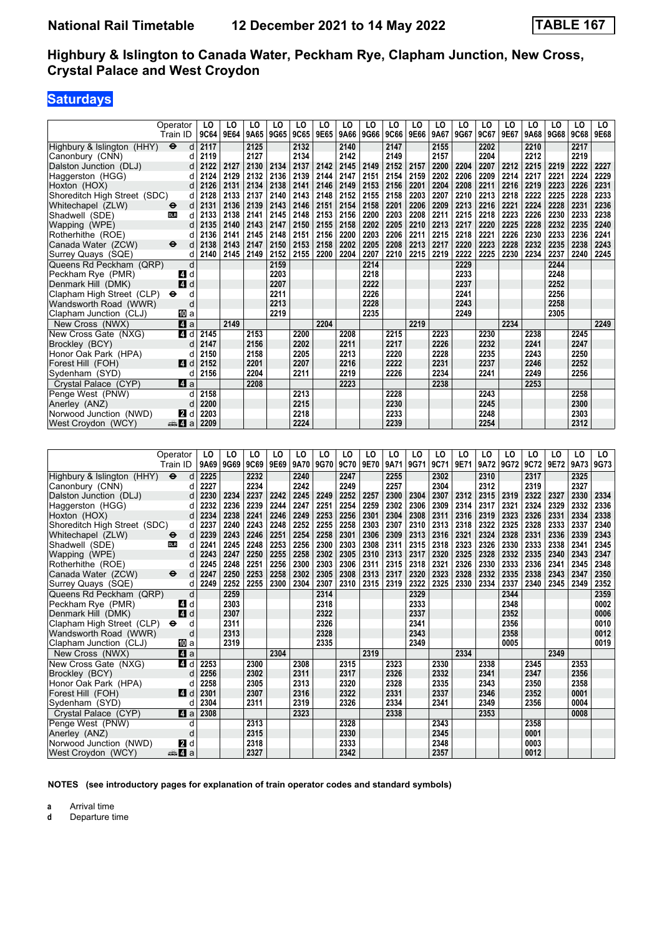## **Saturdays**

|                              | Operator                  | LO                      | LO   | LO        | LO   | LO   | LO   | LO   | LO   | LO   | LO   | LO   | LO   | LO   | LO   | LO   | LO   | LO   | LO   |
|------------------------------|---------------------------|-------------------------|------|-----------|------|------|------|------|------|------|------|------|------|------|------|------|------|------|------|
|                              | Train ID                  | 9C64                    | 9E64 | 9A65 9G65 |      | 9C65 | 9E65 | 9A66 | 9G66 | 9C66 | 9E66 | 9A67 | 9G67 | 9C67 | 9E67 | 9A68 | 9G68 | 9C68 | 9E68 |
| Highbury & Islington (HHY)   | $\bullet$<br>d            | 2117                    |      | 2125      |      | 2132 |      | 2140 |      | 2147 |      | 2155 |      | 2202 |      | 2210 |      | 2217 |      |
| Canonbury (CNN)              | d                         | 2119                    |      | 2127      |      | 2134 |      | 2142 |      | 2149 |      | 2157 |      | 2204 |      | 2212 |      | 2219 |      |
| Dalston Junction (DLJ)       | d                         | 2122                    | 2127 | 2130      | 2134 | 2137 | 2142 | 2145 | 2149 | 2152 | 2157 | 2200 | 2204 | 2207 | 2212 | 2215 | 2219 | 2222 | 2227 |
| Haggerston (HGG)             |                           | 2124                    | 2129 | 2132      | 2136 | 2139 | 2144 | 2147 | 2151 | 2154 | 2159 | 2202 | 2206 | 2209 | 2214 | 2217 | 2221 | 2224 | 2229 |
|                              | d                         |                         |      |           |      |      |      |      |      |      |      |      |      |      |      |      |      |      |      |
| Hoxton (HOX)                 | d                         | 2126                    | 2131 | 2134      | 2138 | 2141 | 2146 | 2149 | 2153 | 2156 | 2201 | 2204 | 2208 | 2211 | 2216 | 2219 | 2223 | 2226 | 2231 |
| Shoreditch High Street (SDC) | d                         | 2128                    | 2133 | 2137      | 2140 | 2143 | 2148 | 2152 | 2155 | 2158 | 2203 | 2207 | 2210 | 2213 | 2218 | 2222 | 2225 | 2228 | 2233 |
| Whitechapel (ZLW)            | d<br>⊖                    | 2131                    | 2136 | 2139      | 2143 | 2146 | 2151 | 2154 | 2158 | 2201 | 2206 | 2209 | 2213 | 2216 | 2221 | 2224 | 2228 | 2231 | 2236 |
| Shadwell (SDE)               | d<br>DLR                  | 2133                    | 2138 | 2141      | 2145 | 2148 | 2153 | 2156 | 2200 | 2203 | 2208 | 2211 | 2215 | 2218 | 2223 | 2226 | 2230 | 2233 | 2238 |
| Wapping (WPE)                | d                         | 2135                    | 2140 | 2143      | 2147 | 2150 | 2155 | 2158 | 2202 | 2205 | 2210 | 2213 | 2217 | 2220 | 2225 | 2228 | 2232 | 2235 | 2240 |
| Rotherhithe (ROE)            | d                         | 2136                    | 2141 | 2145      | 2148 | 2151 | 2156 | 2200 | 2203 | 2206 | 2211 | 2215 | 2218 | 2221 | 2226 | 2230 | 2233 | 2236 | 2241 |
| Canada Water (ZCW)           | ⊖<br>d                    | 2138                    | 2143 | 2147      | 2150 | 2153 | 2158 | 2202 | 2205 | 2208 | 2213 | 2217 | 2220 | 2223 | 2228 | 2232 | 2235 | 2238 | 2243 |
| Surrey Quays (SQE)           | d                         | 2140                    | 2145 | 2149      | 2152 | 2155 | 2200 | 2204 | 2207 | 2210 | 2215 | 2219 | 2222 | 2225 | 2230 | 2234 | 2237 | 2240 | 2245 |
| Queens Rd Peckham (QRP)      | d                         |                         |      |           | 2159 |      |      |      | 2214 |      |      |      | 2229 |      |      |      | 2244 |      |      |
| Peckham Rye (PMR)            | ZI d                      |                         |      |           | 2203 |      |      |      | 2218 |      |      |      | 2233 |      |      |      | 2248 |      |      |
| Denmark Hill (DMK)           | 4<br>d                    |                         |      |           | 2207 |      |      |      | 2222 |      |      |      | 2237 |      |      |      | 2252 |      |      |
|                              |                           |                         |      |           | 2211 |      |      |      | 2226 |      |      |      | 2241 |      |      |      | 2256 |      |      |
| Clapham High Street (CLP)    | d<br>⊖                    |                         |      |           |      |      |      |      |      |      |      |      |      |      |      |      |      |      |      |
| Wandsworth Road (WWR)        | d                         |                         |      |           | 2213 |      |      |      | 2228 |      |      |      | 2243 |      |      |      | 2258 |      |      |
| Clapham Junction (CLJ)       | 100la                     |                         |      |           | 2219 |      |      |      | 2235 |      |      |      | 2249 |      |      |      | 2305 |      |      |
| New Cross (NWX)              | ZI a                      |                         | 2149 |           |      |      | 2204 |      |      |      | 2219 |      |      |      | 2234 |      |      |      | 2249 |
| New Cross Gate (NXG)         | 4 d                       | 2145                    |      | 2153      |      | 2200 |      | 2208 |      | 2215 |      | 2223 |      | 2230 |      | 2238 |      | 2245 |      |
| Brockley (BCY)               | d                         | 2147                    |      | 2156      |      | 2202 |      | 2211 |      | 2217 |      | 2226 |      | 2232 |      | 2241 |      | 2247 |      |
| Honor Oak Park (HPA)         | d                         | 2150                    |      | 2158      |      | 2205 |      | 2213 |      | 2220 |      | 2228 |      | 2235 |      | 2243 |      | 2250 |      |
| Forest Hill (FOH)            | d<br><b>4</b>             | 2152                    |      | 2201      |      | 2207 |      | 2216 |      | 2222 |      | 2231 |      | 2237 |      | 2246 |      | 2252 |      |
| Sydenham (SYD)               | d                         | 2156                    |      | 2204      |      | 2211 |      | 2219 |      | 2226 |      | 2234 |      | 2241 |      | 2249 |      | 2256 |      |
| Crystal Palace (CYP)         | ZI a                      |                         |      | 2208      |      |      |      | 2223 |      |      |      | 2238 |      |      |      | 2253 |      |      |      |
| Penge West (PNW)             | d                         | 2158                    |      |           |      | 2213 |      |      |      | 2228 |      |      |      | 2243 |      |      |      | 2258 |      |
|                              |                           |                         |      |           |      |      |      |      |      |      |      |      |      |      |      |      |      |      |      |
| Anerley (ANZ)                | d                         | 2200                    |      |           |      | 2215 |      |      |      | 2230 |      |      |      | 2245 |      |      |      | 2300 |      |
| Norwood Junction (NWD)       | <b>2</b> d                | 2203                    |      |           |      | 2218 |      |      |      | 2233 |      |      |      | 2248 |      |      |      | 2303 |      |
|                              |                           |                         |      |           |      |      |      |      |      |      |      |      |      |      |      |      |      |      |      |
| West Croydon (WCY)           | $\oplus$ 4<br>a           | 2209                    |      |           |      | 2224 |      |      |      | 2239 |      |      |      | 2254 |      |      |      | 2312 |      |
|                              |                           |                         |      |           |      |      |      |      |      |      |      |      |      |      |      |      |      |      |      |
|                              |                           |                         |      |           |      |      |      |      |      |      |      |      |      |      |      |      |      |      |      |
|                              | Operator                  | LO                      | LO   | LO        | LO   | LO   | LO   | LO   | LO   | LO   | LO   | LO   | LO   | LO   | LO   | LO   | LO   | LO   | LO.  |
|                              | Train ID                  | 9A69                    | 9G69 | 9C69      | 9E69 | 9A70 | 9G70 | 9C70 | 9E70 | 9A71 | 9G71 | 9C71 | 9E71 | 9A72 | 9G72 | 9C72 | 9E72 | 9A73 | 9G73 |
|                              | $\ddot{\bm{\Theta}}$<br>d | 2225                    |      | 2232      |      | 2240 |      | 2247 |      | 2255 |      | 2302 |      | 2310 |      | 2317 |      | 2325 |      |
| Highbury & Islington (HHY)   | d                         | 2227                    |      | 2234      |      | 2242 |      | 2249 |      |      |      |      |      |      |      |      |      |      |      |
| Canonbury (CNN)              |                           |                         |      |           |      |      |      |      |      | 2257 |      | 2304 |      | 2312 |      | 2319 |      | 2327 |      |
| Dalston Junction (DLJ)       | d                         | 2230                    | 2234 | 2237      | 2242 | 2245 | 2249 | 2252 | 2257 | 2300 | 2304 | 2307 | 2312 | 2315 | 2319 | 2322 | 2327 | 2330 | 2334 |
| Haggerston (HGG)             | d                         | 2232                    | 2236 | 2239      | 2244 | 2247 | 2251 | 2254 | 2259 | 2302 | 2306 | 2309 | 2314 | 2317 | 2321 | 2324 | 2329 | 2332 | 2336 |
| Hoxton (HOX)                 | d                         | 2234                    | 2238 | 2241      | 2246 | 2249 | 2253 | 2256 | 2301 | 2304 | 2308 | 2311 | 2316 | 2319 | 2323 | 2326 | 2331 | 2334 | 2338 |
| Shoreditch High Street (SDC) | d                         | 2237                    | 2240 | 2243      | 2248 | 2252 | 2255 | 2258 | 2303 | 2307 | 2310 | 2313 | 2318 | 2322 | 2325 | 2328 | 2333 | 2337 | 2340 |
| Whitechapel (ZLW)            | d<br>⊖                    | 2239                    | 2243 | 2246      | 2251 | 2254 | 2258 | 2301 | 2306 | 2309 | 2313 | 2316 | 2321 | 2324 | 2328 | 2331 | 2336 | 2339 | 2343 |
| Shadwell (SDE)               | d<br><b>DLR</b>           | 2241                    | 2245 | 2248      | 2253 | 2256 | 2300 | 2303 | 2308 | 2311 | 2315 | 2318 | 2323 | 2326 | 2330 | 2333 | 2338 | 2341 | 2345 |
| Wapping (WPE)                | d                         | 2243                    | 2247 | 2250      | 2255 | 2258 | 2302 | 2305 | 2310 | 2313 | 2317 | 2320 | 2325 | 2328 | 2332 | 2335 | 2340 | 2343 | 2347 |
| Rotherhithe (ROE)            | d                         | 2245                    | 2248 | 2251      | 2256 | 2300 | 2303 | 2306 | 2311 | 2315 | 2318 | 2321 | 2326 | 2330 | 2333 | 2336 | 2341 | 2345 | 2348 |
| Canada Water (ZCW)           | ⊖<br>d                    | 2247                    | 2250 | 2253      | 2258 | 2302 | 2305 | 2308 | 2313 | 2317 | 2320 | 2323 | 2328 | 2332 | 2335 | 2338 | 2343 | 2347 | 2350 |
| Surrey Quays (SQE)           | d                         | 2249                    | 2252 | 2255      | 2300 | 2304 | 2307 | 2310 | 2315 | 2319 | 2322 | 2325 | 2330 | 2334 | 2337 | 2340 | 2345 | 2349 | 2352 |
| Queens Rd Peckham (QRP)      | d                         |                         | 2259 |           |      |      | 2314 |      |      |      | 2329 |      |      |      | 2344 |      |      |      | 2359 |
| Peckham Rye (PMR)            | 41 d                      |                         | 2303 |           |      |      | 2318 |      |      |      | 2333 |      |      |      | 2348 |      |      |      | 0002 |
|                              |                           |                         |      |           |      |      |      |      |      |      |      |      |      |      |      |      |      |      |      |
| Denmark Hill (DMK)           | 4d                        |                         | 2307 |           |      |      | 2322 |      |      |      | 2337 |      |      |      | 2352 |      |      |      | 0006 |
| Clapham High Street (CLP)    | d<br>$\bullet$            |                         | 2311 |           |      |      | 2326 |      |      |      | 2341 |      |      |      | 2356 |      |      |      | 0010 |
| Wandsworth Road (WWR)        | d                         |                         | 2313 |           |      |      | 2328 |      |      |      | 2343 |      |      |      | 2358 |      |      |      | 0012 |
| Clapham Junction (CLJ)       | 吅 a                       |                         | 2319 |           |      |      | 2335 |      |      |      | 2349 |      |      |      | 0005 |      |      |      | 0019 |
| New Cross (NWX)              | ZI a                      |                         |      |           | 2304 |      |      |      | 2319 |      |      |      | 2334 |      |      |      | 2349 |      |      |
| New Cross Gate (NXG)         |                           | $\blacksquare$ d   2253 |      | 2300      |      | 2308 |      | 2315 |      | 2323 |      | 2330 |      | 2338 |      | 2345 |      | 2353 |      |
| Brockley (BCY)               | d                         | 2256                    |      | 2302      |      | 2311 |      | 2317 |      | 2326 |      | 2332 |      | 2341 |      | 2347 |      | 2356 |      |
| Honor Oak Park (HPA)         | d                         | 2258                    |      | 2305      |      | 2313 |      | 2320 |      | 2328 |      | 2335 |      | 2343 |      | 2350 |      | 2358 |      |
| Forest Hill (FOH)            |                           | $4$ d $2301$            |      | 2307      |      | 2316 |      | 2322 |      | 2331 |      | 2337 |      | 2346 |      | 2352 |      | 0001 |      |
| Sydenham (SYD)               |                           | $d$ 2304                |      | 2311      |      | 2319 |      | 2326 |      | 2334 |      | 2341 |      | 2349 |      | 2356 |      | 0004 |      |
| Crystal Palace (CYP)         |                           | $\blacksquare$ a 2308   |      |           |      | 2323 |      |      |      | 2338 |      |      |      | 2353 |      |      |      | 0008 |      |
| Penge West (PNW)             | d                         |                         |      | 2313      |      |      |      | 2328 |      |      |      | 2343 |      |      |      | 2358 |      |      |      |
| Anerley (ANZ)                | d                         |                         |      | 2315      |      |      |      | 2330 |      |      |      | 2345 |      |      |      | 0001 |      |      |      |

**NOTES (see introductory pages for explanation of train operator codes and standard symbols)**

 West Croydon (WCY) 5z a **2327 2342 2357 0012**

**a** Arrival time<br>**d** Departure t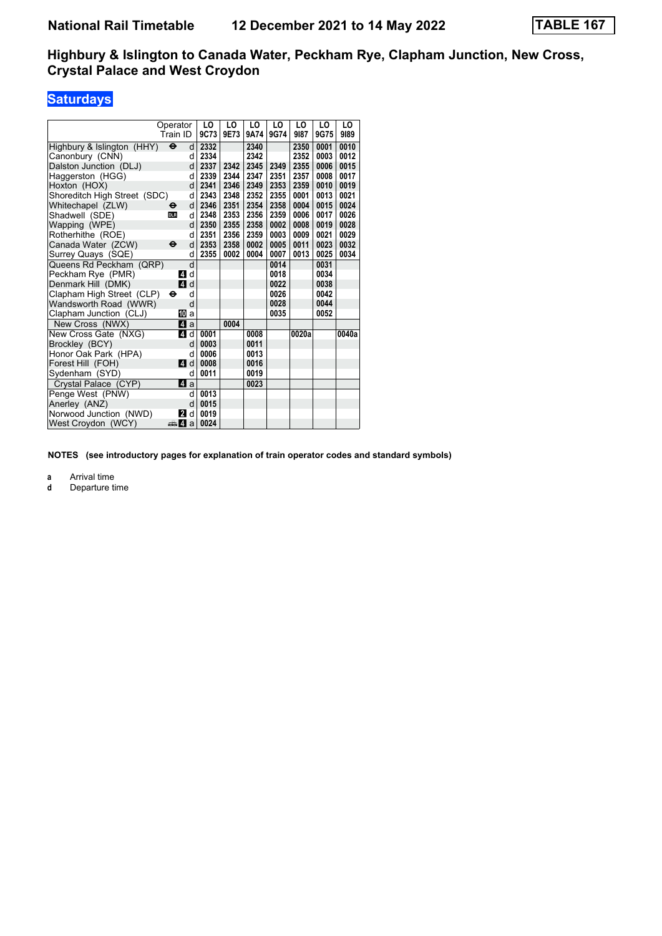## **Saturdays**

|                              | Operator                 | LO   | LO   | LO   | LO   | LO    | LO   | LO    |
|------------------------------|--------------------------|------|------|------|------|-------|------|-------|
|                              | Train ID                 | 9C73 | 9E73 | 9A74 | 9G74 | 9187  | 9G75 | 9189  |
| Highbury & Islington (HHY)   | $\ddot{\mathbf{e}}$<br>d | 2332 |      | 2340 |      | 2350  | 0001 | 0010  |
| Canonbury (CNN)              | d                        | 2334 |      | 2342 |      | 2352  | 0003 | 0012  |
| Dalston Junction (DLJ)       | d                        | 2337 | 2342 | 2345 | 2349 | 2355  | 0006 | 0015  |
| Haggerston (HGG)             | d                        | 2339 | 2344 | 2347 | 2351 | 2357  | 0008 | 0017  |
| Hoxton (HOX)                 | d                        | 2341 | 2346 | 2349 | 2353 | 2359  | 0010 | 0019  |
| Shoreditch High Street (SDC) | d                        | 2343 | 2348 | 2352 | 2355 | 0001  | 0013 | 0021  |
| Whitechapel (ZLW)            | d<br>$\bullet$           | 2346 | 2351 | 2354 | 2358 | 0004  | 0015 | 0024  |
| Shadwell (SDE)               | d<br><b>DLR</b>          | 2348 | 2353 | 2356 | 2359 | 0006  | 0017 | 0026  |
| Wapping (WPE)                | d                        | 2350 | 2355 | 2358 | 0002 | 0008  | 0019 | 0028  |
| Rotherhithe (ROE)            | d                        | 2351 | 2356 | 2359 | 0003 | 0009  | 0021 | 0029  |
| Canada Water (ZCW)           | d<br>$\ddot{\mathbf{e}}$ | 2353 | 2358 | 0002 | 0005 | 0011  | 0023 | 0032  |
| Surrey Quays (SQE)           | d                        | 2355 | 0002 | 0004 | 0007 | 0013  | 0025 | 0034  |
| Queens Rd Peckham (QRP)      | d                        |      |      |      | 0014 |       | 0031 |       |
| Peckham Rye (PMR)            | 41 d                     |      |      |      | 0018 |       | 0034 |       |
| Denmark Hill (DMK)           | 4d                       |      |      |      | 0022 |       | 0038 |       |
| Clapham High Street (CLP)    | d<br>⊖                   |      |      |      | 0026 |       | 0042 |       |
| Wandsworth Road (WWR)        | d                        |      |      |      | 0028 |       | 0044 |       |
| Clapham Junction (CLJ)       | 10 a                     |      |      |      | 0035 |       | 0052 |       |
| New Cross (NWX)              | ZI a                     |      | 0004 |      |      |       |      |       |
| New Cross Gate (NXG)         | 4<br>d                   | 0001 |      | 0008 |      | 0020a |      | 0040a |
| Brockley (BCY)               | d                        | 0003 |      | 0011 |      |       |      |       |
| Honor Oak Park (HPA)         | d                        | 0006 |      | 0013 |      |       |      |       |
| Forest Hill (FOH)            | ZI d                     | 0008 |      | 0016 |      |       |      |       |
| Sydenham (SYD)               | d                        | 0011 |      | 0019 |      |       |      |       |
| Crystal Palace (CYP)         | $\mathbf{a}$             |      |      | 0023 |      |       |      |       |
| Penge West (PNW)             | d                        | 0013 |      |      |      |       |      |       |
| Anerley (ANZ)                | d                        | 0015 |      |      |      |       |      |       |
| Norwood Junction (NWD)       | d<br>2                   | 0019 |      |      |      |       |      |       |
| West Croydon (WCY)           | <del>⊯</del> ⊿ а         | 0024 |      |      |      |       |      |       |

**NOTES (see introductory pages for explanation of train operator codes and standard symbols)**

**a** Arrival time<br>**d** Departure t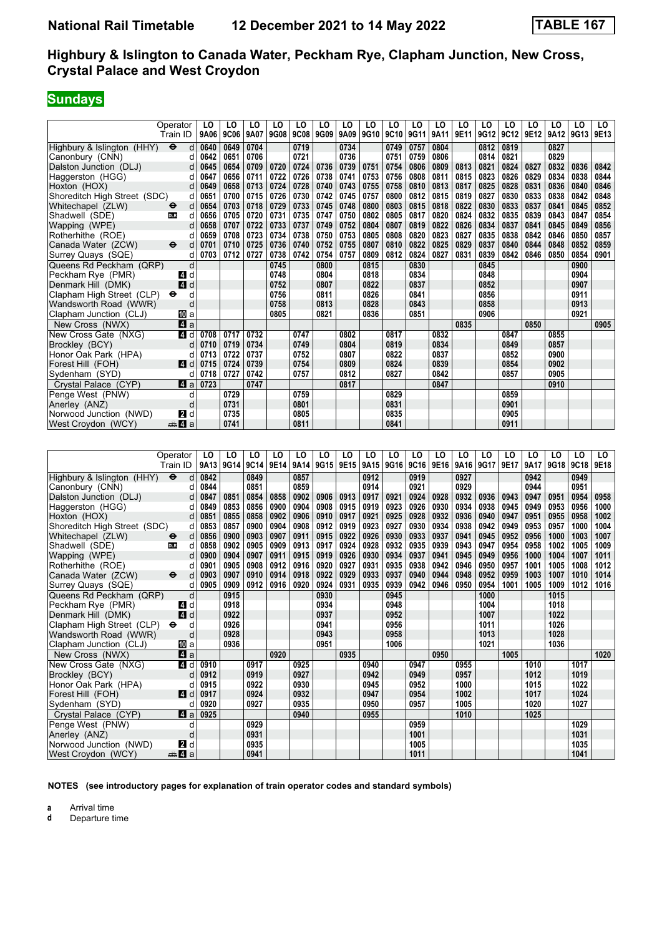# **Sundays**

|                              | Operator                 | LO   | LO   | LO   | LO   | LO   | LO   | LO   | LO   | LO   | LO   | LO   | LO   | LO   | LO   | LO   | LO   | LO   | LO   |
|------------------------------|--------------------------|------|------|------|------|------|------|------|------|------|------|------|------|------|------|------|------|------|------|
|                              | Train ID                 | 9A06 | 9C06 | 9A07 | 9G08 | 9C08 | 9G09 | 9A09 | 9G10 | 9C10 | 9G11 | 9A11 | 9E11 | 9G12 | 9C12 | 9E12 | 9A12 | 9G13 | 9E13 |
| Highbury & Islington (HHY)   | $\ddot{\mathbf{e}}$<br>d | 0640 | 0649 | 0704 |      | 0719 |      | 0734 |      | 0749 | 0757 | 0804 |      | 0812 | 0819 |      | 0827 |      |      |
| Canonbury (CNN)              | d                        | 0642 | 0651 | 0706 |      | 0721 |      | 0736 |      | 0751 | 0759 | 0806 |      | 0814 | 0821 |      | 0829 |      |      |
| Dalston Junction (DLJ)       | d                        | 0645 | 0654 | 0709 | 0720 | 0724 | 0736 | 0739 | 0751 | 0754 | 0806 | 0809 | 0813 | 0821 | 0824 | 0827 | 0832 | 0836 | 0842 |
| Haggerston (HGG)             |                          | 0647 | 0656 | 0711 | 0722 | 0726 | 0738 | 0741 | 0753 | 0756 | 0808 | 0811 | 0815 | 0823 | 0826 | 0829 | 0834 | 0838 | 0844 |
| Hoxton (HOX)                 | d                        | 0649 | 0658 | 0713 | 0724 | 0728 | 0740 | 0743 | 0755 | 0758 | 0810 | 0813 | 0817 | 0825 | 0828 | 0831 | 0836 | 0840 | 0846 |
| Shoreditch High Street (SDC) | d                        | 0651 | 0700 | 0715 | 0726 | 0730 | 0742 | 0745 | 0757 | 0800 | 0812 | 0815 | 0819 | 0827 | 0830 | 0833 | 0838 | 0842 | 0848 |
| Whitechapel (ZLW)            | d<br>$\bullet$           | 0654 | 0703 | 0718 | 0729 | 0733 | 0745 | 0748 | 0800 | 0803 | 0815 | 0818 | 0822 | 0830 | 0833 | 0837 | 0841 | 0845 | 0852 |
| Shadwell (SDE)               | <b>DLR</b><br>d          | 0656 | 0705 | 0720 | 0731 | 0735 | 0747 | 0750 | 0802 | 0805 | 0817 | 0820 | 0824 | 0832 | 0835 | 0839 | 0843 | 0847 | 0854 |
| Wapping (WPE)                | d                        | 0658 | 0707 | 0722 | 0733 | 0737 | 0749 | 0752 | 0804 | 0807 | 0819 | 0822 | 0826 | 0834 | 0837 | 0841 | 0845 | 0849 | 0856 |
| Rotherhithe (ROE)            |                          | 0659 | 0708 | 0723 | 0734 | 0738 | 0750 | 0753 | 0805 | 0808 | 0820 | 0823 | 0827 | 0835 | 0838 | 0842 | 0846 | 0850 | 0857 |
| Canada Water (ZCW)           | $\ddot{\mathbf{e}}$<br>d | 0701 | 0710 | 0725 | 0736 | 0740 | 0752 | 0755 | 0807 | 0810 | 0822 | 0825 | 0829 | 0837 | 0840 | 0844 | 0848 | 0852 | 0859 |
| Surrey Quays (SQE)           | d                        | 0703 | 0712 | 0727 | 0738 | 0742 | 0754 | 0757 | 0809 | 0812 | 0824 | 0827 | 0831 | 0839 | 0842 | 0846 | 0850 | 0854 | 0901 |
| Queens Rd Peckham (QRP)      | d                        |      |      |      | 0745 |      | 0800 |      | 0815 |      | 0830 |      |      | 0845 |      |      |      | 0900 |      |
| Peckham Rve (PMR)            | ZI d                     |      |      |      | 0748 |      | 0804 |      | 0818 |      | 0834 |      |      | 0848 |      |      |      | 0904 |      |
| Denmark Hill (DMK)           | 4 d                      |      |      |      | 0752 |      | 0807 |      | 0822 |      | 0837 |      |      | 0852 |      |      |      | 0907 |      |
| Clapham High Street (CLP)    | $\bullet$<br>d           |      |      |      | 0756 |      | 0811 |      | 0826 |      | 0841 |      |      | 0856 |      |      |      | 0911 |      |
| Wandsworth Road (WWR)        | d                        |      |      |      | 0758 |      | 0813 |      | 0828 |      | 0843 |      |      | 0858 |      |      |      | 0913 |      |
| Clapham Junction (CLJ)       | [[] a                    |      |      |      | 0805 |      | 0821 |      | 0836 |      | 0851 |      |      | 0906 |      |      |      | 0921 |      |
| New Cross (NWX)              | $\mathbf{A}$ a           |      |      |      |      |      |      |      |      |      |      |      | 0835 |      |      | 0850 |      |      | 0905 |
| New Cross Gate (NXG)         | 4 d                      | 0708 | 0717 | 0732 |      | 0747 |      | 0802 |      | 0817 |      | 0832 |      |      | 0847 |      | 0855 |      |      |
| Brockley (BCY)               | d                        | 0710 | 0719 | 0734 |      | 0749 |      | 0804 |      | 0819 |      | 0834 |      |      | 0849 |      | 0857 |      |      |
| Honor Oak Park (HPA)         | d                        | 0713 | 0722 | 0737 |      | 0752 |      | 0807 |      | 0822 |      | 0837 |      |      | 0852 |      | 0900 |      |      |
| Forest Hill (FOH)            | ZI d                     | 0715 | 0724 | 0739 |      | 0754 |      | 0809 |      | 0824 |      | 0839 |      |      | 0854 |      | 0902 |      |      |
| Sydenham (SYD)               | d                        | 0718 | 0727 | 0742 |      | 0757 |      | 0812 |      | 0827 |      | 0842 |      |      | 0857 |      | 0905 |      |      |
| Crystal Palace (CYP)         | ZI a                     | 0723 |      | 0747 |      |      |      | 0817 |      |      |      | 0847 |      |      |      |      | 0910 |      |      |
| Penge West (PNW)             | d                        |      | 0729 |      |      | 0759 |      |      |      | 0829 |      |      |      |      | 0859 |      |      |      |      |
| Anerley (ANZ)                | d                        |      | 0731 |      |      | 0801 |      |      |      | 0831 |      |      |      |      | 0901 |      |      |      |      |
| Norwood Junction (NWD)       | <b>2</b> d               |      | 0735 |      |      | 0805 |      |      |      | 0835 |      |      |      |      | 0905 |      |      |      |      |
| West Croydon (WCY)           | <del>⊯</del> ⊿ а         |      | 0741 |      |      | 0811 |      |      |      | 0841 |      |      |      |      | 0911 |      |      |      |      |

|                                                   | Operator<br>Train ID     | LO   | LO<br>9A13 9G14 | LO<br>9C14 | LO<br>9E14 | LO<br>9A14 | LO<br>9G15 | LO<br>9E15 | LO   | LO<br>9A15 9G16 | LO<br>9C16 | LO<br>9E16 | LO<br>9A16 | LO<br>9G17 | LO<br>9E17 | LO<br>9A17 | LO<br>9G18 | LO<br>9C18 | LO<br>9E18 |
|---------------------------------------------------|--------------------------|------|-----------------|------------|------------|------------|------------|------------|------|-----------------|------------|------------|------------|------------|------------|------------|------------|------------|------------|
| Highbury & Islington (HHY)<br>$\ddot{\mathbf{e}}$ | d                        | 0842 |                 | 0849       |            | 0857       |            |            | 0912 |                 | 0919       |            | 0927       |            |            | 0942       |            | 0949       |            |
| Canonbury (CNN)                                   |                          | 0844 |                 | 0851       |            | 0859       |            |            | 0914 |                 | 0921       |            | 0929       |            |            | 0944       |            | 0951       |            |
| Dalston Junction (DLJ)                            | d                        | 0847 | 0851            | 0854       | 0858       | 0902       | 0906       | 0913       | 0917 | 0921            | 0924       | 0928       | 0932       | 0936       | 0943       | 0947       | 0951       | 0954       | 0958       |
| Haggerston (HGG)                                  | d                        | 0849 | 0853            | 0856       | 0900       | 0904       | 0908       | 0915       | 0919 | 0923            | 0926       | 0930       | 0934       | 0938       | 0945       | 0949       | 0953       | 0956       | 1000       |
| Hoxton (HOX)                                      | d                        | 0851 | 0855            | 0858       | 0902       | 0906       | 0910       | 0917       | 0921 | 0925            | 0928       | 0932       | 0936       | 0940       | 0947       | 0951       | 0955       | 0958       | 1002       |
| Shoreditch High Street (SDC)                      | d                        | 0853 | 0857            | 0900       | 0904       | 0908       | 0912       | 0919       | 0923 | 0927            | 0930       | 0934       | 0938       | 0942       | 0949       | 0953       | 0957       | 1000       | 1004       |
| Whitechapel (ZLW)<br>$\bullet$                    | d                        | 0856 | 0900            | 0903       | 0907       | 0911       | 0915       | 0922       | 0926 | 0930            | 0933       | 0937       | 0941       | 0945       | 0952       | 0956       | 1000       | 1003       | 1007       |
| Shadwell (SDE)<br><b>DLR</b>                      | d                        | 0858 | 0902            | 0905       | 0909       | 0913       | 0917       | 0924       | 0928 | 0932            | 0935       | 0939       | 0943       | 0947       | 0954       | 0958       | 1002       | 1005       | 1009       |
| Wapping (WPE)                                     | d                        | 0900 | 0904            | 0907       | 0911       | 0915       | 0919       | 0926       | 0930 | 0934            | 0937       | 0941       | 0945       | 0949       | 0956       | 1000       | 1004       | 1007       | 1011       |
| Rotherhithe (ROE)                                 |                          | 0901 | 0905            | 0908       | 0912       | 0916       | 0920       | 0927       | 0931 | 0935            | 0938       | 0942       | 0946       | 0950       | 0957       | 1001       | 1005       | 1008       | 1012       |
| Canada Water (ZCW)                                | $\ddot{\mathbf{e}}$<br>d | 0903 | 0907            | 0910       | 0914       | 0918       | 0922       | 0929       | 0933 | 0937            | 0940       | 0944       | 0948       | 0952       | 0959       | 1003       | 1007       | 1010       | 1014       |
| Surrey Quays (SQE)                                | d                        | 0905 | 0909            | 0912       | 0916       | 0920       | 0924       | 0931       | 0935 | 0939            | 0942       | 0946       | 0950       | 0954       | 1001       | 1005       | 1009       | 1012       | 1016       |
| Queens Rd Peckham (QRP)                           | d                        |      | 0915            |            |            |            | 0930       |            |      | 0945            |            |            |            | 1000       |            |            | 1015       |            |            |
| Peckham Rye (PMR)                                 | $\overline{A}$<br>d      |      | 0918            |            |            |            | 0934       |            |      | 0948            |            |            |            | 1004       |            |            | 1018       |            |            |
| Denmark Hill (DMK)                                | <b>4</b> d               |      | 0922            |            |            |            | 0937       |            |      | 0952            |            |            |            | 1007       |            |            | 1022       |            |            |
| Clapham High Street (CLP)<br>$\bullet$            | d                        |      | 0926            |            |            |            | 0941       |            |      | 0956            |            |            |            | 1011       |            |            | 1026       |            |            |
| Wandsworth Road (WWR)                             | d                        |      | 0928            |            |            |            | 0943       |            |      | 0958            |            |            |            | 1013       |            |            | 1028       |            |            |
| Clapham Junction (CLJ)                            | 10 a                     |      | 0936            |            |            |            | 0951       |            |      | 1006            |            |            |            | 1021       |            |            | 1036       |            |            |
| New Cross (NWX)                                   | ZI a                     |      |                 |            | 0920       |            |            | 0935       |      |                 |            | 0950       |            |            | 1005       |            |            |            | 1020       |
| New Cross Gate (NXG)                              | $\mathbf{A}$<br>d        | 0910 |                 | 0917       |            | 0925       |            |            | 0940 |                 | 0947       |            | 0955       |            |            | 1010       |            | 1017       |            |
| Brockley (BCY)                                    | C                        | 0912 |                 | 0919       |            | 0927       |            |            | 0942 |                 | 0949       |            | 0957       |            |            | 1012       |            | 1019       |            |
| Honor Oak Park (HPA)                              |                          | 0915 |                 | 0922       |            | 0930       |            |            | 0945 |                 | 0952       |            | 1000       |            |            | 1015       |            | 1022       |            |
| Forest Hill (FOH)                                 | ZI d                     | 0917 |                 | 0924       |            | 0932       |            |            | 0947 |                 | 0954       |            | 1002       |            |            | 1017       |            | 1024       |            |
| Sydenham (SYD)                                    | C                        | 0920 |                 | 0927       |            | 0935       |            |            | 0950 |                 | 0957       |            | 1005       |            |            | 1020       |            | 1027       |            |
| Crystal Palace (CYP)                              | $\blacksquare$ a         | 0925 |                 |            |            | 0940       |            |            | 0955 |                 |            |            | 1010       |            |            | 1025       |            |            |            |
| Penge West (PNW)                                  | C                        |      |                 | 0929       |            |            |            |            |      |                 | 0959       |            |            |            |            |            |            | 1029       |            |
| Anerley (ANZ)                                     | C                        |      |                 | 0931       |            |            |            |            |      |                 | 1001       |            |            |            |            |            |            | 1031       |            |
| Norwood Junction (NWD)                            | 2<br>d                   |      |                 | 0935       |            |            |            |            |      |                 | 1005       |            |            |            |            |            |            | 1035       |            |
| West Croydon (WCY)                                | ⊯Ma                      |      |                 | 0941       |            |            |            |            |      |                 | 1011       |            |            |            |            |            |            | 1041       |            |

**NOTES (see introductory pages for explanation of train operator codes and standard symbols)**

**a** Arrival time<br>**d** Departure t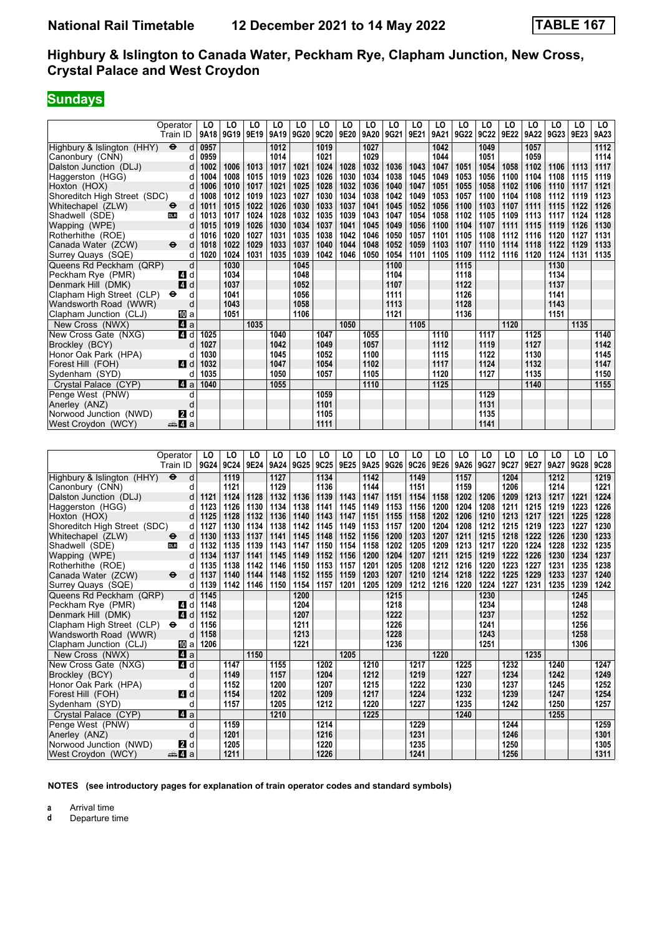# **Sundays**

|                              | Operator                          | LO   | LO   | LO   | LO   | LO   | LO   | LO   | LO   | LO   | LO   | LO   | LO   | LO          | LO   | LO   | LO   | LO   | LO   |
|------------------------------|-----------------------------------|------|------|------|------|------|------|------|------|------|------|------|------|-------------|------|------|------|------|------|
|                              | Train ID                          | 9A18 | 9G19 | 9E19 | 9A19 | 9G20 | 9C20 | 9E20 | 9A20 | 9G21 | 9E21 | 9A21 | 9G22 | <b>9C22</b> | 9E22 | 9A22 | 9G23 | 9E23 | 9A23 |
| Highbury & Islington (HHY)   | $\ddot{\boldsymbol{\Theta}}$<br>d | 0957 |      |      | 1012 |      | 1019 |      | 1027 |      |      | 1042 |      | 1049        |      | 1057 |      |      | 1112 |
| Canonbury (CNN)              | d                                 | 0959 |      |      | 1014 |      | 1021 |      | 1029 |      |      | 1044 |      | 1051        |      | 1059 |      |      | 1114 |
| Dalston Junction (DLJ)       | d                                 | 1002 | 1006 | 1013 | 1017 | 1021 | 1024 | 1028 | 1032 | 1036 | 1043 | 1047 | 1051 | 1054        | 1058 | 1102 | 1106 | 1113 | 1117 |
| Haggerston (HGG)             | d                                 | 1004 | 1008 | 1015 | 1019 | 1023 | 1026 | 1030 | 1034 | 1038 | 1045 | 1049 | 1053 | 1056        | 1100 | 1104 | 1108 | 1115 | 1119 |
| Hoxton (HOX)                 | d                                 | 1006 | 1010 | 1017 | 1021 | 1025 | 1028 | 1032 | 1036 | 1040 | 1047 | 1051 | 1055 | 1058        | 1102 | 1106 | 1110 | 1117 | 1121 |
| Shoreditch High Street (SDC) | d                                 | 1008 | 1012 | 1019 | 1023 | 1027 | 1030 | 1034 | 1038 | 1042 | 1049 | 1053 | 1057 | 1100        | 1104 | 1108 | 1112 | 1119 | 1123 |
| Whitechapel (ZLW)            | d<br>$\bullet$                    | 1011 | 1015 | 1022 | 1026 | 1030 | 1033 | 1037 | 1041 | 1045 | 1052 | 1056 | 1100 | 1103        | 1107 | 1111 | 1115 | 1122 | 1126 |
| Shadwell (SDE)               | <b>DLR</b><br>d                   | 1013 | 1017 | 1024 | 1028 | 1032 | 1035 | 1039 | 1043 | 1047 | 1054 | 1058 | 1102 | 1105        | 1109 | 1113 | 1117 | 1124 | 1128 |
| Wapping (WPE)                | d                                 | 1015 | 1019 | 1026 | 1030 | 1034 | 1037 | 1041 | 1045 | 1049 | 1056 | 1100 | 1104 | 1107        | 1111 | 1115 | 1119 | 1126 | 1130 |
| Rotherhithe (ROE)            | d                                 | 1016 | 1020 | 1027 | 1031 | 1035 | 1038 | 1042 | 1046 | 1050 | 1057 | 1101 | 1105 | 1108        | 1112 | 1116 | 1120 | 1127 | 1131 |
| Canada Water (ZCW)           | $\ddot{\mathbf{e}}$<br>d          | 1018 | 1022 | 1029 | 1033 | 1037 | 1040 | 1044 | 1048 | 1052 | 1059 | 1103 | 1107 | 1110        | 1114 | 1118 | 1122 | 1129 | 1133 |
| Surrey Quays (SQE)           | d                                 | 1020 | 1024 | 1031 | 1035 | 1039 | 1042 | 1046 | 1050 | 1054 | 1101 | 1105 | 1109 | 1112        | 1116 | 1120 | 1124 | 1131 | 1135 |
| Queens Rd Peckham (QRP)      | d                                 |      | 1030 |      |      | 1045 |      |      |      | 1100 |      |      | 1115 |             |      |      | 1130 |      |      |
| Peckham Rye (PMR)            | d<br>4                            |      | 1034 |      |      | 1048 |      |      |      | 1104 |      |      | 1118 |             |      |      | 1134 |      |      |
| Denmark Hill (DMK)           | 4<br>d                            |      | 1037 |      |      | 1052 |      |      |      | 1107 |      |      | 1122 |             |      |      | 1137 |      |      |
| Clapham High Street (CLP)    | $\bullet$<br>d                    |      | 1041 |      |      | 1056 |      |      |      | 1111 |      |      | 1126 |             |      |      | 1141 |      |      |
| Wandsworth Road (WWR)        | d                                 |      | 1043 |      |      | 1058 |      |      |      | 1113 |      |      | 1128 |             |      |      | 1143 |      |      |
| Clapham Junction (CLJ)       | [10] a                            |      | 1051 |      |      | 1106 |      |      |      | 1121 |      |      | 1136 |             |      |      | 1151 |      |      |
| New Cross (NWX)              | $\blacksquare$ a                  |      |      | 1035 |      |      |      | 1050 |      |      | 1105 |      |      |             | 1120 |      |      | 1135 |      |
| New Cross Gate (NXG)         | 4 d                               | 1025 |      |      | 1040 |      | 1047 |      | 1055 |      |      | 1110 |      | 1117        |      | 1125 |      |      | 1140 |
| Brockley (BCY)               | d                                 | 1027 |      |      | 1042 |      | 1049 |      | 1057 |      |      | 1112 |      | 1119        |      | 1127 |      |      | 1142 |
| Honor Oak Park (HPA)         |                                   | 1030 |      |      | 1045 |      | 1052 |      | 1100 |      |      | 1115 |      | 1122        |      | 1130 |      |      | 1145 |
| Forest Hill (FOH)            | ZI d                              | 1032 |      |      | 1047 |      | 1054 |      | 1102 |      |      | 1117 |      | 1124        |      | 1132 |      |      | 1147 |
| Sydenham (SYD)               | d                                 | 1035 |      |      | 1050 |      | 1057 |      | 1105 |      |      | 1120 |      | 1127        |      | 1135 |      |      | 1150 |
| Crystal Palace (CYP)         | ZI a                              | 1040 |      |      | 1055 |      |      |      | 1110 |      |      | 1125 |      |             |      | 1140 |      |      | 1155 |
| Penge West (PNW)             | d                                 |      |      |      |      |      | 1059 |      |      |      |      |      |      | 1129        |      |      |      |      |      |
| Anerley (ANZ)                | d                                 |      |      |      |      |      | 1101 |      |      |      |      |      |      | 1131        |      |      |      |      |      |
| Norwood Junction (NWD)       | <b>2</b> d                        |      |      |      |      |      | 1105 |      |      |      |      |      |      | 1135        |      |      |      |      |      |
| West Croydon (WCY)           | <sub>n</sub> ana <mark>4</mark> a |      |      |      |      |      | 1111 |      |      |      |      |      |      | 1141        |      |      |      |      |      |

|                              | Operator<br>Train ID              | LO<br>9G24 | LO<br>9C24 | LO<br>9E24 | LO<br>9A24 | LO<br>9G25 | LO<br>9C25 | LO<br>9E25 | LO<br>9A25 | LO<br>9G26 | LO<br>9C26 | LO<br>9E26 | LO<br>9A26 | LO<br>9G27 | LO<br>9C27 | LO<br>9E27 | LO<br>9A27 | LO<br>9G28 | LO<br><b>9C28</b> |
|------------------------------|-----------------------------------|------------|------------|------------|------------|------------|------------|------------|------------|------------|------------|------------|------------|------------|------------|------------|------------|------------|-------------------|
| Highbury & Islington (HHY)   | $\ddot{\boldsymbol{\Theta}}$<br>d |            | 1119       |            | 1127       |            | 1134       |            | 1142       |            | 1149       |            | 1157       |            | 1204       |            | 1212       |            | 1219              |
| Canonbury (CNN)              | d                                 |            | 1121       |            | 1129       |            | 1136       |            | 1144       |            | 1151       |            | 1159       |            | 1206       |            | 1214       |            | 1221              |
| Dalston Junction (DLJ)       | d                                 | 1121       | 1124       | 1128       | 1132       | 1136       | 1139       | 1143       | 1147       | 1151       | 1154       | 1158       | 1202       | 1206       | 1209       | 1213       | 1217       | 1221       | 1224              |
| Haggerston (HGG)             | d                                 | 1123       | 1126       | 1130       | 1134       | 1138       | 1141       | 1145       | 1149       | 1153       | 1156       | 1200       | 1204       | 1208       | 1211       | 1215       | 1219       | 1223       | 1226              |
| Hoxton (HOX)                 |                                   | 1125       | 1128       | 1132       | 1136       | 1140       | 1143       | 1147       | 1151       | 1155       | 1158       | 1202       | 1206       | 1210       | 1213       | 1217       | 1221       | 1225       | 1228              |
| Shoreditch High Street (SDC) | d                                 | 1127       | 1130       | 1134       | 1138       | 1142       | 1145       | 1149       | 1153       | 1157       | 1200       | 1204       | 1208       | 1212       | 1215       | 1219       | 1223       | 1227       | 1230              |
| Whitechapel (ZLW)            | d<br>⊖                            | 1130       | 1133       | 1137       | 1141       | 1145       | 1148       | 1152       | 1156       | 1200       | 1203       | 1207       | 1211       | 1215       | 1218       | 1222       | 1226       | 1230       | 1233              |
| Shadwell (SDE)               | <b>DLR</b><br>d                   | 1132       | 1135       | 1139       | 1143       | 1147       | 1150       | 1154       | 1158       | 1202       | 1205       | 1209       | 1213       | 1217       | 1220       | 1224       | 1228       | 1232       | 1235              |
| Wapping (WPE)                | d                                 | 1134       | 1137       | 1141       | 1145       | 1149       | 1152       | 1156       | 1200       | 1204       | 1207       | 1211       | 1215       | 1219       | 1222       | 1226       | 1230       | 1234       | 1237              |
| Rotherhithe (ROE)            |                                   | 1135       | 1138       | 1142       | 1146       | 1150       | 1153       | 1157       | 1201       | 1205       | 1208       | 1212       | 1216       | 1220       | 1223       | 1227       | 1231       | 1235       | 1238              |
| Canada Water (ZCW)           | $\ddot{\boldsymbol{\Theta}}$<br>d | 1137       | 1140       | 1144       | 1148       | 1152       | 1155       | 1159       | 1203       | 1207       | 1210       | 1214       | 1218       | 1222       | 1225       | 1229       | 1233       | 1237       | 1240              |
| Surrey Quays (SQE)           | d                                 | 1139       | 1142       | 1146       | 1150       | 1154       | 1157       | 1201       | 1205       | 1209       | 1212       | 1216       | 1220       | 1224       | 1227       | 1231       | 1235       | 1239       | 1242              |
| Queens Rd Peckham (QRP)      | d                                 | 1145       |            |            |            | 1200       |            |            |            | 1215       |            |            |            | 1230       |            |            |            | 1245       |                   |
| Peckham Rye (PMR)            | <b>4</b> d                        | 1148       |            |            |            | 1204       |            |            |            | 1218       |            |            |            | 1234       |            |            |            | 1248       |                   |
| Denmark Hill (DMK)           | 4<br>d                            | 1152       |            |            |            | 1207       |            |            |            | 1222       |            |            |            | 1237       |            |            |            | 1252       |                   |
| Clapham High Street (CLP)    | $\bullet$<br>d                    | 1156       |            |            |            | 1211       |            |            |            | 1226       |            |            |            | 1241       |            |            |            | 1256       |                   |
| Wandsworth Road (WWR)        | d                                 | 1158       |            |            |            | 1213       |            |            |            | 1228       |            |            |            | 1243       |            |            |            | 1258       |                   |
| Clapham Junction (CLJ)       | 囮 a                               | 1206       |            |            |            | 1221       |            |            |            | 1236       |            |            |            | 1251       |            |            |            | 1306       |                   |
| New Cross (NWX)              | ZI a                              |            |            | 1150       |            |            |            | 1205       |            |            |            | 1220       |            |            |            | 1235       |            |            |                   |
| New Cross Gate (NXG)         | 4 d                               |            | 1147       |            | 1155       |            | 1202       |            | 1210       |            | 1217       |            | 1225       |            | 1232       |            | 1240       |            | 1247              |
| Brockley (BCY)               | d                                 |            | 1149       |            | 1157       |            | 1204       |            | 1212       |            | 1219       |            | 1227       |            | 1234       |            | 1242       |            | 1249              |
| Honor Oak Park (HPA)         | d                                 |            | 1152       |            | 1200       |            | 1207       |            | 1215       |            | 1222       |            | 1230       |            | 1237       |            | 1245       |            | 1252              |
| Forest Hill (FOH)            | $\blacksquare$                    |            | 1154       |            | 1202       |            | 1209       |            | 1217       |            | 1224       |            | 1232       |            | 1239       |            | 1247       |            | 1254              |
| Sydenham (SYD)               | d                                 |            | 1157       |            | 1205       |            | 1212       |            | 1220       |            | 1227       |            | 1235       |            | 1242       |            | 1250       |            | 1257              |
| Crystal Palace (CYP)         | 4a                                |            |            |            | 1210       |            |            |            | 1225       |            |            |            | 1240       |            |            |            | 1255       |            |                   |
| Penge West (PNW)             | d                                 |            | 1159       |            |            |            | 1214       |            |            |            | 1229       |            |            |            | 1244       |            |            |            | 1259              |
| Anerley (ANZ)                | d                                 |            | 1201       |            |            |            | 1216       |            |            |            | 1231       |            |            |            | 1246       |            |            |            | 1301              |
| Norwood Junction (NWD)       | <b>2</b> d                        |            | 1205       |            |            |            | 1220       |            |            |            | 1235       |            |            |            | 1250       |            |            |            | 1305              |
| West Croydon (WCY)           | ≞Ma                               |            | 1211       |            |            |            | 1226       |            |            |            | 1241       |            |            |            | 1256       |            |            |            | 1311              |

**NOTES (see introductory pages for explanation of train operator codes and standard symbols)**

**a** Arrival time<br>**d** Departure t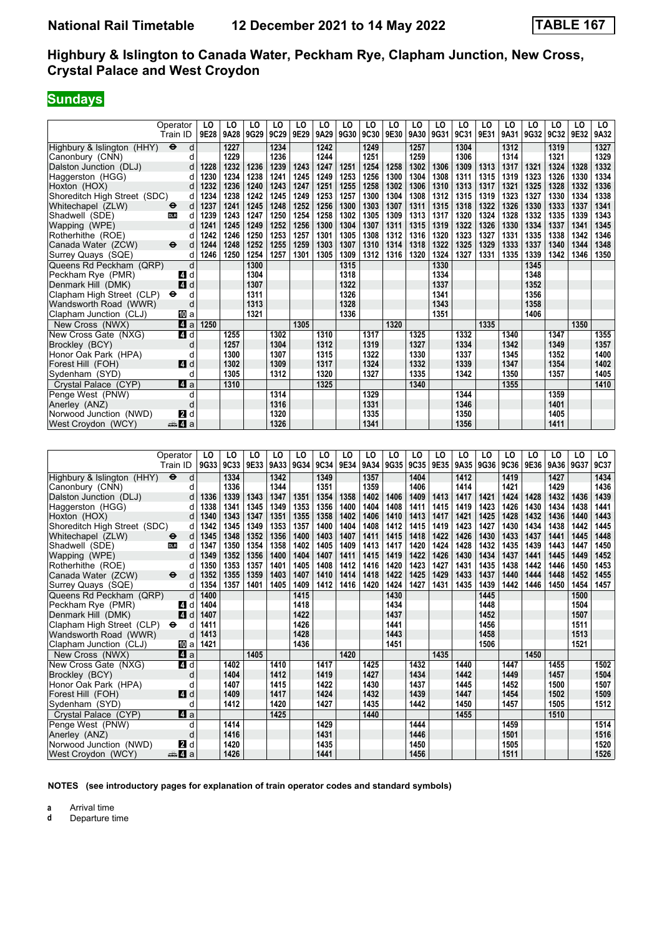# **Sundays**

|                              | Operator                          | LO   | LO   | LO   | LO   | LO   | LO   | LO   | LO   | LO   | LO   | LO   | LO   | LO   | LO   | LO   | LO          | LO   | LO   |
|------------------------------|-----------------------------------|------|------|------|------|------|------|------|------|------|------|------|------|------|------|------|-------------|------|------|
|                              | Train ID                          | 9E28 | 9A28 | 9G29 | 9C29 | 9E29 | 9A29 | 9G30 | 9C30 | 9E30 | 9A30 | 9G31 | 9C31 | 9E31 | 9A31 | 9G32 | <b>9C32</b> | 9E32 | 9A32 |
| Highbury & Islington (HHY)   | $\ddot{\boldsymbol{\Theta}}$<br>d |      | 1227 |      | 1234 |      | 1242 |      | 1249 |      | 1257 |      | 1304 |      | 1312 |      | 1319        |      | 1327 |
| Canonbury (CNN)              | d                                 |      | 1229 |      | 1236 |      | 1244 |      | 1251 |      | 1259 |      | 1306 |      | 1314 |      | 1321        |      | 1329 |
| Dalston Junction (DLJ)       | d                                 | 1228 | 1232 | 1236 | 1239 | 1243 | 1247 | 1251 | 1254 | 1258 | 1302 | 1306 | 1309 | 1313 | 1317 | 1321 | 1324        | 1328 | 1332 |
| Haggerston (HGG)             |                                   | 1230 | 1234 | 1238 | 1241 | 1245 | 1249 | 1253 | 1256 | 1300 | 1304 | 1308 | 1311 | 1315 | 1319 | 1323 | 1326        | 1330 | 1334 |
| Hoxton (HOX)                 | d                                 | 1232 | 1236 | 1240 | 1243 | 1247 | 1251 | 1255 | 1258 | 1302 | 1306 | 1310 | 1313 | 1317 | 1321 | 1325 | 1328        | 1332 | 1336 |
| Shoreditch High Street (SDC) | d                                 | 1234 | 1238 | 1242 | 1245 | 1249 | 1253 | 1257 | 1300 | 1304 | 1308 | 1312 | 1315 | 1319 | 1323 | 1327 | 1330        | 1334 | 1338 |
| Whitechapel (ZLW)            | d<br>$\bullet$                    | 1237 | 1241 | 1245 | 1248 | 1252 | 1256 | 1300 | 1303 | 1307 | 1311 | 1315 | 1318 | 1322 | 1326 | 1330 | 1333        | 1337 | 1341 |
| Shadwell (SDE)               | <b>DLR</b><br>d                   | 1239 | 1243 | 1247 | 1250 | 1254 | 1258 | 1302 | 1305 | 1309 | 1313 | 1317 | 1320 | 1324 | 1328 | 1332 | 1335        | 1339 | 1343 |
| Wapping (WPE)                | d                                 | 1241 | 1245 | 1249 | 1252 | 1256 | 1300 | 1304 | 1307 | 1311 | 1315 | 1319 | 1322 | 1326 | 1330 | 1334 | 1337        | 1341 | 1345 |
| Rotherhithe (ROE)            |                                   | 1242 | 1246 | 1250 | 1253 | 1257 | 1301 | 1305 | 1308 | 1312 | 1316 | 1320 | 1323 | 1327 | 1331 | 1335 | 1338        | 1342 | 1346 |
| Canada Water (ZCW)           | $\ddot{\mathbf{e}}$<br>d          | 1244 | 1248 | 1252 | 1255 | 1259 | 1303 | 1307 | 1310 | 1314 | 1318 | 1322 | 1325 | 1329 | 1333 | 1337 | 1340        | 1344 | 1348 |
| Surrey Quays (SQE)           | d                                 | 1246 | 1250 | 1254 | 1257 | 1301 | 1305 | 1309 | 1312 | 1316 | 1320 | 1324 | 1327 | 1331 | 1335 | 1339 | 1342        | 1346 | 1350 |
| Queens Rd Peckham (QRP)      | d                                 |      |      | 1300 |      |      |      | 1315 |      |      |      | 1330 |      |      |      | 1345 |             |      |      |
| Peckham Rye (PMR)            | d<br>4                            |      |      | 1304 |      |      |      | 1318 |      |      |      | 1334 |      |      |      | 1348 |             |      |      |
| Denmark Hill (DMK)           | 4<br>d                            |      |      | 1307 |      |      |      | 1322 |      |      |      | 1337 |      |      |      | 1352 |             |      |      |
| Clapham High Street (CLP)    | $\bullet$<br>d                    |      |      | 1311 |      |      |      | 1326 |      |      |      | 1341 |      |      |      | 1356 |             |      |      |
| Wandsworth Road (WWR)        | d                                 |      |      | 1313 |      |      |      | 1328 |      |      |      | 1343 |      |      |      | 1358 |             |      |      |
| Clapham Junction (CLJ)       | Юa                                |      |      | 1321 |      |      |      | 1336 |      |      |      | 1351 |      |      |      | 1406 |             |      |      |
| New Cross (NWX)              | 4a                                | 1250 |      |      |      | 1305 |      |      |      | 1320 |      |      |      | 1335 |      |      |             | 1350 |      |
| New Cross Gate (NXG)         | 4 d                               |      | 1255 |      | 1302 |      | 1310 |      | 1317 |      | 1325 |      | 1332 |      | 1340 |      | 1347        |      | 1355 |
| Brockley (BCY)               | d                                 |      | 1257 |      | 1304 |      | 1312 |      | 1319 |      | 1327 |      | 1334 |      | 1342 |      | 1349        |      | 1357 |
| Honor Oak Park (HPA)         | d                                 |      | 1300 |      | 1307 |      | 1315 |      | 1322 |      | 1330 |      | 1337 |      | 1345 |      | 1352        |      | 1400 |
| Forest Hill (FOH)            | 4 d                               |      | 1302 |      | 1309 |      | 1317 |      | 1324 |      | 1332 |      | 1339 |      | 1347 |      | 1354        |      | 1402 |
| Sydenham (SYD)               | d                                 |      | 1305 |      | 1312 |      | 1320 |      | 1327 |      | 1335 |      | 1342 |      | 1350 |      | 1357        |      | 1405 |
| Crystal Palace (CYP)         | ZI a                              |      | 1310 |      |      |      | 1325 |      |      |      | 1340 |      |      |      | 1355 |      |             |      | 1410 |
| Penge West (PNW)             | d                                 |      |      |      | 1314 |      |      |      | 1329 |      |      |      | 1344 |      |      |      | 1359        |      |      |
| Anerley (ANZ)                | d                                 |      |      |      | 1316 |      |      |      | 1331 |      |      |      | 1346 |      |      |      | 1401        |      |      |
| Norwood Junction (NWD)       | <b>2</b> d                        |      |      |      | 1320 |      |      |      | 1335 |      |      |      | 1350 |      |      |      | 1405        |      |      |
| West Croydon (WCY)           | dana dan da                       |      |      |      | 1326 |      |      |      | 1341 |      |      |      | 1356 |      |      |      | 1411        |      |      |

|                              | Operator<br>Train ID              | LO<br>9G33 | LO<br>9C33 | LO<br>9E33 | LO<br>9A33 | LO<br>9G34 | LO<br><b>9C34</b> | LO<br>9E34 | LO<br>9A34 | LO<br>9G35 | LO<br>9C35 | LO<br>9E35 | LO<br>9A35 | LO<br>9G36 | LO<br>9C36 | LO<br>9E36 | LO<br>9A36 | LO<br>9G37 | LO<br>9C37 |
|------------------------------|-----------------------------------|------------|------------|------------|------------|------------|-------------------|------------|------------|------------|------------|------------|------------|------------|------------|------------|------------|------------|------------|
| Highbury & Islington (HHY)   | $\ddot{\boldsymbol{\Theta}}$<br>d |            | 1334       |            | 1342       |            | 1349              |            | 1357       |            | 1404       |            | 1412       |            | 1419       |            | 1427       |            | 1434       |
| Canonbury (CNN)              | d                                 |            | 1336       |            | 1344       |            | 1351              |            | 1359       |            | 1406       |            | 1414       |            | 1421       |            | 1429       |            | 1436       |
| Dalston Junction (DLJ)       | d                                 | 1336       | 1339       | 1343       | 1347       | 1351       | 1354              | 1358       | 1402       | 1406       | 1409       | 1413       | 1417       | 1421       | 1424       | 1428       | 1432       | 1436       | 1439       |
| Haggerston (HGG)             | d                                 | 1338       | 1341       | 1345       | 1349       | 1353       | 1356              | 1400       | 1404       | 1408       | 1411       | 1415       | 1419       | 1423       | 1426       | 1430       | 1434       | 1438       | 1441       |
| Hoxton (HOX)                 |                                   | 1340       | 1343       | 1347       | 1351       | 1355       | 1358              | 1402       | 1406       | 1410       | 1413       | 1417       | 1421       | 1425       | 1428       | 1432       | 1436       | 1440       | 1443       |
| Shoreditch High Street (SDC) | d                                 | 1342       | 1345       | 1349       | 1353       | 1357       | 1400              | 1404       | 1408       | 1412       | 1415       | 1419       | 1423       | 1427       | 1430       | 1434       | 1438       | 1442       | 1445       |
| Whitechapel (ZLW)            | d<br>$\bullet$                    | 1345       | 1348       | 1352       | 1356       | 1400       | 1403              | 1407       | 1411       | 1415       | 1418       | 1422       | 1426       | 1430       | 1433       | 1437       | 1441       | 1445       | 1448       |
| Shadwell (SDE)               | <b>DLR</b><br>d                   | 1347       | 1350       | 1354       | 1358       | 1402       | 1405              | 1409       | 1413       | 1417       | 1420       | 1424       | 1428       | 1432       | 1435       | 1439       | 1443       | 1447       | 1450       |
| Wapping (WPE)                | d                                 | 1349       | 1352       | 1356       | 1400       | 1404       | 1407              | 1411       | 1415       | 1419       | 1422       | 1426       | 1430       | 1434       | 1437       | 1441       | 1445       | 1449       | 1452       |
| Rotherhithe (ROE)            | U                                 | 1350       | 1353       | 1357       | 1401       | 1405       | 1408              | 1412       | 1416       | 1420       | 1423       | 1427       | 1431       | 1435       | 1438       | 1442       | 1446       | 1450       | 1453       |
| Canada Water (ZCW)           | $\ddot{\mathbf{e}}$<br>d          | 1352       | 1355       | 1359       | 1403       | 1407       | 1410              | 1414       | 1418       | 1422       | 1425       | 1429       | 1433       | 1437       | 1440       | 1444       | 1448       | 1452       | 1455       |
| Surrey Quays (SQE)           | d                                 | 1354       | 1357       | 1401       | 1405       | 1409       | 1412              | 1416       | 1420       | 1424       | 1427       | 1431       | 1435       | 1439       | 1442       | 1446       | 1450       | 1454       | 1457       |
| Queens Rd Peckham (QRP)      | d                                 | 1400       |            |            |            | 1415       |                   |            |            | 1430       |            |            |            | 1445       |            |            |            | 1500       |            |
| Peckham Rye (PMR)            | ZI d                              | 1404       |            |            |            | 1418       |                   |            |            | 1434       |            |            |            | 1448       |            |            |            | 1504       |            |
| Denmark Hill (DMK)           | 4<br>d                            | 1407       |            |            |            | 1422       |                   |            |            | 1437       |            |            |            | 1452       |            |            |            | 1507       |            |
| Clapham High Street (CLP)    | $\bullet$<br>d                    | 1411       |            |            |            | 1426       |                   |            |            | 1441       |            |            |            | 1456       |            |            |            | 1511       |            |
| Wandsworth Road (WWR)        | d                                 | 1413       |            |            |            | 1428       |                   |            |            | 1443       |            |            |            | 1458       |            |            |            | 1513       |            |
| Clapham Junction (CLJ)       | 囮 a                               | 1421       |            |            |            | 1436       |                   |            |            | 1451       |            |            |            | 1506       |            |            |            | 1521       |            |
| New Cross (NWX)              | ZI a                              |            |            | 1405       |            |            |                   | 1420       |            |            |            | 1435       |            |            |            | 1450       |            |            |            |
| New Cross Gate (NXG)         | 4 d                               |            | 1402       |            | 1410       |            | 1417              |            | 1425       |            | 1432       |            | 1440       |            | 1447       |            | 1455       |            | 1502       |
| Brockley (BCY)               | d                                 |            | 1404       |            | 1412       |            | 1419              |            | 1427       |            | 1434       |            | 1442       |            | 1449       |            | 1457       |            | 1504       |
| Honor Oak Park (HPA)         | d                                 |            | 1407       |            | 1415       |            | 1422              |            | 1430       |            | 1437       |            | 1445       |            | 1452       |            | 1500       |            | 1507       |
| Forest Hill (FOH)            | $\blacksquare$                    |            | 1409       |            | 1417       |            | 1424              |            | 1432       |            | 1439       |            | 1447       |            | 1454       |            | 1502       |            | 1509       |
| Sydenham (SYD)               | d                                 |            | 1412       |            | 1420       |            | 1427              |            | 1435       |            | 1442       |            | 1450       |            | 1457       |            | 1505       |            | 1512       |
| Crystal Palace (CYP)         | 4a                                |            |            |            | 1425       |            |                   |            | 1440       |            |            |            | 1455       |            |            |            | 1510       |            |            |
| Penge West (PNW)             | d                                 |            | 1414       |            |            |            | 1429              |            |            |            | 1444       |            |            |            | 1459       |            |            |            | 1514       |
| Anerley (ANZ)                | d                                 |            | 1416       |            |            |            | 1431              |            |            |            | 1446       |            |            |            | 1501       |            |            |            | 1516       |
| Norwood Junction (NWD)       | <b>2</b> d                        |            | 1420       |            |            |            | 1435              |            |            |            | 1450       |            |            |            | 1505       |            |            |            | 1520       |
| West Croydon (WCY)           | ≞Ma                               |            | 1426       |            |            |            | 1441              |            |            |            | 1456       |            |            |            | 1511       |            |            |            | 1526       |

**NOTES (see introductory pages for explanation of train operator codes and standard symbols)**

**a** Arrival time<br>**d** Departure t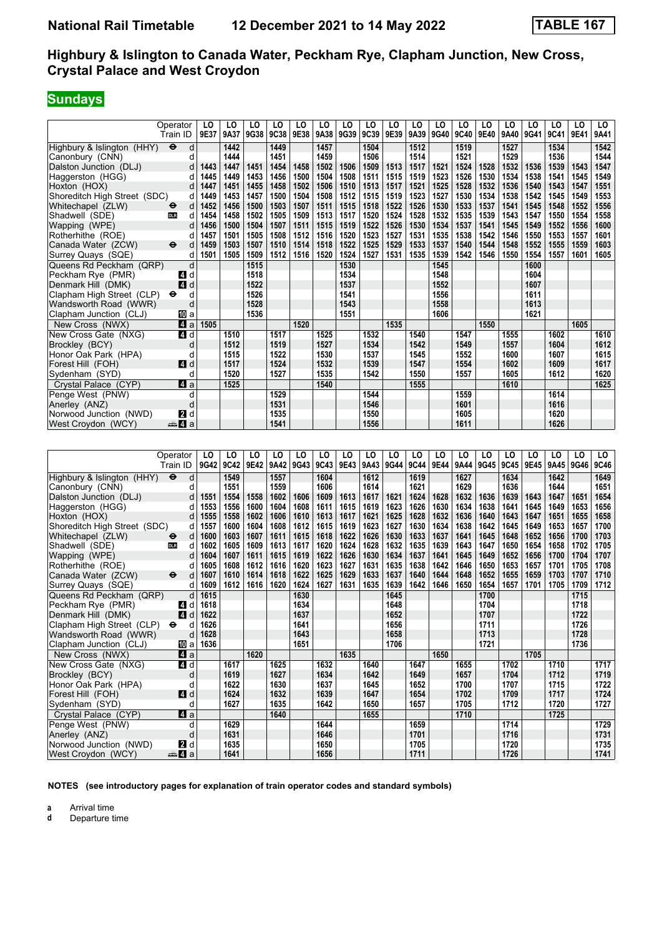# **Sundays**

|                              | Operator                          | LO   | LO   | LO   | LO   | LO   | LO   | LO   | LO   | LO   | LO   | LO   | LO   | LO   | LO   | LO   | LO   | LO   | LO   |
|------------------------------|-----------------------------------|------|------|------|------|------|------|------|------|------|------|------|------|------|------|------|------|------|------|
|                              | Train ID                          | 9E37 | 9A37 | 9G38 | 9C38 | 9E38 | 9A38 | 9G39 | 9C39 | 9E39 | 9A39 | 9G40 | 9C40 | 9E40 | 9A40 | 9G41 | 9C41 | 9E41 | 9A41 |
| Highbury & Islington (HHY)   | $\ddot{\mathbf{e}}$<br>d          |      | 1442 |      | 1449 |      | 1457 |      | 1504 |      | 1512 |      | 1519 |      | 1527 |      | 1534 |      | 1542 |
| Canonbury (CNN)              | d                                 |      | 1444 |      | 1451 |      | 1459 |      | 1506 |      | 1514 |      | 1521 |      | 1529 |      | 1536 |      | 1544 |
| Dalston Junction (DLJ)       | d                                 | 1443 | 1447 | 1451 | 1454 | 1458 | 1502 | 1506 | 1509 | 1513 | 1517 | 1521 | 1524 | 1528 | 1532 | 1536 | 1539 | 1543 | 1547 |
| Haggerston (HGG)             | d                                 | 1445 | 1449 | 1453 | 1456 | 1500 | 1504 | 1508 | 1511 | 1515 | 1519 | 1523 | 1526 | 1530 | 1534 | 1538 | 1541 | 1545 | 1549 |
| Hoxton (HOX)                 |                                   | 1447 | 1451 | 1455 | 1458 | 1502 | 1506 | 1510 | 1513 | 1517 | 1521 | 1525 | 1528 | 1532 | 1536 | 1540 | 1543 | 1547 | 1551 |
| Shoreditch High Street (SDC) | d                                 | 1449 | 1453 | 1457 | 1500 | 1504 | 1508 | 1512 | 1515 | 1519 | 1523 | 1527 | 1530 | 1534 | 1538 | 1542 | 1545 | 1549 | 1553 |
| Whitechapel (ZLW)            | d<br>$\bullet$                    | 1452 | 1456 | 1500 | 1503 | 1507 | 1511 | 1515 | 1518 | 1522 | 1526 | 1530 | 1533 | 1537 | 1541 | 1545 | 1548 | 1552 | 1556 |
| Shadwell (SDE)               | <b>DLR</b><br>d                   | 1454 | 1458 | 1502 | 1505 | 1509 | 1513 | 1517 | 1520 | 1524 | 1528 | 1532 | 1535 | 1539 | 1543 | 1547 | 1550 | 1554 | 1558 |
| Wapping (WPE)                | d                                 | 1456 | 1500 | 1504 | 1507 | 1511 | 1515 | 1519 | 1522 | 1526 | 1530 | 1534 | 1537 | 1541 | 1545 | 1549 | 1552 | 1556 | 1600 |
| Rotherhithe (ROE)            |                                   | 1457 | 1501 | 1505 | 1508 | 1512 | 1516 | 1520 | 1523 | 1527 | 1531 | 1535 | 1538 | 1542 | 1546 | 1550 | 1553 | 1557 | 1601 |
| Canada Water (ZCW)           | $\ddot{\mathbf{e}}$<br>d          | 1459 | 1503 | 1507 | 1510 | 1514 | 1518 | 1522 | 1525 | 1529 | 1533 | 1537 | 1540 | 1544 | 1548 | 1552 | 1555 | 1559 | 1603 |
| Surrey Quays (SQE)           | d                                 | 1501 | 1505 | 1509 | 1512 | 1516 | 1520 | 1524 | 1527 | 1531 | 1535 | 1539 | 1542 | 1546 | 1550 | 1554 | 1557 | 1601 | 1605 |
| Queens Rd Peckham (QRP)      | d                                 |      |      | 1515 |      |      |      | 1530 |      |      |      | 1545 |      |      |      | 1600 |      |      |      |
| Peckham Rye (PMR)            | ZI d                              |      |      | 1518 |      |      |      | 1534 |      |      |      | 1548 |      |      |      | 1604 |      |      |      |
| Denmark Hill (DMK)           | 4 d                               |      |      | 1522 |      |      |      | 1537 |      |      |      | 1552 |      |      |      | 1607 |      |      |      |
| Clapham High Street (CLP)    | $\bullet$<br>d                    |      |      | 1526 |      |      |      | 1541 |      |      |      | 1556 |      |      |      | 1611 |      |      |      |
| Wandsworth Road (WWR)        | d                                 |      |      | 1528 |      |      |      | 1543 |      |      |      | 1558 |      |      |      | 1613 |      |      |      |
| Clapham Junction (CLJ)       | [10] a                            |      |      | 1536 |      |      |      | 1551 |      |      |      | 1606 |      |      |      | 1621 |      |      |      |
| New Cross (NWX)              | 41 a                              | 1505 |      |      |      | 1520 |      |      |      | 1535 |      |      |      | 1550 |      |      |      | 1605 |      |
| New Cross Gate (NXG)         | 4 d                               |      | 1510 |      | 1517 |      | 1525 |      | 1532 |      | 1540 |      | 1547 |      | 1555 |      | 1602 |      | 1610 |
| Brockley (BCY)               | d                                 |      | 1512 |      | 1519 |      | 1527 |      | 1534 |      | 1542 |      | 1549 |      | 1557 |      | 1604 |      | 1612 |
| Honor Oak Park (HPA)         | d                                 |      | 1515 |      | 1522 |      | 1530 |      | 1537 |      | 1545 |      | 1552 |      | 1600 |      | 1607 |      | 1615 |
| Forest Hill (FOH)            | 4 d                               |      | 1517 |      | 1524 |      | 1532 |      | 1539 |      | 1547 |      | 1554 |      | 1602 |      | 1609 |      | 1617 |
| Sydenham (SYD)               | d                                 |      | 1520 |      | 1527 |      | 1535 |      | 1542 |      | 1550 |      | 1557 |      | 1605 |      | 1612 |      | 1620 |
| Crystal Palace (CYP)         | 4a                                |      | 1525 |      |      |      | 1540 |      |      |      | 1555 |      |      |      | 1610 |      |      |      | 1625 |
| Penge West (PNW)             | d                                 |      |      |      | 1529 |      |      |      | 1544 |      |      |      | 1559 |      |      |      | 1614 |      |      |
| Anerley (ANZ)                | d                                 |      |      |      | 1531 |      |      |      | 1546 |      |      |      | 1601 |      |      |      | 1616 |      |      |
| Norwood Junction (NWD)       | <b>2</b> d                        |      |      |      | 1535 |      |      |      | 1550 |      |      |      | 1605 |      |      |      | 1620 |      |      |
| West Croydon (WCY)           | <sub>n</sub> ana <mark>4</mark> a |      |      |      | 1541 |      |      |      | 1556 |      |      |      | 1611 |      |      |      | 1626 |      |      |

|                              | Operator<br>Train ID              | LO<br>9G42 | LO<br>9C42 | LO<br>9E42 | LO<br>9A42 | LO<br>9G43 | LO<br><b>9C43</b> | LO<br>9E43 | LO<br>9A43 | LO<br>9G44 | LO<br>9C44 | LO<br>9E44 | LO<br>9A44 | LO<br>9G45 | LO<br>9C45 | LO<br>9E45 | LO<br>9A45 | LO<br>9G46 | LO<br><b>9C46</b> |
|------------------------------|-----------------------------------|------------|------------|------------|------------|------------|-------------------|------------|------------|------------|------------|------------|------------|------------|------------|------------|------------|------------|-------------------|
| Highbury & Islington (HHY)   | $\ddot{\boldsymbol{\Theta}}$<br>d |            | 1549       |            | 1557       |            | 1604              |            | 1612       |            | 1619       |            | 1627       |            | 1634       |            | 1642       |            | 1649              |
| Canonbury (CNN)              | d                                 |            | 1551       |            | 1559       |            | 1606              |            | 1614       |            | 1621       |            | 1629       |            | 1636       |            | 1644       |            | 1651              |
| Dalston Junction (DLJ)       | d                                 | 1551       | 1554       | 1558       | 1602       | 1606       | 1609              | 1613       | 1617       | 1621       | 1624       | 1628       | 1632       | 1636       | 1639       | 1643       | 1647       | 1651       | 1654              |
| Haggerston (HGG)             | d                                 | 1553       | 1556       | 1600       | 1604       | 1608       | 1611              | 1615       | 1619       | 1623       | 1626       | 1630       | 1634       | 1638       | 1641       | 1645       | 1649       | 1653       | 1656              |
| Hoxton (HOX)                 |                                   | 1555       | 1558       | 1602       | 1606       | 1610       | 1613              | 1617       | 1621       | 1625       | 1628       | 1632       | 1636       | 1640       | 1643       | 1647       | 1651       | 1655       | 1658              |
| Shoreditch High Street (SDC) | d                                 | 1557       | 1600       | 1604       | 1608       | 1612       | 1615              | 1619       | 1623       | 1627       | 1630       | 1634       | 1638       | 1642       | 1645       | 1649       | 1653       | 1657       | 1700              |
| Whitechapel (ZLW)            | d<br>⊖                            | 1600       | 1603       | 1607       | 1611       | 1615       | 1618              | 1622       | 1626       | 1630       | 1633       | 1637       | 1641       | 1645       | 1648       | 1652       | 1656       | 1700       | 1703              |
| Shadwell (SDE)               | <b>DLR</b><br>d                   | 1602       | 1605       | 1609       | 1613       | 1617       | 1620              | 1624       | 1628       | 1632       | 1635       | 1639       | 1643       | 1647       | 1650       | 1654       | 1658       | 1702       | 1705              |
| Wapping (WPE)                | d                                 | 1604       | 1607       | 1611       | 1615       | 1619       | 1622              | 1626       | 1630       | 1634       | 1637       | 1641       | 1645       | 1649       | 1652       | 1656       | 1700       | 1704       | 1707              |
| Rotherhithe (ROE)            |                                   | 1605       | 1608       | 1612       | 1616       | 1620       | 1623              | 1627       | 1631       | 1635       | 1638       | 1642       | 1646       | 1650       | 1653       | 1657       | 1701       | 1705       | 1708              |
| Canada Water (ZCW)           | $\ddot{\boldsymbol{\Theta}}$<br>d | 1607       | 1610       | 1614       | 1618       | 1622       | 1625              | 1629       | 1633       | 1637       | 1640       | 1644       | 1648       | 1652       | 1655       | 1659       | 1703       | 1707       | 1710              |
| Surrey Quays (SQE)           | d                                 | 1609       | 1612       | 1616       | 1620       | 1624       | 1627              | 1631       | 1635       | 1639       | 1642       | 1646       | 1650       | 1654       | 1657       | 1701       | 1705       | 1709       | 1712              |
| Queens Rd Peckham (QRP)      | d                                 | 1615       |            |            |            | 1630       |                   |            |            | 1645       |            |            |            | 1700       |            |            |            | 1715       |                   |
| Peckham Rye (PMR)            | ZI d                              | 1618       |            |            |            | 1634       |                   |            |            | 1648       |            |            |            | 1704       |            |            |            | 1718       |                   |
| Denmark Hill (DMK)           | <b>4</b><br>d                     | 1622       |            |            |            | 1637       |                   |            |            | 1652       |            |            |            | 1707       |            |            |            | 1722       |                   |
| Clapham High Street (CLP)    | $\bullet$<br>d                    | 1626       |            |            |            | 1641       |                   |            |            | 1656       |            |            |            | 1711       |            |            |            | 1726       |                   |
| Wandsworth Road (WWR)        | d                                 | 1628       |            |            |            | 1643       |                   |            |            | 1658       |            |            |            | 1713       |            |            |            | 1728       |                   |
| Clapham Junction (CLJ)       | [[] a                             | 1636       |            |            |            | 1651       |                   |            |            | 1706       |            |            |            | 1721       |            |            |            | 1736       |                   |
| New Cross (NWX)              | 4 a                               |            |            | 1620       |            |            |                   | 1635       |            |            |            | 1650       |            |            |            | 1705       |            |            |                   |
| New Cross Gate (NXG)         | 4 d                               |            | 1617       |            | 1625       |            | 1632              |            | 1640       |            | 1647       |            | 1655       |            | 1702       |            | 1710       |            | 1717              |
| Brockley (BCY)               | d                                 |            | 1619       |            | 1627       |            | 1634              |            | 1642       |            | 1649       |            | 1657       |            | 1704       |            | 1712       |            | 1719              |
| Honor Oak Park (HPA)         | C                                 |            | 1622       |            | 1630       |            | 1637              |            | 1645       |            | 1652       |            | 1700       |            | 1707       |            | 1715       |            | 1722              |
| Forest Hill (FOH)            | 4 d                               |            | 1624       |            | 1632       |            | 1639              |            | 1647       |            | 1654       |            | 1702       |            | 1709       |            | 1717       |            | 1724              |
| Sydenham (SYD)               | d                                 |            | 1627       |            | 1635       |            | 1642              |            | 1650       |            | 1657       |            | 1705       |            | 1712       |            | 1720       |            | 1727              |
| Crystal Palace (CYP)         | Z1 a                              |            |            |            | 1640       |            |                   |            | 1655       |            |            |            | 1710       |            |            |            | 1725       |            |                   |
| Penge West (PNW)             | d                                 |            | 1629       |            |            |            | 1644              |            |            |            | 1659       |            |            |            | 1714       |            |            |            | 1729              |
| Anerley (ANZ)                | d                                 |            | 1631       |            |            |            | 1646              |            |            |            | 1701       |            |            |            | 1716       |            |            |            | 1731              |
| Norwood Junction (NWD)       | <b>2</b> d                        |            | 1635       |            |            |            | 1650              |            |            |            | 1705       |            |            |            | 1720       |            |            |            | 1735              |
| West Crovdon (WCY)           | ≞Ma                               |            | 1641       |            |            |            | 1656              |            |            |            | 1711       |            |            |            | 1726       |            |            |            | 1741              |

**NOTES (see introductory pages for explanation of train operator codes and standard symbols)**

**a** Arrival time<br>**d** Departure t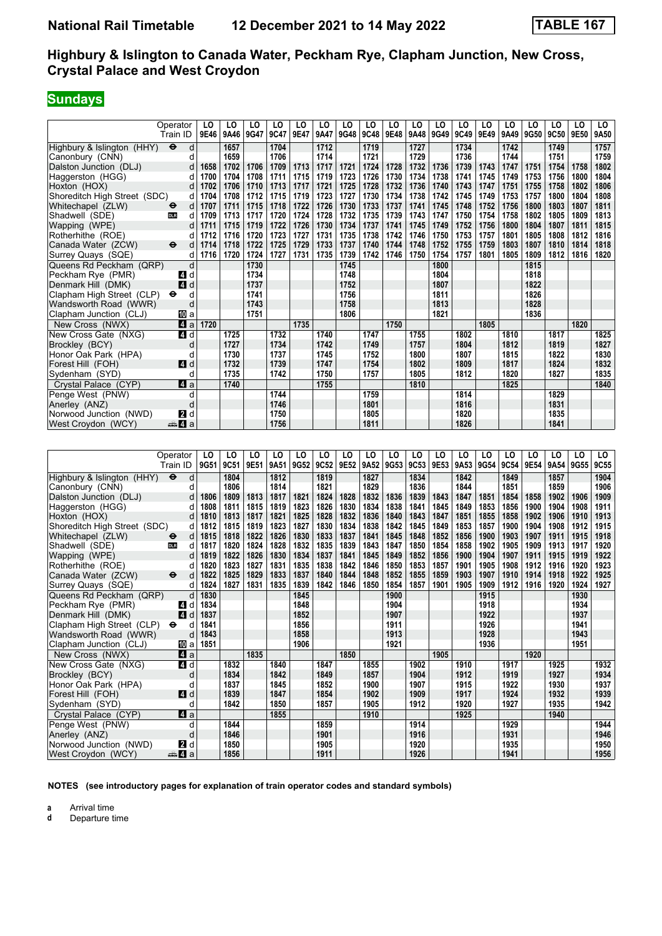# **Sundays**

|                              | Operator                          | LO   | LO   | LO   | LO   | LO   | LO   | LO   | LO   | LO   | LO   | LO   | LO   | LO   | LO   | LO   | LO   | LO   | LO.  |
|------------------------------|-----------------------------------|------|------|------|------|------|------|------|------|------|------|------|------|------|------|------|------|------|------|
|                              | Train ID                          | 9E46 | 9A46 | 9G47 | 9C47 | 9E47 | 9A47 | 9G48 | 9C48 | 9E48 | 9A48 | 9G49 | 9C49 | 9E49 | 9A49 | 9G50 | 9C50 | 9E50 | 9A50 |
| Highbury & Islington (HHY)   | $\ddot{\mathbf{e}}$<br>d          |      | 1657 |      | 1704 |      | 1712 |      | 1719 |      | 1727 |      | 1734 |      | 1742 |      | 1749 |      | 1757 |
| Canonbury (CNN)              | d                                 |      | 1659 |      | 1706 |      | 1714 |      | 1721 |      | 1729 |      | 1736 |      | 1744 |      | 1751 |      | 1759 |
| Dalston Junction (DLJ)       | d                                 | 1658 | 1702 | 1706 | 1709 | 1713 | 1717 | 1721 | 1724 | 1728 | 1732 | 1736 | 1739 | 1743 | 1747 | 1751 | 1754 | 1758 | 1802 |
| Haggerston (HGG)             | d                                 | 1700 | 1704 | 1708 | 1711 | 1715 | 1719 | 1723 | 1726 | 1730 | 1734 | 1738 | 1741 | 1745 | 1749 | 1753 | 1756 | 1800 | 1804 |
| Hoxton (HOX)                 |                                   | 1702 | 1706 | 1710 | 1713 | 1717 | 1721 | 1725 | 1728 | 1732 | 1736 | 1740 | 1743 | 1747 | 1751 | 1755 | 1758 | 1802 | 1806 |
| Shoreditch High Street (SDC) | d                                 | 1704 | 1708 | 1712 | 1715 | 1719 | 1723 | 1727 | 1730 | 1734 | 1738 | 1742 | 1745 | 1749 | 1753 | 1757 | 1800 | 1804 | 1808 |
| Whitechapel (ZLW)            | d<br>$\bullet$                    | 1707 | 1711 | 1715 | 1718 | 1722 | 1726 | 1730 | 1733 | 1737 | 1741 | 1745 | 1748 | 1752 | 1756 | 1800 | 1803 | 1807 | 1811 |
| Shadwell (SDE)               | <b>DLR</b><br>d                   | 1709 | 1713 | 1717 | 1720 | 1724 | 1728 | 1732 | 1735 | 1739 | 1743 | 1747 | 1750 | 1754 | 1758 | 1802 | 1805 | 1809 | 1813 |
| Wapping (WPE)                | d                                 | 1711 | 1715 | 1719 | 1722 | 1726 | 1730 | 1734 | 1737 | 1741 | 1745 | 1749 | 1752 | 1756 | 1800 | 1804 | 1807 | 1811 | 1815 |
| Rotherhithe (ROE)            |                                   | 1712 | 1716 | 1720 | 1723 | 1727 | 1731 | 1735 | 1738 | 1742 | 1746 | 1750 | 1753 | 1757 | 1801 | 1805 | 1808 | 1812 | 1816 |
| Canada Water (ZCW)           | $\ddot{\mathbf{e}}$<br>d          | 1714 | 1718 | 1722 | 1725 | 1729 | 1733 | 1737 | 1740 | 1744 | 1748 | 1752 | 1755 | 1759 | 1803 | 1807 | 1810 | 1814 | 1818 |
| Surrey Quays (SQE)           | d                                 | 1716 | 1720 | 1724 | 1727 | 1731 | 1735 | 1739 | 1742 | 1746 | 1750 | 1754 | 1757 | 1801 | 1805 | 1809 | 1812 | 1816 | 1820 |
| Queens Rd Peckham (QRP)      | d                                 |      |      | 1730 |      |      |      | 1745 |      |      |      | 1800 |      |      |      | 1815 |      |      |      |
| Peckham Rye (PMR)            | ZI d                              |      |      | 1734 |      |      |      | 1748 |      |      |      | 1804 |      |      |      | 1818 |      |      |      |
| Denmark Hill (DMK)           | 4 d                               |      |      | 1737 |      |      |      | 1752 |      |      |      | 1807 |      |      |      | 1822 |      |      |      |
| Clapham High Street (CLP)    | $\bullet$<br>d                    |      |      | 1741 |      |      |      | 1756 |      |      |      | 1811 |      |      |      | 1826 |      |      |      |
| Wandsworth Road (WWR)        | d                                 |      |      | 1743 |      |      |      | 1758 |      |      |      | 1813 |      |      |      | 1828 |      |      |      |
| Clapham Junction (CLJ)       | [[] a                             |      |      | 1751 |      |      |      | 1806 |      |      |      | 1821 |      |      |      | 1836 |      |      |      |
| New Cross (NWX)              | ZI a                              | 1720 |      |      |      | 1735 |      |      |      | 1750 |      |      |      | 1805 |      |      |      | 1820 |      |
| New Cross Gate (NXG)         | 4 d                               |      | 1725 |      | 1732 |      | 1740 |      | 1747 |      | 1755 |      | 1802 |      | 1810 |      | 1817 |      | 1825 |
| Brockley (BCY)               | d                                 |      | 1727 |      | 1734 |      | 1742 |      | 1749 |      | 1757 |      | 1804 |      | 1812 |      | 1819 |      | 1827 |
| Honor Oak Park (HPA)         | d                                 |      | 1730 |      | 1737 |      | 1745 |      | 1752 |      | 1800 |      | 1807 |      | 1815 |      | 1822 |      | 1830 |
| Forest Hill (FOH)            | 4 d                               |      | 1732 |      | 1739 |      | 1747 |      | 1754 |      | 1802 |      | 1809 |      | 1817 |      | 1824 |      | 1832 |
| Sydenham (SYD)               | d                                 |      | 1735 |      | 1742 |      | 1750 |      | 1757 |      | 1805 |      | 1812 |      | 1820 |      | 1827 |      | 1835 |
| Crystal Palace (CYP)         | 4a                                |      | 1740 |      |      |      | 1755 |      |      |      | 1810 |      |      |      | 1825 |      |      |      | 1840 |
| Penge West (PNW)             | d                                 |      |      |      | 1744 |      |      |      | 1759 |      |      |      | 1814 |      |      |      | 1829 |      |      |
| Anerley (ANZ)                | d                                 |      |      |      | 1746 |      |      |      | 1801 |      |      |      | 1816 |      |      |      | 1831 |      |      |
| Norwood Junction (NWD)       | <b>2</b> d                        |      |      |      | 1750 |      |      |      | 1805 |      |      |      | 1820 |      |      |      | 1835 |      |      |
| West Croydon (WCY)           | <sub>n</sub> ana <mark>4</mark> a |      |      |      | 1756 |      |      |      | 1811 |      |      |      | 1826 |      |      |      | 1841 |      |      |

|                              | Operator<br>Train ID              | LO<br>9G51 | LO<br>9C51 | LO<br>9E51 | LO<br>9A51 | LO<br>9G52 | LO<br><b>9C52</b> | LO<br>9E52 | LO<br>9A52 | LO<br>9G53 | LO<br>9C53 | LO<br>9E53 | LO<br>9A53 | LO<br>9G54 | LO<br>9C54 | LO<br>9E54 | LO<br>9A54 | LO<br> 9G55 | LO<br><b>9C55</b> |
|------------------------------|-----------------------------------|------------|------------|------------|------------|------------|-------------------|------------|------------|------------|------------|------------|------------|------------|------------|------------|------------|-------------|-------------------|
| Highbury & Islington (HHY)   | $\ddot{\boldsymbol{\Theta}}$<br>d |            | 1804       |            | 1812       |            | 1819              |            | 1827       |            | 1834       |            | 1842       |            | 1849       |            | 1857       |             | 1904              |
| Canonbury (CNN)              | d                                 |            | 1806       |            | 1814       |            | 1821              |            | 1829       |            | 1836       |            | 1844       |            | 1851       |            | 1859       |             | 1906              |
| Dalston Junction (DLJ)       | d                                 | 1806       | 1809       | 1813       | 1817       | 1821       | 1824              | 1828       | 1832       | 1836       | 1839       | 1843       | 1847       | 1851       | 1854       | 1858       | 1902       | 1906        | 1909              |
| Haggerston (HGG)             | d                                 | 1808       | 1811       | 1815       | 1819       | 1823       | 1826              | 1830       | 1834       | 1838       | 1841       | 1845       | 1849       | 1853       | 1856       | 1900       | 1904       | 1908        | 1911              |
| Hoxton (HOX)                 |                                   | 1810       | 1813       | 1817       | 1821       | 1825       | 1828              | 1832       | 1836       | 1840       | 1843       | 1847       | 1851       | 1855       | 1858       | 1902       | 1906       | 1910        | 1913              |
| Shoreditch High Street (SDC) | d                                 | 1812       | 1815       | 1819       | 1823       | 1827       | 1830              | 1834       | 1838       | 1842       | 1845       | 1849       | 1853       | 1857       | 1900       | 1904       | 1908       | 1912        | 1915              |
| Whitechapel (ZLW)            | d<br>$\bullet$                    | 1815       | 1818       | 1822       | 1826       | 1830       | 1833              | 1837       | 1841       | 1845       | 1848       | 1852       | 1856       | 1900       | 1903       | 1907       | 1911       | 1915        | 1918              |
| Shadwell (SDE)               | <b>DLR</b><br>d                   | 1817       | 1820       | 1824       | 1828       | 1832       | 1835              | 1839       | 1843       | 1847       | 1850       | 1854       | 1858       | 1902       | 1905       | 1909       | 1913       | 1917        | 1920              |
| Wapping (WPE)                | d                                 | 1819       | 1822       | 1826       | 1830       | 1834       | 1837              | 1841       | 1845       | 1849       | 1852       | 1856       | 1900       | 1904       | 1907       | 1911       | 1915       | 1919        | 1922              |
| Rotherhithe (ROE)            | U                                 | 1820       | 1823       | 1827       | 1831       | 1835       | 1838              | 1842       | 1846       | 1850       | 1853       | 1857       | 1901       | 1905       | 1908       | 1912       | 1916       | 1920        | 1923              |
| Canada Water (ZCW)           | $\ddot{\mathbf{e}}$<br>d          | 1822       | 1825       | 1829       | 1833       | 1837       | 1840              | 1844       | 1848       | 1852       | 1855       | 1859       | 1903       | 1907       | 1910       | 1914       | 1918       | 1922        | 1925              |
| Surrey Quays (SQE)           | d                                 | 1824       | 1827       | 1831       | 1835       | 1839       | 1842              | 1846       | 1850       | 1854       | 1857       | 1901       | 1905       | 1909       | 1912       | 1916       | 1920       | 1924        | 1927              |
| Queens Rd Peckham (QRP)      | d                                 | 1830       |            |            |            | 1845       |                   |            |            | 1900       |            |            |            | 1915       |            |            |            | 1930        |                   |
| Peckham Rye (PMR)            | <b>4</b> d                        | 1834       |            |            |            | 1848       |                   |            |            | 1904       |            |            |            | 1918       |            |            |            | 1934        |                   |
| Denmark Hill (DMK)           | <b>4</b><br>d                     | 1837       |            |            |            | 1852       |                   |            |            | 1907       |            |            |            | 1922       |            |            |            | 1937        |                   |
| Clapham High Street (CLP)    | $\bullet$<br>d                    | 1841       |            |            |            | 1856       |                   |            |            | 1911       |            |            |            | 1926       |            |            |            | 1941        |                   |
| Wandsworth Road (WWR)        | d                                 | 1843       |            |            |            | 1858       |                   |            |            | 1913       |            |            |            | 1928       |            |            |            | 1943        |                   |
| Clapham Junction (CLJ)       | 囮 a                               | 1851       |            |            |            | 1906       |                   |            |            | 1921       |            |            |            | 1936       |            |            |            | 1951        |                   |
| New Cross (NWX)              | ZI a                              |            |            | 1835       |            |            |                   | 1850       |            |            |            | 1905       |            |            |            | 1920       |            |             |                   |
| New Cross Gate (NXG)         | 4 d                               |            | 1832       |            | 1840       |            | 1847              |            | 1855       |            | 1902       |            | 1910       |            | 1917       |            | 1925       |             | 1932              |
| Brockley (BCY)               | d                                 |            | 1834       |            | 1842       |            | 1849              |            | 1857       |            | 1904       |            | 1912       |            | 1919       |            | 1927       |             | 1934              |
| Honor Oak Park (HPA)         | d                                 |            | 1837       |            | 1845       |            | 1852              |            | 1900       |            | 1907       |            | 1915       |            | 1922       |            | 1930       |             | 1937              |
| Forest Hill (FOH)            | $\blacksquare$ d                  |            | 1839       |            | 1847       |            | 1854              |            | 1902       |            | 1909       |            | 1917       |            | 1924       |            | 1932       |             | 1939              |
| Sydenham (SYD)               | d                                 |            | 1842       |            | 1850       |            | 1857              |            | 1905       |            | 1912       |            | 1920       |            | 1927       |            | 1935       |             | 1942              |
| Crystal Palace (CYP)         | 4a                                |            |            |            | 1855       |            |                   |            | 1910       |            |            |            | 1925       |            |            |            | 1940       |             |                   |
| Penge West (PNW)             | d                                 |            | 1844       |            |            |            | 1859              |            |            |            | 1914       |            |            |            | 1929       |            |            |             | 1944              |
| Anerley (ANZ)                | d                                 |            | 1846       |            |            |            | 1901              |            |            |            | 1916       |            |            |            | 1931       |            |            |             | 1946              |
| Norwood Junction (NWD)       | <b>2</b> d                        |            | 1850       |            |            |            | 1905              |            |            |            | 1920       |            |            |            | 1935       |            |            |             | 1950              |
| West Croydon (WCY)           | ≞Ma                               |            | 1856       |            |            |            | 1911              |            |            |            | 1926       |            |            |            | 1941       |            |            |             | 1956              |

**NOTES (see introductory pages for explanation of train operator codes and standard symbols)**

**a** Arrival time<br>**d** Departure t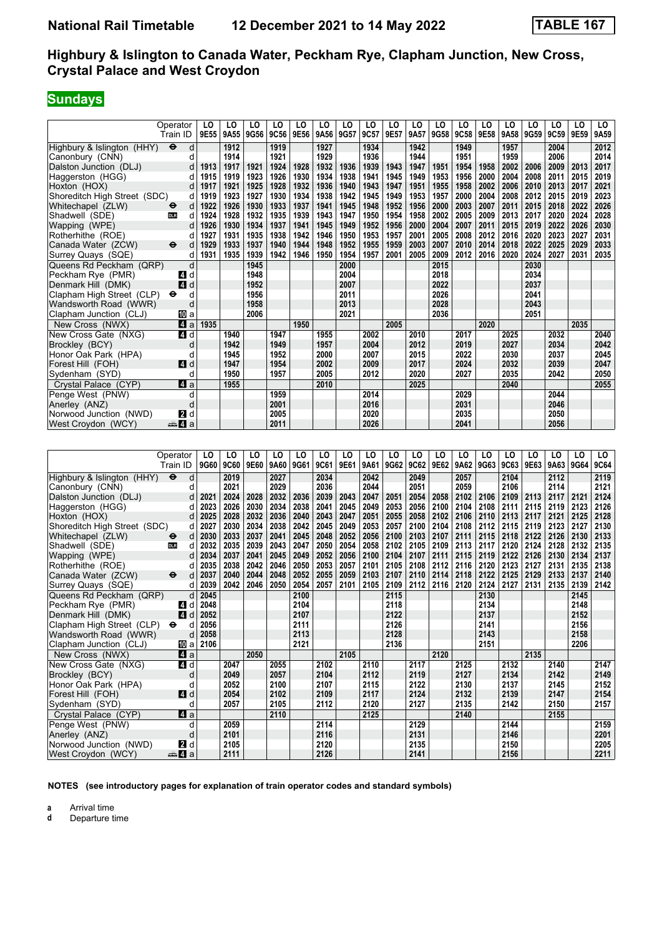# **Sundays**

|                              | Operator                 | LO   | LO   | LO        | LO   | LO   | LO   | LO   | LO   | LO   | LO   | LO   | LO          | LO   | LO   | LO   | LO   | LO   | LO   |
|------------------------------|--------------------------|------|------|-----------|------|------|------|------|------|------|------|------|-------------|------|------|------|------|------|------|
|                              | Train ID                 | 9E55 |      | 9A55 9G56 | 9C56 | 9E56 | 9A56 | 9G57 | 9C57 | 9E57 | 9A57 | 9G58 | <b>9C58</b> | 9E58 | 9A58 | 9G59 | 9C59 | 9E59 | 9A59 |
| Highbury & Islington (HHY)   | $\ddot{\mathbf{e}}$<br>d |      | 1912 |           | 1919 |      | 1927 |      | 1934 |      | 1942 |      | 1949        |      | 1957 |      | 2004 |      | 2012 |
| Canonbury (CNN)              | d                        |      | 1914 |           | 1921 |      | 1929 |      | 1936 |      | 1944 |      | 1951        |      | 1959 |      | 2006 |      | 2014 |
| Dalston Junction (DLJ)       | d                        | 1913 | 1917 | 1921      | 1924 | 1928 | 1932 | 1936 | 1939 | 1943 | 1947 | 1951 | 1954        | 1958 | 2002 | 2006 | 2009 | 2013 | 2017 |
| Haggerston (HGG)             |                          | 1915 | 1919 | 1923      | 1926 | 1930 | 1934 | 1938 | 1941 | 1945 | 1949 | 1953 | 1956        | 2000 | 2004 | 2008 | 2011 | 2015 | 2019 |
| Hoxton (HOX)                 | d                        | 1917 | 1921 | 1925      | 1928 | 1932 | 1936 | 1940 | 1943 | 1947 | 1951 | 1955 | 1958        | 2002 | 2006 | 2010 | 2013 | 2017 | 2021 |
| Shoreditch High Street (SDC) | d                        | 1919 | 1923 | 1927      | 1930 | 1934 | 1938 | 1942 | 1945 | 1949 | 1953 | 1957 | 2000        | 2004 | 2008 | 2012 | 2015 | 2019 | 2023 |
| Whitechapel (ZLW)            | d<br>$\mathbf e$         | 1922 | 1926 | 1930      | 1933 | 1937 | 1941 | 1945 | 1948 | 1952 | 1956 | 2000 | 2003        | 2007 | 2011 | 2015 | 2018 | 2022 | 2026 |
| Shadwell (SDE)               | <b>DLR</b><br>d          | 1924 | 1928 | 1932      | 1935 | 1939 | 1943 | 1947 | 1950 | 1954 | 1958 | 2002 | 2005        | 2009 | 2013 | 2017 | 2020 | 2024 | 2028 |
| Wapping (WPE)                | d                        | 1926 | 1930 | 1934      | 1937 | 1941 | 1945 | 1949 | 1952 | 1956 | 2000 | 2004 | 2007        | 2011 | 2015 | 2019 | 2022 | 2026 | 2030 |
| Rotherhithe (ROE)            | d                        | 1927 | 1931 | 1935      | 1938 | 1942 | 1946 | 1950 | 1953 | 1957 | 2001 | 2005 | 2008        | 2012 | 2016 | 2020 | 2023 | 2027 | 2031 |
| Canada Water (ZCW)           | $\ddot{\mathbf{e}}$<br>d | 1929 | 1933 | 1937      | 1940 | 1944 | 1948 | 1952 | 1955 | 1959 | 2003 | 2007 | 2010        | 2014 | 2018 | 2022 | 2025 | 2029 | 2033 |
| Surrey Quays (SQE)           | d                        | 1931 | 1935 | 1939      | 1942 | 1946 | 1950 | 1954 | 1957 | 2001 | 2005 | 2009 | 2012        | 2016 | 2020 | 2024 | 2027 | 2031 | 2035 |
| Queens Rd Peckham (QRP)      | d                        |      |      | 1945      |      |      |      | 2000 |      |      |      | 2015 |             |      |      | 2030 |      |      |      |
| Peckham Rye (PMR)            | d<br><b>A</b>            |      |      | 1948      |      |      |      | 2004 |      |      |      | 2018 |             |      |      | 2034 |      |      |      |
| Denmark Hill (DMK)           | 4<br>d                   |      |      | 1952      |      |      |      | 2007 |      |      |      | 2022 |             |      |      | 2037 |      |      |      |
| Clapham High Street (CLP)    | $\bullet$<br>d           |      |      | 1956      |      |      |      | 2011 |      |      |      | 2026 |             |      |      | 2041 |      |      |      |
| Wandsworth Road (WWR)        | d                        |      |      | 1958      |      |      |      | 2013 |      |      |      | 2028 |             |      |      | 2043 |      |      |      |
| Clapham Junction (CLJ)       | III a                    |      |      | 2006      |      |      |      | 2021 |      |      |      | 2036 |             |      |      | 2051 |      |      |      |
| New Cross (NWX)              | 4a                       | 1935 |      |           |      | 1950 |      |      |      | 2005 |      |      |             | 2020 |      |      |      | 2035 |      |
| New Cross Gate (NXG)         | 4 d                      |      | 1940 |           | 1947 |      | 1955 |      | 2002 |      | 2010 |      | 2017        |      | 2025 |      | 2032 |      | 2040 |
| Brockley (BCY)               | d                        |      | 1942 |           | 1949 |      | 1957 |      | 2004 |      | 2012 |      | 2019        |      | 2027 |      | 2034 |      | 2042 |
| Honor Oak Park (HPA)         | d                        |      | 1945 |           | 1952 |      | 2000 |      | 2007 |      | 2015 |      | 2022        |      | 2030 |      | 2037 |      | 2045 |
| Forest Hill (FOH)            | 4 d                      |      | 1947 |           | 1954 |      | 2002 |      | 2009 |      | 2017 |      | 2024        |      | 2032 |      | 2039 |      | 2047 |
| Sydenham (SYD)               | d                        |      | 1950 |           | 1957 |      | 2005 |      | 2012 |      | 2020 |      | 2027        |      | 2035 |      | 2042 |      | 2050 |
| Crystal Palace (CYP)         | ZI a                     |      | 1955 |           |      |      | 2010 |      |      |      | 2025 |      |             |      | 2040 |      |      |      | 2055 |
| Penge West (PNW)             | d                        |      |      |           | 1959 |      |      |      | 2014 |      |      |      | 2029        |      |      |      | 2044 |      |      |
| Anerley (ANZ)                | d                        |      |      |           | 2001 |      |      |      | 2016 |      |      |      | 2031        |      |      |      | 2046 |      |      |
| Norwood Junction (NWD)       | 2<br>d                   |      |      |           | 2005 |      |      |      | 2020 |      |      |      | 2035        |      |      |      | 2050 |      |      |
| West Croydon (WCY)           | dana dan da              |      |      |           | 2011 |      |      |      | 2026 |      |      |      | 2041        |      |      |      | 2056 |      |      |

|                              | Operator<br>Train ID              | LO<br>9G60 | LO<br><b>9C60</b> | LO<br>9E60 | LO<br>9A60 | LO<br>9G61 | LO<br>9C61 | LO<br>9E61 | LO<br>9A61 | LO<br>9G62 | LO<br>9C62 | LO<br>9E62 | LO<br>9A62 | LO<br>9G63 | LO<br>9C63 | LO<br>9E63 | LO<br>9A63 | LO<br>9G64 | LO<br><b>9C64</b> |
|------------------------------|-----------------------------------|------------|-------------------|------------|------------|------------|------------|------------|------------|------------|------------|------------|------------|------------|------------|------------|------------|------------|-------------------|
| Highbury & Islington (HHY)   | $\ddot{\boldsymbol{\Theta}}$<br>d |            | 2019              |            | 2027       |            | 2034       |            | 2042       |            | 2049       |            | 2057       |            | 2104       |            | 2112       |            | 2119              |
| Canonbury (CNN)              | d                                 |            | 2021              |            | 2029       |            | 2036       |            | 2044       |            | 2051       |            | 2059       |            | 2106       |            | 2114       |            | 2121              |
| Dalston Junction (DLJ)       | d                                 | 2021       | 2024              | 2028       | 2032       | 2036       | 2039       | 2043       | 2047       | 2051       | 2054       | 2058       | 2102       | 2106       | 2109       | 2113       | 2117       | 2121       | 2124              |
| Haggerston (HGG)             | d                                 | 2023       | 2026              | 2030       | 2034       | 2038       | 2041       | 2045       | 2049       | 2053       | 2056       | 2100       | 2104       | 2108       | 2111       | 2115       | 2119       | 2123       | 2126              |
| Hoxton (HOX)                 |                                   | 2025       | 2028              | 2032       | 2036       | 2040       | 2043       | 2047       | 2051       | 2055       | 2058       | 2102       | 2106       | 2110       | 2113       | 2117       | 2121       | 2125       | 2128              |
| Shoreditch High Street (SDC) | d                                 | 2027       | 2030              | 2034       | 2038       | 2042       | 2045       | 2049       | 2053       | 2057       | 2100       | 2104       | 2108       | 2112       | 2115       | 2119       | 2123       | 2127       | 2130              |
| Whitechapel (ZLW)            | d<br>$\bullet$                    | 2030       | 2033              | 2037       | 2041       | 2045       | 2048       | 2052       | 2056       | 2100       | 2103       | 2107       | 2111       | 2115       | 2118       | 2122       | 2126       | 2130       | 2133              |
| Shadwell (SDE)               | <b>DLR</b><br>d                   | 2032       | 2035              | 2039       | 2043       | 2047       | 2050       | 2054       | 2058       | 2102       | 2105       | 2109       | 2113       | 2117       | 2120       | 2124       | 2128       | 2132       | 2135              |
| Wapping (WPE)                | d                                 | 2034       | 2037              | 2041       | 2045       | 2049       | 2052       | 2056       | 2100       | 2104       | 2107       | 2111       | 2115       | 2119       | 2122       | 2126       | 2130       | 2134       | 2137              |
| Rotherhithe (ROE)            |                                   | 2035       | 2038              | 2042       | 2046       | 2050       | 2053       | 2057       | 2101       | 2105       | 2108       | 2112       | 2116       | 2120       | 2123       | 2127       | 2131       | 2135       | 2138              |
| Canada Water (ZCW)           | $\ddot{\boldsymbol{\Theta}}$<br>d | 2037       | 2040              | 2044       | 2048       | 2052       | 2055       | 2059       | 2103       | 2107       | 2110       | 2114       | 2118       | 2122       | 2125       | 2129       | 2133       | 2137       | 2140              |
| Surrey Quays (SQE)           | d                                 | 2039       | 2042              | 2046       | 2050       | 2054       | 2057       | 2101       | 2105       | 2109       | 2112       | 2116       | 2120       | 2124       | 2127       | 2131       | 2135       | 2139       | 2142              |
| Queens Rd Peckham (QRP)      | d                                 | 2045       |                   |            |            | 2100       |            |            |            | 2115       |            |            |            | 2130       |            |            |            | 2145       |                   |
| Peckham Rye (PMR)            | <b>4</b> d                        | 2048       |                   |            |            | 2104       |            |            |            | 2118       |            |            |            | 2134       |            |            |            | 2148       |                   |
| Denmark Hill (DMK)           | $\overline{A}$<br>d               | 2052       |                   |            |            | 2107       |            |            |            | 2122       |            |            |            | 2137       |            |            |            | 2152       |                   |
| Clapham High Street (CLP)    | $\bullet$<br>d                    | 2056       |                   |            |            | 2111       |            |            |            | 2126       |            |            |            | 2141       |            |            |            | 2156       |                   |
| Wandsworth Road (WWR)        | d                                 | 2058       |                   |            |            | 2113       |            |            |            | 2128       |            |            |            | 2143       |            |            |            | 2158       |                   |
| Clapham Junction (CLJ)       | 囮 a                               | 2106       |                   |            |            | 2121       |            |            |            | 2136       |            |            |            | 2151       |            |            |            | 2206       |                   |
| New Cross (NWX)              | ZI a                              |            |                   | 2050       |            |            |            | 2105       |            |            |            | 2120       |            |            |            | 2135       |            |            |                   |
| New Cross Gate (NXG)         | 4 d                               |            | 2047              |            | 2055       |            | 2102       |            | 2110       |            | 2117       |            | 2125       |            | 2132       |            | 2140       |            | 2147              |
| Brockley (BCY)               | d                                 |            | 2049              |            | 2057       |            | 2104       |            | 2112       |            | 2119       |            | 2127       |            | 2134       |            | 2142       |            | 2149              |
| Honor Oak Park (HPA)         | d                                 |            | 2052              |            | 2100       |            | 2107       |            | 2115       |            | 2122       |            | 2130       |            | 2137       |            | 2145       |            | 2152              |
| Forest Hill (FOH)            | $\blacksquare$                    |            | 2054              |            | 2102       |            | 2109       |            | 2117       |            | 2124       |            | 2132       |            | 2139       |            | 2147       |            | 2154              |
| Sydenham (SYD)               | d                                 |            | 2057              |            | 2105       |            | 2112       |            | 2120       |            | 2127       |            | 2135       |            | 2142       |            | 2150       |            | 2157              |
| Crystal Palace (CYP)         | 4a                                |            |                   |            | 2110       |            |            |            | 2125       |            |            |            | 2140       |            |            |            | 2155       |            |                   |
| Penge West (PNW)             | d                                 |            | 2059              |            |            |            | 2114       |            |            |            | 2129       |            |            |            | 2144       |            |            |            | 2159              |
| Anerley (ANZ)                | d                                 |            | 2101              |            |            |            | 2116       |            |            |            | 2131       |            |            |            | 2146       |            |            |            | 2201              |
| Norwood Junction (NWD)       | <b>2</b> d                        |            | 2105              |            |            |            | 2120       |            |            |            | 2135       |            |            |            | 2150       |            |            |            | 2205              |
| West Croydon (WCY)           | ≞Ma                               |            | 2111              |            |            |            | 2126       |            |            |            | 2141       |            |            |            | 2156       |            |            |            | 2211              |

**NOTES (see introductory pages for explanation of train operator codes and standard symbols)**

**a** Arrival time<br>**d** Departure t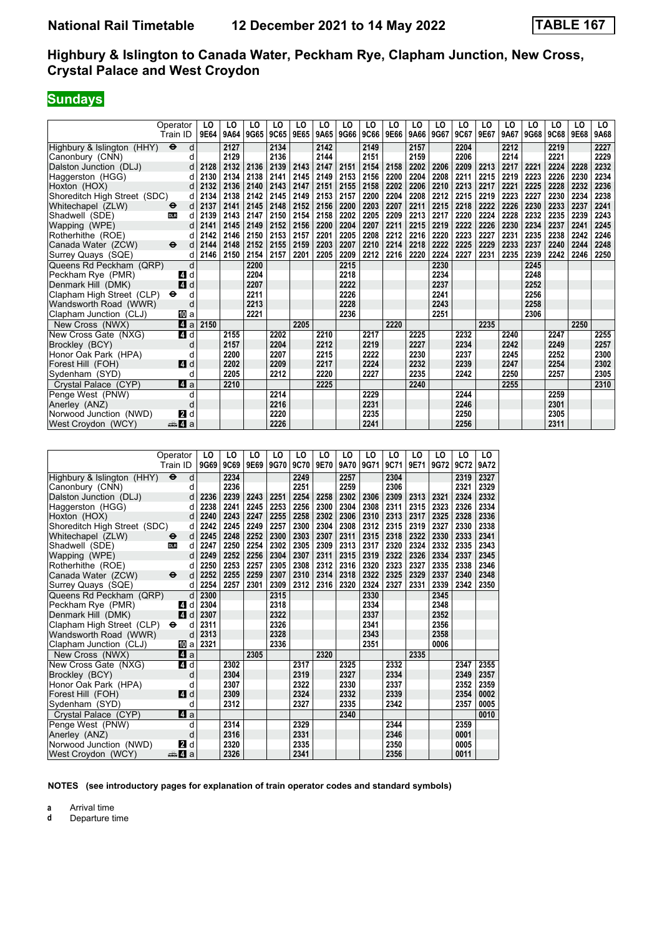# **Sundays**

|                              | Operator                          | LO   | LO   | LO   | LO   | LO   | LO   | LO   | LO   | LO   | LO   | LO   | LO   | LO   | LO   | LO   | LO   | LO   | LO   |
|------------------------------|-----------------------------------|------|------|------|------|------|------|------|------|------|------|------|------|------|------|------|------|------|------|
|                              | Train ID                          | 9E64 | 9A64 | 9G65 | 9C65 | 9E65 | 9A65 | 9G66 | 9C66 | 9E66 | 9A66 | 9G67 | 9C67 | 9E67 | 9A67 | 9G68 | 9C68 | 9E68 | 9A68 |
| Highbury & Islington (HHY)   | $\ddot{\mathbf{e}}$<br>d          |      | 2127 |      | 2134 |      | 2142 |      | 2149 |      | 2157 |      | 2204 |      | 2212 |      | 2219 |      | 2227 |
| Canonbury (CNN)              | d                                 |      | 2129 |      | 2136 |      | 2144 |      | 2151 |      | 2159 |      | 2206 |      | 2214 |      | 2221 |      | 2229 |
| Dalston Junction (DLJ)       | d                                 | 2128 | 2132 | 2136 | 2139 | 2143 | 2147 | 2151 | 2154 | 2158 | 2202 | 2206 | 2209 | 2213 | 2217 | 2221 | 2224 | 2228 | 2232 |
| Haggerston (HGG)             | d                                 | 2130 | 2134 | 2138 | 2141 | 2145 | 2149 | 2153 | 2156 | 2200 | 2204 | 2208 | 2211 | 2215 | 2219 | 2223 | 2226 | 2230 | 2234 |
| Hoxton (HOX)                 |                                   | 2132 | 2136 | 2140 | 2143 | 2147 | 2151 | 2155 | 2158 | 2202 | 2206 | 2210 | 2213 | 2217 | 2221 | 2225 | 2228 | 2232 | 2236 |
| Shoreditch High Street (SDC) | d                                 | 2134 | 2138 | 2142 | 2145 | 2149 | 2153 | 2157 | 2200 | 2204 | 2208 | 2212 | 2215 | 2219 | 2223 | 2227 | 2230 | 2234 | 2238 |
| Whitechapel (ZLW)            | d<br>$\ddot{\bm{\Theta}}$         | 2137 | 2141 | 2145 | 2148 | 2152 | 2156 | 2200 | 2203 | 2207 | 2211 | 2215 | 2218 | 2222 | 2226 | 2230 | 2233 | 2237 | 2241 |
| Shadwell (SDE)               | <b>DLR</b><br>d                   | 2139 | 2143 | 2147 | 2150 | 2154 | 2158 | 2202 | 2205 | 2209 | 2213 | 2217 | 2220 | 2224 | 2228 | 2232 | 2235 | 2239 | 2243 |
| Wapping (WPE)                | d                                 | 2141 | 2145 | 2149 | 2152 | 2156 | 2200 | 2204 | 2207 | 2211 | 2215 | 2219 | 2222 | 2226 | 2230 | 2234 | 2237 | 2241 | 2245 |
| Rotherhithe (ROE)            |                                   | 2142 | 2146 | 2150 | 2153 | 2157 | 2201 | 2205 | 2208 | 2212 | 2216 | 2220 | 2223 | 2227 | 2231 | 2235 | 2238 | 2242 | 2246 |
| Canada Water (ZCW)           | $\ddot{\boldsymbol{\Theta}}$<br>d | 2144 | 2148 | 2152 | 2155 | 2159 | 2203 | 2207 | 2210 | 2214 | 2218 | 2222 | 2225 | 2229 | 2233 | 2237 | 2240 | 2244 | 2248 |
| Surrey Quays (SQE)           | d                                 | 2146 | 2150 | 2154 | 2157 | 2201 | 2205 | 2209 | 2212 | 2216 | 2220 | 2224 | 2227 | 2231 | 2235 | 2239 | 2242 | 2246 | 2250 |
| Queens Rd Peckham (QRP)      | d                                 |      |      | 2200 |      |      |      | 2215 |      |      |      | 2230 |      |      |      | 2245 |      |      |      |
| Peckham Rye (PMR)            | ZI d                              |      |      | 2204 |      |      |      | 2218 |      |      |      | 2234 |      |      |      | 2248 |      |      |      |
| Denmark Hill (DMK)           | 4 d                               |      |      | 2207 |      |      |      | 2222 |      |      |      | 2237 |      |      |      | 2252 |      |      |      |
| Clapham High Street (CLP)    | $\bullet$<br>d                    |      |      | 2211 |      |      |      | 2226 |      |      |      | 2241 |      |      |      | 2256 |      |      |      |
| Wandsworth Road (WWR)        | d                                 |      |      | 2213 |      |      |      | 2228 |      |      |      | 2243 |      |      |      | 2258 |      |      |      |
| Clapham Junction (CLJ)       | 囮 a                               |      |      | 2221 |      |      |      | 2236 |      |      |      | 2251 |      |      |      | 2306 |      |      |      |
| New Cross (NWX)              | ZI a                              | 2150 |      |      |      | 2205 |      |      |      | 2220 |      |      |      | 2235 |      |      |      | 2250 |      |
| New Cross Gate (NXG)         | 4 d                               |      | 2155 |      | 2202 |      | 2210 |      | 2217 |      | 2225 |      | 2232 |      | 2240 |      | 2247 |      | 2255 |
| Brockley (BCY)               | d                                 |      | 2157 |      | 2204 |      | 2212 |      | 2219 |      | 2227 |      | 2234 |      | 2242 |      | 2249 |      | 2257 |
| Honor Oak Park (HPA)         | d                                 |      | 2200 |      | 2207 |      | 2215 |      | 2222 |      | 2230 |      | 2237 |      | 2245 |      | 2252 |      | 2300 |
| Forest Hill (FOH)            | 4 d                               |      | 2202 |      | 2209 |      | 2217 |      | 2224 |      | 2232 |      | 2239 |      | 2247 |      | 2254 |      | 2302 |
| Sydenham (SYD)               | d                                 |      | 2205 |      | 2212 |      | 2220 |      | 2227 |      | 2235 |      | 2242 |      | 2250 |      | 2257 |      | 2305 |
| Crystal Palace (CYP)         | $\mathbf{A}$ a                    |      | 2210 |      |      |      | 2225 |      |      |      | 2240 |      |      |      | 2255 |      |      |      | 2310 |
| Penge West (PNW)             | d                                 |      |      |      | 2214 |      |      |      | 2229 |      |      |      | 2244 |      |      |      | 2259 |      |      |
| Anerley (ANZ)                | d                                 |      |      |      | 2216 |      |      |      | 2231 |      |      |      | 2246 |      |      |      | 2301 |      |      |
| Norwood Junction (NWD)       | 21 d                              |      |      |      | 2220 |      |      |      | 2235 |      |      |      | 2250 |      |      |      | 2305 |      |      |
| West Croydon (WCY)           | <del>⊯</del> ⊿ а                  |      |      |      | 2226 |      |      |      | 2241 |      |      |      | 2256 |      |      |      | 2311 |      |      |

|                              | Operator<br>Train ID              | LO<br>9G69 | LO<br><b>9C69</b> | LO<br>9E69 | LO<br>9G70 | LO<br><b>9C70</b> | LO<br>9E70 | LO<br>9A70 | LO<br>9G71 | LO<br>9C71 | LO<br>9E71 | LO<br>9G72 | LO<br>9C72 | LO<br>9A72 |
|------------------------------|-----------------------------------|------------|-------------------|------------|------------|-------------------|------------|------------|------------|------------|------------|------------|------------|------------|
| Highbury & Islington (HHY)   | $\ddot{\boldsymbol{\Theta}}$<br>d |            | 2234              |            |            | 2249              |            | 2257       |            | 2304       |            |            | 2319       | 2327       |
| Canonbury (CNN)              | d                                 |            | 2236              |            |            | 2251              |            | 2259       |            | 2306       |            |            | 2321       | 2329       |
| Dalston Junction (DLJ)       | d                                 | 2236       | 2239              | 2243       | 2251       | 2254              | 2258       | 2302       | 2306       | 2309       | 2313       | 2321       | 2324       | 2332       |
| Haggerston (HGG)             | d                                 | 2238       | 2241              | 2245       | 2253       | 2256              | 2300       | 2304       | 2308       | 2311       | 2315       | 2323       | 2326       | 2334       |
| Hoxton (HOX)                 | d                                 | 2240       | 2243              | 2247       | 2255       | 2258              | 2302       | 2306       | 2310       | 2313       | 2317       | 2325       | 2328       | 2336       |
| Shoreditch High Street (SDC) | d                                 | 2242       | 2245              | 2249       | 2257       | 2300              | 2304       | 2308       | 2312       | 2315       | 2319       | 2327       | 2330       | 2338       |
| Whitechapel (ZLW)            | d<br>$\ddot{\bm{\Theta}}$         | 2245       | 2248              | 2252       | 2300       | 2303              | 2307       | 2311       | 2315       | 2318       | 2322       | 2330       | 2333       | 2341       |
| Shadwell (SDE)               | <b>DLR</b><br>d                   | 2247       | 2250              | 2254       | 2302       | 2305              | 2309       | 2313       | 2317       | 2320       | 2324       | 2332       | 2335       | 2343       |
| Wapping (WPE)                | d                                 | 2249       | 2252              | 2256       | 2304       | 2307              | 2311       | 2315       | 2319       | 2322       | 2326       | 2334       | 2337       | 2345       |
| Rotherhithe (ROE)            | d                                 | 2250       | 2253              | 2257       | 2305       | 2308              | 2312       | 2316       | 2320       | 2323       | 2327       | 2335       | 2338       | 2346       |
| Canada Water (ZCW)           | $\ddot{\mathbf{e}}$<br>d          | 2252       | 2255              | 2259       | 2307       | 2310              | 2314       | 2318       | 2322       | 2325       | 2329       | 2337       | 2340       | 2348       |
| Surrey Quays (SQE)           | d                                 | 2254       | 2257              | 2301       | 2309       | 2312              | 2316       | 2320       | 2324       | 2327       | 2331       | 2339       | 2342       | 2350       |
| Queens Rd Peckham (QRP)      | d                                 | 2300       |                   |            | 2315       |                   |            |            | 2330       |            |            | 2345       |            |            |
| Peckham Rye (PMR)            | 4 d                               | 2304       |                   |            | 2318       |                   |            |            | 2334       |            |            | 2348       |            |            |
| Denmark Hill (DMK)           | 4 d                               | 2307       |                   |            | 2322       |                   |            |            | 2337       |            |            | 2352       |            |            |
| Clapham High Street (CLP)    | $\bullet$<br>d                    | 2311       |                   |            | 2326       |                   |            |            | 2341       |            |            | 2356       |            |            |
| Wandsworth Road (WWR)        | d                                 | 2313       |                   |            | 2328       |                   |            |            | 2343       |            |            | 2358       |            |            |
| Clapham Junction (CLJ)       | Юa                                | 2321       |                   |            | 2336       |                   |            |            | 2351       |            |            | 0006       |            |            |
| New Cross (NWX)              | 41 a                              |            |                   | 2305       |            |                   | 2320       |            |            |            | 2335       |            |            |            |
| New Cross Gate (NXG)         | 4 d                               |            | 2302              |            |            | 2317              |            | 2325       |            | 2332       |            |            | 2347       | 2355       |
| Brockley (BCY)               | d                                 |            | 2304              |            |            | 2319              |            | 2327       |            | 2334       |            |            | 2349       | 2357       |
| Honor Oak Park (HPA)         | d                                 |            | 2307              |            |            | 2322              |            | 2330       |            | 2337       |            |            | 2352       | 2359       |
| Forest Hill (FOH)            | 4 d                               |            | 2309              |            |            | 2324              |            | 2332       |            | 2339       |            |            | 2354       | 0002       |
| Sydenham (SYD)               | d                                 |            | 2312              |            |            | 2327              |            | 2335       |            | 2342       |            |            | 2357       | 0005       |
| Crystal Palace (CYP)         | 4 a                               |            |                   |            |            |                   |            | 2340       |            |            |            |            |            | 0010       |
| Penge West (PNW)             | d                                 |            | 2314              |            |            | 2329              |            |            |            | 2344       |            |            | 2359       |            |
| Anerley (ANZ)                | d                                 |            | 2316              |            |            | 2331              |            |            |            | 2346       |            |            | 0001       |            |
| Norwood Junction (NWD)       | 21 d                              |            | 2320              |            |            | 2335              |            |            |            | 2350       |            |            | 0005       |            |
| West Croydon (WCY)           | a 4 a                             |            | 2326              |            |            | 2341              |            |            |            | 2356       |            |            | 0011       |            |

**NOTES (see introductory pages for explanation of train operator codes and standard symbols)**

**a** Arrival time<br>**d** Departure t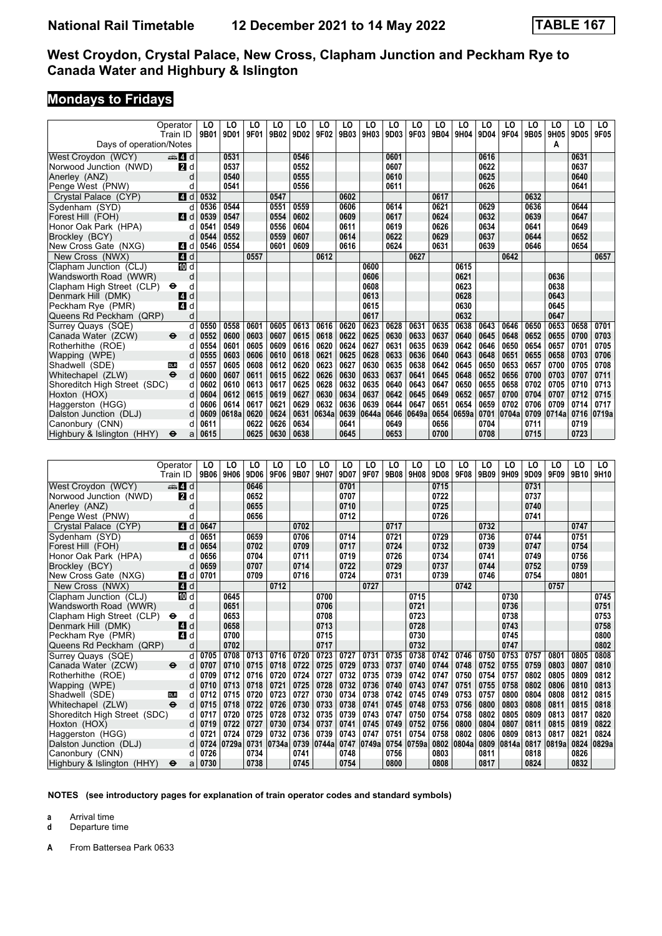# **Mondays to Fridays**

|                              | Operator<br>Train ID     | LO<br>9B01 | LO<br>9D <sub>0</sub> 1 | LO<br>9F01 | LO<br>9B02 | LO<br>9D02 | LO<br>9F02 | LO<br>9B03 | LO<br>9H03 | LO<br>9D03 | LO<br>9F03 | LO<br>9B04 | LO<br>9H04 | LO<br>9D04 | LO<br>9F04 | LO<br>9B05 | LO<br>9H05 | LO<br>9D05 | LO<br>9F05 |
|------------------------------|--------------------------|------------|-------------------------|------------|------------|------------|------------|------------|------------|------------|------------|------------|------------|------------|------------|------------|------------|------------|------------|
| Days of operation/Notes      |                          |            |                         |            |            |            |            |            |            |            |            |            |            |            |            |            | A          |            |            |
| West Croydon (WCY)           | $\oplus$ 4 d             |            | 0531                    |            |            | 0546       |            |            |            | 0601       |            |            |            | 0616       |            |            |            | 0631       |            |
| Norwood Junction (NWD)       | <b>2</b> d               |            | 0537                    |            |            | 0552       |            |            |            | 0607       |            |            |            | 0622       |            |            |            | 0637       |            |
| Anerley (ANZ)                | d                        |            | 0540                    |            |            | 0555       |            |            |            | 0610       |            |            |            | 0625       |            |            |            | 0640       |            |
| Penge West (PNW)             | d                        |            | 0541                    |            |            | 0556       |            |            |            | 0611       |            |            |            | 0626       |            |            |            | 0641       |            |
| Crystal Palace (CYP)         | 4 d                      | 0532       |                         |            | 0547       |            |            | 0602       |            |            |            | 0617       |            |            |            | 0632       |            |            |            |
| Sydenham (SYD)               | d                        | 0536       | 0544                    |            | 0551       | 0559       |            | 0606       |            | 0614       |            | 0621       |            | 0629       |            | 0636       |            | 0644       |            |
| Forest Hill (FOH)            | ZI d                     | 0539       | 0547                    |            | 0554       | 0602       |            | 0609       |            | 0617       |            | 0624       |            | 0632       |            | 0639       |            | 0647       |            |
| Honor Oak Park (HPA)         | d                        | 0541       | 0549                    |            | 0556       | 0604       |            | 0611       |            | 0619       |            | 0626       |            | 0634       |            | 0641       |            | 0649       |            |
| Brockley (BCY)               |                          | 0544       | 0552                    |            | 0559       | 0607       |            | 0614       |            | 0622       |            | 0629       |            | 0637       |            | 0644       |            | 0652       |            |
| New Cross Gate (NXG)         | ZI d                     | 0546       | 0554                    |            | 0601       | 0609       |            | 0616       |            | 0624       |            | 0631       |            | 0639       |            | 0646       |            | 0654       |            |
| New Cross (NWX)              | 4d                       |            |                         | 0557       |            |            | 0612       |            |            |            | 0627       |            |            |            | 0642       |            |            |            | 0657       |
| Clapham Junction (CLJ)       | III d                    |            |                         |            |            |            |            |            | 0600       |            |            |            | 0615       |            |            |            |            |            |            |
| Wandsworth Road (WWR)        | d                        |            |                         |            |            |            |            |            | 0606       |            |            |            | 0621       |            |            |            | 0636       |            |            |
| Clapham High Street (CLP)    | $\bullet$<br>d           |            |                         |            |            |            |            |            | 0608       |            |            |            | 0623       |            |            |            | 0638       |            |            |
| Denmark Hill (DMK)           | 14<br>d                  |            |                         |            |            |            |            |            | 0613       |            |            |            | 0628       |            |            |            | 0643       |            |            |
| Peckham Rye (PMR)            | 4<br>d                   |            |                         |            |            |            |            |            | 0615       |            |            |            | 0630       |            |            |            | 0645       |            |            |
| Queens Rd Peckham (QRP)      | d                        |            |                         |            |            |            |            |            | 0617       |            |            |            | 0632       |            |            |            | 0647       |            |            |
| Surrey Quays (SQE)           | d                        | 0550       | 0558                    | 0601       | 0605       | 0613       | 0616       | 0620       | 0623       | 0628       | 0631       | 0635       | 0638       | 0643       | 0646       | 0650       | 0653       | 0658       | 0701       |
| Canada Water (ZCW)           | $\ddot{\mathbf{e}}$<br>d | 0552       | 0600                    | 0603       | 0607       | 0615       | 0618       | 0622       | 0625       | 0630       | 0633       | 0637       | 0640       | 0645       | 0648       | 0652       | 0655       | 0700       | 0703       |
| Rotherhithe (ROE)            | d                        | 0554       | 0601                    | 0605       | 0609       | 0616       | 0620       | 0624       | 0627       | 0631       | 0635       | 0639       | 0642       | 0646       | 0650       | 0654       | 0657       | 0701       | 0705       |
| Wapping (WPE)                | d                        | 0555       | 0603                    | 0606       | 0610       | 0618       | 0621       | 0625       | 0628       | 0633       | 0636       | 0640       | 0643       | 0648       | 0651       | 0655       | 0658       | 0703       | 0706       |
| Shadwell (SDE)               | <b>DLR</b><br>d          | 0557       | 0605                    | 0608       | 0612       | 0620       | 0623       | 0627       | 0630       | 0635       | 0638       | 0642       | 0645       | 0650       | 0653       | 0657       | 0700       | 0705       | 0708       |
| Whitechapel (ZLW)            | $\ddot{\mathbf{e}}$<br>d | 0600       | 0607                    | 0611       | 0615       | 0622       | 0626       | 0630       | 0633       | 0637       | 0641       | 0645       | 0648       | 0652       | 0656       | 0700       | 0703       | 0707       | 0711       |
| Shoreditch High Street (SDC) | d                        | 0602       | 0610                    | 0613       | 0617       | 0625       | 0628       | 0632       | 0635       | 0640       | 0643       | 0647       | 0650       | 0655       | 0658       | 0702       | 0705       | 0710       | 0713       |
| Hoxton (HOX)                 | d                        | 0604       | 0612                    | 0615       | 0619       | 0627       | 0630       | 0634       | 0637       | 0642       | 0645       | 0649       | 0652       | 0657       | 0700       | 0704       | 0707       | 0712       | 0715       |
| Haggerston (HGG)             | d                        | 0606       | 0614                    | 0617       | 0621       | 0629       | 0632       | 0636       | 0639       | 0644       | 0647       | 0651       | 0654       | 0659       | 0702       | 0706       | 0709       | 0714       | 0717       |
| Dalston Junction (DLJ)       | d                        | 0609       | 0618a                   | 0620       | 0624       | 0631       | 0634a      | 0639       | 0644a      | 0646       | 0649a      | 0654       | 0659a      | 0701       | 0704a      | 0709       | 0714a      | 0716       | 0719a      |
| Canonbury (CNN)              | d                        | 0611       |                         | 0622       | 0626       | 0634       |            | 0641       |            | 0649       |            | 0656       |            | 0704       |            | 0711       |            | 0719       |            |
| Highbury & Islington (HHY)   | $\bullet$<br>a           | 0615       |                         | 0625       | 0630       | 0638       |            | 0645       |            | 0653       |            | 0700       |            | 0708       |            | 0715       |            | 0723       |            |

|                              | Operator                 | LO   | LO    | LO   | LO    | LO   | LO         | LO   | LO    | LO   | LO    | LO   | LO    | LO   | LO    | LO   | LO    | LO   | LO    |
|------------------------------|--------------------------|------|-------|------|-------|------|------------|------|-------|------|-------|------|-------|------|-------|------|-------|------|-------|
|                              | Train ID                 | 9B06 | 9H06  | 9D06 | 9F06  | 9B07 | 9H07       | 9D07 | 9F07  | 9B08 | 9H08  | 9D08 | 9F08  | 9B09 | 9H09  | 9D09 | 9F09  | 9B10 | 9H10  |
| West Croydon (WCY)           | den and                  |      |       | 0646 |       |      |            | 0701 |       |      |       | 0715 |       |      |       | 0731 |       |      |       |
| Norwood Junction (NWD)       | 2 d                      |      |       | 0652 |       |      |            | 0707 |       |      |       | 0722 |       |      |       | 0737 |       |      |       |
| Anerley (ANZ)                | d                        |      |       | 0655 |       |      |            | 0710 |       |      |       | 0725 |       |      |       | 0740 |       |      |       |
| Penge West (PNW)             |                          |      |       | 0656 |       |      |            | 0712 |       |      |       | 0726 |       |      |       | 0741 |       |      |       |
| Crystal Palace (CYP)         | 4 d                      | 0647 |       |      |       | 0702 |            |      |       | 0717 |       |      |       | 0732 |       |      |       | 0747 |       |
| Sydenham (SYD)               | d                        | 0651 |       | 0659 |       | 0706 |            | 0714 |       | 0721 |       | 0729 |       | 0736 |       | 0744 |       | 0751 |       |
| Forest Hill (FOH)            | 4                        | 0654 |       | 0702 |       | 0709 |            | 0717 |       | 0724 |       | 0732 |       | 0739 |       | 0747 |       | 0754 |       |
| Honor Oak Park (HPA)         |                          | 0656 |       | 0704 |       | 0711 |            | 0719 |       | 0726 |       | 0734 |       | 0741 |       | 0749 |       | 0756 |       |
| Brockley (BCY)               |                          | 0659 |       | 0707 |       | 0714 |            | 0722 |       | 0729 |       | 0737 |       | 0744 |       | 0752 |       | 0759 |       |
| New Cross Gate (NXG)         | 4<br>d                   | 0701 |       | 0709 |       | 0716 |            | 0724 |       | 0731 |       | 0739 |       | 0746 |       | 0754 |       | 0801 |       |
| New Cross (NWX)              | 4d                       |      |       |      | 0712  |      |            |      | 0727  |      |       |      | 0742  |      |       |      | 0757  |      |       |
| Clapham Junction (CLJ)       | iD d                     |      | 0645  |      |       |      | 0700       |      |       |      | 0715  |      |       |      | 0730  |      |       |      | 0745  |
| Wandsworth Road (WWR)        | d                        |      | 0651  |      |       |      | 0706       |      |       |      | 0721  |      |       |      | 0736  |      |       |      | 0751  |
| Clapham High Street (CLP)    | $\ddot{\mathbf{e}}$<br>d |      | 0653  |      |       |      | 0708       |      |       |      | 0723  |      |       |      | 0738  |      |       |      | 0753  |
| Denmark Hill (DMK)           | d<br>14                  |      | 0658  |      |       |      | 0713       |      |       |      | 0728  |      |       |      | 0743  |      |       |      | 0758  |
| Peckham Rye (PMR)            | ZI d                     |      | 0700  |      |       |      | 0715       |      |       |      | 0730  |      |       |      | 0745  |      |       |      | 0800  |
| Queens Rd Peckham (QRP)      | d                        |      | 0702  |      |       |      | 0717       |      |       |      | 0732  |      |       |      | 0747  |      |       |      | 0802  |
| Surrey Quays (SQE)           | d                        | 0705 | 0708  | 0713 | 0716  | 0720 | 0723       | 0727 | 0731  | 0735 | 0738  | 0742 | 0746  | 0750 | 0753  | 0757 | 0801  | 0805 | 0808  |
| Canada Water (ZCW)           | $\ddot{\mathbf{e}}$<br>d | 0707 | 0710  | 0715 | 0718  | 0722 | 0725       | 0729 | 0733  | 0737 | 0740  | 0744 | 0748  | 0752 | 0755  | 0759 | 0803  | 0807 | 0810  |
| Rotherhithe (ROE)            | d                        | 0709 | 0712  | 0716 | 0720  | 0724 | 0727       | 0732 | 0735  | 0739 | 0742  | 0747 | 0750  | 0754 | 0757  | 0802 | 0805  | 0809 | 0812  |
| Wapping (WPE)                | d                        | 0710 | 0713  | 0718 | 0721  | 0725 | 0728       | 0732 | 0736  | 0740 | 0743  | 0747 | 0751  | 0755 | 0758  | 0802 | 0806  | 0810 | 0813  |
| Shadwell (SDE)               | <b>DLR</b><br>d          | 0712 | 0715  | 0720 | 0723  | 0727 | 0730       | 0734 | 0738  | 0742 | 0745  | 0749 | 0753  | 0757 | 0800  | 0804 | 0808  | 0812 | 0815  |
| Whitechapel (ZLW)            | $\ddot{\mathbf{e}}$<br>d | 0715 | 0718  | 0722 | 0726  | 0730 | 0733       | 0738 | 0741  | 0745 | 0748  | 0753 | 0756  | 0800 | 0803  | 0808 | 0811  | 0815 | 0818  |
| Shoreditch High Street (SDC) | d                        | 0717 | 0720  | 0725 | 0728  | 0732 | 0735       | 0739 | 0743  | 0747 | 0750  | 0754 | 0758  | 0802 | 0805  | 0809 | 0813  | 0817 | 0820  |
| Hoxton (HOX)                 | d                        | 0719 | 0722  | 0727 | 0730  | 0734 | 0737       | 0741 | 0745  | 0749 | 0752  | 0756 | 0800  | 0804 | 0807  | 0811 | 0815  | 0819 | 0822  |
| Haggerston (HGG)             |                          | 0721 | 0724  | 0729 | 0732  | 0736 | 0739       | 0743 | 0747  | 0751 | 0754  | 0758 | 0802  | 0806 | 0809  | 0813 | 0817  | 0821 | 0824  |
| Dalston Junction (DLJ)       | d                        | 0724 | 0729a | 0731 | 0734a |      | 0739 0744a | 0747 | 0749a | 0754 | 0759a | 0802 | 0804a | 0809 | 0814a | 0817 | 0819a | 0824 | 0829a |
| Canonbury (CNN)              |                          | 0726 |       | 0734 |       | 0741 |            | 0748 |       | 0756 |       | 0803 |       | 0811 |       | 0818 |       | 0826 |       |
| Highbury & Islington (HHY)   | $\bullet$<br>a           | 0730 |       | 0738 |       | 0745 |            | 0754 |       | 0800 |       | 0808 |       | 0817 |       | 0824 |       | 0832 |       |

**NOTES (see introductory pages for explanation of train operator codes and standard symbols)**

**a** Arrival time<br>**d** Departure t

**d** Departure time

**A** From Battersea Park 0633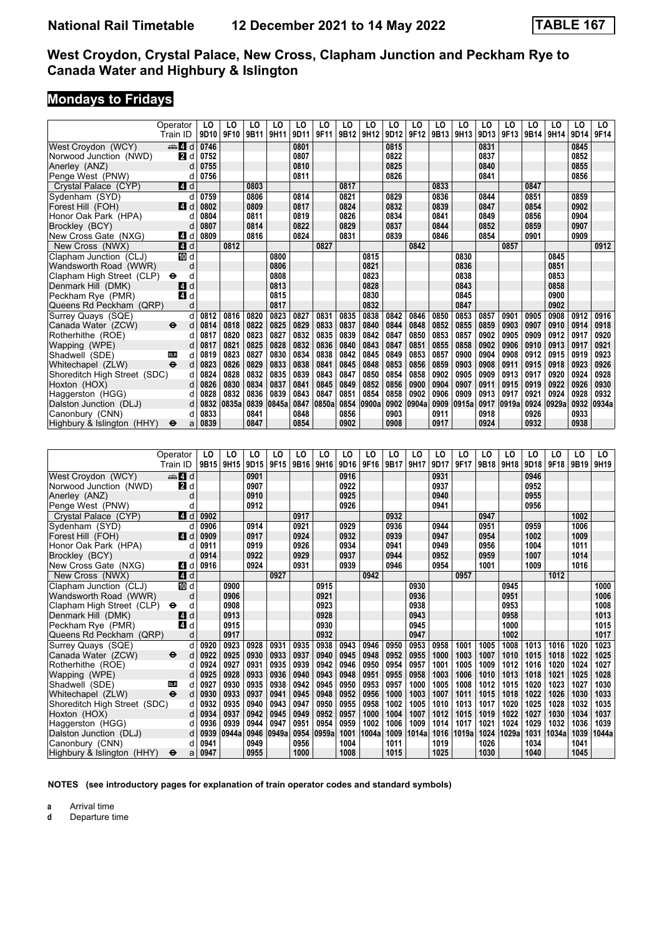# **Mondays to Fridays**

|                                   | Operator<br>Train ID     | LO<br>9D10   | LO<br>9F10 | LO<br>9B11   | LO<br>9H11 | LO<br>9D11   | LO<br>9F11 | LO<br>9B12   | LO<br>9H12 | LO<br>9D12   | LO<br>9F12 | LO<br>9B13   | LO<br>9H13 | LO<br>9D13   | LO<br>9F13 | LO<br>9B14   | LO<br>9H14 | LO<br>9D14   | LO<br>9F14 |
|-----------------------------------|--------------------------|--------------|------------|--------------|------------|--------------|------------|--------------|------------|--------------|------------|--------------|------------|--------------|------------|--------------|------------|--------------|------------|
|                                   |                          |              |            |              |            |              |            |              |            |              |            |              |            |              |            |              |            |              |            |
| West Croydon (WCY)                | d ∆                      | 0746         |            |              |            | 0801<br>0807 |            |              |            | 0815<br>0822 |            |              |            | 0831<br>0837 |            |              |            | 0845<br>0852 |            |
| Norwood Junction (NWD)            | <b>2</b> d<br>d          | 0752<br>0755 |            |              |            | 0810         |            |              |            | 0825         |            |              |            | 0840         |            |              |            | 0855         |            |
| Anerley (ANZ)<br>Penge West (PNW) | d                        | 0756         |            |              |            | 0811         |            |              |            | 0826         |            |              |            | 0841         |            |              |            | 0856         |            |
|                                   |                          |              |            |              |            |              |            |              |            |              |            |              |            |              |            |              |            |              |            |
| Crystal Palace (CYP)              | 4 d                      |              |            | 0803<br>0806 |            |              |            | 0817         |            |              |            | 0833         |            |              |            | 0847         |            |              |            |
| Sydenham (SYD)                    | d                        | 0759<br>0802 |            | 0809         |            | 0814<br>0817 |            | 0821<br>0824 |            | 0829<br>0832 |            | 0836         |            | 0844         |            | 0851         |            | 0859<br>0902 |            |
| Forest Hill (FOH)                 | ZI d                     |              |            |              |            |              |            |              |            |              |            | 0839         |            | 0847         |            | 0854         |            |              |            |
| Honor Oak Park (HPA)              | d<br>d                   | 0804<br>0807 |            | 0811<br>0814 |            | 0819<br>0822 |            | 0826<br>0829 |            | 0834<br>0837 |            | 0841<br>0844 |            | 0849         |            | 0856<br>0859 |            | 0904<br>0907 |            |
| Brockley (BCY)                    |                          |              |            |              |            |              |            |              |            |              |            |              |            | 0852         |            |              |            |              |            |
| New Cross Gate (NXG)              | 4 d                      | 0809         |            | 0816         |            | 0824         |            | 0831         |            | 0839         |            | 0846         |            | 0854         |            | 0901         |            | 0909         |            |
| New Cross (NWX)                   | 4 d                      |              | 0812       |              |            |              | 0827       |              |            |              | 0842       |              |            |              | 0857       |              | 0845       |              | 0912       |
| Clapham Junction (CLJ)            | [[] d                    |              |            |              | 0800       |              |            |              | 0815       |              |            |              | 0830       |              |            |              |            |              |            |
| Wandsworth Road (WWR)             | d                        |              |            |              | 0806       |              |            |              | 0821       |              |            |              | 0836       |              |            |              | 0851       |              |            |
| Clapham High Street (CLP)         | d<br>$\bullet$           |              |            |              | 0808       |              |            |              | 0823       |              |            |              | 0838       |              |            |              | 0853       |              |            |
| Denmark Hill (DMK)                | d<br>I 4 I               |              |            |              | 0813       |              |            |              | 0828       |              |            |              | 0843       |              |            |              | 0858       |              |            |
| Peckham Rye (PMR)                 | 4 d                      |              |            |              | 0815       |              |            |              | 0830       |              |            |              | 0845       |              |            |              | 0900       |              |            |
| Queens Rd Peckham (QRP)           | d                        |              |            |              | 0817       |              |            |              | 0832       |              |            |              | 0847       |              |            |              | 0902       |              |            |
| Surrey Quays (SQE)                | d                        | 0812         | 0816       | 0820         | 0823       | 0827         | 0831       | 0835         | 0838       | 0842         | 0846       | 0850         | 0853       | 0857         | 0901       | 0905         | 0908       | 0912         | 0916       |
| Canada Water (ZCW)                | d<br>$\bullet$           | 0814         | 0818       | 0822         | 0825       | 0829         | 0833       | 0837         | 0840       | 0844         | 0848       | 0852         | 0855       | 0859         | 0903       | 0907         | 0910       | 0914         | 0918       |
| Rotherhithe (ROE)                 | d                        | 0817         | 0820       | 0823         | 0827       | 0832         | 0835       | 0839         | 0842       | 0847         | 0850       | 0853         | 0857       | 0902         | 0905       | 0909         | 0912       | 0917         | 0920       |
| Wapping (WPE)                     | d                        | 0817         | 0821       | 0825         | 0828       | 0832         | 0836       | 0840         | 0843       | 0847         | 0851       | 0855         | 0858       | 0902         | 0906       | 0910         | 0913       | 0917         | 0921       |
| Shadwell (SDE)                    | d<br><b>DLR</b>          | 0819         | 0823       | 0827         | 0830       | 0834         | 0838       | 0842         | 0845       | 0849         | 0853       | 0857         | 0900       | 0904         | 0908       | 0912         | 0915       | 0919         | 0923       |
| Whitechapel (ZLW)                 | $\ddot{\mathbf{e}}$<br>d | 0823         | 0826       | 0829         | 0833       | 0838         | 0841       | 0845         | 0848       | 0853         | 0856       | 0859         | 0903       | 0908         | 0911       | 0915         | 0918       | 0923         | 0926       |
| Shoreditch High Street (SDC)      | d                        | 0824         | 0828       | 0832         | 0835       | 0839         | 0843       | 0847         | 0850       | 0854         | 0858       | 0902         | 0905       | 0909         | 0913       | 0917         | 0920       | 0924         | 0928       |
| Hoxton (HOX)                      | d                        | 0826         | 0830       | 0834         | 0837       | 0841         | 0845       | 0849         | 0852       | 0856         | 0900       | 0904         | 0907       | 0911         | 0915       | 0919         | 0922       | 0926         | 0930       |
| Haggerston (HGG)                  | d                        | 0828         | 0832       | 0836         | 0839       | 0843         | 0847       | 0851         | 0854       | 0858         | 0902       | 0906         | 0909       | 0913         | 0917       | 0921         | 0924       | 0928         | 0932       |
| Dalston Junction (DLJ)            | d                        | 0832         | 0835a      | 0839         | 0845a      | 0847         | 0850a      | 0854         | 0900a      | 0902         | 0904a      | 0909         | 0915a      | 0917         | 0919a      | 0924         | 0929a      | 0932         | 0934a      |
| Canonbury (CNN)                   | d                        | 0833         |            | 0841         |            | 0848         |            | 0856         |            | 0903         |            | 0911         |            | 0918         |            | 0926         |            | 0933         |            |
| Highbury & Islington (HHY)        | $\bullet$<br>a           | 0839         |            | 0847         |            | 0854         |            | 0902         |            | 0908         |            | 0917         |            | 0924         |            | 0932         |            | 0938         |            |
|                                   |                          |              |            |              |            |              |            |              |            |              |            |              |            |              |            |              |            |              |            |
|                                   |                          |              |            |              |            |              |            |              |            |              |            |              |            |              |            |              |            |              |            |
|                                   | Operator                 | LO           | LO         | LO           | LO         | LO           | LO         | LO           | LO         | LO           | LO         | LO           | LO         | LO           | LO         | LO           | LO         | LO           | LO         |
|                                   | Train ID                 | 9B15         | 9H15       | 9D15         | 9F15       | 9B16         | 9H16       | 9D16         | 9F16       | 9B17         | 9H17       | 9D17         | 9F17       | 9B18         | 9H18       | 9D18         | 9F18       | 9B19         | 9H19       |
| West Crovdon (WCY)                | £Jd                      |              |            | 0901         |            |              |            | 0916         |            |              |            | 0931         |            |              |            | 0946         |            |              |            |
| Norwood Junction (NWD)            | <b>2</b> d               |              |            | 0907         |            |              |            | 0922         |            |              |            | 0937         |            |              |            | 0952         |            |              |            |
| Anerley (ANZ)                     | d                        |              |            | 0910         |            |              |            | 0925         |            |              |            | 0940         |            |              |            | 0955         |            |              |            |
| Penge West (PNW)                  | d                        |              |            | 0912         |            |              |            | 0926         |            |              |            | 0941         |            |              |            | 0956         |            |              |            |
| Crystal Palace (CYP)              | 4 d                      | 0902         |            |              |            | 0917         |            |              |            | 0932         |            |              |            | 0947         |            |              |            | 1002         |            |
| Sydenham (SYD)                    | d                        | 0906         |            | 0914         |            | 0921         |            | 0929         |            | 0936         |            | 0944         |            | 0951         |            | 0959         |            | 1006         |            |
| Forest Hill (FOH)                 | $\blacksquare$ d         | 0909         |            | 0917         |            | 0924         |            | 0932         |            | 0939         |            | 0947         |            | 0954         |            | 1002         |            | 1009         |            |
| Honor Oak Park (HPA)              | d                        | 0911         |            | 0919         |            | 0926         |            | 0934         |            | 0941         |            | 0949         |            | 0956         |            | 1004         |            | 1011         |            |
| Brockley (BCY)                    | d                        | 0914         |            | 0922         |            | 0929         |            | 0937         |            | 0944         |            | 0952         |            | 0959         |            | 1007         |            | 1014         |            |
| New Cross Gate (NXG)              | 4 d                      | 0916         |            | 0924         |            | 0931         |            | 0939         |            | 0946         |            | 0954         |            | 1001         |            | 1009         |            | 1016         |            |
| New Cross (NWX)                   | 4 d                      |              |            |              | 0927       |              |            |              | 0942       |              |            |              | 0957       |              |            |              | 1012       |              |            |
| Clapham Junction (CLJ)            | III d                    |              | 0900       |              |            |              | 0915       |              |            |              | 0930       |              |            |              | 0945       |              |            |              | 1000       |
| Wandsworth Road (WWR)             | d                        |              | 0906       |              |            |              | 0921       |              |            |              | 0936       |              |            |              | 0951       |              |            |              | 1006       |
| Clapham High Street (CLP)         | d<br>⊖                   |              | 0908       |              |            |              | 0923       |              |            |              | 0938       |              |            |              | 0953       |              |            |              | 1008       |
| Denmark Hill (DMK)                | 4 d                      |              | 0913       |              |            |              | 0928       |              |            |              | 0943       |              |            |              | 0958       |              |            |              | 1013       |
| Peckham Rye (PMR)                 | 4 d                      |              | 0915       |              |            |              | 0930       |              |            |              | 0945       |              |            |              | 1000       |              |            |              | 1015       |
|                                   |                          |              |            |              |            |              |            |              |            |              |            |              |            |              |            |              |            |              |            |
| Queens Rd Peckham (QRP)           | d                        |              | 0917       |              |            |              | 0932       |              |            |              | 0947       |              |            |              | 1002       |              |            |              | 1017       |
| Surrey Quays (SQE)                | d                        | 0920         | 0923       | 0928         | 0931       | 0935         | 0938       | 0943         | 0946       | 0950         | 0953       | 0958         | 1001       | 1005         | 1008       | 1013         | 1016       | 1020         | 1023       |
| Canada Water (ZCW)                | d<br>⊖                   | 0922         | 0925       | 0930         | 0933       | 0937         | 0940       | 0945         | 0948       | 0952         | 0955       | 1000         | 1003       | 1007         | 1010       | 1015         | 1018       | 1022         | 1025       |
| Rotherhithe (ROE)                 | d                        | 0924         | 0927       | 0931         | 0935       | 0939         | 0942       | 0946         | 0950       | 0954         | 0957       | 1001         | 1005       | 1009         | 1012       | 1016         | 1020       | 1024         | 1027       |

 Shadwell (SDE) ` d **0927 0930 0935 0938 0942 0945 0950 0953 0957 1000 1005 1008 1012 1015 1020 1023 1027 1030** Whitechapel (ZLW) ● d 0930 0933 0937 0941 0945 0948 0952 0956 1000 1003 1007 1011 1015 1018 1022 1026 1030 1033<br>Shoreditch High Street (SDC) d 0932 0935 0940 0943 0947 0950 0955 0958 1002 1005 1010 1013 1017 1020 1025 102 Shoreditch High Street (SDC) d 0932 0935 0940 0943 0947 0950 0955 0958 1002 1005 1010 1013 1017 1020 1025 1028 1032 1035<br>Hoxton (HOX) d 0934 0937 0942 0945 0949 0952 0957 1000 1004 1007 1012 1015 1019 1022 1027 1030 1034 1 Hoxton (HOX) d | 0934 | 0937 | 0942 | 0945 | 0949 | 0952 | 0957 | 1000 | 1004 | 1007 | 1012 | 1015 | 1019 | 1022 | 1027 | 1030 | 1034 | 1037 Haggerston (HGG) d | 0936 | 0939 | 0944 | 0947 | 0951 | 0954 | 0959 | 1002 | 1006 | 1009 | 1017 | 1017 | 1021 | 1024 | 1029 | 1032 | 1032 | 1036 | 1039<br>Dalston Junction (DLJ) d | 0939 |0944a |0946 |0949a |0954 Dalston Junction (DLJ) d 0939 0944a 0946 0949a 0954 0959a 1001 1004a 1009 1014a 1016 1019a 1024 1029a 1031 1034a<br>Canonbury (CNN) d 0941 0949 0956 1004 1011 1019 1019 1026 1034 1034  Canonbury (CNN) d **0941 0949 0956 1004 1011 1019 1026 1034 1041**  Highbury Islington (HHY) T a **0947 0955 1000 1008 1015 1025 1030 1040 1045**

**NOTES (see introductory pages for explanation of train operator codes and standard symbols)**

**a** Arrival time<br>**d** Departure t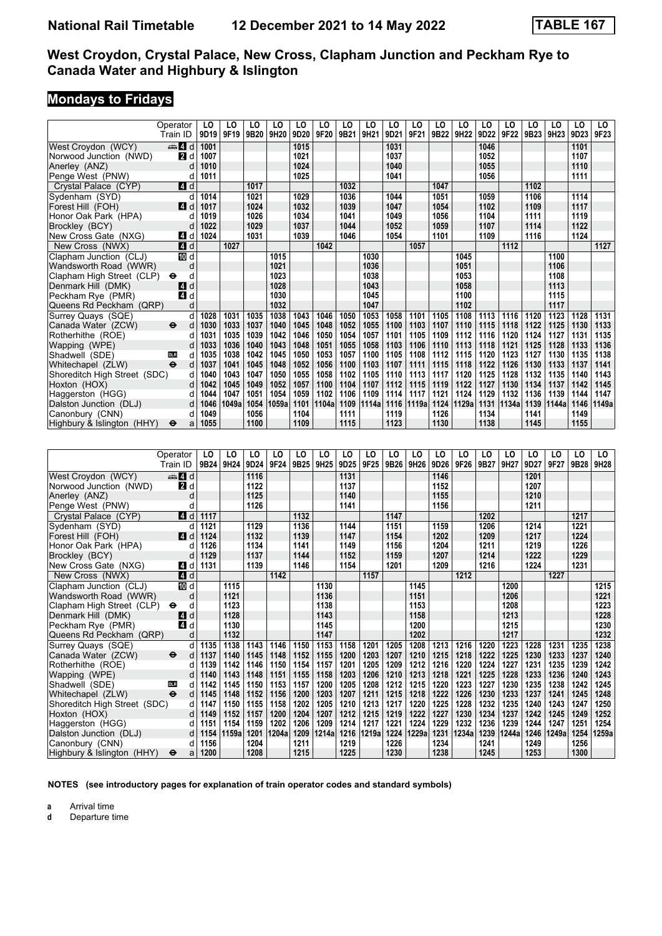#### **Mondays to Fridays**

| 9D20<br>9F20<br>9B21<br>9H21<br>9D21<br>9F21<br>9B22<br>9H22<br>9D22<br>9F23<br>9D19<br>9F19<br>9B20<br>9H20<br>9F22<br>9B23<br>9H23<br>9D23<br>Train ID<br>West Croydon (WCY)<br>de 4 d<br>1001<br>1015<br>1031<br>1046<br>1101<br>Norwood Junction (NWD)<br><b>2</b> d<br>1007<br>1021<br>1037<br>1052<br>1107<br>1010<br>1024<br>1040<br>1055<br>1110<br>Anerley (ANZ)<br>d<br>1025<br>1041<br>1011<br>1056<br>1111<br>Penge West (PNW)<br>d<br>1017<br>1032<br>Crystal Palace (CYP)<br>4 d<br>1047<br>1102<br>Sydenham (SYD)<br>1014<br>1021<br>1029<br>1036<br>1044<br>1051<br>1106<br>1114<br>d<br>1059<br>1024<br>1032<br>1039<br>1047<br>1109<br>1117<br>Forest Hill (FOH)<br>ZI d<br>1017<br>1054<br>1102<br>1026<br>1019<br>1034<br>1041<br>1049<br>1056<br>1104<br>1111<br>1119<br>Honor Oak Park (HPA)<br>d<br>1029<br>1044<br>1122<br>Brockley (BCY)<br>1022<br>1037<br>1052<br>1059<br>1107<br>1114<br>d<br>1031<br>New Cross Gate (NXG)<br>41 d<br>1024<br>1039<br>1046<br>1054<br>1101<br>1109<br>1116<br>1124<br>$\blacksquare$ d<br>1027<br>1042<br>1112<br>1127<br>New Cross (NWX)<br>1057<br>1100<br>Clapham Junction (CLJ)<br>IM d<br>1015<br>1030<br>1045<br>d<br>1021<br>1036<br>1051<br>1106<br>Wandsworth Road (WWR)<br>1023<br>1053<br>1108<br>Clapham High Street (CLP)<br>d<br>1038<br>٠<br>4 d<br>1113<br>Denmark Hill (DMK)<br>1028<br>1043<br>1058<br>Peckham Rye (PMR)<br>1030<br>1045<br>1100<br>1115<br>4 d<br>1117<br>1032<br>1047<br>1102<br>Queens Rd Peckham (QRP)<br>d<br>1123<br>1131<br>1028<br>1031<br>1035<br>1038<br>1043<br>1046<br>1050<br>1053<br>1058<br>1101<br>1105<br>1108<br>1113<br>1116<br>1120<br>1128<br>Surrey Quays (SQE)<br>d<br>1107<br>1125<br>1130<br>Canada Water (ZCW)<br>d<br>1030<br>1033<br>1037<br>1040<br>1045<br>1048<br>1052<br>1055<br>1100<br>1103<br>1110<br>1115<br>1118<br>1122<br>1133<br>⊖<br>1031<br>1035<br>1039<br>1042<br>1046<br>1050<br>1054<br>1057<br>1101<br>1105<br>1109<br>1112<br>1116<br>1120<br>1124<br>1127<br>1131<br>1135<br>Rotherhithe (ROE)<br>d<br>1033<br>1036<br>1040<br>1043<br>1048<br>1051<br>1055<br>1058<br>1103<br>1106<br>1110<br>1113<br>1121<br>1125<br>1128<br>1133<br>1136<br>Wapping (WPE)<br>d<br>1118<br>1050<br>1057<br>1138<br>1035<br>1038<br>1042<br>1045<br>1053<br>1100<br>1105<br>1108<br>1112<br>1115<br>1120<br>1123<br>1127<br>1130<br>1135<br>Shadwell (SDE)<br>d<br><b>DLR</b><br>$\ddot{\mathbf{e}}$<br>Whitechapel (ZLW)<br>d<br>1037<br>1041<br>1045<br>1048<br>1052<br>1056<br>1100<br>1103<br>1107<br>1111<br>1115<br>1118<br>1122<br>1126<br>1130<br>1133<br>1137<br>1141<br>1055<br>1058<br>1128<br>1135<br>1143<br>Shoreditch High Street (SDC)<br>d<br>1040<br>1043<br>1047<br>1050<br>1102<br>1105<br>1110<br>1113<br>1117<br>1120<br>1125<br>1132<br>1140<br>1042<br>1049<br>1052<br>1057<br>1100<br>1104<br>1115<br>1122<br>1127<br>1130<br>1134<br>1137<br>1142<br>1145<br>Hoxton (HOX)<br>d<br>1045<br>1107<br>1112<br>1119<br>1044<br>1047<br>1051<br>1054<br>1059<br>1102<br>1106<br>1109<br>1114<br>1121<br>1124<br>1129<br>1132<br>1136<br>1139<br>1144<br>1147<br>Haggerston (HGG)<br>d<br>1117<br>1101<br>1109<br>Dalston Junction (DLJ)<br>d<br>1046<br>1049a<br>1054<br>1059a<br>1104a<br>1114a<br>1116<br>1119a<br>1124<br>1129a<br>1131<br>1134a<br>1139<br>1144a<br>1146<br>1149a<br>1049<br>1056<br>1104<br>1111<br>1126<br>1141<br>1149<br>Canonbury (CNN)<br>d<br>1119<br>1134<br>1055<br>1100<br>1109<br>1115<br>1123<br>1130<br>1138<br>1145<br>1155<br>Highbury & Islington (HHY)<br>$\bullet$<br>a<br>LO<br>LO<br>LO<br>LO<br>LO<br>LO<br>LO<br>LO<br>LO<br>LO<br>LO<br>LO<br>LO<br>LO<br>LO<br>LO<br>LO<br>LO.<br>Operator<br>9B24 9H24<br>9D24<br>9F24<br>9B25 9H25<br>9D25<br>9F25<br>9B26<br>9H26<br>9D26<br>9F26<br>9B27<br>9H27<br>9D27<br>9F27<br>9B28<br>9H28<br>Train ID<br>West Crovdon (WCY)<br>£Jd<br>1116<br>1131<br>1146<br>1201<br>1122<br>1137<br>Norwood Junction (NWD)<br><b>2</b> d<br>1152<br>1207<br>1125<br>1140<br>1210<br>1155<br>Anerley (ANZ)<br>d<br>1126<br>1141<br>1156<br>1211<br>Penge West (PNW)<br>d<br>4 d<br>1132<br>1147<br>1202<br>1217<br>Crystal Palace (CYP)<br>1117<br>1121<br>1129<br>1136<br>1144<br>1151<br>1221<br>Sydenham (SYD)<br>1159<br>1206<br>1214<br>d<br>1124<br>1132<br>1139<br>1147<br>1154<br>1202<br>1209<br>1217<br>1224<br>Forest Hill (FOH)<br>ZI d<br>1134<br>1141<br>1156<br>1226<br>Honor Oak Park (HPA)<br>1126<br>1149<br>1204<br>1211<br>1219<br>d<br>1129<br>1137<br>1144<br>1152<br>1222<br>1229<br>1159<br>1207<br>1214<br>Brockley (BCY)<br>d |                      | Operator | LO   | LO | LO   | LO | LO   | LO | LO   | LO | LO   | LO | LO   | LO | LO   | LO | LO   | LO | LO   | LO |
|-------------------------------------------------------------------------------------------------------------------------------------------------------------------------------------------------------------------------------------------------------------------------------------------------------------------------------------------------------------------------------------------------------------------------------------------------------------------------------------------------------------------------------------------------------------------------------------------------------------------------------------------------------------------------------------------------------------------------------------------------------------------------------------------------------------------------------------------------------------------------------------------------------------------------------------------------------------------------------------------------------------------------------------------------------------------------------------------------------------------------------------------------------------------------------------------------------------------------------------------------------------------------------------------------------------------------------------------------------------------------------------------------------------------------------------------------------------------------------------------------------------------------------------------------------------------------------------------------------------------------------------------------------------------------------------------------------------------------------------------------------------------------------------------------------------------------------------------------------------------------------------------------------------------------------------------------------------------------------------------------------------------------------------------------------------------------------------------------------------------------------------------------------------------------------------------------------------------------------------------------------------------------------------------------------------------------------------------------------------------------------------------------------------------------------------------------------------------------------------------------------------------------------------------------------------------------------------------------------------------------------------------------------------------------------------------------------------------------------------------------------------------------------------------------------------------------------------------------------------------------------------------------------------------------------------------------------------------------------------------------------------------------------------------------------------------------------------------------------------------------------------------------------------------------------------------------------------------------------------------------------------------------------------------------------------------------------------------------------------------------------------------------------------------------------------------------------------------------------------------------------------------------------------------------------------------------------------------------------------------------------------------------------------------------------------------------------------------------------------------------------------------------------------------------------------------------------------------------------------------------------------------------------------------------------------------------------------------------------------------------------------------------------------------------------------------------------------------------------------------------------------------------------------------------------------------------------------------------------------------------------------------------------------------------------------------------------------------------------------------------------------------------------------------------------------------------------------------------------------------------------------------------------------------------------------------------------------|----------------------|----------|------|----|------|----|------|----|------|----|------|----|------|----|------|----|------|----|------|----|
|                                                                                                                                                                                                                                                                                                                                                                                                                                                                                                                                                                                                                                                                                                                                                                                                                                                                                                                                                                                                                                                                                                                                                                                                                                                                                                                                                                                                                                                                                                                                                                                                                                                                                                                                                                                                                                                                                                                                                                                                                                                                                                                                                                                                                                                                                                                                                                                                                                                                                                                                                                                                                                                                                                                                                                                                                                                                                                                                                                                                                                                                                                                                                                                                                                                                                                                                                                                                                                                                                                                                                                                                                                                                                                                                                                                                                                                                                                                                                                                                                                                                                                                                                                                                                                                                                                                                                                                                                                                                                                                                                                                     |                      |          |      |    |      |    |      |    |      |    |      |    |      |    |      |    |      |    |      |    |
|                                                                                                                                                                                                                                                                                                                                                                                                                                                                                                                                                                                                                                                                                                                                                                                                                                                                                                                                                                                                                                                                                                                                                                                                                                                                                                                                                                                                                                                                                                                                                                                                                                                                                                                                                                                                                                                                                                                                                                                                                                                                                                                                                                                                                                                                                                                                                                                                                                                                                                                                                                                                                                                                                                                                                                                                                                                                                                                                                                                                                                                                                                                                                                                                                                                                                                                                                                                                                                                                                                                                                                                                                                                                                                                                                                                                                                                                                                                                                                                                                                                                                                                                                                                                                                                                                                                                                                                                                                                                                                                                                                                     |                      |          |      |    |      |    |      |    |      |    |      |    |      |    |      |    |      |    |      |    |
|                                                                                                                                                                                                                                                                                                                                                                                                                                                                                                                                                                                                                                                                                                                                                                                                                                                                                                                                                                                                                                                                                                                                                                                                                                                                                                                                                                                                                                                                                                                                                                                                                                                                                                                                                                                                                                                                                                                                                                                                                                                                                                                                                                                                                                                                                                                                                                                                                                                                                                                                                                                                                                                                                                                                                                                                                                                                                                                                                                                                                                                                                                                                                                                                                                                                                                                                                                                                                                                                                                                                                                                                                                                                                                                                                                                                                                                                                                                                                                                                                                                                                                                                                                                                                                                                                                                                                                                                                                                                                                                                                                                     |                      |          |      |    |      |    |      |    |      |    |      |    |      |    |      |    |      |    |      |    |
|                                                                                                                                                                                                                                                                                                                                                                                                                                                                                                                                                                                                                                                                                                                                                                                                                                                                                                                                                                                                                                                                                                                                                                                                                                                                                                                                                                                                                                                                                                                                                                                                                                                                                                                                                                                                                                                                                                                                                                                                                                                                                                                                                                                                                                                                                                                                                                                                                                                                                                                                                                                                                                                                                                                                                                                                                                                                                                                                                                                                                                                                                                                                                                                                                                                                                                                                                                                                                                                                                                                                                                                                                                                                                                                                                                                                                                                                                                                                                                                                                                                                                                                                                                                                                                                                                                                                                                                                                                                                                                                                                                                     |                      |          |      |    |      |    |      |    |      |    |      |    |      |    |      |    |      |    |      |    |
|                                                                                                                                                                                                                                                                                                                                                                                                                                                                                                                                                                                                                                                                                                                                                                                                                                                                                                                                                                                                                                                                                                                                                                                                                                                                                                                                                                                                                                                                                                                                                                                                                                                                                                                                                                                                                                                                                                                                                                                                                                                                                                                                                                                                                                                                                                                                                                                                                                                                                                                                                                                                                                                                                                                                                                                                                                                                                                                                                                                                                                                                                                                                                                                                                                                                                                                                                                                                                                                                                                                                                                                                                                                                                                                                                                                                                                                                                                                                                                                                                                                                                                                                                                                                                                                                                                                                                                                                                                                                                                                                                                                     |                      |          |      |    |      |    |      |    |      |    |      |    |      |    |      |    |      |    |      |    |
|                                                                                                                                                                                                                                                                                                                                                                                                                                                                                                                                                                                                                                                                                                                                                                                                                                                                                                                                                                                                                                                                                                                                                                                                                                                                                                                                                                                                                                                                                                                                                                                                                                                                                                                                                                                                                                                                                                                                                                                                                                                                                                                                                                                                                                                                                                                                                                                                                                                                                                                                                                                                                                                                                                                                                                                                                                                                                                                                                                                                                                                                                                                                                                                                                                                                                                                                                                                                                                                                                                                                                                                                                                                                                                                                                                                                                                                                                                                                                                                                                                                                                                                                                                                                                                                                                                                                                                                                                                                                                                                                                                                     |                      |          |      |    |      |    |      |    |      |    |      |    |      |    |      |    |      |    |      |    |
|                                                                                                                                                                                                                                                                                                                                                                                                                                                                                                                                                                                                                                                                                                                                                                                                                                                                                                                                                                                                                                                                                                                                                                                                                                                                                                                                                                                                                                                                                                                                                                                                                                                                                                                                                                                                                                                                                                                                                                                                                                                                                                                                                                                                                                                                                                                                                                                                                                                                                                                                                                                                                                                                                                                                                                                                                                                                                                                                                                                                                                                                                                                                                                                                                                                                                                                                                                                                                                                                                                                                                                                                                                                                                                                                                                                                                                                                                                                                                                                                                                                                                                                                                                                                                                                                                                                                                                                                                                                                                                                                                                                     |                      |          |      |    |      |    |      |    |      |    |      |    |      |    |      |    |      |    |      |    |
|                                                                                                                                                                                                                                                                                                                                                                                                                                                                                                                                                                                                                                                                                                                                                                                                                                                                                                                                                                                                                                                                                                                                                                                                                                                                                                                                                                                                                                                                                                                                                                                                                                                                                                                                                                                                                                                                                                                                                                                                                                                                                                                                                                                                                                                                                                                                                                                                                                                                                                                                                                                                                                                                                                                                                                                                                                                                                                                                                                                                                                                                                                                                                                                                                                                                                                                                                                                                                                                                                                                                                                                                                                                                                                                                                                                                                                                                                                                                                                                                                                                                                                                                                                                                                                                                                                                                                                                                                                                                                                                                                                                     |                      |          |      |    |      |    |      |    |      |    |      |    |      |    |      |    |      |    |      |    |
|                                                                                                                                                                                                                                                                                                                                                                                                                                                                                                                                                                                                                                                                                                                                                                                                                                                                                                                                                                                                                                                                                                                                                                                                                                                                                                                                                                                                                                                                                                                                                                                                                                                                                                                                                                                                                                                                                                                                                                                                                                                                                                                                                                                                                                                                                                                                                                                                                                                                                                                                                                                                                                                                                                                                                                                                                                                                                                                                                                                                                                                                                                                                                                                                                                                                                                                                                                                                                                                                                                                                                                                                                                                                                                                                                                                                                                                                                                                                                                                                                                                                                                                                                                                                                                                                                                                                                                                                                                                                                                                                                                                     |                      |          |      |    |      |    |      |    |      |    |      |    |      |    |      |    |      |    |      |    |
|                                                                                                                                                                                                                                                                                                                                                                                                                                                                                                                                                                                                                                                                                                                                                                                                                                                                                                                                                                                                                                                                                                                                                                                                                                                                                                                                                                                                                                                                                                                                                                                                                                                                                                                                                                                                                                                                                                                                                                                                                                                                                                                                                                                                                                                                                                                                                                                                                                                                                                                                                                                                                                                                                                                                                                                                                                                                                                                                                                                                                                                                                                                                                                                                                                                                                                                                                                                                                                                                                                                                                                                                                                                                                                                                                                                                                                                                                                                                                                                                                                                                                                                                                                                                                                                                                                                                                                                                                                                                                                                                                                                     |                      |          |      |    |      |    |      |    |      |    |      |    |      |    |      |    |      |    |      |    |
|                                                                                                                                                                                                                                                                                                                                                                                                                                                                                                                                                                                                                                                                                                                                                                                                                                                                                                                                                                                                                                                                                                                                                                                                                                                                                                                                                                                                                                                                                                                                                                                                                                                                                                                                                                                                                                                                                                                                                                                                                                                                                                                                                                                                                                                                                                                                                                                                                                                                                                                                                                                                                                                                                                                                                                                                                                                                                                                                                                                                                                                                                                                                                                                                                                                                                                                                                                                                                                                                                                                                                                                                                                                                                                                                                                                                                                                                                                                                                                                                                                                                                                                                                                                                                                                                                                                                                                                                                                                                                                                                                                                     |                      |          |      |    |      |    |      |    |      |    |      |    |      |    |      |    |      |    |      |    |
|                                                                                                                                                                                                                                                                                                                                                                                                                                                                                                                                                                                                                                                                                                                                                                                                                                                                                                                                                                                                                                                                                                                                                                                                                                                                                                                                                                                                                                                                                                                                                                                                                                                                                                                                                                                                                                                                                                                                                                                                                                                                                                                                                                                                                                                                                                                                                                                                                                                                                                                                                                                                                                                                                                                                                                                                                                                                                                                                                                                                                                                                                                                                                                                                                                                                                                                                                                                                                                                                                                                                                                                                                                                                                                                                                                                                                                                                                                                                                                                                                                                                                                                                                                                                                                                                                                                                                                                                                                                                                                                                                                                     |                      |          |      |    |      |    |      |    |      |    |      |    |      |    |      |    |      |    |      |    |
|                                                                                                                                                                                                                                                                                                                                                                                                                                                                                                                                                                                                                                                                                                                                                                                                                                                                                                                                                                                                                                                                                                                                                                                                                                                                                                                                                                                                                                                                                                                                                                                                                                                                                                                                                                                                                                                                                                                                                                                                                                                                                                                                                                                                                                                                                                                                                                                                                                                                                                                                                                                                                                                                                                                                                                                                                                                                                                                                                                                                                                                                                                                                                                                                                                                                                                                                                                                                                                                                                                                                                                                                                                                                                                                                                                                                                                                                                                                                                                                                                                                                                                                                                                                                                                                                                                                                                                                                                                                                                                                                                                                     |                      |          |      |    |      |    |      |    |      |    |      |    |      |    |      |    |      |    |      |    |
|                                                                                                                                                                                                                                                                                                                                                                                                                                                                                                                                                                                                                                                                                                                                                                                                                                                                                                                                                                                                                                                                                                                                                                                                                                                                                                                                                                                                                                                                                                                                                                                                                                                                                                                                                                                                                                                                                                                                                                                                                                                                                                                                                                                                                                                                                                                                                                                                                                                                                                                                                                                                                                                                                                                                                                                                                                                                                                                                                                                                                                                                                                                                                                                                                                                                                                                                                                                                                                                                                                                                                                                                                                                                                                                                                                                                                                                                                                                                                                                                                                                                                                                                                                                                                                                                                                                                                                                                                                                                                                                                                                                     |                      |          |      |    |      |    |      |    |      |    |      |    |      |    |      |    |      |    |      |    |
|                                                                                                                                                                                                                                                                                                                                                                                                                                                                                                                                                                                                                                                                                                                                                                                                                                                                                                                                                                                                                                                                                                                                                                                                                                                                                                                                                                                                                                                                                                                                                                                                                                                                                                                                                                                                                                                                                                                                                                                                                                                                                                                                                                                                                                                                                                                                                                                                                                                                                                                                                                                                                                                                                                                                                                                                                                                                                                                                                                                                                                                                                                                                                                                                                                                                                                                                                                                                                                                                                                                                                                                                                                                                                                                                                                                                                                                                                                                                                                                                                                                                                                                                                                                                                                                                                                                                                                                                                                                                                                                                                                                     |                      |          |      |    |      |    |      |    |      |    |      |    |      |    |      |    |      |    |      |    |
|                                                                                                                                                                                                                                                                                                                                                                                                                                                                                                                                                                                                                                                                                                                                                                                                                                                                                                                                                                                                                                                                                                                                                                                                                                                                                                                                                                                                                                                                                                                                                                                                                                                                                                                                                                                                                                                                                                                                                                                                                                                                                                                                                                                                                                                                                                                                                                                                                                                                                                                                                                                                                                                                                                                                                                                                                                                                                                                                                                                                                                                                                                                                                                                                                                                                                                                                                                                                                                                                                                                                                                                                                                                                                                                                                                                                                                                                                                                                                                                                                                                                                                                                                                                                                                                                                                                                                                                                                                                                                                                                                                                     |                      |          |      |    |      |    |      |    |      |    |      |    |      |    |      |    |      |    |      |    |
|                                                                                                                                                                                                                                                                                                                                                                                                                                                                                                                                                                                                                                                                                                                                                                                                                                                                                                                                                                                                                                                                                                                                                                                                                                                                                                                                                                                                                                                                                                                                                                                                                                                                                                                                                                                                                                                                                                                                                                                                                                                                                                                                                                                                                                                                                                                                                                                                                                                                                                                                                                                                                                                                                                                                                                                                                                                                                                                                                                                                                                                                                                                                                                                                                                                                                                                                                                                                                                                                                                                                                                                                                                                                                                                                                                                                                                                                                                                                                                                                                                                                                                                                                                                                                                                                                                                                                                                                                                                                                                                                                                                     |                      |          |      |    |      |    |      |    |      |    |      |    |      |    |      |    |      |    |      |    |
|                                                                                                                                                                                                                                                                                                                                                                                                                                                                                                                                                                                                                                                                                                                                                                                                                                                                                                                                                                                                                                                                                                                                                                                                                                                                                                                                                                                                                                                                                                                                                                                                                                                                                                                                                                                                                                                                                                                                                                                                                                                                                                                                                                                                                                                                                                                                                                                                                                                                                                                                                                                                                                                                                                                                                                                                                                                                                                                                                                                                                                                                                                                                                                                                                                                                                                                                                                                                                                                                                                                                                                                                                                                                                                                                                                                                                                                                                                                                                                                                                                                                                                                                                                                                                                                                                                                                                                                                                                                                                                                                                                                     |                      |          |      |    |      |    |      |    |      |    |      |    |      |    |      |    |      |    |      |    |
|                                                                                                                                                                                                                                                                                                                                                                                                                                                                                                                                                                                                                                                                                                                                                                                                                                                                                                                                                                                                                                                                                                                                                                                                                                                                                                                                                                                                                                                                                                                                                                                                                                                                                                                                                                                                                                                                                                                                                                                                                                                                                                                                                                                                                                                                                                                                                                                                                                                                                                                                                                                                                                                                                                                                                                                                                                                                                                                                                                                                                                                                                                                                                                                                                                                                                                                                                                                                                                                                                                                                                                                                                                                                                                                                                                                                                                                                                                                                                                                                                                                                                                                                                                                                                                                                                                                                                                                                                                                                                                                                                                                     |                      |          |      |    |      |    |      |    |      |    |      |    |      |    |      |    |      |    |      |    |
|                                                                                                                                                                                                                                                                                                                                                                                                                                                                                                                                                                                                                                                                                                                                                                                                                                                                                                                                                                                                                                                                                                                                                                                                                                                                                                                                                                                                                                                                                                                                                                                                                                                                                                                                                                                                                                                                                                                                                                                                                                                                                                                                                                                                                                                                                                                                                                                                                                                                                                                                                                                                                                                                                                                                                                                                                                                                                                                                                                                                                                                                                                                                                                                                                                                                                                                                                                                                                                                                                                                                                                                                                                                                                                                                                                                                                                                                                                                                                                                                                                                                                                                                                                                                                                                                                                                                                                                                                                                                                                                                                                                     |                      |          |      |    |      |    |      |    |      |    |      |    |      |    |      |    |      |    |      |    |
|                                                                                                                                                                                                                                                                                                                                                                                                                                                                                                                                                                                                                                                                                                                                                                                                                                                                                                                                                                                                                                                                                                                                                                                                                                                                                                                                                                                                                                                                                                                                                                                                                                                                                                                                                                                                                                                                                                                                                                                                                                                                                                                                                                                                                                                                                                                                                                                                                                                                                                                                                                                                                                                                                                                                                                                                                                                                                                                                                                                                                                                                                                                                                                                                                                                                                                                                                                                                                                                                                                                                                                                                                                                                                                                                                                                                                                                                                                                                                                                                                                                                                                                                                                                                                                                                                                                                                                                                                                                                                                                                                                                     |                      |          |      |    |      |    |      |    |      |    |      |    |      |    |      |    |      |    |      |    |
|                                                                                                                                                                                                                                                                                                                                                                                                                                                                                                                                                                                                                                                                                                                                                                                                                                                                                                                                                                                                                                                                                                                                                                                                                                                                                                                                                                                                                                                                                                                                                                                                                                                                                                                                                                                                                                                                                                                                                                                                                                                                                                                                                                                                                                                                                                                                                                                                                                                                                                                                                                                                                                                                                                                                                                                                                                                                                                                                                                                                                                                                                                                                                                                                                                                                                                                                                                                                                                                                                                                                                                                                                                                                                                                                                                                                                                                                                                                                                                                                                                                                                                                                                                                                                                                                                                                                                                                                                                                                                                                                                                                     |                      |          |      |    |      |    |      |    |      |    |      |    |      |    |      |    |      |    |      |    |
|                                                                                                                                                                                                                                                                                                                                                                                                                                                                                                                                                                                                                                                                                                                                                                                                                                                                                                                                                                                                                                                                                                                                                                                                                                                                                                                                                                                                                                                                                                                                                                                                                                                                                                                                                                                                                                                                                                                                                                                                                                                                                                                                                                                                                                                                                                                                                                                                                                                                                                                                                                                                                                                                                                                                                                                                                                                                                                                                                                                                                                                                                                                                                                                                                                                                                                                                                                                                                                                                                                                                                                                                                                                                                                                                                                                                                                                                                                                                                                                                                                                                                                                                                                                                                                                                                                                                                                                                                                                                                                                                                                                     |                      |          |      |    |      |    |      |    |      |    |      |    |      |    |      |    |      |    |      |    |
|                                                                                                                                                                                                                                                                                                                                                                                                                                                                                                                                                                                                                                                                                                                                                                                                                                                                                                                                                                                                                                                                                                                                                                                                                                                                                                                                                                                                                                                                                                                                                                                                                                                                                                                                                                                                                                                                                                                                                                                                                                                                                                                                                                                                                                                                                                                                                                                                                                                                                                                                                                                                                                                                                                                                                                                                                                                                                                                                                                                                                                                                                                                                                                                                                                                                                                                                                                                                                                                                                                                                                                                                                                                                                                                                                                                                                                                                                                                                                                                                                                                                                                                                                                                                                                                                                                                                                                                                                                                                                                                                                                                     |                      |          |      |    |      |    |      |    |      |    |      |    |      |    |      |    |      |    |      |    |
|                                                                                                                                                                                                                                                                                                                                                                                                                                                                                                                                                                                                                                                                                                                                                                                                                                                                                                                                                                                                                                                                                                                                                                                                                                                                                                                                                                                                                                                                                                                                                                                                                                                                                                                                                                                                                                                                                                                                                                                                                                                                                                                                                                                                                                                                                                                                                                                                                                                                                                                                                                                                                                                                                                                                                                                                                                                                                                                                                                                                                                                                                                                                                                                                                                                                                                                                                                                                                                                                                                                                                                                                                                                                                                                                                                                                                                                                                                                                                                                                                                                                                                                                                                                                                                                                                                                                                                                                                                                                                                                                                                                     |                      |          |      |    |      |    |      |    |      |    |      |    |      |    |      |    |      |    |      |    |
|                                                                                                                                                                                                                                                                                                                                                                                                                                                                                                                                                                                                                                                                                                                                                                                                                                                                                                                                                                                                                                                                                                                                                                                                                                                                                                                                                                                                                                                                                                                                                                                                                                                                                                                                                                                                                                                                                                                                                                                                                                                                                                                                                                                                                                                                                                                                                                                                                                                                                                                                                                                                                                                                                                                                                                                                                                                                                                                                                                                                                                                                                                                                                                                                                                                                                                                                                                                                                                                                                                                                                                                                                                                                                                                                                                                                                                                                                                                                                                                                                                                                                                                                                                                                                                                                                                                                                                                                                                                                                                                                                                                     |                      |          |      |    |      |    |      |    |      |    |      |    |      |    |      |    |      |    |      |    |
|                                                                                                                                                                                                                                                                                                                                                                                                                                                                                                                                                                                                                                                                                                                                                                                                                                                                                                                                                                                                                                                                                                                                                                                                                                                                                                                                                                                                                                                                                                                                                                                                                                                                                                                                                                                                                                                                                                                                                                                                                                                                                                                                                                                                                                                                                                                                                                                                                                                                                                                                                                                                                                                                                                                                                                                                                                                                                                                                                                                                                                                                                                                                                                                                                                                                                                                                                                                                                                                                                                                                                                                                                                                                                                                                                                                                                                                                                                                                                                                                                                                                                                                                                                                                                                                                                                                                                                                                                                                                                                                                                                                     |                      |          |      |    |      |    |      |    |      |    |      |    |      |    |      |    |      |    |      |    |
|                                                                                                                                                                                                                                                                                                                                                                                                                                                                                                                                                                                                                                                                                                                                                                                                                                                                                                                                                                                                                                                                                                                                                                                                                                                                                                                                                                                                                                                                                                                                                                                                                                                                                                                                                                                                                                                                                                                                                                                                                                                                                                                                                                                                                                                                                                                                                                                                                                                                                                                                                                                                                                                                                                                                                                                                                                                                                                                                                                                                                                                                                                                                                                                                                                                                                                                                                                                                                                                                                                                                                                                                                                                                                                                                                                                                                                                                                                                                                                                                                                                                                                                                                                                                                                                                                                                                                                                                                                                                                                                                                                                     |                      |          |      |    |      |    |      |    |      |    |      |    |      |    |      |    |      |    |      |    |
|                                                                                                                                                                                                                                                                                                                                                                                                                                                                                                                                                                                                                                                                                                                                                                                                                                                                                                                                                                                                                                                                                                                                                                                                                                                                                                                                                                                                                                                                                                                                                                                                                                                                                                                                                                                                                                                                                                                                                                                                                                                                                                                                                                                                                                                                                                                                                                                                                                                                                                                                                                                                                                                                                                                                                                                                                                                                                                                                                                                                                                                                                                                                                                                                                                                                                                                                                                                                                                                                                                                                                                                                                                                                                                                                                                                                                                                                                                                                                                                                                                                                                                                                                                                                                                                                                                                                                                                                                                                                                                                                                                                     |                      |          |      |    |      |    |      |    |      |    |      |    |      |    |      |    |      |    |      |    |
|                                                                                                                                                                                                                                                                                                                                                                                                                                                                                                                                                                                                                                                                                                                                                                                                                                                                                                                                                                                                                                                                                                                                                                                                                                                                                                                                                                                                                                                                                                                                                                                                                                                                                                                                                                                                                                                                                                                                                                                                                                                                                                                                                                                                                                                                                                                                                                                                                                                                                                                                                                                                                                                                                                                                                                                                                                                                                                                                                                                                                                                                                                                                                                                                                                                                                                                                                                                                                                                                                                                                                                                                                                                                                                                                                                                                                                                                                                                                                                                                                                                                                                                                                                                                                                                                                                                                                                                                                                                                                                                                                                                     |                      |          |      |    |      |    |      |    |      |    |      |    |      |    |      |    |      |    |      |    |
|                                                                                                                                                                                                                                                                                                                                                                                                                                                                                                                                                                                                                                                                                                                                                                                                                                                                                                                                                                                                                                                                                                                                                                                                                                                                                                                                                                                                                                                                                                                                                                                                                                                                                                                                                                                                                                                                                                                                                                                                                                                                                                                                                                                                                                                                                                                                                                                                                                                                                                                                                                                                                                                                                                                                                                                                                                                                                                                                                                                                                                                                                                                                                                                                                                                                                                                                                                                                                                                                                                                                                                                                                                                                                                                                                                                                                                                                                                                                                                                                                                                                                                                                                                                                                                                                                                                                                                                                                                                                                                                                                                                     |                      |          |      |    |      |    |      |    |      |    |      |    |      |    |      |    |      |    |      |    |
|                                                                                                                                                                                                                                                                                                                                                                                                                                                                                                                                                                                                                                                                                                                                                                                                                                                                                                                                                                                                                                                                                                                                                                                                                                                                                                                                                                                                                                                                                                                                                                                                                                                                                                                                                                                                                                                                                                                                                                                                                                                                                                                                                                                                                                                                                                                                                                                                                                                                                                                                                                                                                                                                                                                                                                                                                                                                                                                                                                                                                                                                                                                                                                                                                                                                                                                                                                                                                                                                                                                                                                                                                                                                                                                                                                                                                                                                                                                                                                                                                                                                                                                                                                                                                                                                                                                                                                                                                                                                                                                                                                                     |                      |          |      |    |      |    |      |    |      |    |      |    |      |    |      |    |      |    |      |    |
|                                                                                                                                                                                                                                                                                                                                                                                                                                                                                                                                                                                                                                                                                                                                                                                                                                                                                                                                                                                                                                                                                                                                                                                                                                                                                                                                                                                                                                                                                                                                                                                                                                                                                                                                                                                                                                                                                                                                                                                                                                                                                                                                                                                                                                                                                                                                                                                                                                                                                                                                                                                                                                                                                                                                                                                                                                                                                                                                                                                                                                                                                                                                                                                                                                                                                                                                                                                                                                                                                                                                                                                                                                                                                                                                                                                                                                                                                                                                                                                                                                                                                                                                                                                                                                                                                                                                                                                                                                                                                                                                                                                     |                      |          |      |    |      |    |      |    |      |    |      |    |      |    |      |    |      |    |      |    |
|                                                                                                                                                                                                                                                                                                                                                                                                                                                                                                                                                                                                                                                                                                                                                                                                                                                                                                                                                                                                                                                                                                                                                                                                                                                                                                                                                                                                                                                                                                                                                                                                                                                                                                                                                                                                                                                                                                                                                                                                                                                                                                                                                                                                                                                                                                                                                                                                                                                                                                                                                                                                                                                                                                                                                                                                                                                                                                                                                                                                                                                                                                                                                                                                                                                                                                                                                                                                                                                                                                                                                                                                                                                                                                                                                                                                                                                                                                                                                                                                                                                                                                                                                                                                                                                                                                                                                                                                                                                                                                                                                                                     |                      |          |      |    |      |    |      |    |      |    |      |    |      |    |      |    |      |    |      |    |
|                                                                                                                                                                                                                                                                                                                                                                                                                                                                                                                                                                                                                                                                                                                                                                                                                                                                                                                                                                                                                                                                                                                                                                                                                                                                                                                                                                                                                                                                                                                                                                                                                                                                                                                                                                                                                                                                                                                                                                                                                                                                                                                                                                                                                                                                                                                                                                                                                                                                                                                                                                                                                                                                                                                                                                                                                                                                                                                                                                                                                                                                                                                                                                                                                                                                                                                                                                                                                                                                                                                                                                                                                                                                                                                                                                                                                                                                                                                                                                                                                                                                                                                                                                                                                                                                                                                                                                                                                                                                                                                                                                                     |                      |          |      |    |      |    |      |    |      |    |      |    |      |    |      |    |      |    |      |    |
|                                                                                                                                                                                                                                                                                                                                                                                                                                                                                                                                                                                                                                                                                                                                                                                                                                                                                                                                                                                                                                                                                                                                                                                                                                                                                                                                                                                                                                                                                                                                                                                                                                                                                                                                                                                                                                                                                                                                                                                                                                                                                                                                                                                                                                                                                                                                                                                                                                                                                                                                                                                                                                                                                                                                                                                                                                                                                                                                                                                                                                                                                                                                                                                                                                                                                                                                                                                                                                                                                                                                                                                                                                                                                                                                                                                                                                                                                                                                                                                                                                                                                                                                                                                                                                                                                                                                                                                                                                                                                                                                                                                     |                      |          |      |    |      |    |      |    |      |    |      |    |      |    |      |    |      |    |      |    |
|                                                                                                                                                                                                                                                                                                                                                                                                                                                                                                                                                                                                                                                                                                                                                                                                                                                                                                                                                                                                                                                                                                                                                                                                                                                                                                                                                                                                                                                                                                                                                                                                                                                                                                                                                                                                                                                                                                                                                                                                                                                                                                                                                                                                                                                                                                                                                                                                                                                                                                                                                                                                                                                                                                                                                                                                                                                                                                                                                                                                                                                                                                                                                                                                                                                                                                                                                                                                                                                                                                                                                                                                                                                                                                                                                                                                                                                                                                                                                                                                                                                                                                                                                                                                                                                                                                                                                                                                                                                                                                                                                                                     |                      |          |      |    |      |    |      |    |      |    |      |    |      |    |      |    |      |    |      |    |
|                                                                                                                                                                                                                                                                                                                                                                                                                                                                                                                                                                                                                                                                                                                                                                                                                                                                                                                                                                                                                                                                                                                                                                                                                                                                                                                                                                                                                                                                                                                                                                                                                                                                                                                                                                                                                                                                                                                                                                                                                                                                                                                                                                                                                                                                                                                                                                                                                                                                                                                                                                                                                                                                                                                                                                                                                                                                                                                                                                                                                                                                                                                                                                                                                                                                                                                                                                                                                                                                                                                                                                                                                                                                                                                                                                                                                                                                                                                                                                                                                                                                                                                                                                                                                                                                                                                                                                                                                                                                                                                                                                                     |                      |          |      |    |      |    |      |    |      |    |      |    |      |    |      |    |      |    |      |    |
|                                                                                                                                                                                                                                                                                                                                                                                                                                                                                                                                                                                                                                                                                                                                                                                                                                                                                                                                                                                                                                                                                                                                                                                                                                                                                                                                                                                                                                                                                                                                                                                                                                                                                                                                                                                                                                                                                                                                                                                                                                                                                                                                                                                                                                                                                                                                                                                                                                                                                                                                                                                                                                                                                                                                                                                                                                                                                                                                                                                                                                                                                                                                                                                                                                                                                                                                                                                                                                                                                                                                                                                                                                                                                                                                                                                                                                                                                                                                                                                                                                                                                                                                                                                                                                                                                                                                                                                                                                                                                                                                                                                     |                      |          |      |    |      |    |      |    |      |    |      |    |      |    |      |    |      |    |      |    |
|                                                                                                                                                                                                                                                                                                                                                                                                                                                                                                                                                                                                                                                                                                                                                                                                                                                                                                                                                                                                                                                                                                                                                                                                                                                                                                                                                                                                                                                                                                                                                                                                                                                                                                                                                                                                                                                                                                                                                                                                                                                                                                                                                                                                                                                                                                                                                                                                                                                                                                                                                                                                                                                                                                                                                                                                                                                                                                                                                                                                                                                                                                                                                                                                                                                                                                                                                                                                                                                                                                                                                                                                                                                                                                                                                                                                                                                                                                                                                                                                                                                                                                                                                                                                                                                                                                                                                                                                                                                                                                                                                                                     |                      |          |      |    |      |    |      |    |      |    |      |    |      |    |      |    |      |    |      |    |
|                                                                                                                                                                                                                                                                                                                                                                                                                                                                                                                                                                                                                                                                                                                                                                                                                                                                                                                                                                                                                                                                                                                                                                                                                                                                                                                                                                                                                                                                                                                                                                                                                                                                                                                                                                                                                                                                                                                                                                                                                                                                                                                                                                                                                                                                                                                                                                                                                                                                                                                                                                                                                                                                                                                                                                                                                                                                                                                                                                                                                                                                                                                                                                                                                                                                                                                                                                                                                                                                                                                                                                                                                                                                                                                                                                                                                                                                                                                                                                                                                                                                                                                                                                                                                                                                                                                                                                                                                                                                                                                                                                                     |                      |          |      |    |      |    |      |    |      |    |      |    |      |    |      |    |      |    |      |    |
|                                                                                                                                                                                                                                                                                                                                                                                                                                                                                                                                                                                                                                                                                                                                                                                                                                                                                                                                                                                                                                                                                                                                                                                                                                                                                                                                                                                                                                                                                                                                                                                                                                                                                                                                                                                                                                                                                                                                                                                                                                                                                                                                                                                                                                                                                                                                                                                                                                                                                                                                                                                                                                                                                                                                                                                                                                                                                                                                                                                                                                                                                                                                                                                                                                                                                                                                                                                                                                                                                                                                                                                                                                                                                                                                                                                                                                                                                                                                                                                                                                                                                                                                                                                                                                                                                                                                                                                                                                                                                                                                                                                     |                      |          |      |    |      |    |      |    |      |    |      |    |      |    |      |    |      |    |      |    |
|                                                                                                                                                                                                                                                                                                                                                                                                                                                                                                                                                                                                                                                                                                                                                                                                                                                                                                                                                                                                                                                                                                                                                                                                                                                                                                                                                                                                                                                                                                                                                                                                                                                                                                                                                                                                                                                                                                                                                                                                                                                                                                                                                                                                                                                                                                                                                                                                                                                                                                                                                                                                                                                                                                                                                                                                                                                                                                                                                                                                                                                                                                                                                                                                                                                                                                                                                                                                                                                                                                                                                                                                                                                                                                                                                                                                                                                                                                                                                                                                                                                                                                                                                                                                                                                                                                                                                                                                                                                                                                                                                                                     | New Cross Gate (NXG) | 4 d      | 1131 |    | 1139 |    | 1146 |    | 1154 |    | 1201 |    | 1209 |    | 1216 |    | 1224 |    | 1231 |    |
| 1227<br>New Cross (NWX)<br>4 d<br>1142<br>1157<br>1212                                                                                                                                                                                                                                                                                                                                                                                                                                                                                                                                                                                                                                                                                                                                                                                                                                                                                                                                                                                                                                                                                                                                                                                                                                                                                                                                                                                                                                                                                                                                                                                                                                                                                                                                                                                                                                                                                                                                                                                                                                                                                                                                                                                                                                                                                                                                                                                                                                                                                                                                                                                                                                                                                                                                                                                                                                                                                                                                                                                                                                                                                                                                                                                                                                                                                                                                                                                                                                                                                                                                                                                                                                                                                                                                                                                                                                                                                                                                                                                                                                                                                                                                                                                                                                                                                                                                                                                                                                                                                                                              |                      |          |      |    |      |    |      |    |      |    |      |    |      |    |      |    |      |    |      |    |
| Clapham Junction (CLJ)<br>10 d<br>1115<br>1130<br>1145<br>1200<br>1215                                                                                                                                                                                                                                                                                                                                                                                                                                                                                                                                                                                                                                                                                                                                                                                                                                                                                                                                                                                                                                                                                                                                                                                                                                                                                                                                                                                                                                                                                                                                                                                                                                                                                                                                                                                                                                                                                                                                                                                                                                                                                                                                                                                                                                                                                                                                                                                                                                                                                                                                                                                                                                                                                                                                                                                                                                                                                                                                                                                                                                                                                                                                                                                                                                                                                                                                                                                                                                                                                                                                                                                                                                                                                                                                                                                                                                                                                                                                                                                                                                                                                                                                                                                                                                                                                                                                                                                                                                                                                                              |                      |          |      |    |      |    |      |    |      |    |      |    |      |    |      |    |      |    |      |    |
| 1136<br>1221<br>Wandsworth Road (WWR)<br>d<br>1121<br>1151<br>1206                                                                                                                                                                                                                                                                                                                                                                                                                                                                                                                                                                                                                                                                                                                                                                                                                                                                                                                                                                                                                                                                                                                                                                                                                                                                                                                                                                                                                                                                                                                                                                                                                                                                                                                                                                                                                                                                                                                                                                                                                                                                                                                                                                                                                                                                                                                                                                                                                                                                                                                                                                                                                                                                                                                                                                                                                                                                                                                                                                                                                                                                                                                                                                                                                                                                                                                                                                                                                                                                                                                                                                                                                                                                                                                                                                                                                                                                                                                                                                                                                                                                                                                                                                                                                                                                                                                                                                                                                                                                                                                  |                      |          |      |    |      |    |      |    |      |    |      |    |      |    |      |    |      |    |      |    |
| 1123<br>1208<br>1223<br>Clapham High Street (CLP)<br>θ<br>d<br>1138<br>1153                                                                                                                                                                                                                                                                                                                                                                                                                                                                                                                                                                                                                                                                                                                                                                                                                                                                                                                                                                                                                                                                                                                                                                                                                                                                                                                                                                                                                                                                                                                                                                                                                                                                                                                                                                                                                                                                                                                                                                                                                                                                                                                                                                                                                                                                                                                                                                                                                                                                                                                                                                                                                                                                                                                                                                                                                                                                                                                                                                                                                                                                                                                                                                                                                                                                                                                                                                                                                                                                                                                                                                                                                                                                                                                                                                                                                                                                                                                                                                                                                                                                                                                                                                                                                                                                                                                                                                                                                                                                                                         |                      |          |      |    |      |    |      |    |      |    |      |    |      |    |      |    |      |    |      |    |
| 1228<br>4 d<br>1128<br>1158<br>1213<br>Denmark Hill (DMK)<br>1143                                                                                                                                                                                                                                                                                                                                                                                                                                                                                                                                                                                                                                                                                                                                                                                                                                                                                                                                                                                                                                                                                                                                                                                                                                                                                                                                                                                                                                                                                                                                                                                                                                                                                                                                                                                                                                                                                                                                                                                                                                                                                                                                                                                                                                                                                                                                                                                                                                                                                                                                                                                                                                                                                                                                                                                                                                                                                                                                                                                                                                                                                                                                                                                                                                                                                                                                                                                                                                                                                                                                                                                                                                                                                                                                                                                                                                                                                                                                                                                                                                                                                                                                                                                                                                                                                                                                                                                                                                                                                                                   |                      |          |      |    |      |    |      |    |      |    |      |    |      |    |      |    |      |    |      |    |
| 1230<br>Peckham Rye (PMR)<br>ZI d<br>1130<br>1145<br>1200<br>1215                                                                                                                                                                                                                                                                                                                                                                                                                                                                                                                                                                                                                                                                                                                                                                                                                                                                                                                                                                                                                                                                                                                                                                                                                                                                                                                                                                                                                                                                                                                                                                                                                                                                                                                                                                                                                                                                                                                                                                                                                                                                                                                                                                                                                                                                                                                                                                                                                                                                                                                                                                                                                                                                                                                                                                                                                                                                                                                                                                                                                                                                                                                                                                                                                                                                                                                                                                                                                                                                                                                                                                                                                                                                                                                                                                                                                                                                                                                                                                                                                                                                                                                                                                                                                                                                                                                                                                                                                                                                                                                   |                      |          |      |    |      |    |      |    |      |    |      |    |      |    |      |    |      |    |      |    |

 4ueens Rd Peckham (4RP) d **1132 1147 1202 1217 1232** Surrey Quays (SQE) d 1135 1138 1143 1146 1150 1153 1158 1201 1205 1208 1213 1216 1220 1223 1228 1231 1235 1238<br>Canada Water (ZCW)  $\qquad \qquad \qquad \qquad$  d 1137 1140 1145 1148 1152 1155 1200 1203 1207 1210 1215 1218 1222 1225 1230 Canada Water (ZCW) ● d 1137 1140 1145 1148 1152 1155 1200 1203 1207 1210 1215 1218 1222 1225 1230 1233 1237 1240<br>Rotherhithe (ROE) d 1139 1142 1146 1150 1154 1157 1201 1205 1209 1212 1216 1220 1224 1227 1231 1235 1239 124 Rotherhithe (ROE) (2012 1139 1142 1146 1150 1154 1157 1201 1205 1209 1212 1216 1220 1224 1227 1231 1235 1239 1242<br>Wapping (WPE) (2013 1240 1243 1148 1151 1155 1158 1203 1206 1210 1213 1218 1221 1225 1228 1233 1236 1240 124 Vapping (WPE) d 1140 1143 1148 1151 1155 1158 1203 1206 1210 1213 1218 1221 1225 1228 1233 1236 1240 1243<br>Shadwell (SDE) and 1142 1145 1150 1153 1157 1200 1205 1208 1212 1215 1220 1223 1227 1230 1235 1238 1242 1245

Whitechapel (ZLW) ● d 1145 1148 1152 1156 1200 1203 1207 1211 1215 1218 1222 1226 1230 1233 1237 1241 1245 1248<br>Shoreditch High Street (SDC) d 1147 1150 1155 1158 1202 1205 1210 1213 1217 1220 1225 1228 1232 1235 1240 124 Shoreditch High Street (SDC) d | 1147 | 1150 | 1155 | 1158 | 1202 | 1205 | 1210 | 1217 | 1220 | 1221 | 1222 | 1232 | 1232 | 1235 | 1240 | 1243 | 1250 | 1250 | 1250 | 1250 | 1250 | 1252 | 1252 | 1272 | 1281 | 1292 | 1293 | Hoxton (HOX) d | 1149 | 1152 | 1157 | 1200 | 1204 | 1207 | 1212 | 1215 | 1219 | 1222 | 1227 | 1230 | 1234 | 1237 | 1242 | 1245 | 1249 | 1252 Haggerston (HGG) d | 1151 | 1154 | 1159 | 1202 | 1206 | 1209 | 1214 | 1217 | 1221 | 1224 | 1229 | 1232 | 1236 | 1239 | 1244 | 1247 | 1251 | 1254<br>Dalston Junction (DLJ) d | 1154 |1159a | 1201 |1204a | 1209 | 1214

 Canonbury (CNN) d **1156 1204 1211 1219 1226 1234 1241 1249 1256**  Highbury Islington (HHY) T a **1200 1208 1215 1225 1230 1238 1245 1253 1300**

Shadwell (SDE) and 1142 1145 1150 1153 1157 1200 1205 1208 1212 1215 1220 1223 1227 1230 1235 1237 1230 1235<br>Whitechapel (ZLW) → d 1145 1148 1152 1156 1200 1203 1207 1211 1215 1218 1222 1226 1230 1233 1237

Dalston Junction (DLJ) d 1154 1159 1201 1204 1209 1214 1216 1219 1229 1229 1231 1234 1239 1244 1246 1246 1247<br>Canonbury (CNN) d 1156 1204 1204 1211 1219 1226 1226 1234 1234 1249 1241

**NOTES (see introductory pages for explanation of train operator codes and standard symbols)**

**a** Arrival time<br>**d** Departure t

**d** Departure time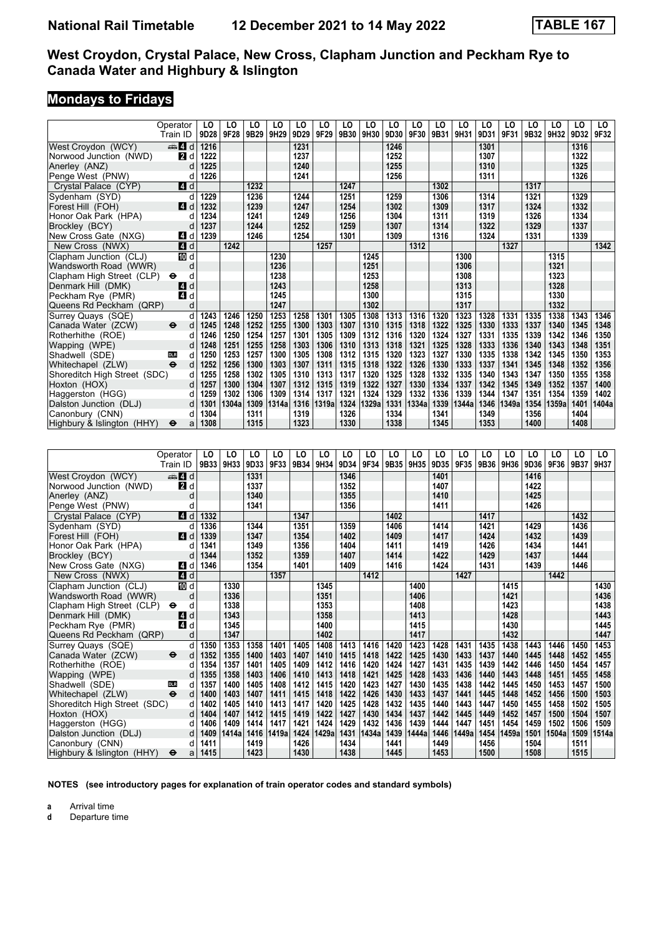# **Mondays to Fridays**

|                              | Operator                 | LO   | LO        | LO   | LO    | LO   | LO    | LO   | LO    | LO   | LO    | LO   | LO    | LO   | LO    | LO   | LO                | LO   | LO    |
|------------------------------|--------------------------|------|-----------|------|-------|------|-------|------|-------|------|-------|------|-------|------|-------|------|-------------------|------|-------|
|                              | Train ID                 | 9D28 | 9F28      | 9B29 | 9H29  | 9D29 | 9F29  | 9B30 | 9H30  | 9D30 | 9F30  | 9B31 | 9H31  | 9D31 | 9F31  | 9B32 | 9H32              | 9D32 | 9F32  |
| West Crovdon (WCY)           | $\mathbb{Z}$ d           | 1216 |           |      |       | 1231 |       |      |       | 1246 |       |      |       | 1301 |       |      |                   | 1316 |       |
| Norwood Junction (NWD)       | 2d                       | 1222 |           |      |       | 1237 |       |      |       | 1252 |       |      |       | 1307 |       |      |                   | 1322 |       |
| Anerley (ANZ)                | d                        | 1225 |           |      |       | 1240 |       |      |       | 1255 |       |      |       | 1310 |       |      |                   | 1325 |       |
| Penge West (PNW)             | d                        | 1226 |           |      |       | 1241 |       |      |       | 1256 |       |      |       | 1311 |       |      |                   | 1326 |       |
| Crystal Palace (CYP)         | 4d                       |      |           | 1232 |       |      |       | 1247 |       |      |       | 1302 |       |      |       | 1317 |                   |      |       |
| Sydenham (SYD)               | d                        | 1229 |           | 1236 |       | 1244 |       | 1251 |       | 1259 |       | 1306 |       | 1314 |       | 1321 |                   | 1329 |       |
| Forest Hill (FOH)            | ZI d                     | 1232 |           | 1239 |       | 1247 |       | 1254 |       | 1302 |       | 1309 |       | 1317 |       | 1324 |                   | 1332 |       |
| Honor Oak Park (HPA)         | d                        | 1234 |           | 1241 |       | 1249 |       | 1256 |       | 1304 |       | 1311 |       | 1319 |       | 1326 |                   | 1334 |       |
| Brockley (BCY)               | d                        | 1237 |           | 1244 |       | 1252 |       | 1259 |       | 1307 |       | 1314 |       | 1322 |       | 1329 |                   | 1337 |       |
| New Cross Gate (NXG)         | 4 d                      | 1239 |           | 1246 |       | 1254 |       | 1301 |       | 1309 |       | 1316 |       | 1324 |       | 1331 |                   | 1339 |       |
| New Cross (NWX)              | 4d                       |      | 1242      |      |       |      | 1257  |      |       |      | 1312  |      |       |      | 1327  |      |                   |      | 1342  |
| Clapham Junction (CLJ)       | <b>ID</b> d              |      |           |      | 1230  |      |       |      | 1245  |      |       |      | 1300  |      |       |      | $13\overline{15}$ |      |       |
| Wandsworth Road (WWR)        | d                        |      |           |      | 1236  |      |       |      | 1251  |      |       |      | 1306  |      |       |      | 1321              |      |       |
| Clapham High Street (CLP)    | $\bullet$<br>d           |      |           |      | 1238  |      |       |      | 1253  |      |       |      | 1308  |      |       |      | 1323              |      |       |
| Denmark Hill (DMK)           | d<br>4                   |      |           |      | 1243  |      |       |      | 1258  |      |       |      | 1313  |      |       |      | 1328              |      |       |
| Peckham Rye (PMR)            | 4 d                      |      |           |      | 1245  |      |       |      | 1300  |      |       |      | 1315  |      |       |      | 1330              |      |       |
| Queens Rd Peckham (QRP)      | d                        |      |           |      | 1247  |      |       |      | 1302  |      |       |      | 1317  |      |       |      | 1332              |      |       |
| Surrey Quays (SQE)           | d                        | 1243 | 1246      | 1250 | 1253  | 1258 | 1301  | 1305 | 1308  | 1313 | 1316  | 1320 | 1323  | 1328 | 1331  | 1335 | 1338              | 1343 | 1346  |
| Canada Water (ZCW)           | $\ddot{\mathbf{e}}$<br>d | 1245 | 1248      | 1252 | 1255  | 1300 | 1303  | 1307 | 1310  | 1315 | 1318  | 1322 | 1325  | 1330 | 1333  | 1337 | 1340              | 1345 | 1348  |
| Rotherhithe (ROE)            | d                        | 1246 | 1250      | 1254 | 1257  | 1301 | 1305  | 1309 | 1312  | 1316 | 1320  | 1324 | 1327  | 1331 | 1335  | 1339 | 1342              | 1346 | 1350  |
| Wapping (WPE)                | d                        | 1248 | 1251      | 1255 | 1258  | 1303 | 1306  | 1310 | 1313  | 1318 | 1321  | 1325 | 1328  | 1333 | 1336  | 1340 | 1343              | 1348 | 1351  |
| Shadwell (SDE)               | <b>DLR</b><br>d          | 1250 | 1253      | 1257 | 1300  | 1305 | 1308  | 1312 | 1315  | 1320 | 1323  | 1327 | 1330  | 1335 | 1338  | 1342 | 1345              | 1350 | 1353  |
| Whitechapel (ZLW)            | $\ddot{\mathbf{e}}$<br>d | 1252 | 1256      | 1300 | 1303  | 1307 | 1311  | 1315 | 1318  | 1322 | 1326  | 1330 | 1333  | 1337 | 1341  | 1345 | 1348              | 1352 | 1356  |
| Shoreditch High Street (SDC) | d                        | 1255 | 1258      | 1302 | 1305  | 1310 | 1313  | 1317 | 1320  | 1325 | 1328  | 1332 | 1335  | 1340 | 1343  | 1347 | 1350              | 1355 | 1358  |
| Hoxton (HOX)                 | d                        | 1257 | 1300      | 1304 | 1307  | 1312 | 1315  | 1319 | 1322  | 1327 | 1330  | 1334 | 1337  | 1342 | 1345  | 1349 | 1352              | 1357 | 1400  |
| Haggerston (HGG)             | d                        | 1259 | 1302      | 1306 | 1309  | 1314 | 1317  | 1321 | 1324  | 1329 | 1332  | 1336 | 1339  | 1344 | 1347  | 1351 | 1354              | 1359 | 1402  |
| Dalston Junction (DLJ)       | d                        | 1301 | 1304a     | 1309 | 1314a | 1316 | 1319a | 1324 | 1329a | 1331 | 1334a | 1339 | 1344a | 1346 | 1349a | 1354 | 1359a             | 1401 | 1404a |
| Canonbury (CNN)              | d                        | 1304 |           | 1311 |       | 1319 |       | 1326 |       | 1334 |       | 1341 |       | 1349 |       | 1356 |                   | 1404 |       |
| Highbury & Islington (HHY)   | ⊖<br>a                   | 1308 |           | 1315 |       | 1323 |       | 1330 |       | 1338 |       | 1345 |       | 1353 |       | 1400 |                   | 1408 |       |
|                              |                          |      |           |      |       |      |       |      |       |      |       |      |       |      |       |      |                   |      |       |
|                              |                          |      |           |      |       |      |       |      |       |      |       |      |       |      |       |      |                   |      |       |
|                              | Operator                 | LO   | LO        | LO   | LO    | LO   | LO    | LO   | LO    | LO   | LO    | LO   | LO    | LO   | LO    | LO   | LO                | LO   | LO    |
|                              | Train ID                 |      | 9B33 9H33 | 9D33 | 9F33  | 9B34 | 9H34  | 9D34 | 9F34  | 9B35 | 9H35  | 9D35 | 9F35  | 9B36 | 9H36  | 9D36 | 9F36              | 9B37 | 9H37  |
| West Crovdon (WCY)           | $\oplus$ 4 d             |      |           | 1331 |       |      |       | 1346 |       |      |       | 1401 |       |      |       | 1416 |                   |      |       |
| Norwood Junction (NWD)       | <b>2</b> d               |      |           | 1337 |       |      |       | 1352 |       |      |       | 1407 |       |      |       | 1422 |                   |      |       |
| Anerley (ANZ)                | d                        |      |           | 1340 |       |      |       | 1355 |       |      |       | 1410 |       |      |       | 1425 |                   |      |       |
| Penge West (PNW)             | d                        |      |           | 1341 |       |      |       | 1356 |       |      |       | 1411 |       |      |       | 1426 |                   |      |       |
| Crystal Palace (CYP)         | 4d                       | 1332 |           |      |       | 1347 |       |      |       | 1402 |       |      |       | 1417 |       |      |                   | 1432 |       |
| Sydenham (SYD)               | d                        | 1336 |           | 1344 |       | 1351 |       | 1359 |       | 1406 |       | 1414 |       | 1421 |       | 1429 |                   | 1436 |       |
| Forest Hill (FOH)            | ZI d                     | 1339 |           | 1347 |       | 1354 |       | 1402 |       | 1409 |       | 1417 |       | 1424 |       | 1432 |                   | 1439 |       |
| Honor Oak Park (HPA)         | d                        | 1341 |           | 1349 |       | 1356 |       | 1404 |       | 1411 |       | 1419 |       | 1426 |       | 1434 |                   | 1441 |       |
| <b>Brockley (BCY)</b>        | d                        | 1344 |           | 1352 |       | 1359 |       | 1407 |       | 1414 |       | 1422 |       | 1429 |       | 1437 |                   | 1444 |       |

| L GIING MACSI (LIMM)         | u                                 |      |       | 1 J H I |       |      |       | טטטו |       |      |       |      |       |      |       | 1440 |       |      |       |
|------------------------------|-----------------------------------|------|-------|---------|-------|------|-------|------|-------|------|-------|------|-------|------|-------|------|-------|------|-------|
| Crystal Palace (CYP)         | ZI d                              | 1332 |       |         |       | 1347 |       |      |       | 1402 |       |      |       | 1417 |       |      |       | 1432 |       |
| Sydenham (SYD)               |                                   | 1336 |       | 1344    |       | 1351 |       | 1359 |       | 1406 |       | 1414 |       | 1421 |       | 1429 |       | 1436 |       |
| Forest Hill (FOH)            | 4 d                               | 1339 |       | 1347    |       | 1354 |       | 1402 |       | 1409 |       | 1417 |       | 1424 |       | 1432 |       | 1439 |       |
| Honor Oak Park (HPA)         | d                                 | 1341 |       | 1349    |       | 1356 |       | 1404 |       | 1411 |       | 1419 |       | 1426 |       | 1434 |       | 1441 |       |
| Brockley (BCY)               |                                   | 1344 |       | 1352    |       | 1359 |       | 1407 |       | 1414 |       | 1422 |       | 1429 |       | 1437 |       | 1444 |       |
| New Cross Gate (NXG)         | 4 d                               | 1346 |       | 1354    |       | 1401 |       | 1409 |       | 1416 |       | 1424 |       | 1431 |       | 1439 |       | 1446 |       |
| New Cross (NWX)              | 4 d                               |      |       |         | 1357  |      |       |      | 1412  |      |       |      | 1427  |      |       |      | 1442  |      |       |
| Clapham Junction (CLJ)       | 10 d                              |      | 1330  |         |       |      | 1345  |      |       |      | 1400  |      |       |      | 1415  |      |       |      | 1430  |
| Wandsworth Road (WWR)        | d                                 |      | 1336  |         |       |      | 1351  |      |       |      | 1406  |      |       |      | 1421  |      |       |      | 1436  |
| Clapham High Street (CLP)    | $\bullet$<br>а                    |      | 1338  |         |       |      | 1353  |      |       |      | 1408  |      |       |      | 1423  |      |       |      | 1438  |
| Denmark Hill (DMK)           | 4 d                               |      | 1343  |         |       |      | 1358  |      |       |      | 1413  |      |       |      | 1428  |      |       |      | 1443  |
| Peckham Rye (PMR)            | 41 d                              |      | 1345  |         |       |      | 1400  |      |       |      | 1415  |      |       |      | 1430  |      |       |      | 1445  |
| Queens Rd Peckham (QRP)      | d                                 |      | 1347  |         |       |      | 1402  |      |       |      | 1417  |      |       |      | 1432  |      |       |      | 1447  |
| Surrey Quays (SQE)           | d                                 | 1350 | 1353  | 1358    | 1401  | 1405 | 1408  | 1413 | 1416  | 1420 | 1423  | 1428 | 1431  | 1435 | 1438  | 1443 | 1446  | 1450 | 1453  |
| Canada Water (ZCW)           | $\ddot{\mathbf{e}}$<br>d          | 1352 | 1355  | 1400    | 1403  | 1407 | 1410  | 1415 | 1418  | 1422 | 1425  | 1430 | 1433  | 1437 | 1440  | 1445 | 1448  | 1452 | 1455  |
| Rotherhithe (ROE)            | d                                 | 1354 | 1357  | 1401    | 1405  | 1409 | 1412  | 1416 | 1420  | 1424 | 1427  | 1431 | 1435  | 1439 | 1442  | 1446 | 1450  | 1454 | 1457  |
| Wapping (WPE)                |                                   | 1355 | 1358  | 1403    | 1406  | 1410 | 1413  | 1418 | 1421  | 1425 | 1428  | 1433 | 1436  | 1440 | 1443  | 1448 | 1451  | 1455 | 1458  |
| Shadwell (SDE)               | <b>DLR</b><br>d                   | 1357 | 1400  | 1405    | 1408  | 1412 | 1415  | 1420 | 1423  | 1427 | 1430  | 1435 | 1438  | 1442 | 1445  | 1450 | 1453  | 1457 | 1500  |
| Whitechapel (ZLW)            | $\ddot{\boldsymbol{\Theta}}$<br>d | 1400 | 1403  | 1407    | 1411  | 1415 | 1418  | 1422 | 1426  | 1430 | 1433  | 1437 | 1441  | 1445 | 1448  | 1452 | 1456  | 1500 | 1503  |
| Shoreditch High Street (SDC) | d                                 | 1402 | 1405  | 1410    | 1413  | 1417 | 1420  | 1425 | 1428  | 1432 | 1435  | 1440 | 1443  | 1447 | 1450  | 1455 | 1458  | 1502 | 1505  |
| Hoxton (HOX)                 | d                                 | 1404 | 1407  | 1412    | 1415  | 1419 | 1422  | 1427 | 1430  | 1434 | 1437  | 1442 | 1445  | 1449 | 1452  | 1457 | 1500  | 1504 | 1507  |
| Haggerston (HGG)             |                                   | 1406 | 1409  | 1414    | 1417  | 1421 | 1424  | 1429 | 1432  | 1436 | 1439  | 1444 | 1447  | 1451 | 1454  | 1459 | 1502  | 1506 | 1509  |
| Dalston Junction (DLJ)       | d.                                | 1409 | 1414a | 1416    | 1419a | 1424 | 1429a | 1431 | 1434a | 1439 | 1444a | 1446 | 1449a | 1454 | 1459a | 1501 | 1504a | 1509 | 1514a |
| Canonbury (CNN)              | d                                 | 1411 |       | 1419    |       | 1426 |       | 1434 |       | 1441 |       | 1449 |       | 1456 |       | 1504 |       | 1511 |       |
| Highbury & Islington (HHY)   | $\ddot{\mathbf{e}}$<br>a          | 1415 |       | 1423    |       | 1430 |       | 1438 |       | 1445 |       | 1453 |       | 1500 |       | 1508 |       | 1515 |       |

**NOTES (see introductory pages for explanation of train operator codes and standard symbols)**

**a** Arrival time<br>**d** Departure t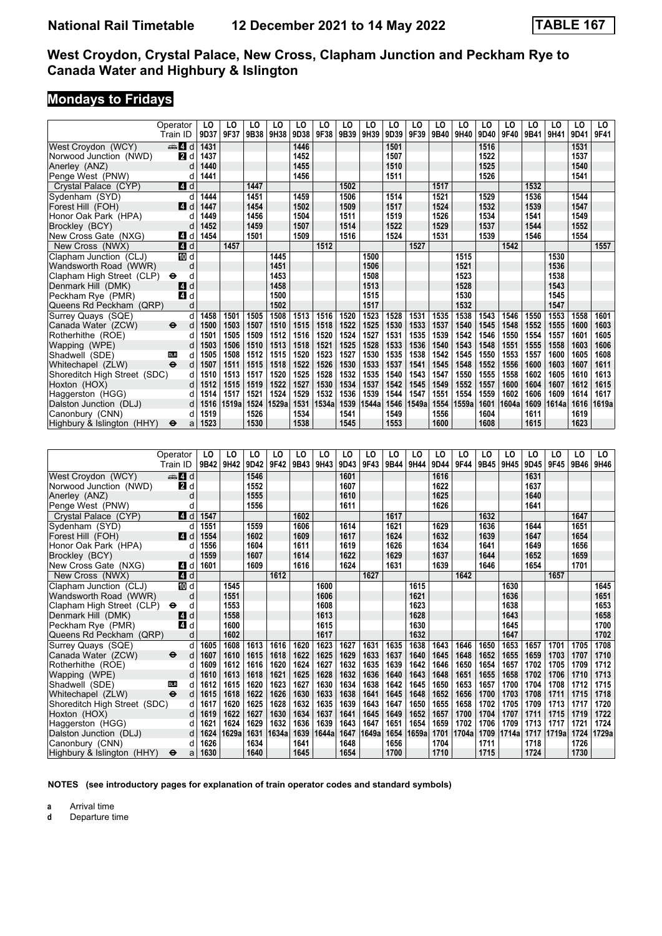# **Mondays to Fridays**

|                              | Operator                 | LO   | LO    | LO   | LO    | LO   | LO    | LO   | LO    | LO   | LO    | LO   | LO    | LO   | LO    | LO   | LO    | LO   | LO    |
|------------------------------|--------------------------|------|-------|------|-------|------|-------|------|-------|------|-------|------|-------|------|-------|------|-------|------|-------|
|                              | Train ID                 | 9D37 | 9F37  | 9B38 | 9H38  | 9D38 | 9F38  | 9B39 | 9H39  | 9D39 | 9F39  | 9B40 | 9H40  | 9D40 | 9F40  | 9B41 | 9H41  | 9D41 | 9F41  |
| West Crovdon (WCY)           | d d                      | 1431 |       |      |       | 1446 |       |      |       | 1501 |       |      |       | 1516 |       |      |       | 1531 |       |
| Norwood Junction (NWD)       | <b>2</b> d               | 1437 |       |      |       | 1452 |       |      |       | 1507 |       |      |       | 1522 |       |      |       | 1537 |       |
| Anerley (ANZ)                | d                        | 1440 |       |      |       | 1455 |       |      |       | 1510 |       |      |       | 1525 |       |      |       | 1540 |       |
| Penge West (PNW)             | d                        | 1441 |       |      |       | 1456 |       |      |       | 1511 |       |      |       | 1526 |       |      |       | 1541 |       |
| Crystal Palace (CYP)         | 4 d                      |      |       | 1447 |       |      |       | 1502 |       |      |       | 1517 |       |      |       | 1532 |       |      |       |
| Sydenham (SYD)               | d                        | 1444 |       | 1451 |       | 1459 |       | 1506 |       | 1514 |       | 1521 |       | 1529 |       | 1536 |       | 1544 |       |
| Forest Hill (FOH)            | <b>4</b> d               | 1447 |       | 1454 |       | 1502 |       | 1509 |       | 1517 |       | 1524 |       | 1532 |       | 1539 |       | 1547 |       |
| Honor Oak Park (HPA)         | d                        | 1449 |       | 1456 |       | 1504 |       | 1511 |       | 1519 |       | 1526 |       | 1534 |       | 1541 |       | 1549 |       |
| Brockley (BCY)               | d                        | 1452 |       | 1459 |       | 1507 |       | 1514 |       | 1522 |       | 1529 |       | 1537 |       | 1544 |       | 1552 |       |
| New Cross Gate (NXG)         | 4 d                      | 1454 |       | 1501 |       | 1509 |       | 1516 |       | 1524 |       | 1531 |       | 1539 |       | 1546 |       | 1554 |       |
| New Cross (NWX)              | 4d                       |      | 1457  |      |       |      | 1512  |      |       |      | 1527  |      |       |      | 1542  |      |       |      | 1557  |
| Clapham Junction (CLJ)       | 10 d                     |      |       |      | 1445  |      |       |      | 1500  |      |       |      | 1515  |      |       |      | 1530  |      |       |
| Wandsworth Road (WWR)        | d                        |      |       |      | 1451  |      |       |      | 1506  |      |       |      | 1521  |      |       |      | 1536  |      |       |
| Clapham High Street (CLP)    | d<br>$\bullet$           |      |       |      | 1453  |      |       |      | 1508  |      |       |      | 1523  |      |       |      | 1538  |      |       |
| Denmark Hill (DMK)           | d<br><b>14</b>           |      |       |      | 1458  |      |       |      | 1513  |      |       |      | 1528  |      |       |      | 1543  |      |       |
| Peckham Rye (PMR)            | 4<br>d                   |      |       |      | 1500  |      |       |      | 1515  |      |       |      | 1530  |      |       |      | 1545  |      |       |
| Queens Rd Peckham (QRP)      | d                        |      |       |      | 1502  |      |       |      | 1517  |      |       |      | 1532  |      |       |      | 1547  |      |       |
| Surrey Quays (SQE)           | d                        | 1458 | 1501  | 1505 | 1508  | 1513 | 1516  | 1520 | 1523  | 1528 | 1531  | 1535 | 1538  | 1543 | 1546  | 1550 | 1553  | 1558 | 1601  |
| Canada Water (ZCW)           | $\ddot{\mathbf{e}}$<br>d | 1500 | 1503  | 1507 | 1510  | 1515 | 1518  | 1522 | 1525  | 1530 | 1533  | 1537 | 1540  | 1545 | 1548  | 1552 | 1555  | 1600 | 1603  |
| Rotherhithe (ROE)            | d                        | 1501 | 1505  | 1509 | 1512  | 1516 | 1520  | 1524 | 1527  | 1531 | 1535  | 1539 | 1542  | 1546 | 1550  | 1554 | 1557  | 1601 | 1605  |
| Wapping (WPE)                | d                        | 1503 | 1506  | 1510 | 1513  | 1518 | 1521  | 1525 | 1528  | 1533 | 1536  | 1540 | 1543  | 1548 | 1551  | 1555 | 1558  | 1603 | 1606  |
| Shadwell (SDE)               | DLR<br>d                 | 1505 | 1508  | 1512 | 1515  | 1520 | 1523  | 1527 | 1530  | 1535 | 1538  | 1542 | 1545  | 1550 | 1553  | 1557 | 1600  | 1605 | 1608  |
| Whitechapel (ZLW)            | $\ddot{\mathbf{e}}$<br>d | 1507 | 1511  | 1515 | 1518  | 1522 | 1526  | 1530 | 1533  | 1537 | 1541  | 1545 | 1548  | 1552 | 1556  | 1600 | 1603  | 1607 | 1611  |
| Shoreditch High Street (SDC) | d                        | 1510 | 1513  | 1517 | 1520  | 1525 | 1528  | 1532 | 1535  | 1540 | 1543  | 1547 | 1550  | 1555 | 1558  | 1602 | 1605  | 1610 | 1613  |
| Hoxton (HOX)                 | d                        | 1512 | 1515  | 1519 | 1522  | 1527 | 1530  | 1534 | 1537  | 1542 | 1545  | 1549 | 1552  | 1557 | 1600  | 1604 | 1607  | 1612 | 1615  |
| Haggerston (HGG)             | d                        | 1514 | 1517  | 1521 | 1524  | 1529 | 1532  | 1536 | 1539  | 1544 | 1547  | 1551 | 1554  | 1559 | 1602  | 1606 | 1609  | 1614 | 1617  |
| Dalston Junction (DLJ)       | d                        | 1516 | 1519a | 1524 | 1529a | 1531 | 1534a | 1539 | 1544a | 1546 | 1549a | 1554 | 1559a | 1601 | 1604a | 1609 | 1614a | 1616 | 1619a |
| Canonbury (CNN)              | d                        | 1519 |       | 1526 |       | 1534 |       | 1541 |       | 1549 |       | 1556 |       | 1604 |       | 1611 |       | 1619 |       |
| Highbury & Islington (HHY)   | ⊖<br>a                   | 1523 |       | 1530 |       | 1538 |       | 1545 |       | 1553 |       | 1600 |       | 1608 |       | 1615 |       | 1623 |       |
|                              |                          |      |       |      |       |      |       |      |       |      |       |      |       |      |       |      |       |      |       |
|                              |                          |      |       |      |       |      |       |      |       |      |       |      |       |      |       |      |       |      |       |
|                              | Operator                 | LO   | LO    | LO   | LO    | LO   | LO    | LO   | LO    | LO   | LO    | LO   | LO    | LO   | LO    | LO   | LO    | LO   | LO.   |
|                              | Train ID                 | 9B42 | 9H42  | 9D42 | 9F42  | 9B43 | 9H43  | 9D43 | 9F43  | 9B44 | 9H44  | 9D44 | 9F44  | 9B45 | 9H45  | 9D45 | 9F45  | 9B46 | 9H46  |
| West Crovdon (WCY)           | d d                      |      |       | 1546 |       |      |       | 1601 |       |      |       | 1616 |       |      |       | 1631 |       |      |       |
| Norwood Junction (NWD)       | <b>2</b> d               |      |       | 1552 |       |      |       | 1607 |       |      |       | 1622 |       |      |       | 1637 |       |      |       |
|                              |                          |      |       |      |       |      |       |      |       |      |       |      |       |      |       |      |       |      |       |

| West Croydon (WCY)           | <b>REAL</b> O            |      |       | 1340. |       |      |       | 10U I |       |      |       | 1010 |       |      |       | 1031 |       |      |       |
|------------------------------|--------------------------|------|-------|-------|-------|------|-------|-------|-------|------|-------|------|-------|------|-------|------|-------|------|-------|
| Norwood Junction (NWD)       | <b>2</b> d               |      |       | 1552  |       |      |       | 1607  |       |      |       | 1622 |       |      |       | 1637 |       |      |       |
| Anerley (ANZ)                |                          |      |       | 1555  |       |      |       | 1610  |       |      |       | 1625 |       |      |       | 1640 |       |      |       |
| Penge West (PNW)             |                          |      |       | 1556  |       |      |       | 1611  |       |      |       | 1626 |       |      |       | 1641 |       |      |       |
| Crystal Palace (CYP)         | ZI d                     | 1547 |       |       |       | 1602 |       |       |       | 1617 |       |      |       | 1632 |       |      |       | 1647 |       |
| Sydenham (SYD)               |                          | 1551 |       | 1559  |       | 1606 |       | 1614  |       | 1621 |       | 1629 |       | 1636 |       | 1644 |       | 1651 |       |
| Forest Hill (FOH)            | <b>4</b> d               | 1554 |       | 1602  |       | 1609 |       | 1617  |       | 1624 |       | 1632 |       | 1639 |       | 1647 |       | 1654 |       |
| Honor Oak Park (HPA)         |                          | 1556 |       | 1604  |       | 1611 |       | 1619  |       | 1626 |       | 1634 |       | 1641 |       | 1649 |       | 1656 |       |
| Brockley (BCY)               |                          | 1559 |       | 1607  |       | 1614 |       | 1622  |       | 1629 |       | 1637 |       | 1644 |       | 1652 |       | 1659 |       |
| New Cross Gate (NXG)         | ZI d                     | 1601 |       | 1609  |       | 1616 |       | 1624  |       | 1631 |       | 1639 |       | 1646 |       | 1654 |       | 1701 |       |
| New Cross (NWX)              | $\overline{4}$ d         |      |       |       | 1612  |      |       |       | 1627  |      |       |      | 1642  |      |       |      | 1657  |      |       |
| Clapham Junction (CLJ)       | 10 d                     |      | 1545  |       |       |      | 1600  |       |       |      | 1615  |      |       |      | 1630  |      |       |      | 1645  |
| Wandsworth Road (WWR)        | d                        |      | 1551  |       |       |      | 1606  |       |       |      | 1621  |      |       |      | 1636  |      |       |      | 1651  |
| Clapham High Street (CLP)    | $\bullet$<br>d           |      | 1553  |       |       |      | 1608  |       |       |      | 1623  |      |       |      | 1638  |      |       |      | 1653  |
| Denmark Hill (DMK)           | 4 d                      |      | 1558  |       |       |      | 1613  |       |       |      | 1628  |      |       |      | 1643  |      |       |      | 1658  |
| Peckham Rye (PMR)            | <b>4</b> d               |      | 1600  |       |       |      | 1615  |       |       |      | 1630  |      |       |      | 1645  |      |       |      | 1700  |
| Queens Rd Peckham (QRP)      | d                        |      | 1602  |       |       |      | 1617  |       |       |      | 1632  |      |       |      | 1647  |      |       |      | 1702  |
| Surrey Quays (SQE)           | d                        | 1605 | 1608  | 1613  | 1616  | 1620 | 1623  | 1627  | 1631  | 1635 | 1638  | 1643 | 1646  | 1650 | 1653  | 1657 | 1701  | 1705 | 1708  |
| Canada Water (ZCW)           | $\ddot{\mathbf{e}}$<br>d | 1607 | 1610  | 1615  | 1618  | 1622 | 1625  | 1629  | 1633  | 1637 | 1640  | 1645 | 1648  | 1652 | 1655  | 1659 | 1703  | 1707 | 1710  |
| Rotherhithe (ROE)            |                          | 1609 | 1612  | 1616  | 1620  | 1624 | 1627  | 1632  | 1635  | 1639 | 1642  | 1646 | 1650  | 1654 | 1657  | 1702 | 1705  | 1709 | 1712  |
| Wapping (WPE)                |                          | 1610 | 1613  | 1618  | 1621  | 1625 | 1628  | 1632  | 1636  | 1640 | 1643  | 1648 | 1651  | 1655 | 1658  | 1702 | 1706  | 1710 | 1713  |
| Shadwell (SDE)               | <b>DLR</b><br>d          | 1612 | 1615  | 1620  | 1623  | 1627 | 1630  | 1634  | 1638  | 1642 | 1645  | 1650 | 1653  | 1657 | 1700  | 1704 | 1708  | 1712 | 1715  |
| Whitechapel (ZLW)            | $\bullet$<br>d           | 1615 | 1618  | 1622  | 1626  | 1630 | 1633  | 1638  | 1641  | 1645 | 1648  | 1652 | 1656  | 1700 | 1703  | 1708 | 1711  | 1715 | 1718  |
| Shoreditch High Street (SDC) | d                        | 1617 | 1620  | 1625  | 1628  | 1632 | 1635  | 1639  | 1643  | 1647 | 1650  | 1655 | 1658  | 1702 | 1705  | 1709 | 1713  | 1717 | 1720  |
| Hoxton (HOX)                 |                          | 1619 | 1622  | 1627  | 1630  | 1634 | 1637  | 1641  | 1645  | 1649 | 1652  | 1657 | 1700  | 1704 | 1707  | 1711 | 1715  | 1719 | 1722  |
| Haggerston (HGG)             |                          | 1621 | 1624  | 1629  | 1632  | 1636 | 1639  | 1643  | 1647  | 1651 | 1654  | 1659 | 1702  | 1706 | 1709  | 1713 | 1717  | 1721 | 1724  |
| Dalston Junction (DLJ)       | d                        | 1624 | 1629a | 1631  | 1634a | 1639 | 1644a | 1647  | 1649a | 1654 | 1659a | 1701 | 1704a | 1709 | 1714a | 1717 | 1719a | 1724 | 1729a |
| Canonbury (CNN)              | d                        | 1626 |       | 1634  |       | 1641 |       | 1648  |       | 1656 |       | 1704 |       | 1711 |       | 1718 |       | 1726 |       |
| Highbury & Islington (HHY)   | $\bullet$<br>a           | 1630 |       | 1640  |       | 1645 |       | 1654  |       | 1700 |       | 1710 |       | 1715 |       | 1724 |       | 1730 |       |

**NOTES (see introductory pages for explanation of train operator codes and standard symbols)**

**a** Arrival time<br>**d** Departure t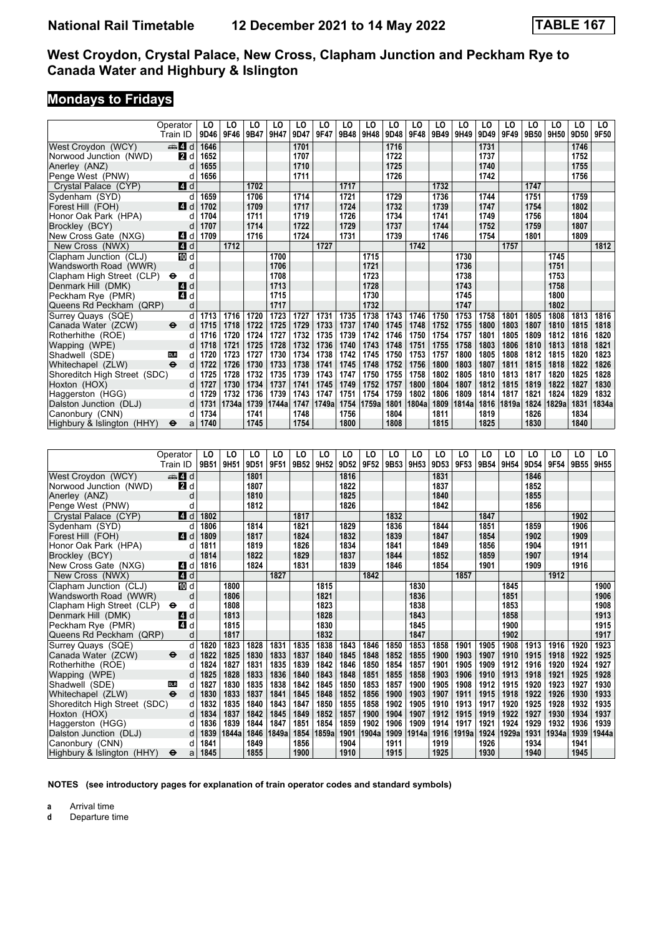## **Mondays to Fridays**

|                              | Operator                  | LO   | LO    | LO   | LO    | LO   | LO    | LO   | LO    | LO               | LO    | LO   | LO    | LO   | LO    | LO   | LO    | LO   | LO.   |
|------------------------------|---------------------------|------|-------|------|-------|------|-------|------|-------|------------------|-------|------|-------|------|-------|------|-------|------|-------|
|                              | Train ID                  | 9D46 | 9F46  | 9B47 | 9H47  | 9D47 | 9F47  | 9B48 | 9H48  | 9D48             | 9F48  | 9B49 | 9H49  | 9D49 | 9F49  | 9B50 | 9H50  | 9D50 | 9F50  |
| West Croydon (WCY)           | $\mathbf{A}$ d            | 1646 |       |      |       | 1701 |       |      |       | $\frac{1716}{ }$ |       |      |       | 1731 |       |      |       | 1746 |       |
| Norwood Junction (NWD)       | $\blacksquare$            | 1652 |       |      |       | 1707 |       |      |       | 1722             |       |      |       | 1737 |       |      |       | 1752 |       |
| Anerley (ANZ)                | d                         | 1655 |       |      |       | 1710 |       |      |       | 1725             |       |      |       | 1740 |       |      |       | 1755 |       |
| Penge West (PNW)             | d                         | 1656 |       |      |       | 1711 |       |      |       | 1726             |       |      |       | 1742 |       |      |       | 1756 |       |
| Crystal Palace (CYP)         | $\overline{4}$ d          |      |       | 1702 |       |      |       | 1717 |       |                  |       | 1732 |       |      |       | 1747 |       |      |       |
| Sydenham (SYD)               | d                         | 1659 |       | 1706 |       | 1714 |       | 1721 |       | 1729             |       | 1736 |       | 1744 |       | 1751 |       | 1759 |       |
| Forest Hill (FOH)            | ZI d                      | 1702 |       | 1709 |       | 1717 |       | 1724 |       | 1732             |       | 1739 |       | 1747 |       | 1754 |       | 1802 |       |
| Honor Oak Park (HPA)         | d                         | 1704 |       | 1711 |       | 1719 |       | 1726 |       | 1734             |       | 1741 |       | 1749 |       | 1756 |       | 1804 |       |
| Brockley (BCY)               | d                         | 1707 |       | 1714 |       | 1722 |       | 1729 |       | 1737             |       | 1744 |       | 1752 |       | 1759 |       | 1807 |       |
| New Cross Gate (NXG)         | 41 d                      | 1709 |       | 1716 |       | 1724 |       | 1731 |       | 1739             |       | 1746 |       | 1754 |       | 1801 |       | 1809 |       |
| New Cross (NWX)              | 4 d                       |      | 1712  |      |       |      | 1727  |      |       |                  | 1742  |      |       |      | 1757  |      |       |      | 1812  |
| Clapham Junction (CLJ)       | <b>ID</b> d               |      |       |      | 1700  |      |       |      | 1715  |                  |       |      | 1730  |      |       |      | 1745  |      |       |
| Wandsworth Road (WWR)        | d                         |      |       |      | 1706  |      |       |      | 1721  |                  |       |      | 1736  |      |       |      | 1751  |      |       |
| Clapham High Street (CLP)    | d<br>$\bullet$            |      |       |      | 1708  |      |       |      | 1723  |                  |       |      | 1738  |      |       |      | 1753  |      |       |
| Denmark Hill (DMK)           | 4 d                       |      |       |      | 1713  |      |       |      | 1728  |                  |       |      | 1743  |      |       |      | 1758  |      |       |
| Peckham Rye (PMR)            | 4 d                       |      |       |      | 1715  |      |       |      | 1730  |                  |       |      | 1745  |      |       |      | 1800  |      |       |
| Queens Rd Peckham (QRP)      | d                         |      |       |      | 1717  |      |       |      | 1732  |                  |       |      | 1747  |      |       |      | 1802  |      |       |
| Surrey Quays (SQE)           | d                         | 1713 | 1716  | 1720 | 1723  | 1727 | 1731  | 1735 | 1738  | 1743             | 1746  | 1750 | 1753  | 1758 | 1801  | 1805 | 1808  | 1813 | 1816  |
| Canada Water (ZCW)           | $\bullet$<br>d            | 1715 | 1718  | 1722 | 1725  | 1729 | 1733  | 1737 | 1740  | 1745             | 1748  | 1752 | 1755  | 1800 | 1803  | 1807 | 1810  | 1815 | 1818  |
| Rotherhithe (ROE)            | d                         | 1716 | 1720  | 1724 | 1727  | 1732 | 1735  | 1739 | 1742  | 1746             | 1750  | 1754 | 1757  | 1801 | 1805  | 1809 | 1812  | 1816 | 1820  |
| Wapping (WPE)                | d                         | 1718 | 1721  | 1725 | 1728  | 1732 | 1736  | 1740 | 1743  | 1748             | 1751  | 1755 | 1758  | 1803 | 1806  | 1810 | 1813  | 1818 | 1821  |
| Shadwell (SDE)               | <b>DLR</b><br>d           | 1720 | 1723  | 1727 | 1730  | 1734 | 1738  | 1742 | 1745  | 1750             | 1753  | 1757 | 1800  | 1805 | 1808  | 1812 | 1815  | 1820 | 1823  |
| Whitechapel (ZLW)            | e<br>d                    | 1722 | 1726  | 1730 | 1733  | 1738 | 1741  | 1745 | 1748  | 1752             | 1756  | 1800 | 1803  | 1807 | 1811  | 1815 | 1818  | 1822 | 1826  |
| Shoreditch High Street (SDC) | d                         | 1725 | 1728  | 1732 | 1735  | 1739 | 1743  | 1747 | 1750  | 1755             | 1758  | 1802 | 1805  | 1810 | 1813  | 1817 | 1820  | 1825 | 1828  |
| Hoxton (HOX)                 | d                         | 1727 | 1730  | 1734 | 1737  | 1741 | 1745  | 1749 | 1752  | 1757             | 1800  | 1804 | 1807  | 1812 | 1815  | 1819 | 1822  | 1827 | 1830  |
| Haggerston (HGG)             | d                         | 1729 | 1732  | 1736 | 1739  | 1743 | 1747  | 1751 | 1754  | 1759             | 1802  | 1806 | 1809  | 1814 | 1817  | 1821 | 1824  | 1829 | 1832  |
| Dalston Junction (DLJ)       | d                         | 1731 | 1734a | 1739 | 1744a | 1747 | 1749a | 1754 | 1759a | 1801             | 1804a | 1809 | 1814a | 1816 | 1819a | 1824 | 1829a | 1831 | 1834a |
| Canonbury (CNN)              | d                         | 1734 |       | 1741 |       | 1748 |       | 1756 |       | 1804             |       | 1811 |       | 1819 |       | 1826 |       | 1834 |       |
| Highbury & Islington (HHY)   | $\ddot{\bm{\Theta}}$<br>a | 1740 |       | 1745 |       | 1754 |       | 1800 |       | 1808             |       | 1815 |       | 1825 |       | 1830 |       | 1840 |       |
|                              |                           |      |       |      |       |      |       |      |       |                  |       |      |       |      |       |      |       |      |       |
|                              |                           |      |       |      |       |      |       |      |       |                  |       |      |       |      |       |      |       |      |       |
|                              | Operator                  | LO   | LO    | LO   | LO    | LO   | LO    | LO   | LO    | LO               | LO    | LO   | LO    | LO   | LO    | LO   | LO    | LO   | LO    |
|                              | Train ID                  | 9B51 | 9H51  | 9D51 | 9F51  | 9B52 | 9H52  | 9D52 | 9F52  | 9B53             | 9H53  | 9D53 | 9F53  | 9B54 | 9H54  | 9D54 | 9F54  | 9B55 | 9H55  |
| West Crovdon (WCY)           | $\mathbf{A}$ d            |      |       | 1801 |       |      |       | 1816 |       |                  |       | 1831 |       |      |       | 1846 |       |      |       |
| Norwood Junction (NWD)       | <b>2</b> d                |      |       | 1807 |       |      |       | 1822 |       |                  |       | 1837 |       |      |       | 1852 |       |      |       |
| Anerley (ANZ)                | d                         |      |       | 1810 |       |      |       | 1825 |       |                  |       | 1840 |       |      |       | 1855 |       |      |       |
| Penge West (PNW)             | d                         |      |       | 1812 |       |      |       | 1826 |       |                  |       | 1842 |       |      |       | 1856 |       |      |       |
| Crystal Palace (CYP)         | 4 d                       | 1802 |       |      |       | 1817 |       |      |       | 1832             |       |      |       | 1847 |       |      |       | 1902 |       |
| Sydenham (SYD)               | d                         | 1806 |       | 1814 |       | 1821 |       | 1829 |       | 1836             |       | 1844 |       | 1851 |       | 1859 |       | 1906 |       |
| Forest Hill (FOH)            | ZI d                      | 1809 |       | 1817 |       | 1824 |       | 1832 |       | 1839             |       | 1847 |       | 1854 |       | 1902 |       | 1909 |       |
| Honor Oak Park (HPA)         | d                         | 1811 |       | 1819 |       | 1826 |       | 1834 |       | 1841             |       | 1849 |       | 1856 |       | 1904 |       | 1911 |       |
| Brockley (BCY)               | d                         | 1814 |       | 1822 |       | 1829 |       | 1837 |       | 1844             |       | 1852 |       | 1859 |       | 1907 |       | 1914 |       |
| New Cross Gate (NXG)         | 41 d                      | 1816 |       | 1824 |       | 1831 |       | 1839 |       | 1846             |       | 1854 |       | 1901 |       | 1909 |       | 1916 |       |
| New Cross (NWX)              | 4d                        |      |       |      | 1827  |      |       |      | 1842  |                  |       |      | 1857  |      |       |      | 1912  |      |       |
| Clapham Junction (CLJ)       | <b>TO</b> d               |      | 1800  |      |       |      | 1815  |      |       |                  | 1830  |      |       |      | 1845  |      |       |      | 1900  |
| Wandsworth Road (WWR)        | d                         |      | 1806  |      |       |      | 1821  |      |       |                  | 1836  |      |       |      | 1851  |      |       |      | 1906  |

 Wandsworth Road (WWR) d **1806 1821 1836 1851 1906** Clapham High Street (CLP) ● d **1808 1823 1838 1908 1853 1853 1908 1898 1858 1913 1858 1913**  Denmark Hill (DMK) z d **1813 1828 1843 1858 1913**

 4ueens Rd Peckham (4RP) d **1817 1832 1847 1902 1917** Surrey Quays (SQE) d 1820 1823 1828 1831 1835 1838 1843 1846 1850 1853 1858 1901 1905 1908 1913 1916 1920 1923<br>Canada Water (ZCW)  $\qquad \qquad \qquad \qquad$  d 1822 1825 1830 1833 1837 1840 1845 1848 1852 1855 1900 1903 1907 1910 1915 Canada Water (ZCW) ● d 1822 1825 1830 1833 1837 1840 1845 1848 1852 1855 1900 1903 1907 1910 1915 1918 1922 1925<br>Rotherhithe (ROE) d 1824 1827 1831 1835 1839 1842 1846 1850 1854 1857 1901 1905 1909 1912 1916 1920 1924 Rotherhithe (ROE) d | 1824 | 1827 | 1831 | 1835 | 1839 | 1842 | 1846 | 1850 | 1854 | 1857 | 1901 | 1905 | 1909 | 1912 | 1916 | 1920 | 1924 | 1927 | 1928 | 1929 | 1929 | 1929 | 1929 | 1929 | 1929 | 1929 | 1929 | 1929 Wapping (WPE) d 1825 1828 1833 1836 1840 1843 1848 1851 1855 1858 1903 1906 1910 1913 1918 1921 1925 1928<br>Shadwell (SDE) d 1827 1830 1835 1838 1842 1845 1850 1853 1857 1900 1905 1908 1912 1915 1920 1923

Whitechapel (ZLW) ● d | 1830 | 1833 | 1837 | 1841 | 1845 | 1848 | 1852 | 1856 | 1900 | 1903 | 1907 | 1911 | 1915 | 1918 | 1922 | 1926 | 1930 | 1933<br>Shoreditch High Street (SDC) d | 1832 | 1835 | 1840 | 1843 | 1847 | 1850 Shoreditch High Street (SDC) d | 1832 | 1835 | 1840 | 1843 | 1847 | 1850 | 1855 | 1858 | 1902 | 1905 | 1910 | 1913 | 1917 | 1920 | 1925 | 1928 | 1932 | 1935 | 1938 | 1932 | 1938 | 1939 | 1934 | 1937 | 1842 | 1858 | 1857 | Hoxton (HOX) d | 1834 | 1837 | 1842 | 1845 | 1849 | 1852 | 1857 | 1900 | 1904 | 1907 | 1912 | 1915 | 1919 | 1922 | 1927 | 1930 | 1934 | 1937 Haggerston (HGG) d | 1836 | 1839 | 1844 | 1847 | 1851 | 1854 | 1859 | 1902 | 1906 | 1909 | 1914 | 1917 | 1921 | 1924 | 1929 | 1932 | 1936 | 1939<br>Dalston Junction (DLJ) d | 1839 | 1844a | 1846 | 1849a | 1854 | 18 Dalston Junction (DLJ) d 1839 1844a 1846 1849a 1854 1859a 1901 1904a 1909 1914a 1916 1919a 1924 1929a 1931 1934<br>Canonbury (CNN) d 1841 1849 1856 1904 1911 1919 1919 1926 1934 1934  Canonbury (CNN) d **1841 1849 1856 1904 1911 1919 1926 1934 1941**  Highbury Islington (HHY) T a **1845 1855 1900 1910 1915 1925 1930 1940 1945**

Shadwell (SDE) 1923 d 1827 1830 1835 1838 1842 1845 1850 1853 1857 1900 1905 1908 1912 1915 1920 1923<br>Whitechapel (ZLW) → d 1830 1833 1837 1841 1845 1848 1852 1856 1900 1903 1907 1911 1915 1918 1922 1926

**NOTES (see introductory pages for explanation of train operator codes and standard symbols)**

**a** Arrival time<br>**d** Departure t

**d** Departure time

 $P$ eckham Rye (PMR)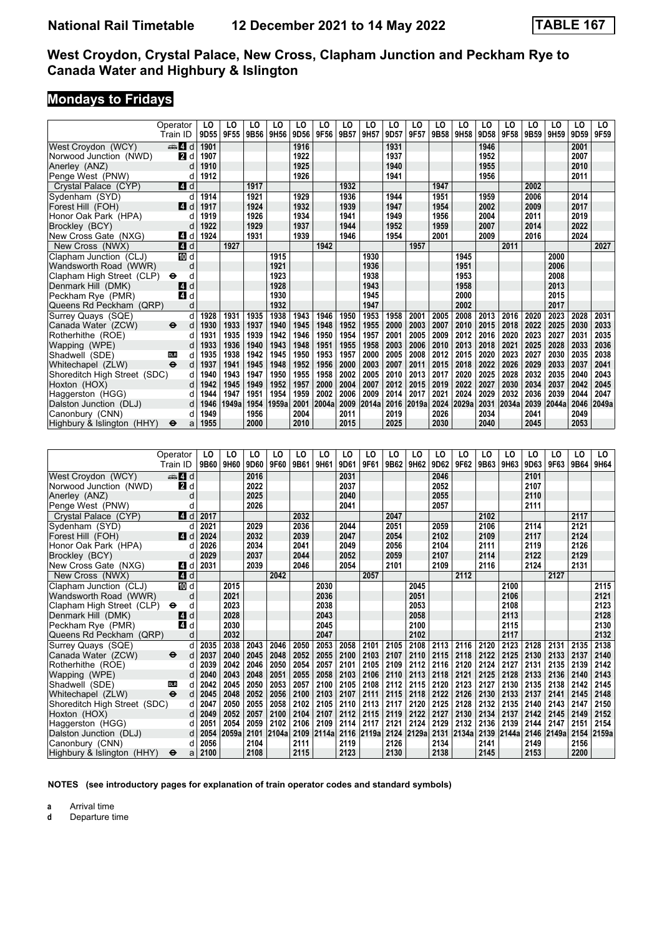# **Mondays to Fridays**

|                              | Operator                 | LO          | LO    | LO   | LO    | LO   | LO    | LO   | LO    | LO   | LO    | LO   | LO    | LO   | LO    | LO   | LO    | LO   | LO    |
|------------------------------|--------------------------|-------------|-------|------|-------|------|-------|------|-------|------|-------|------|-------|------|-------|------|-------|------|-------|
|                              | Train ID                 | 9D55        | 9F55  | 9B56 | 9H56  | 9D56 | 9F56  | 9B57 | 9H57  | 9D57 | 9F57  | 9B58 | 9H58  | 9D58 | 9F58  | 9B59 | 9H59  | 9D59 | 9F59  |
| West Crovdon (WCY)           | $\blacksquare$ d         | 1901        |       |      |       | 1916 |       |      |       | 1931 |       |      |       | 1946 |       |      |       | 2001 |       |
| Norwood Junction (NWD)       | 2d                       | 1907        |       |      |       | 1922 |       |      |       | 1937 |       |      |       | 1952 |       |      |       | 2007 |       |
| Anerley (ANZ)                | d                        | 1910        |       |      |       | 1925 |       |      |       | 1940 |       |      |       | 1955 |       |      |       | 2010 |       |
| Penge West (PNW)             | d                        | 1912        |       |      |       | 1926 |       |      |       | 1941 |       |      |       | 1956 |       |      |       | 2011 |       |
| Crystal Palace (CYP)         | $\blacksquare$ d         |             |       | 1917 |       |      |       | 1932 |       |      |       | 1947 |       |      |       | 2002 |       |      |       |
| Sydenham (SYD)               | d                        | 1914        |       | 1921 |       | 1929 |       | 1936 |       | 1944 |       | 1951 |       | 1959 |       | 2006 |       | 2014 |       |
| Forest Hill (FOH)            | ZI d                     | 1917        |       | 1924 |       | 1932 |       | 1939 |       | 1947 |       | 1954 |       | 2002 |       | 2009 |       | 2017 |       |
| Honor Oak Park (HPA)         | d                        | 1919        |       | 1926 |       | 1934 |       | 1941 |       | 1949 |       | 1956 |       | 2004 |       | 2011 |       | 2019 |       |
| Brockley (BCY)               | d                        | 1922        |       | 1929 |       | 1937 |       | 1944 |       | 1952 |       | 1959 |       | 2007 |       | 2014 |       | 2022 |       |
| New Cross Gate (NXG)         | ZI d                     | 1924        |       | 1931 |       | 1939 |       | 1946 |       | 1954 |       | 2001 |       | 2009 |       | 2016 |       | 2024 |       |
| New Cross (NWX)              | 4d                       |             | 1927  |      |       |      | 1942  |      |       |      | 1957  |      |       |      | 2011  |      |       |      | 2027  |
| Clapham Junction (CLJ)       | <b>ID</b> d              |             |       |      | 1915  |      |       |      | 1930  |      |       |      | 1945  |      |       |      | 2000  |      |       |
| Wandsworth Road (WWR)        | d                        |             |       |      | 1921  |      |       |      | 1936  |      |       |      | 1951  |      |       |      | 2006  |      |       |
| Clapham High Street (CLP)    | d<br>θ                   |             |       |      | 1923  |      |       |      | 1938  |      |       |      | 1953  |      |       |      | 2008  |      |       |
| Denmark Hill (DMK)           | 4 d                      |             |       |      | 1928  |      |       |      | 1943  |      |       |      | 1958  |      |       |      | 2013  |      |       |
| Peckham Rye (PMR)            | 41 d                     |             |       |      | 1930  |      |       |      | 1945  |      |       |      | 2000  |      |       |      | 2015  |      |       |
| Queens Rd Peckham (QRP)      | d                        |             |       |      | 1932  |      |       |      | 1947  |      |       |      | 2002  |      |       |      | 2017  |      |       |
| Surrey Quays (SQE)           | d                        | 1928        | 1931  | 1935 | 1938  | 1943 | 1946  | 1950 | 1953  | 1958 | 2001  | 2005 | 2008  | 2013 | 2016  | 2020 | 2023  | 2028 | 2031  |
| Canada Water (ZCW)           | θ<br>d                   | 1930        | 1933  | 1937 | 1940  | 1945 | 1948  | 1952 | 1955  | 2000 | 2003  | 2007 | 2010  | 2015 | 2018  | 2022 | 2025  | 2030 | 2033  |
| Rotherhithe (ROE)            | d                        | 1931        | 1935  | 1939 | 1942  | 1946 | 1950  | 1954 | 1957  | 2001 | 2005  | 2009 | 2012  | 2016 | 2020  | 2023 | 2027  | 2031 | 2035  |
| Wapping (WPE)                | d                        | 1933        | 1936  | 1940 | 1943  | 1948 | 1951  | 1955 | 1958  | 2003 | 2006  | 2010 | 2013  | 2018 | 2021  | 2025 | 2028  | 2033 | 2036  |
| Shadwell (SDE)               | <b>DLR</b><br>d          | 1935        | 1938  | 1942 | 1945  | 1950 | 1953  | 1957 | 2000  | 2005 | 2008  | 2012 | 2015  | 2020 | 2023  | 2027 | 2030  | 2035 | 2038  |
| Whitechapel (ZLW)            | $\ddot{\mathbf{e}}$<br>d | 1937        | 1941  | 1945 | 1948  | 1952 | 1956  | 2000 | 2003  | 2007 | 2011  | 2015 | 2018  | 2022 | 2026  | 2029 | 2033  | 2037 | 2041  |
| Shoreditch High Street (SDC) | d                        | 1940        | 1943  | 1947 | 1950  | 1955 | 1958  | 2002 | 2005  | 2010 | 2013  | 2017 | 2020  | 2025 | 2028  | 2032 | 2035  | 2040 | 2043  |
| Hoxton (HOX)                 | d                        | 1942        | 1945  | 1949 | 1952  | 1957 | 2000  | 2004 | 2007  | 2012 | 2015  | 2019 | 2022  | 2027 | 2030  | 2034 | 2037  | 2042 | 2045  |
| Haggerston (HGG)             | d                        | 1944        | 1947  | 1951 | 1954  | 1959 | 2002  | 2006 | 2009  | 2014 | 2017  | 2021 | 2024  | 2029 | 2032  | 2036 | 2039  | 2044 | 2047  |
| Dalston Junction (DLJ)       | d                        | 1946        | 1949a | 1954 | 1959a | 2001 | 2004a | 2009 | 2014a | 2016 | 2019a | 2024 | 2029a | 2031 | 2034a | 2039 | 2044a | 2046 | 2049a |
| Canonbury (CNN)              | d                        | 1949        |       | 1956 |       | 2004 |       | 2011 |       | 2019 |       | 2026 |       | 2034 |       | 2041 |       | 2049 |       |
| Highbury & Islington (HHY)   | ⊖<br>a                   | 1955        |       | 2000 |       | 2010 |       | 2015 |       | 2025 |       | 2030 |       | 2040 |       | 2045 |       | 2053 |       |
|                              |                          |             |       |      |       |      |       |      |       |      |       |      |       |      |       |      |       |      |       |
|                              |                          |             |       |      |       |      |       |      |       |      |       |      |       |      |       |      |       |      |       |
|                              | Operator                 | LO          | LO    | LO   | LO    | LO   | LO    | LO   | LO    | LO   | LO    | LO   | LO    | LO   | LO    | LO   | LO    | LO   | LO    |
|                              | Train ID                 | <b>9B60</b> | 9H60  | 9D60 | 9F60  | 9B61 | 9H61  | 9D61 | 9F61  | 9B62 | 9H62  | 9D62 | 9F62  | 9B63 | 9H63  | 9D63 | 9F63  | 9B64 | 9H64  |
| West Croydon (WCY)           | $\clubsuit$ d            |             |       | 2016 |       |      |       | 2031 |       |      |       | 2046 |       |      |       | 2101 |       |      |       |
| Norwood Junction (NWD)       | <b>2</b> d               |             |       | 2022 |       |      |       | 2037 |       |      |       | 2052 |       |      |       | 2107 |       |      |       |
| Anerley (ANZ)                | d                        |             |       | 2025 |       |      |       | 2040 |       |      |       | 2055 |       |      |       | 2110 |       |      |       |
| Penge West (PNW)             | d                        |             |       | 2026 |       |      |       | 2041 |       |      |       | 2057 |       |      |       | 2111 |       |      |       |
| Crystal Palace (CYP)         | 4 d                      | 2017        |       |      |       | 2032 |       |      |       | 2047 |       |      |       | 2102 |       |      |       | 2117 |       |

| <b>AIIEIIEV (AIVZ)</b>                     | u             |      |       | ZUZJ |       |      |            | 2040 Z |            |      |            | ເບບວ |            |      |       | ZIIV |            |      |       |
|--------------------------------------------|---------------|------|-------|------|-------|------|------------|--------|------------|------|------------|------|------------|------|-------|------|------------|------|-------|
| Penge West (PNW)                           |               |      |       | 2026 |       |      |            | 2041   |            |      |            | 2057 |            |      |       | 2111 |            |      |       |
| Crystal Palace (CYP)                       | 4 d           | 2017 |       |      |       | 2032 |            |        |            | 2047 |            |      |            | 2102 |       |      |            | 2117 |       |
| Sydenham (SYD)                             |               | 2021 |       | 2029 |       | 2036 |            | 2044   |            | 2051 |            | 2059 |            | 2106 |       | 2114 |            | 2121 |       |
| Forest Hill (FOH)                          | <b>4</b><br>d | 2024 |       | 2032 |       | 2039 |            | 2047   |            | 2054 |            | 2102 |            | 2109 |       | 2117 |            | 2124 |       |
| Honor Oak Park (HPA)                       |               | 2026 |       | 2034 |       | 2041 |            | 2049   |            | 2056 |            | 2104 |            | 2111 |       | 2119 |            | 2126 |       |
| Brockley (BCY)                             |               | 2029 |       | 2037 |       | 2044 |            | 2052   |            | 2059 |            | 2107 |            | 2114 |       | 2122 |            | 2129 |       |
| New Cross Gate (NXG)                       | [4]<br>d      | 2031 |       | 2039 |       | 2046 |            | 2054   |            | 2101 |            | 2109 |            | 2116 |       | 2124 |            | 2131 |       |
| New Cross (NWX)                            | 4 d           |      |       |      | 2042  |      |            |        | 2057       |      |            |      | 2112       |      |       |      | 2127       |      |       |
| Clapham Junction (CLJ)                     | 10 d          |      | 2015  |      |       |      | 2030       |        |            |      | 2045       |      |            |      | 2100  |      |            |      | 2115  |
| Wandsworth Road (WWR)                      | d             |      | 2021  |      |       |      | 2036       |        |            |      | 2051       |      |            |      | 2106  |      |            |      | 2121  |
| Clapham High Street (CLP)<br>$\bullet$     | d             |      | 2023  |      |       |      | 2038       |        |            |      | 2053       |      |            |      | 2108  |      |            |      | 2123  |
| Denmark Hill (DMK)                         | 4 d           |      | 2028  |      |       |      | 2043       |        |            |      | 2058       |      |            |      | 2113  |      |            |      | 2128  |
| Peckham Rye (PMR)                          | 4 d           |      | 2030  |      |       |      | 2045       |        |            |      | 2100       |      |            |      | 2115  |      |            |      | 2130  |
| Queens Rd Peckham (QRP)                    | d             |      | 2032  |      |       |      | 2047       |        |            |      | 2102       |      |            |      | 2117  |      |            |      | 2132  |
| Surrey Quays (SQE)                         | d             | 2035 | 2038  | 2043 | 2046  | 2050 | 2053       | 2058   | 2101       | 2105 | 2108       | 2113 | 2116       | 2120 | 2123  | 2128 | 2131       | 2135 | 2138  |
| Canada Water (ZCW)<br>$\ddot{\bm{\Theta}}$ | d             | 2037 | 2040  | 2045 | 2048  | 2052 | 2055       | 2100   | 2103       | 2107 | 2110       | 2115 | 2118       | 2122 | 2125  | 2130 | 2133       | 2137 | 2140  |
| Rotherhithe (ROE)                          |               | 2039 | 2042  | 2046 | 2050  | 2054 | 2057       | 2101   | 2105       | 2109 | 2112       | 2116 | 2120       | 2124 | 2127  | 2131 | 2135       | 2139 | 2142  |
| Wapping (WPE)                              | d             | 2040 | 2043  | 2048 | 2051  | 2055 | 2058       | 2103   | 2106       | 2110 | 2113       | 2118 | 2121       | 2125 | 2128  | 2133 | 2136       | 2140 | 2143  |
| Shadwell (SDE)<br><b>DLR</b>               | d             | 2042 | 2045  | 2050 | 2053  | 2057 | 2100       | 2105   | 2108       | 2112 | 2115       | 2120 | 2123       | 2127 | 2130  | 2135 | 2138       | 2142 | 2145  |
| Whitechapel (ZLW)<br>$\ddot{\bm{\Theta}}$  | d             | 2045 | 2048  | 2052 | 2056  | 2100 | 2103       | 2107   | 2111       | 2115 | 2118       | 2122 | 2126       | 2130 | 2133  | 2137 | 2141       | 2145 | 2148  |
| Shoreditch High Street (SDC)               | d             | 2047 | 2050  | 2055 | 2058  | 2102 | 2105       | 2110   | 2113       | 2117 | 2120       | 2125 | 2128       | 2132 | 2135  | 2140 | 2143       | 2147 | 2150  |
| Hoxton (HOX)                               |               | 2049 | 2052  | 2057 | 2100  | 2104 | 2107       | 2112   | 2115       | 2119 | 2122       | 2127 | 2130       | 2134 | 2137  | 2142 | 2145       | 2149 | 2152  |
| Haggerston (HGG)                           | d             | 2051 | 2054  | 2059 | 2102  | 2106 | 2109       | 2114   | 2117       | 2121 | 2124       | 2129 | 2132       | 2136 | 2139  | 2144 | 2147       | 2151 | 2154  |
| Dalston Junction (DLJ)                     | d             | 2054 | 2059a | 2101 | 2104a |      | 2109 2114a |        | 2116 2119a |      | 2124 2129a |      | 2131 2134a | 2139 | 2144a |      | 2146 2149a | 2154 | 2159a |
| Canonbury (CNN)                            | d             | 2056 |       | 2104 |       | 2111 |            | 2119   |            | 2126 |            | 2134 |            | 2141 |       | 2149 |            | 2156 |       |
| Highbury & Islington (HHY)<br>$\bullet$    | a             | 2100 |       | 2108 |       | 2115 |            | 2123   |            | 2130 |            | 2138 |            | 2145 |       | 2153 |            | 2200 |       |

**NOTES (see introductory pages for explanation of train operator codes and standard symbols)**

**a** Arrival time<br>**d** Departure t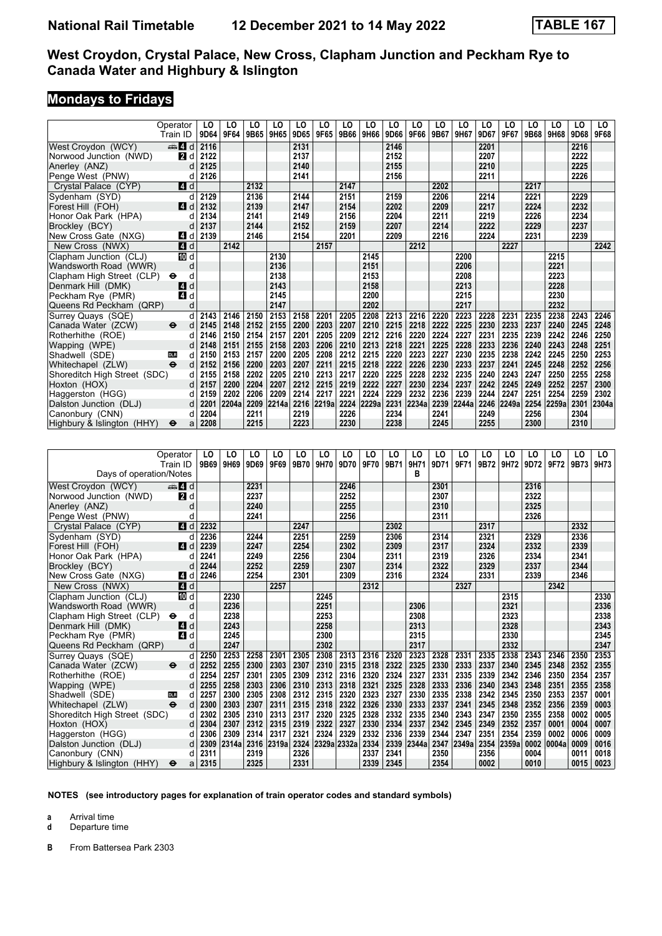#### **Mondays to Fridays**

|                              | Operator                 | LO   | LO    | LO   | LO         | LO   | LO    | LO   | LO    | LO   | LO    | LO   | LO    | LO   | LO    | LO   | LO    | LO   | LO.   |
|------------------------------|--------------------------|------|-------|------|------------|------|-------|------|-------|------|-------|------|-------|------|-------|------|-------|------|-------|
|                              | Train ID                 | 9D64 | 9F64  | 9B65 | 9H65       | 9D65 | 9F65  | 9B66 | 9H66  | 9D66 | 9F66  | 9B67 | 9H67  | 9D67 | 9F67  | 9B68 | 9H68  | 9D68 | 9F68  |
| West Croydon (WCY)           | $\mathbf{A}$ d           | 2116 |       |      |            | 2131 |       |      |       | 2146 |       |      |       | 2201 |       |      |       | 2216 |       |
| Norwood Junction (NWD)       | <b>2</b> d               | 2122 |       |      |            | 2137 |       |      |       | 2152 |       |      |       | 2207 |       |      |       | 2222 |       |
| Anerley (ANZ)                | d                        | 2125 |       |      |            | 2140 |       |      |       | 2155 |       |      |       | 2210 |       |      |       | 2225 |       |
| Penge West (PNW)             | d                        | 2126 |       |      |            | 2141 |       |      |       | 2156 |       |      |       | 2211 |       |      |       | 2226 |       |
| Crystal Palace (CYP)         | 71 d                     |      |       | 2132 |            |      |       | 2147 |       |      |       | 2202 |       |      |       | 2217 |       |      |       |
| Sydenham (SYD)               | d                        | 2129 |       | 2136 |            | 2144 |       | 2151 |       | 2159 |       | 2206 |       | 2214 |       | 2221 |       | 2229 |       |
| Forest Hill (FOH)            | ZI d                     | 2132 |       | 2139 |            | 2147 |       | 2154 |       | 2202 |       | 2209 |       | 2217 |       | 2224 |       | 2232 |       |
| Honor Oak Park (HPA)         | d                        | 2134 |       | 2141 |            | 2149 |       | 2156 |       | 2204 |       | 2211 |       | 2219 |       | 2226 |       | 2234 |       |
| Brockley (BCY)               | d                        | 2137 |       | 2144 |            | 2152 |       | 2159 |       | 2207 |       | 2214 |       | 2222 |       | 2229 |       | 2237 |       |
| New Cross Gate (NXG)         | 4 d                      | 2139 |       | 2146 |            | 2154 |       | 2201 |       | 2209 |       | 2216 |       | 2224 |       | 2231 |       | 2239 |       |
| New Cross (NWX)              | 4 d                      |      | 2142  |      |            |      | 2157  |      |       |      | 2212  |      |       |      | 2227  |      |       |      | 2242  |
| Clapham Junction (CLJ)       | IM d                     |      |       |      | 2130       |      |       |      | 2145  |      |       |      | 2200  |      |       |      | 2215  |      |       |
| Wandsworth Road (WWR)        | d                        |      |       |      | 2136       |      |       |      | 2151  |      |       |      | 2206  |      |       |      | 2221  |      |       |
| Clapham High Street (CLP)    | d<br>⊖                   |      |       |      | 2138       |      |       |      | 2153  |      |       |      | 2208  |      |       |      | 2223  |      |       |
| Denmark Hill (DMK)           | d<br>4                   |      |       |      | 2143       |      |       |      | 2158  |      |       |      | 2213  |      |       |      | 2228  |      |       |
| Peckham Rye (PMR)            | 4 d                      |      |       |      | 2145       |      |       |      | 2200  |      |       |      | 2215  |      |       |      | 2230  |      |       |
| Queens Rd Peckham (QRP)      | d                        |      |       |      | 2147       |      |       |      | 2202  |      |       |      | 2217  |      |       |      | 2232  |      |       |
| Surrey Quays (SQE)           | d                        | 2143 | 2146  | 2150 | 2153       | 2158 | 2201  | 2205 | 2208  | 2213 | 2216  | 2220 | 2223  | 2228 | 2231  | 2235 | 2238  | 2243 | 2246  |
| Canada Water (ZCW)           | $\bullet$<br>d           | 2145 | 2148  | 2152 | 2155       | 2200 | 2203  | 2207 | 2210  | 2215 | 2218  | 2222 | 2225  | 2230 | 2233  | 2237 | 2240  | 2245 | 2248  |
| Rotherhithe (ROE)            | d                        | 2146 | 2150  | 2154 | 2157       | 2201 | 2205  | 2209 | 2212  | 2216 | 2220  | 2224 | 2227  | 2231 | 2235  | 2239 | 2242  | 2246 | 2250  |
| Wapping (WPE)                | d                        | 2148 | 2151  | 2155 | 2158       | 2203 | 2206  | 2210 | 2213  | 2218 | 2221  | 2225 | 2228  | 2233 | 2236  | 2240 | 2243  | 2248 | 2251  |
| Shadwell (SDE)               | d<br><b>DLR</b>          | 2150 | 2153  | 2157 | 2200       | 2205 | 2208  | 2212 | 2215  | 2220 | 2223  | 2227 | 2230  | 2235 | 2238  | 2242 | 2245  | 2250 | 2253  |
| Whitechapel (ZLW)            | $\ddot{\mathbf{e}}$<br>d | 2152 | 2156  | 2200 | 2203       | 2207 | 2211  | 2215 | 2218  | 2222 | 2226  | 2230 | 2233  | 2237 | 2241  | 2245 | 2248  | 2252 | 2256  |
| Shoreditch High Street (SDC) | d                        | 2155 | 2158  | 2202 | 2205       | 2210 | 2213  | 2217 | 2220  | 2225 | 2228  | 2232 | 2235  | 2240 | 2243  | 2247 | 2250  | 2255 | 2258  |
| Hoxton (HOX)                 | d                        | 2157 | 2200  | 2204 | 2207       | 2212 | 2215  | 2219 | 2222  | 2227 | 2230  | 2234 | 2237  | 2242 | 2245  | 2249 | 2252  | 2257 | 2300  |
| Haggerston (HGG)             | d                        | 2159 | 2202  | 2206 | 2209       | 2214 | 2217  | 2221 | 2224  | 2229 | 2232  | 2236 | 2239  | 2244 | 2247  | 2251 | 2254  | 2259 | 2302  |
| Dalston Junction (DLJ)       | d                        | 2201 | 2204a |      | 2209 2214a | 2216 | 2219a | 2224 | 2229a | 2231 | 2234a | 2239 | 2244a | 2246 | 2249a | 2254 | 2259a | 2301 | 2304a |
| Canonbury (CNN)              | d                        | 2204 |       | 2211 |            | 2219 |       | 2226 |       | 2234 |       | 2241 |       | 2249 |       | 2256 |       | 2304 |       |
| Highbury & Islington (HHY)   | ⊖<br>a                   | 2208 |       | 2215 |            | 2223 |       | 2230 |       | 2238 |       | 2245 |       | 2255 |       | 2300 |       | 2310 |       |
|                              |                          |      |       |      |            |      |       |      |       |      |       |      |       |      |       |      |       |      |       |
|                              |                          |      |       |      |            |      |       |      |       |      |       |      |       |      |       |      |       |      |       |
|                              | Operator                 | LO   | LO    | LO   | LO         | LO   | LO    | LO   | LO    | LO   | LO    | LO   | LO    | LO   | LO    | LO   | LO    | LO   | LO    |
|                              | Train ID                 | 9B69 | 9H69  | 9D69 | 9F69       | 9B70 | 9H70  | 9D70 | 9F70  | 9B71 | 9H71  | 9D71 | 9F71  | 9B72 | 9H72  | 9D72 | 9F72  | 9B73 | 9H73  |
| Days of operation/Notes      |                          |      |       |      |            |      |       |      |       |      | в     |      |       |      |       |      |       |      |       |
| West Croydon (WCY)           | den 4 d                  |      |       | 2231 |            |      |       | 2246 |       |      |       | 2301 |       |      |       | 2316 |       |      |       |
| Norwood Junction (NWD)       | 2d                       |      |       | 2237 |            |      |       | 2252 |       |      |       | 2307 |       |      |       | 2322 |       |      |       |
| Anerley (ANZ)                | d                        |      |       | 2240 |            |      |       | 2255 |       |      |       | 2310 |       |      |       | 2325 |       |      |       |
| Penge West (PNW)             | d                        |      |       | 2241 |            |      |       | 2256 |       |      |       | 2311 |       |      |       | 2326 |       |      |       |
| Crystal Palace (CYP)         | 4 d                      | 2232 |       |      |            | 2247 |       |      |       | 2302 |       |      |       | 2317 |       |      |       | 2332 |       |
| Sydenham (SYD)               | d                        | 2236 |       | 2244 |            | 2251 |       | 2259 |       | 2306 |       | 2314 |       | 2321 |       | 2329 |       | 2336 |       |
| Forest Hill (FOH)            | ZI d                     | 2239 |       | 2247 |            | 2254 |       | 2302 |       | 2309 |       | 2317 |       | 2324 |       | 2332 |       | 2339 |       |
| Honor Oak Park (HPA)         | d                        | 2241 |       | 2249 |            | 2256 |       | 2304 |       | 2311 |       | 2319 |       | 2326 |       | 2334 |       | 2341 |       |
| Brockley (BCY)               | d                        | 2244 |       | 2252 |            | 2259 |       | 2307 |       | 2314 |       | 2322 |       | 2329 |       | 2337 |       | 2344 |       |
| New Cross Gate (NXG)         | ZI d                     | 2246 |       | 2254 |            | 2301 |       | 2309 |       | 2316 |       | 2324 |       | 2331 |       | 2339 |       | 2346 |       |
| New Cross (NWX)              | 4d                       |      |       |      | 2257       |      |       |      | 2312  |      |       |      | 2327  |      |       |      | 2342  |      |       |
|                              |                          |      | 2230  |      |            |      | 2245  |      |       |      |       |      |       |      | 2315  |      |       |      | 2330  |
| Clapham Junction (CLJ)       | 10 d                     |      | 2236  |      |            |      | 2251  |      |       |      | 2306  |      |       |      | 2321  |      |       |      | 2336  |
| Wandsworth Road (WWR)        | d                        |      |       |      |            |      |       |      |       |      |       |      |       |      |       |      |       |      |       |

Clapham High Street (CLP) ← d 2238<br>Denmark Hill (DMK) ■ d 2243 2243 2258 2358 2313 2323 2328 2323  Denmark Hill (DMK) z d **2243 2258 2313 2328 2343**  Peckham Rye (PMR) z d **2245 2300 2315 2330 2345**  4ueens Rd Peckham (4RP) d **2247 2302 2317 2332 2347** Surrey Quays (SQE) d 2350 2250 2253 2258 2301 2305 2308 2313 2316 2320 2323 2328 2331 2335 2338 2343 2346 2350 2353  Canada Water (=CW) T d **2252 2255 2300 2303 2307 2310 2315 2318 2322 2325 2330 2333 2337 2340 2345 2348 2352 2355** Rotherhithe (ROE) (2013 1234 2264 2267 2301 2305 2309 2312 2316 2320 2324 2327 2331 2335 2339 2342 2346 2350 2354 2357 2357 2358 2360 2354 2357 2358 2360 2354 2357 2358 2360 2361 2355 2358 2360 2361 2355 2358 Wapping (WPE) d 2255 2258 2358 2308 2306 2310 2313 2318 2321 2325 2328 2333 2336 2340 2343 2348 2351 2355 2358<br>Shadwell (SDE) d 2257 2300 2305 2308 2312 2315 2320 2323 2327 2330 2335 2338 2342 2345 2350 2353 2357 0001 Shadwell (SDE) **1988** d 2257 2300 2305 2308 2312 2315 2320 2323 2327 2330 2335 2338 2342 2345 2350 2353 2357 0001<br>Whitechapel (ZLW) → d 2300 2303 2307 2311 2315 2318 2322 2326 2330 2333 2337 2341 2345 2348 2352 2356 2359 Whitechapel (ZLW) ● d 2300 2303 2307 2311 2315 2318 2322 2326 2330 2333 2337 2341 2345 2348 2352 2356 2359 0003<br>Shoreditch High Street (SDC) d 2302 2305 2310 2313 2317 2320 2325 2328 2332 2335 2340 2343 2347 2350 2355 235 Shoreditch High Street (SDC) d 2302 2305 2310 2313 2317 2320 2325 2328 2332 2335 2340 2343 2347 2350 2355 2358 0002 0005<br>Hoxton (HOX) d 2304 2307 2312 2315 2319 2322 2327 2330 2334 2337 2342 2345 2349 2352 2357 0001 0004 0 Hoxton (HOX) d 2304 2307 2312 2315 2319 2322 2327 2330 2334 2337 2342 2345 2349 2352 2357 0001 0004 0007<br>Haggerston (HGG) d 2306 2309 2314 2317 2321 2324 2329 2332 2336 2339 2344 2347 2351 2354 2359 0002 0006

Dalston Junction (DLJ) d 2309 2314a 2316 2319a 2324 2329a 2332a 2334 2339 2344a 2347 2349a 2354 2359a 0002 0004a 0009 0016  Canonbury (CNN) d **2311 2319 2326 2337 2341 2350 2356 0004 0011 0018**

**NOTES (see introductory pages for explanation of train operator codes and standard symbols)**

Haggerston (HGG) d | 2306 | 2309 | 2314 | 2317 | 2321 | 2324 | 2329 | 2332 | 2336 | 2339 | 2344 | 2347 | 2351 | 2354<br>Dalston Junction (DLJ) d | 2309 |2314a |2316 |2319a |2324 |2329a |2332a |2334 | 2339 |2344a |

**a** Arrival time<br>**d** Departure t

**d** Departure time

**B** From Battersea Park 2303

**Highbury & Islington (HHY)**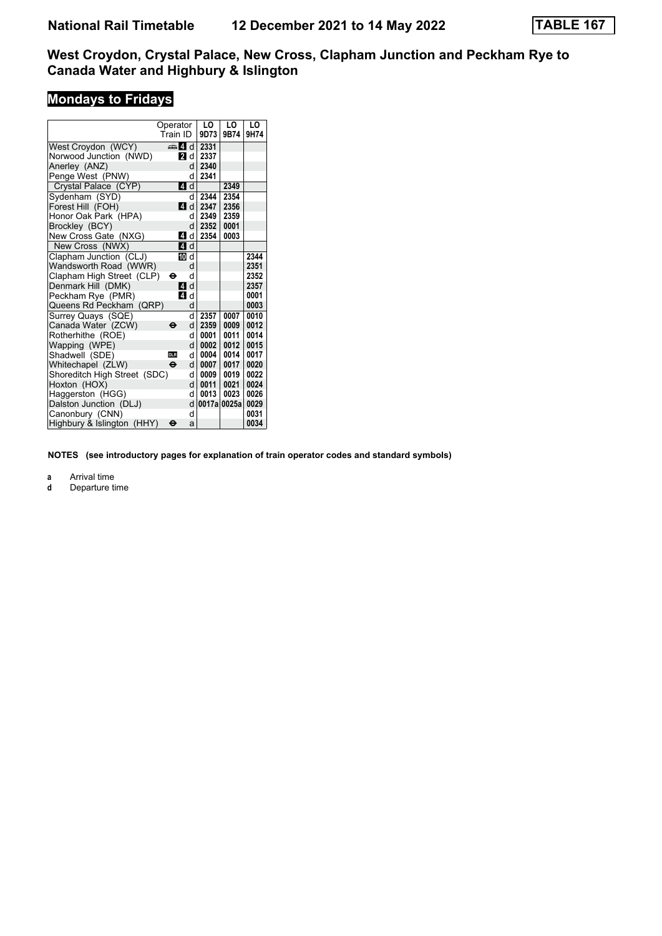# **Mondays to Fridays**

|                              | Operator            |    | LO   | LO          | LO   |
|------------------------------|---------------------|----|------|-------------|------|
|                              | Train ID            |    | 9D73 | 9B74        | 9H74 |
| West Croydon (WCY)           | d d                 |    | 2331 |             |      |
| Norwood Junction (NWD)       | 21 d                |    | 2337 |             |      |
| Anerley (ANZ)                |                     | d  | 2340 |             |      |
| Penge West (PNW)             |                     | d  | 2341 |             |      |
| Crystal Palace (CYP)         | 4 d                 |    |      | 2349        |      |
| Sydenham (SYD)               |                     | d  | 2344 | 2354        |      |
| Forest Hill (FOH)            | ZI d                |    | 2347 | 2356        |      |
| Honor Oak Park (HPA)         |                     | d. | 2349 | 2359        |      |
| Brockley (BCY)               |                     | d  | 2352 | 0001        |      |
| New Cross Gate (NXG)         | $\boldsymbol{A}$    | d  | 2354 | 0003        |      |
| New Cross (NWX)              | 4 d                 |    |      |             |      |
| Clapham Junction (CLJ)       | m d                 |    |      |             | 2344 |
| Wandsworth Road (WWR)        |                     | d  |      |             | 2351 |
| Clapham High Street (CLP)    | ⊖                   | d  |      |             | 2352 |
| Denmark Hill (DMK)           | 4 d                 |    |      |             | 2357 |
| Peckham Rye (PMR)            | ZI d                |    |      |             | 0001 |
| Queens Rd Peckham (QRP)      |                     | d  |      |             | 0003 |
| Surrey Quays (SQE)           |                     | q  | 2357 | 0007        | 0010 |
| Canada Water (ZCW)           | θ                   | d  | 2359 | 0009        | 0012 |
| Rotherhithe (ROE)            |                     | d  | 0001 | 0011        | 0014 |
| Wapping (WPE)                |                     | d  | 0002 | 0012        | 0015 |
| Shadwell (SDE)               | <b>DLR</b>          | d  | 0004 | 0014        | 0017 |
| Whitechapel (ZLW)            | $\ddot{\mathbf{e}}$ | d  | 0007 | 0017        | 0020 |
| Shoreditch High Street (SDC) |                     | d  | 0009 | 0019        | 0022 |
| Hoxton (HOX)                 |                     | d  | 0011 | 0021        | 0024 |
| Haggerston (HGG)             |                     | d  | 0013 | 0023        | 0026 |
| Dalston Junction (DLJ)       |                     | d  |      | 0017a 0025a | 0029 |
| Canonbury (CNN)              |                     | d  |      |             | 0031 |
| Highbury & Islington (HHY)   | θ                   | a  |      |             | 0034 |

**NOTES (see introductory pages for explanation of train operator codes and standard symbols)**

**a** Arrival time<br>**d** Departure t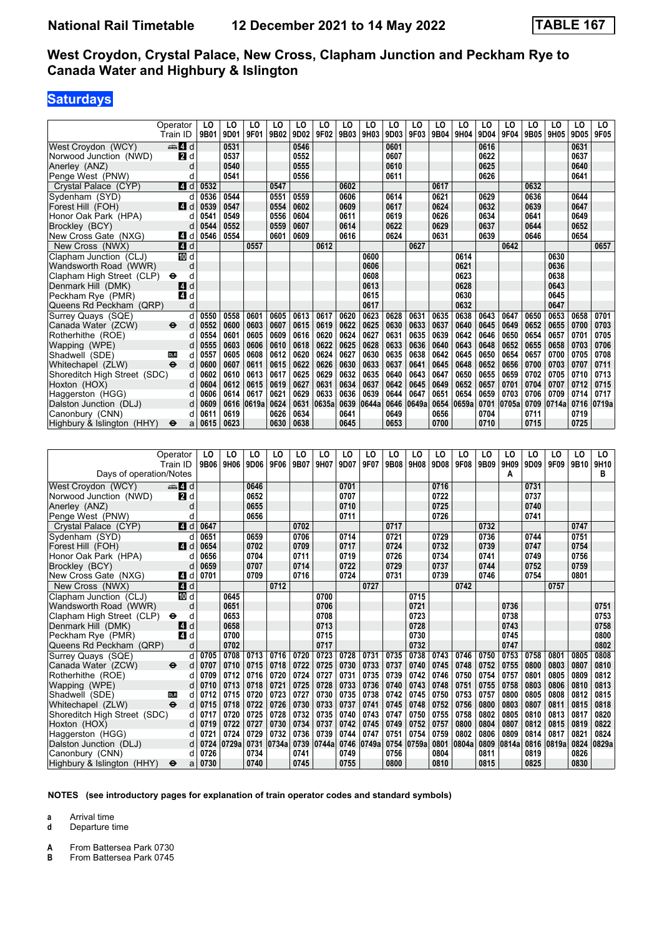## **Saturdays**

|                              | Operator<br>Train ID            | LO<br>9B01 | LO<br>9D01 | LO<br>9F01     | LO<br>9B02 | LO<br>9D02 | LO<br>9F02 | LO<br>9B03     | LO<br>9H03     | LO<br>9D03 | LO<br>9F03 | LO<br>9B04 | LO<br>9H04 | LO<br>9D04 | LO<br>9F04 | LO<br>9B05 | LO<br>9H05 | LO<br>9D05 | LO<br>9F05 |
|------------------------------|---------------------------------|------------|------------|----------------|------------|------------|------------|----------------|----------------|------------|------------|------------|------------|------------|------------|------------|------------|------------|------------|
| West Croydon (WCY)           | den <b>Z</b> Id                 |            | 0531       |                |            | 0546       |            |                |                | 0601       |            |            |            | 0616       |            |            |            | 0631       |            |
| Norwood Junction (NWD)       | <b>2</b> d                      |            | 0537       |                |            | 0552       |            |                |                | 0607       |            |            |            | 0622       |            |            |            | 0637       |            |
| Anerley (ANZ)                | d                               |            | 0540       |                |            | 0555       |            |                |                | 0610       |            |            |            | 0625       |            |            |            | 0640       |            |
| Penge West (PNW)             | d                               |            | 0541       |                |            | 0556       |            |                |                | 0611       |            |            |            | 0626       |            |            |            | 0641       |            |
| Crystal Palace (CYP)         | 4 d                             | 0532       |            |                | 0547       |            |            | 0602           |                |            |            | 0617       |            |            |            | 0632       |            |            |            |
| Sydenham (SYD)               | d                               | 0536       | 0544       |                | 0551       | 0559       |            | 0606           |                | 0614       |            | 0621       |            | 0629       |            | 0636       |            | 0644       |            |
| Forest Hill (FOH)            | ZI d                            | 0539       | 0547       |                | 0554       | 0602       |            | 0609           |                | 0617       |            | 0624       |            | 0632       |            | 0639       |            | 0647       |            |
| Honor Oak Park (HPA)         | d                               | 0541       | 0549       |                | 0556       | 0604       |            | 0611           |                | 0619       |            | 0626       |            | 0634       |            | 0641       |            | 0649       |            |
| Brockley (BCY)               | d                               | 0544       | 0552       |                | 0559       | 0607       |            | 0614           |                | 0622       |            | 0629       |            | 0637       |            | 0644       |            | 0652       |            |
| New Cross Gate (NXG)         | ZI d                            | 0546       | 0554       |                | 0601       | 0609       |            | 0616           |                | 0624       |            | 0631       |            | 0639       |            | 0646       |            | 0654       |            |
| New Cross (NWX)              | 4d                              |            |            | 0557           |            |            | 0612       |                |                |            | 0627       |            |            |            | 0642       |            |            |            | 0657       |
| Clapham Junction (CLJ)       | 10 d                            |            |            |                |            |            |            |                | 0600           |            |            |            | 0614       |            |            |            | 0630       |            |            |
| Wandsworth Road (WWR)        | d                               |            |            |                |            |            |            |                | 0606           |            |            |            | 0621       |            |            |            | 0636       |            |            |
| Clapham High Street (CLP)    | d<br>$\bullet$                  |            |            |                |            |            |            |                | 0608           |            |            |            | 0623       |            |            |            | 0638       |            |            |
| Denmark Hill (DMK)           | d<br>14                         |            |            |                |            |            |            |                | 0613           |            |            |            | 0628       |            |            |            | 0643       |            |            |
| Peckham Rye (PMR)            | 4 d                             |            |            |                |            |            |            |                | 0615           |            |            |            | 0630       |            |            |            | 0645       |            |            |
| Queens Rd Peckham (QRP)      | d                               |            |            |                |            |            |            |                | 0617           |            |            |            | 0632       |            |            |            | 0647       |            |            |
| Surrey Quays (SQE)           | d                               | 0550       | 0558       | 0601           | 0605       | 0613       | 0617       | 0620           | 0623           | 0628       | 0631       | 0635       | 0638       | 0643       | 0647       | 0650       | 0653       | 0658       | 0701       |
| Canada Water (ZCW)           | θ<br>d                          | 0552       | 0600       | 0603           | 0607       | 0615       | 0619       | 0622           | 0625           | 0630       | 0633       | 0637       | 0640       | 0645       | 0649       | 0652       | 0655       | 0700       | 0703       |
| Rotherhithe (ROE)            | d                               | 0554       | 0601       | 0605           | 0609       | 0616       | 0620       | 0624           | 0627           | 0631       | 0635       | 0639       | 0642       | 0646       | 0650       | 0654       | 0657       | 0701       | 0705       |
| Wapping (WPE)                | d                               | 0555       | 0603       | 0606           | 0610       | 0618       | 0622       | 0625           | 0628           | 0633       | 0636       | 0640       | 0643       | 0648       | 0652       | 0655       | 0658       | 0703       | 0706       |
| Shadwell (SDE)               | <b>DLR</b><br>d                 | 0557       | 0605       | 0608           | 0612       | 0620       | 0624       | 0627           | 0630           | 0635       | 0638       | 0642       | 0645       | 0650       | 0654       | 0657       | 0700       | 0705       | 0708       |
| Whitechapel (ZLW)            | $\ddot{\mathbf{e}}$<br>d        | 0600       | 0607       | 0611           | 0615       | 0622       | 0626       | 0630           | 0633           | 0637       | 0641       | 0645       | 0648       | 0652       | 0656       | 0700       | 0703       | 0707       | 0711       |
| Shoreditch High Street (SDC) | d                               | 0602       | 0610       | 0613           | 0617       | 0625       | 0629       | 0632           | 0635           | 0640       | 0643       | 0647       | 0650       | 0655       | 0659       | 0702       | 0705       | 0710       | 0713       |
| Hoxton (HOX)                 | d                               | 0604       | 0612       | 0615           | 0619       | 0627       | 0631       | 0634           | 0637           | 0642       | 0645       | 0649       | 0652       | 0657       | 0701       | 0704       | 0707       | 0712       | 0715       |
| Haggerston (HGG)             | d                               | 0606       | 0614       | 0617           | 0621       | 0629       | 0633       | 0636           | 0639           | 0644       | 0647       | 0651       | 0654       | 0659       | 0703       | 0706       | 0709       | 0714       | 0717       |
| Dalston Junction (DLJ)       | d                               | 0609       | 0616       | 0619a          | 0624       | 0631       | 0635a      | 0639           | 0644a          | 0646       | 0649a      | 0654       | 0659a      | 0701       | 0705a      | 0709       | 0714a      | 0716       | 0719a      |
| Canonbury (CNN)              | d                               | 0611       | 0619       |                | 0626       | 0634       |            | 0641           |                | 0649       |            | 0656       |            | 0704       |            | 0711       |            | 0719       |            |
| Highbury & Islington (HHY)   | ⊖<br>a                          | 0615       | 0623       |                | 0630       | 0638       |            | 0645           |                | 0653       |            | 0700       |            | 0710       |            | 0715       |            | 0725       |            |
|                              |                                 |            |            |                |            |            |            |                |                |            |            |            |            |            |            |            |            |            |            |
|                              |                                 |            |            |                |            |            |            | L <sub>0</sub> | L <sub>0</sub> | LO         | LO         |            | LO         |            |            | LO         |            |            |            |
|                              | Operator                        | LO         | LO         | LO             | LO<br>9F06 | LO<br>9B07 | LO         |                | 9F07           | 9B08       |            | LO<br>9D08 | 9F08       | LO<br>9B09 | LO         | 9D09       | LO         | LO         | LO         |
|                              | Train ID                        | 9B06       | 9H06       | 9D06           |            |            | 9H07       | 9D07           |                |            | 9H08       |            |            |            | 9H09       |            | 9F09       | 9B10       | 9H10       |
| Days of operation/Notes      |                                 |            |            |                |            |            |            |                |                |            |            |            |            |            | A          |            |            |            | в          |
| West Croydon (WCY)           | $\mathbf{A}$ of $\mathbf{A}$ of |            |            | 0646           |            |            |            | 0701           |                |            |            | 0716       |            |            |            | 0731       |            |            |            |
| Norwood Junction (NWD)       | <b>2</b> d                      |            |            | 0652           |            |            |            | 0707           |                |            |            | 0722       |            |            |            | 0737       |            |            |            |
| Anerley (ANZ)                | d                               |            |            | 0655           |            |            |            | 0710           |                |            |            | 0725       |            |            |            | 0740       |            |            |            |
| Penge West (PNW)             | d                               |            |            | 0656           |            |            |            | 0711           |                |            |            | 0726       |            |            |            | 0741       |            |            |            |
| Crystal Palace (CYP)         | 4 d                             | 0647       |            | $\overline{0}$ |            | 0702       |            | $\overline{a}$ |                | 0717       |            | $5 - 0$    |            | 0732       |            | $-11$      |            | 0747       |            |

| Penge West (PNW)                          | d             |      |       | 0656 |       |      |            | 0711 |            |      |       | 0726 |       |      |       | 0741 |       |      |       |
|-------------------------------------------|---------------|------|-------|------|-------|------|------------|------|------------|------|-------|------|-------|------|-------|------|-------|------|-------|
| Crystal Palace (CYP)                      | ZI d          | 0647 |       |      |       | 0702 |            |      |            | 0717 |       |      |       | 0732 |       |      |       | 0747 |       |
| Sydenham (SYD)                            |               | 0651 |       | 0659 |       | 0706 |            | 0714 |            | 0721 |       | 0729 |       | 0736 |       | 0744 |       | 0751 |       |
| Forest Hill (FOH)                         | ZI d          | 0654 |       | 0702 |       | 0709 |            | 0717 |            | 0724 |       | 0732 |       | 0739 |       | 0747 |       | 0754 |       |
| Honor Oak Park (HPA)                      |               | 0656 |       | 0704 |       | 0711 |            | 0719 |            | 0726 |       | 0734 |       | 0741 |       | 0749 |       | 0756 |       |
| Brockley (BCY)                            |               | 0659 |       | 0707 |       | 0714 |            | 0722 |            | 0729 |       | 0737 |       | 0744 |       | 0752 |       | 0759 |       |
| New Cross Gate (NXG)                      | <b>4</b><br>d | 0701 |       | 0709 |       | 0716 |            | 0724 |            | 0731 |       | 0739 |       | 0746 |       | 0754 |       | 0801 |       |
| New Cross (NWX)                           | 4 d           |      |       |      | 0712  |      |            |      | 0727       |      |       |      | 0742  |      |       |      | 0757  |      |       |
| Clapham Junction (CLJ)                    | TO d          |      | 0645  |      |       |      | 0700       |      |            |      | 0715  |      |       |      |       |      |       |      |       |
| Wandsworth Road (WWR)                     | d             |      | 0651  |      |       |      | 0706       |      |            |      | 0721  |      |       |      | 0736  |      |       |      | 0751  |
| Clapham High Street (CLP)<br>$\bullet$    | d             |      | 0653  |      |       |      | 0708       |      |            |      | 0723  |      |       |      | 0738  |      |       |      | 0753  |
| Denmark Hill (DMK)                        | d<br><b>4</b> |      | 0658  |      |       |      | 0713       |      |            |      | 0728  |      |       |      | 0743  |      |       |      | 0758  |
| Peckham Rye (PMR)                         | 4<br>d        |      | 0700  |      |       |      | 0715       |      |            |      | 0730  |      |       |      | 0745  |      |       |      | 0800  |
| Queens Rd Peckham (QRP)                   | d             |      | 0702  |      |       |      | 0717       |      |            |      | 0732  |      |       |      | 0747  |      |       |      | 0802  |
| Surrey Quays (SQE)                        | d             | 0705 | 0708  | 0713 | 0716  | 0720 | 0723       | 0728 | 0731       | 0735 | 0738  | 0743 | 0746  | 0750 | 0753  | 0758 | 0801  | 0805 | 0808  |
| Canada Water (ZCW)<br>$\ddot{\mathbf{e}}$ | d             | 0707 | 0710  | 0715 | 0718  | 0722 | 0725       | 0730 | 0733       | 0737 | 0740  | 0745 | 0748  | 0752 | 0755  | 0800 | 0803  | 0807 | 0810  |
| Rotherhithe (ROE)                         | d             | 0709 | 0712  | 0716 | 0720  | 0724 | 0727       | 0731 | 0735       | 0739 | 0742  | 0746 | 0750  | 0754 | 0757  | 0801 | 0805  | 0809 | 0812  |
| Wapping (WPE)                             | d             | 0710 | 0713  | 0718 | 0721  | 0725 | 0728       | 0733 | 0736       | 0740 | 0743  | 0748 | 0751  | 0755 | 0758  | 0803 | 0806  | 0810 | 0813  |
| Shadwell (SDE)<br><b>DLR</b>              | d             | 0712 | 0715  | 0720 | 0723  | 0727 | 0730       | 0735 | 0738       | 0742 | 0745  | 0750 | 0753  | 0757 | 0800  | 0805 | 0808  | 0812 | 0815  |
| $\ddot{\mathbf{e}}$<br>Whitechapel (ZLW)  | d             | 0715 | 0718  | 0722 | 0726  | 0730 | 0733       | 0737 | 0741       | 0745 | 0748  | 0752 | 0756  | 0800 | 0803  | 0807 | 0811  | 0815 | 0818  |
| Shoreditch High Street (SDC)              | d             | 0717 | 0720  | 0725 | 0728  | 0732 | 0735       | 0740 | 0743       | 0747 | 0750  | 0755 | 0758  | 0802 | 0805  | 0810 | 0813  | 0817 | 0820  |
| Hoxton (HOX)                              | d             | 0719 | 0722  | 0727 | 0730  | 0734 | 0737       | 0742 | 0745       | 0749 | 0752  | 0757 | 0800  | 0804 | 0807  | 0812 | 0815  | 0819 | 0822  |
| Haggerston (HGG)                          | d             | 0721 | 0724  | 0729 | 0732  | 0736 | 0739       | 0744 | 0747       | 0751 | 0754  | 0759 | 0802  | 0806 | 0809  | 0814 | 0817  | 0821 | 0824  |
| Dalston Junction (DLJ)                    | $d \mid$      | 0724 | 0729a | 0731 | 0734a |      | 0739 0744a |      | 0746 0749a | 0754 | 0759a | 0801 | 0804a | 0809 | 0814a | 0816 | 0819a | 0824 | 0829a |
| Canonbury (CNN)                           | d             | 0726 |       | 0734 |       | 0741 |            | 0749 |            | 0756 |       | 0804 |       | 0811 |       | 0819 |       | 0826 |       |
| Highbury & Islington (HHY)<br>$\bullet$   | a             | 0730 |       | 0740 |       | 0745 |            | 0755 |            | 0800 |       | 0810 |       | 0815 |       | 0825 |       | 0830 |       |

**NOTES (see introductory pages for explanation of train operator codes and standard symbols)**

**a** Arrival time<br>**d** Departure t

**d** Departure time

**A** From Battersea Park 0730<br>**B** From Battersea Park 0745

**From Battersea Park 0745**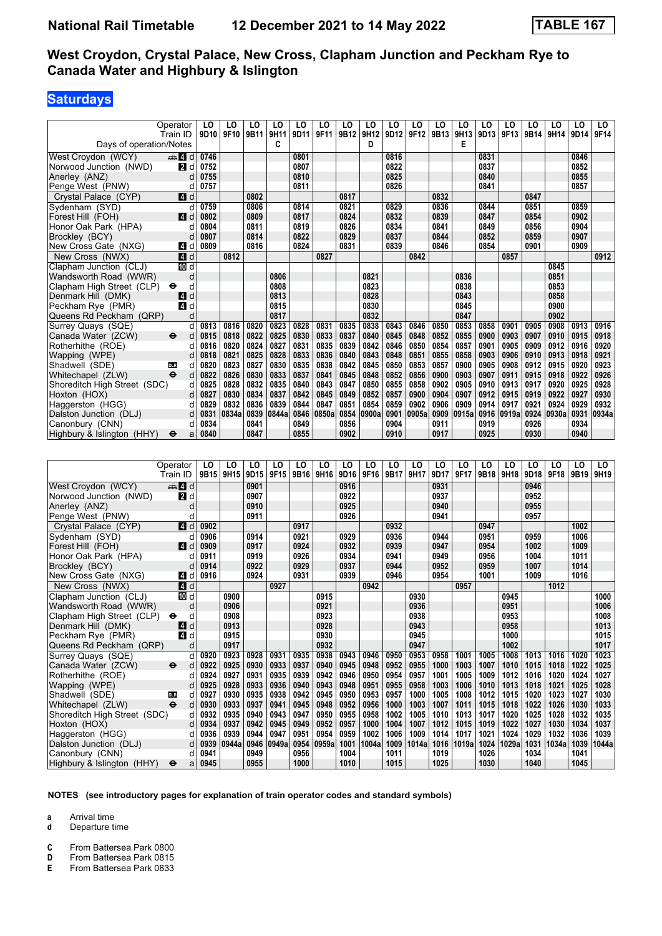## **Saturdays**

|                              | Operator<br>Train ID     | LO<br>9D10   | LO<br>9F10 | LO<br>9B11   | LO<br>9H11 | LO<br>9D11 | LO<br>9F11 | LO<br>9B12 | LO<br>9H12 | LO<br>9D12 | LO<br>9F12 | LO<br>9B13 | LO<br>9H13 | LO<br>9D13 | LO<br>9F13 | LO<br>9B14   | LO<br>9H14 | LO<br>9D14   | LO<br>9F14 |
|------------------------------|--------------------------|--------------|------------|--------------|------------|------------|------------|------------|------------|------------|------------|------------|------------|------------|------------|--------------|------------|--------------|------------|
| Days of operation/Notes      |                          |              |            |              | C          |            |            |            | D          |            |            |            | Е          |            |            |              |            |              |            |
| West Croydon (WCY)           | $\oplus$ 4               | 0746         |            |              |            | 0801       |            |            |            | 0816       |            |            |            | 0831       |            |              |            | 0846         |            |
| Norwood Junction (NWD)       | <b>2</b> d               | 0752         |            |              |            | 0807       |            |            |            | 0822       |            |            |            | 0837       |            |              |            | 0852         |            |
| Anerley (ANZ)                | d                        | 0755         |            |              |            | 0810       |            |            |            | 0825       |            |            |            | 0840       |            |              |            | 0855         |            |
| Penge West (PNW)             | d                        | 0757         |            |              |            | 0811       |            |            |            | 0826       |            |            |            | 0841       |            |              |            | 0857         |            |
| Crystal Palace (CYP)         | 4 d                      |              |            | 0802         |            |            |            | 0817       |            |            |            | 0832       |            |            |            | 0847         |            |              |            |
| Sydenham (SYD)               | d                        | 0759         |            | 0806         |            | 0814       |            | 0821       |            | 0829       |            | 0836       |            | 0844       |            | 0851         |            | 0859         |            |
| Forest Hill (FOH)            | <b>ZI</b> d              | 0802         |            | 0809         |            | 0817       |            | 0824       |            | 0832       |            | 0839       |            | 0847       |            | 0854         |            | 0902         |            |
| Honor Oak Park (HPA)         | d                        | 0804         |            | 0811         |            | 0819       |            | 0826       |            | 0834       |            | 0841       |            | 0849       |            | 0856         |            | 0904         |            |
| Brockley (BCY)               |                          | 0807         |            | 0814         |            | 0822       |            | 0829       |            | 0837       |            | 0844       |            | 0852       |            | 0859         |            | 0907         |            |
| New Cross Gate (NXG)         | 4 d                      | 0809         |            | 0816         |            | 0824       |            | 0831       |            | 0839       |            | 0846       |            | 0854       |            | 0901         |            | 0909         |            |
| New Cross (NWX)              | 4d                       |              | 0812       |              |            |            | 0827       |            |            |            | 0842       |            |            |            | 0857       |              |            |              | 0912       |
| Clapham Junction (CLJ)       | <b>ID</b> d              |              |            |              |            |            |            |            |            |            |            |            |            |            |            |              | 0845       |              |            |
| Wandsworth Road (WWR)        | d                        |              |            |              | 0806       |            |            |            | 0821       |            |            |            | 0836       |            |            |              | 0851       |              |            |
| Clapham High Street (CLP)    | $\bullet$<br>d           |              |            |              | 0808       |            |            |            | 0823       |            |            |            | 0838       |            |            |              | 0853       |              |            |
| Denmark Hill (DMK)           | d<br><b>14</b>           |              |            |              | 0813       |            |            |            | 0828       |            |            |            | 0843       |            |            |              | 0858       |              |            |
| Peckham Rye (PMR)            | $\overline{A}$<br>d      |              |            |              | 0815       |            |            |            | 0830       |            |            |            | 0845       |            |            |              | 0900       |              |            |
| Queens Rd Peckham (QRP)      | d                        |              |            |              | 0817       |            |            |            | 0832       |            |            |            | 0847       |            |            |              | 0902       |              |            |
| Surrey Quays (SQE)           | d                        | 0813         | 0816       | 0820         | 0823       | 0828       | 0831       | 0835       | 0838       | 0843       | 0846       | 0850       | 0853       | 0858       | 0901       | 0905         | 0908       | 0913         | 0916       |
| Canada Water (ZCW)           | $\ddot{\mathbf{e}}$<br>d | 0815         | 0818       | 0822         | 0825       | 0830       | 0833       | 0837       | 0840       | 0845       | 0848       | 0852       | 0855       | 0900       | 0903       | 0907         | 0910       | 0915         | 0918       |
| Rotherhithe (ROE)            | d                        | 0816         | 0820       | 0824         | 0827       | 0831       | 0835       | 0839       | 0842       | 0846       | 0850       | 0854       | 0857       | 0901       | 0905       | 0909         | 0912       | 0916         | 0920       |
| Wapping (WPE)                |                          | 0818         | 0821       | 0825         | 0828       | 0833       | 0836       | 0840       | 0843       | 0848       | 0851       | 0855       | 0858       | 0903       | 0906       | 0910         | 0913       | 0918         | 0921       |
| Shadwell (SDE)               | DLR<br>d                 | 0820         | 0823       | 0827         | 0830       | 0835       | 0838       | 0842       | 0845       | 0850       | 0853       | 0857       | 0900       | 0905       | 0908       | 0912         | 0915       | 0920         | 0923       |
| Whitechapel (ZLW)            | $\ddot{\mathbf{e}}$<br>d | 0822         | 0826       | 0830         | 0833       | 0837       | 0841       | 0845       | 0848       | 0852       | 0856       | 0900       | 0903       | 0907       | 0911       | 0915         | 0918       | 0922         | 0926       |
| Shoreditch High Street (SDC) | d                        | 0825         | 0828       | 0832         | 0835       | 0840       | 0843       | 0847       | 0850       | 0855       | 0858       | 0902       | 0905       | 0910       | 0913       | 0917         | 0920       | 0925         | 0928       |
| Hoxton (HOX)                 | d                        | 0827         | 0830       | 0834         | 0837       | 0842       | 0845       | 0849       | 0852       | 0857       | 0900       | 0904       | 0907       | 0912       | 0915       | 0919         | 0922       | 0927         | 0930       |
| Haggerston (HGG)             | d                        | 0829         | 0832       | 0836         | 0839       | 0844       | 0847       | 0851       | 0854       | 0859       | 0902       | 0906       | 0909       | 0914       | 0917       | 0921         | 0924       | 0929         | 0932       |
| Dalston Junction (DLJ)       | d                        | 0831         | 0834a      | 0839         | 0844a      | 0846       | 0850a      | 0854       | 0900a      | 0901       | 0905a      | 0909       | 0915a      | 0916       | 0919a      | 0924         | 0930a      | 0931         | 0934a      |
| Canonbury (CNN)              | d                        | 0834<br>0840 |            | 0841<br>0847 |            | 0849       |            | 0856       |            | 0904       |            | 0911       |            | 0919       |            | 0926<br>0930 |            | 0934<br>0940 |            |
| Highbury & Islington (HHY)   | $\bullet$<br>a           |              |            |              |            | 0855       |            | 0902       |            | 0910       |            | 0917       |            | 0925       |            |              |            |              |            |

|                              | Operator                 | LO               | LO    | LO   | LO    | LO   | LO    | LO   | LO    | LO   | LO    | LO   | LO    | LO   | LO    | LO   | LO    | LO   | LO    |
|------------------------------|--------------------------|------------------|-------|------|-------|------|-------|------|-------|------|-------|------|-------|------|-------|------|-------|------|-------|
|                              | Train ID                 | 9B <sub>15</sub> | 9H15  | 9D15 | 9F15  | 9B16 | 9H16  | 9D16 | 9F16  | 9B17 | 9H17  | 9D17 | 9F17  | 9B18 | 9H18  | 9D18 | 9F18  | 9B19 | 9H19  |
| West Croydon (WCY)           | den and                  |                  |       | 0901 |       |      |       | 0916 |       |      |       | 0931 |       |      |       | 0946 |       |      |       |
| Norwood Junction (NWD)       | <b>2</b> d               |                  |       | 0907 |       |      |       | 0922 |       |      |       | 0937 |       |      |       | 0952 |       |      |       |
| Anerley (ANZ)                | d                        |                  |       | 0910 |       |      |       | 0925 |       |      |       | 0940 |       |      |       | 0955 |       |      |       |
| Penge West (PNW)             |                          |                  |       | 0911 |       |      |       | 0926 |       |      |       | 0941 |       |      |       | 0957 |       |      |       |
| Crystal Palace (CYP)         | 4 d                      | 0902             |       |      |       | 0917 |       |      |       | 0932 |       |      |       | 0947 |       |      |       | 1002 |       |
| Sydenham (SYD)               | d                        | 0906             |       | 0914 |       | 0921 |       | 0929 |       | 0936 |       | 0944 |       | 0951 |       | 0959 |       | 1006 |       |
| Forest Hill (FOH)            | <b>4</b>                 | 0909             |       | 0917 |       | 0924 |       | 0932 |       | 0939 |       | 0947 |       | 0954 |       | 1002 |       | 1009 |       |
| Honor Oak Park (HPA)         |                          | 0911             |       | 0919 |       | 0926 |       | 0934 |       | 0941 |       | 0949 |       | 0956 |       | 1004 |       | 1011 |       |
| Brockley (BCY)               |                          | 0914             |       | 0922 |       | 0929 |       | 0937 |       | 0944 |       | 0952 |       | 0959 |       | 1007 |       | 1014 |       |
| New Cross Gate (NXG)         | $\overline{4}$<br>d      | 0916             |       | 0924 |       | 0931 |       | 0939 |       | 0946 |       | 0954 |       | 1001 |       | 1009 |       | 1016 |       |
| New Cross (NWX)              | 4d                       |                  |       |      | 0927  |      |       |      | 0942  |      |       |      | 0957  |      |       |      | 1012  |      |       |
| Clapham Junction (CLJ)       | iD d                     |                  | 0900  |      |       |      | 0915  |      |       |      | 0930  |      |       |      | 0945  |      |       |      | 1000  |
| Wandsworth Road (WWR)        | d                        |                  | 0906  |      |       |      | 0921  |      |       |      | 0936  |      |       |      | 0951  |      |       |      | 1006  |
| Clapham High Street (CLP)    | d                        |                  | 0908  |      |       |      | 0923  |      |       |      | 0938  |      |       |      | 0953  |      |       |      | 1008  |
| Denmark Hill (DMK)           | d<br>14                  |                  | 0913  |      |       |      | 0928  |      |       |      | 0943  |      |       |      | 0958  |      |       |      | 1013  |
| Peckham Rye (PMR)            | ZI d                     |                  | 0915  |      |       |      | 0930  |      |       |      | 0945  |      |       |      | 1000  |      |       |      | 1015  |
| Queens Rd Peckham (QRP)      | d                        |                  | 0917  |      |       |      | 0932  |      |       |      | 0947  |      |       |      | 1002  |      |       |      | 1017  |
| Surrey Quays (SQE)           | d                        | 0920             | 0923  | 0928 | 0931  | 0935 | 0938  | 0943 | 0946  | 0950 | 0953  | 0958 | 1001  | 1005 | 1008  | 1013 | 1016  | 1020 | 1023  |
| Canada Water (ZCW)           | $\ddot{\mathbf{e}}$<br>d | 0922             | 0925  | 0930 | 0933  | 0937 | 0940  | 0945 | 0948  | 0952 | 0955  | 1000 | 1003  | 1007 | 1010  | 1015 | 1018  | 1022 | 1025  |
| Rotherhithe (ROE)            | d                        | 0924             | 0927  | 0931 | 0935  | 0939 | 0942  | 0946 | 0950  | 0954 | 0957  | 1001 | 1005  | 1009 | 1012  | 1016 | 1020  | 1024 | 1027  |
| Wapping (WPE)                | d                        | 0925             | 0928  | 0933 | 0936  | 0940 | 0943  | 0948 | 0951  | 0955 | 0958  | 1003 | 1006  | 1010 | 1013  | 1018 | 1021  | 1025 | 1028  |
| Shadwell (SDE)               | <b>DLR</b><br>d          | 0927             | 0930  | 0935 | 0938  | 0942 | 0945  | 0950 | 0953  | 0957 | 1000  | 1005 | 1008  | 1012 | 1015  | 1020 | 1023  | 1027 | 1030  |
| Whitechapel (ZLW)            | $\ddot{\mathbf{e}}$<br>d | 0930             | 0933  | 0937 | 0941  | 0945 | 0948  | 0952 | 0956  | 1000 | 1003  | 1007 | 1011  | 1015 | 1018  | 1022 | 1026  | 1030 | 1033  |
| Shoreditch High Street (SDC) | d                        | 0932             | 0935  | 0940 | 0943  | 0947 | 0950  | 0955 | 0958  | 1002 | 1005  | 1010 | 1013  | 1017 | 1020  | 1025 | 1028  | 1032 | 1035  |
| Hoxton (HOX)                 |                          | 0934             | 0937  | 0942 | 0945  | 0949 | 0952  | 0957 | 1000  | 1004 | 1007  | 1012 | 1015  | 1019 | 1022  | 1027 | 1030  | 1034 | 1037  |
| Haggerston (HGG)             |                          | 0936             | 0939  | 0944 | 0947  | 0951 | 0954  | 0959 | 1002  | 1006 | 1009  | 1014 | 1017  | 1021 | 1024  | 1029 | 1032  | 1036 | 1039  |
| Dalston Junction (DLJ)       | d                        | 0939             | 0944a | 0946 | 0949a | 0954 | 0959a | 1001 | 1004a | 1009 | 1014a | 1016 | 1019a | 1024 | 1029a | 1031 | 1034a | 1039 | 1044a |
| Canonbury (CNN)              |                          | 0941             |       | 0949 |       | 0956 |       | 1004 |       | 1011 |       | 1019 |       | 1026 |       | 1034 |       | 1041 |       |
| Highbury & Islington (HHY)   | $\bullet$<br>a           | 0945             |       | 0955 |       | 1000 |       | 1010 |       | 1015 |       | 1025 |       | 1030 |       | 1040 |       | 1045 |       |

**NOTES (see introductory pages for explanation of train operator codes and standard symbols)**

- **a** Arrival time<br>**d** Departure t
- **d** Departure time
- **C** From Battersea Park 0800<br>**D** From Battersea Park 0815
- **D** From Battersea Park 0815<br>**E** From Battersea Park 0833
- **From Battersea Park 0833**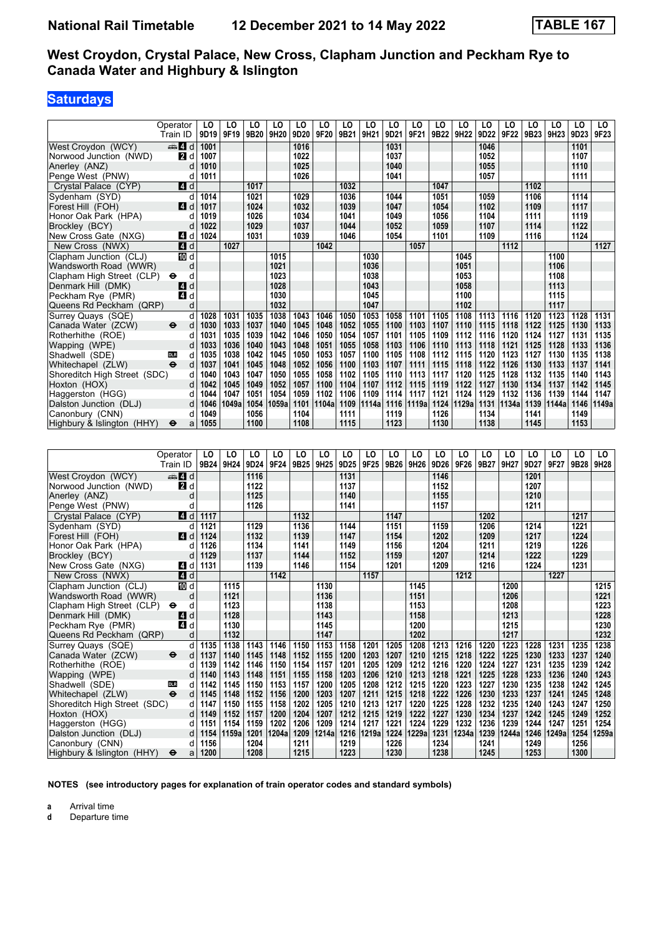### **Saturdays**

|                                 | Operator<br>Train ID     | LO<br>9D19   | LO<br>9F19   | LO<br>9B <sub>20</sub> | LO<br>9H20   | LO<br>9D20   | LO<br>9F20   | LO<br>9B21   | LO<br>9H21   | LO<br>9D21   | LO<br>9F21   | LO<br>9B22   | LO<br>9H22   | LO<br>9D22   | LO<br>9F22   | LO<br>9B23   | LO<br>9H23   | LO<br>9D23   | LO<br>9F23   |
|---------------------------------|--------------------------|--------------|--------------|------------------------|--------------|--------------|--------------|--------------|--------------|--------------|--------------|--------------|--------------|--------------|--------------|--------------|--------------|--------------|--------------|
|                                 |                          |              |              |                        |              |              |              |              |              |              |              |              |              |              |              |              |              |              |              |
| West Croydon (WCY)              | den and                  | 1001         |              |                        |              | 1016         |              |              |              | 1031         |              |              |              | 1046         |              |              |              | 1101         |              |
| Norwood Junction (NWD)          | 2d                       | 1007         |              |                        |              | 1022         |              |              |              | 1037         |              |              |              | 1052         |              |              |              | 1107         |              |
| Anerley (ANZ)                   | d                        | 1010         |              |                        |              | 1025         |              |              |              | 1040         |              |              |              | 1055         |              |              |              | 1110         |              |
| Penge West (PNW)                | d                        | 1011         |              |                        |              | 1026         |              |              |              | 1041         |              |              |              | 1057         |              |              |              | 1111         |              |
| Crystal Palace (CYP)            | $\blacksquare$ d         |              |              | 1017                   |              |              |              | 1032         |              |              |              | 1047         |              |              |              | 1102         |              |              |              |
| Sydenham (SYD)                  | d                        | 1014         |              | 1021                   |              | 1029         |              | 1036         |              | 1044         |              | 1051         |              | 1059         |              | 1106         |              | 1114         |              |
| Forest Hill (FOH)               | ZI d                     | 1017         |              | 1024                   |              | 1032         |              | 1039         |              | 1047         |              | 1054         |              | 1102         |              | 1109         |              | 1117         |              |
| Honor Oak Park (HPA)            | d                        | 1019         |              | 1026                   |              | 1034         |              | 1041         |              | 1049         |              | 1056         |              | 1104         |              | 1111         |              | 1119         |              |
| Brockley (BCY)                  | d                        | 1022         |              | 1029                   |              | 1037         |              | 1044         |              | 1052         |              | 1059         |              | 1107         |              | 1114         |              | 1122         |              |
| New Cross Gate (NXG)            | 4 d                      | 1024         |              | 1031                   |              | 1039         |              | 1046         |              | 1054         |              | 1101         |              | 1109         |              | 1116         |              | 1124         |              |
| New Cross (NWX)                 | ZI d                     |              | 1027         |                        |              |              | 1042         |              |              |              | 1057         |              |              |              | 1112         |              |              |              | 1127         |
| Clapham Junction (CLJ)          | 10 d                     |              |              |                        | 1015         |              |              |              | 1030         |              |              |              | 1045         |              |              |              | 1100         |              |              |
| Wandsworth Road (WWR)           | d                        |              |              |                        | 1021         |              |              |              | 1036         |              |              |              | 1051         |              |              |              | 1106         |              |              |
| Clapham High Street (CLP)       | d<br>⊖                   |              |              |                        | 1023         |              |              |              | 1038         |              |              |              | 1053         |              |              |              | 1108         |              |              |
| Denmark Hill (DMK)              | ZI d                     |              |              |                        | 1028         |              |              |              | 1043         |              |              |              | 1058         |              |              |              | 1113         |              |              |
| Peckham Rye (PMR)               | 4 d                      |              |              |                        | 1030         |              |              |              | 1045         |              |              |              | 1100         |              |              |              | 1115         |              |              |
| Queens Rd Peckham (QRP)         | d                        |              |              |                        | 1032         |              |              |              | 1047         |              |              |              | 1102         |              |              |              | 1117         |              |              |
| Surrey Quays (SQE)              | d                        | 1028         | 1031         | 1035                   | 1038         | 1043         | 1046         | 1050         | 1053         | 1058         | 1101         | 1105         | 1108         | 1113         | 1116         | 1120         | 1123         | 1128         | 1131         |
| Canada Water (ZCW)              | $\bullet$<br>d           | 1030         | 1033         | 1037                   | 1040         | 1045<br>1046 | 1048         | 1052<br>1054 | 1055<br>1057 | 1100         | 1103<br>1105 | 1107         | 1110<br>1112 | 1115         | 1118         | 1122         | 1125         | 1130         | 1133<br>1135 |
| Rotherhithe (ROE)               | d                        | 1031         | 1035         | 1039                   | 1042         |              | 1050         |              |              | 1101         |              | 1109         |              | 1116         | 1120         | 1124         | 1127         | 1131         | 1136         |
| Wapping (WPE)<br>Shadwell (SDE) | d<br>d<br><b>DLR</b>     | 1033<br>1035 | 1036<br>1038 | 1040<br>1042           | 1043<br>1045 | 1048<br>1050 | 1051<br>1053 | 1055<br>1057 | 1058<br>1100 | 1103<br>1105 | 1106<br>1108 | 1110<br>1112 | 1113<br>1115 | 1118<br>1120 | 1121<br>1123 | 1125<br>1127 | 1128<br>1130 | 1133<br>1135 | 1138         |
| Whitechapel (ZLW)               | $\ddot{\mathbf{e}}$<br>d | 1037         | 1041         | 1045                   | 1048         | 1052         | 1056         | 1100         | 1103         | 1107         | 1111         | 1115         | 1118         | 1122         | 1126         | 1130         | 1133         | 1137         | 1141         |
| Shoreditch High Street (SDC)    | d                        | 1040         | 1043         | 1047                   | 1050         | 1055         | 1058         | 1102         | 1105         | 1110         | 1113         | 1117         | 1120         | 1125         | 1128         | 1132         | 1135         | 1140         | 1143         |
| Hoxton (HOX)                    | d                        | 1042         | 1045         | 1049                   | 1052         | 1057         | 1100         | 1104         | 1107         | 1112         | 1115         | 1119         | 1122         | 1127         | 1130         | 1134         | 1137         | 1142         | 1145         |
| Haggerston (HGG)                | d                        | 1044         | 1047         | 1051                   | 1054         | 1059         | 1102         | 1106         | 1109         | 1114         | 1117         | 1121         | 1124         | 1129         | 1132         | 1136         | 1139         | 1144         | 1147         |
| Dalston Junction (DLJ)          | d                        | 1046         | 1049a        | 1054                   | 1059a        | 1101         | 1104a        | 1109         | 1114a        | 1116         | 1119a        | 1124         | 1129a        | 1131         | 1134a        | 1139         | 1144a        | 1146         | 1149a        |
| Canonbury (CNN)                 | d                        | 1049         |              | 1056                   |              | 1104         |              | 1111         |              | 1119         |              | 1126         |              | 1134         |              | 1141         |              | 1149         |              |
| Highbury & Islington (HHY)      | $\bullet$<br>a           | 1055         |              | 1100                   |              | 1108         |              | 1115         |              | 1123         |              | 1130         |              | 1138         |              | 1145         |              | 1153         |              |
|                                 |                          |              |              |                        |              |              |              |              |              |              |              |              |              |              |              |              |              |              |              |
|                                 |                          |              |              |                        |              |              |              |              |              |              |              |              |              |              |              |              |              |              |              |
|                                 | Operator                 | LO           | LO           | LO                     | LO           | LO           | LO           | LO           | LO           | LO           | LO           | LO           | LO           | LO           | LO           | LO           | LO           | LO           | LO.          |
|                                 | Train ID                 |              | 9B24 9H24    | 9D24                   | 9F24         | 9B25         | 9H25         | 9D25         | 9F25         | 9B26         | 9H26         | 9D26         | 9F26         | 9B27         | 9H27         | 9D27         | 9F27         | 9B28         | 9H28         |
| West Croydon (WCY)              | £d d                     |              |              | 1116                   |              |              |              | 1131         |              |              |              | 1146         |              |              |              | 1201         |              |              |              |
| Norwood Junction (NWD)          | 2d                       |              |              | 1122                   |              |              |              | 1137         |              |              |              | 1152         |              |              |              | 1207         |              |              |              |
| Anerley (ANZ)                   | d                        |              |              | 1125                   |              |              |              | 1140         |              |              |              | 1155         |              |              |              | 1210         |              |              |              |
| Penge West (PNW)                | d                        |              |              | 1126                   |              |              |              | 1141         |              |              |              | 1157         |              |              |              | 1211         |              |              |              |
| Crystal Palace (CYP)            | 4 d                      | 1117         |              |                        |              | 1132         |              |              |              | 1147         |              |              |              | 1202         |              |              |              | 1217         |              |
| Sydenham (SYD)                  | d                        | 1121         |              | 1129                   |              | 1136         |              | 1144         |              | 1151         |              | 1159         |              | 1206         |              | 1214         |              | 1221         |              |
| Forest Hill (FOH)               | ZI d                     | 1124         |              | 1132                   |              | 1139         |              | 1147         |              | 1154         |              | 1202         |              | 1209         |              | 1217         |              | 1224         |              |
| Honor Oak Park (HPA)            | d                        | 1126         |              | 1134                   |              | 1141         |              | 1149         |              | 1156         |              | 1204         |              | 1211         |              | 1219         |              | 1226         |              |
| Brockley (BCY)                  | d                        | 1129         |              | 1137                   |              | 1144         |              | 1152         |              | 1159         |              | 1207         |              | 1214         |              | 1222         |              | 1229         |              |
| New Cross Gate (NXG)            | 4 d                      | 1131         |              | 1139                   |              | 1146         |              | 1154         |              | 1201         |              | 1209         |              | 1216         |              | 1224         |              | 1231         |              |
| New Cross (NWX)                 | 41 d                     |              |              |                        | 1142         |              |              |              | 1157         |              |              |              | 1212         |              |              |              | 1227         |              |              |
| Clapham Junction (CLJ)          | iD d                     |              | 1115         |                        |              |              | 1130         |              |              |              | 1145         |              |              |              | 1200         |              |              |              | 1215         |
| Wandsworth Road (WWR)           | d                        |              | 1121         |                        |              |              | 1136         |              |              |              | 1151         |              |              |              | 1206         |              |              |              | 1221         |
| Clapham High Street (CLP)       | θ<br>d                   |              | 1123         |                        |              |              | 1138         |              |              |              | 1153         |              |              |              | 1208         |              |              |              | 1223         |
| Denmark Hill (DMK)              | <b>4</b> d               |              | 1128         |                        |              |              | 1143         |              |              |              | 1158         |              |              |              | 1213         |              |              |              | 1228         |

Denmark Hill (DMK)<br>
Peckham Rye (PMR) **1128 1128 1143 1143 1145 1158 1228 1213 1228 1230 1215 1228** 

 4ueens Rd Peckham (4RP) d **1132 1147 1202 1217 1232** Surrey Quays (SQE) d 1135 1138 1143 1146 1150 1153 1158 1201 1205 1208 1213 1216 1220 1223 1228 1231 1235 1238<br>Canada Water (ZCW)  $\qquad \qquad \qquad \qquad$  d 1137 1140 1145 1148 1152 1155 1200 1203 1207 1210 1215 1218 1222 1225 1225 Canada Water (ZCW) ● d 1137 1140 1145 1148 1152 1155 1200 1203 1207 1210 1215 1218 1222 1225 1230 1233 1237 1240<br>Rotherhithe (ROE) d 1139 1142 1146 1150 1154 1157 1201 1205 1209 1212 1216 1220 1224 1227 1231 1235 1239 124 Rotherhithe (ROE) (1139 | 1142 | 1146 | 1150 | 1154 | 1157 | 1201 | 1205 | 1209 | 1212 | 1216 | 1220 | 1224 | 1227 | 1231 | 1235 | 1239 | 1242 | 1236 | 1239 | 1242 | 1236 | 1240 | 1240 | 1240 | 1256 | 1267 | 1278 | 1289 | Wapping (WPE) d 1140 1143 1148 1151 1155 1158 1203 1206 1210 1213 1218 1221 1225 1228 1233 1236 1240 1243<br>Shadwell (SDE) 00 d 1142 1145 1150 1153 1157 1200 1205 1208 1212 1215 1220 1223 1227 1230 1235 1238 1242 1245

 Whitechapel (=LW) T d **1145 1148 1152 1156 1200 1203 1207 1211 1215 1218 1222 1226 1230 1233 1237 1241 1245 1248** Shoreditch High Street (SDC) d | 1147 | 1150 | 1155 | 1158 | 1202 | 1205 | 1210 | 1217 | 1220 | 1221 | 1222 | 1232 | 1232 | 1235 | 1240 | 1243 | 1250 | 1250 | 1250 | 1250 | 1250 | 1252 | 1252 | 1272 | 1281 | 1292 | 1293 | Hoxton (HOX) d | 1149 | 1152 | 1157 | 1200 | 1204 | 1207 | 1212 | 1215 | 1219 | 1222 | 1227 | 1230 | 1234 | 1237 | 1242 | 1245 | 1249 | 1252 Haggerston (HGG) d | 1151 | 1154 | 1159 | 1202 | 1206 | 1209 | 1214 | 1217 | 1221 | 1224 | 1229 | 1232 | 1236 | 1239 | 1244 | 1247 | 1251 | 1254<br>Dalston Junction (DLJ) d | 1154 |1159a | 1201 |1204a | 1209 | 1214

 Canonbury (CNN) d **1156 1204 1211 1219 1226 1234 1241 1249 1256**  Highbury Islington (HHY) T a **1200 1208 1215 1223 1230 1238 1245 1253 1300**

Shadwell (SDE) and 1142 1145 1150 1153 1157 1200 1205 1208 1212 1215 1220 1223 1227 1230 1235 1237 1230 1235<br>Whitechapel (ZLW) → d 1145 1148 1152 1156 1200 1203 1207 1211 1215 1218 1222 1226 1230 1233 1237

Dalston Junction (DLJ) d 1154 1159 1201 1204 1209 1214 1216 1219 1229 1229 1231 1234 1239 1244 1246 1246 1247<br>Canonbury (CNN) d 1156 1204 1204 1211 1219 1226 1226 1234 1234 1249 1241

**NOTES (see introductory pages for explanation of train operator codes and standard symbols)**

**a** Arrival time<br>**d** Departure t

**d** Departure time

 $P$ eckham Rye (PMR)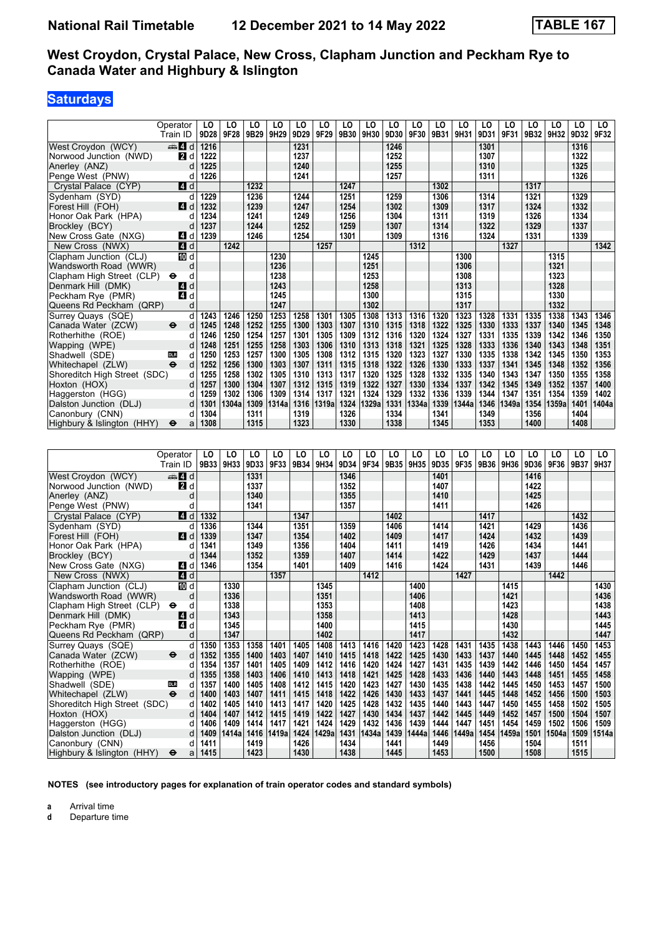## **Saturdays**

|                              | Operator                 | LO   | LO    | LO   | LO    | LO   | LO    | LO   | LO             | LO   | LO    | LO   | LO    | LO             | LO    | LO   | LO    | LO   | LO.   |
|------------------------------|--------------------------|------|-------|------|-------|------|-------|------|----------------|------|-------|------|-------|----------------|-------|------|-------|------|-------|
|                              | Train ID                 | 9D28 | 9F28  | 9B29 | 9H29  | 9D29 | 9F29  | 9B30 | 9H30           | 9D30 | 9F30  | 9B31 | 9H31  | 9D31           | 9F31  | 9B32 | 9H32  | 9D32 | 9F32  |
| West Crovdon (WCY)           | $\blacksquare$ d         | 1216 |       |      |       | 1231 |       |      |                | 1246 |       |      |       | 1301           |       |      |       | 1316 |       |
| Norwood Junction (NWD)       | $\blacksquare$           | 1222 |       |      |       | 1237 |       |      |                | 1252 |       |      |       | 1307           |       |      |       | 1322 |       |
| Anerley (ANZ)                | d                        | 1225 |       |      |       | 1240 |       |      |                | 1255 |       |      |       | 1310           |       |      |       | 1325 |       |
| Penge West (PNW)             | d                        | 1226 |       |      |       | 1241 |       |      |                | 1257 |       |      |       | 1311           |       |      |       | 1326 |       |
| Crystal Palace (CYP)         | ZI d                     |      |       | 1232 |       |      |       | 1247 |                |      |       | 1302 |       |                |       | 1317 |       |      |       |
| Sydenham (SYD)               | d                        | 1229 |       | 1236 |       | 1244 |       | 1251 |                | 1259 |       | 1306 |       | 1314           |       | 1321 |       | 1329 |       |
| Forest Hill (FOH)            | 4d                       | 1232 |       | 1239 |       | 1247 |       | 1254 |                | 1302 |       | 1309 |       | 1317           |       | 1324 |       | 1332 |       |
| Honor Oak Park (HPA)         | d                        | 1234 |       | 1241 |       | 1249 |       | 1256 |                | 1304 |       | 1311 |       | 1319           |       | 1326 |       | 1334 |       |
| Brockley (BCY)               | d                        | 1237 |       | 1244 |       | 1252 |       | 1259 |                | 1307 |       | 1314 |       | 1322           |       | 1329 |       | 1337 |       |
| New Cross Gate (NXG)         | 41 d                     | 1239 |       | 1246 |       | 1254 |       | 1301 |                | 1309 |       | 1316 |       | 1324           |       | 1331 |       | 1339 |       |
| New Cross (NWX)              | $\overline{a}$ d         |      | 1242  |      |       |      | 1257  |      |                |      | 1312  |      |       |                | 1327  |      |       |      | 1342  |
| Clapham Junction (CLJ)       | <b>TO</b> d              |      |       |      | 1230  |      |       |      | 1245           |      |       |      | 1300  |                |       |      | 1315  |      |       |
| Wandsworth Road (WWR)        | d                        |      |       |      | 1236  |      |       |      | 1251           |      |       |      | 1306  |                |       |      | 1321  |      |       |
| Clapham High Street (CLP)    | θ<br>d                   |      |       |      | 1238  |      |       |      | 1253           |      |       |      | 1308  |                |       |      | 1323  |      |       |
| Denmark Hill (DMK)           | 4d                       |      |       |      | 1243  |      |       |      | 1258           |      |       |      | 1313  |                |       |      | 1328  |      |       |
| Peckham Rye (PMR)            | 4 d                      |      |       |      | 1245  |      |       |      | 1300           |      |       |      | 1315  |                |       |      | 1330  |      |       |
|                              |                          |      |       |      | 1247  |      |       |      | 1302           |      |       |      | 1317  |                |       |      | 1332  |      |       |
| Queens Rd Peckham (QRP)      | d                        |      |       |      |       |      |       |      |                |      |       |      |       |                |       |      | 1338  |      |       |
| Surrey Quays (SQE)           | d                        | 1243 | 1246  | 1250 | 1253  | 1258 | 1301  | 1305 | 1308           | 1313 | 1316  | 1320 | 1323  | 1328           | 1331  | 1335 |       | 1343 | 1346  |
| Canada Water (ZCW)           | $\ddot{\mathbf{e}}$<br>d | 1245 | 1248  | 1252 | 1255  | 1300 | 1303  | 1307 | 1310           | 1315 | 1318  | 1322 | 1325  | 1330           | 1333  | 1337 | 1340  | 1345 | 1348  |
| Rotherhithe (ROE)            | d                        | 1246 | 1250  | 1254 | 1257  | 1301 | 1305  | 1309 | 1312           | 1316 | 1320  | 1324 | 1327  | 1331           | 1335  | 1339 | 1342  | 1346 | 1350  |
| Wapping (WPE)                | d                        | 1248 | 1251  | 1255 | 1258  | 1303 | 1306  | 1310 | 1313           | 1318 | 1321  | 1325 | 1328  | 1333           | 1336  | 1340 | 1343  | 1348 | 1351  |
| Shadwell (SDE)               | d<br><b>DLR</b>          | 1250 | 1253  | 1257 | 1300  | 1305 | 1308  | 1312 | 1315           | 1320 | 1323  | 1327 | 1330  | 1335           | 1338  | 1342 | 1345  | 1350 | 1353  |
| Whitechapel (ZLW)            | $\ddot{\mathbf{e}}$<br>d | 1252 | 1256  | 1300 | 1303  | 1307 | 1311  | 1315 | 1318           | 1322 | 1326  | 1330 | 1333  | 1337           | 1341  | 1345 | 1348  | 1352 | 1356  |
| Shoreditch High Street (SDC) | d                        | 1255 | 1258  | 1302 | 1305  | 1310 | 1313  | 1317 | 1320           | 1325 | 1328  | 1332 | 1335  | 1340           | 1343  | 1347 | 1350  | 1355 | 1358  |
| Hoxton (HOX)                 | d                        | 1257 | 1300  | 1304 | 1307  | 1312 | 1315  | 1319 | 1322           | 1327 | 1330  | 1334 | 1337  | 1342           | 1345  | 1349 | 1352  | 1357 | 1400  |
| Haggerston (HGG)             | d                        | 1259 | 1302  | 1306 | 1309  | 1314 | 1317  | 1321 | 1324           | 1329 | 1332  | 1336 | 1339  | 1344           | 1347  | 1351 | 1354  | 1359 | 1402  |
| Dalston Junction (DLJ)       | d                        | 1301 | 1304a | 1309 | 1314a | 1316 | 1319a | 1324 | 1329a          | 1331 | 1334a | 1339 | 1344a | 1346           | 1349a | 1354 | 1359a | 1401 | 1404a |
| Canonbury (CNN)              | d                        | 1304 |       | 1311 |       | 1319 |       | 1326 |                | 1334 |       | 1341 |       | 1349           |       | 1356 |       | 1404 |       |
| Highbury & Islington (HHY)   | $\bullet$<br>a           | 1308 |       | 1315 |       | 1323 |       | 1330 |                | 1338 |       | 1345 |       | 1353           |       | 1400 |       | 1408 |       |
|                              |                          |      |       |      |       |      |       |      |                |      |       |      |       |                |       |      |       |      |       |
|                              |                          |      |       |      |       |      |       |      |                |      |       |      |       |                |       |      |       |      |       |
|                              | Operator                 | LO   | LO    | LO   | LO    | LO   | LO    | LO   | L <sub>0</sub> | LO   | LO    | LO   | LO    | L <sub>0</sub> | LO    | LO   | LO    | LO   | LO    |
|                              | Train ID                 | 9B33 | 9H33  | 9D33 | 9F33  | 9B34 | 9H34  | 9D34 | 9F34           | 9B35 | 9H35  | 9D35 | 9F35  | 9B36           | 9H36  | 9D36 | 9F36  | 9B37 | 9H37  |
| West Croydon (WCY)           | <del>⊯</del> Иd          |      |       | 1331 |       |      |       | 1346 |                |      |       | 1401 |       |                |       | 1416 |       |      |       |
| Norwood Junction (NWD)       | $\blacksquare$           |      |       | 1337 |       |      |       | 1352 |                |      |       | 1407 |       |                |       | 1422 |       |      |       |
| Anerley (ANZ)                | d                        |      |       | 1340 |       |      |       | 1355 |                |      |       | 1410 |       |                |       | 1425 |       |      |       |
| Penge West (PNW)             | d                        |      |       | 1341 |       |      |       | 1357 |                |      |       | 1411 |       |                |       | 1426 |       |      |       |
| Crystal Palace (CYP)         | $\blacksquare$ d         | 1332 |       |      |       | 1347 |       |      |                | 1402 |       |      |       | 1417           |       |      |       | 1432 |       |
|                              |                          | 1336 |       | 1344 |       | 1351 |       | 1359 |                | 1406 |       | 1414 |       | 1421           |       | 1429 |       | 1436 |       |
| Sydenham (SYD)               | d                        | 1339 |       | 1347 |       | 1354 |       | 1402 |                | 1409 |       | 1417 |       | 1424           |       | 1432 |       | 1439 |       |
| Forest Hill (FOH)            | ZI d                     |      |       |      |       |      |       |      |                |      |       |      |       |                |       |      |       |      |       |
| Honor Oak Park (HPA)         | d                        | 1341 |       | 1349 |       | 1356 |       | 1404 |                | 1411 |       | 1419 |       | 1426           |       | 1434 |       | 1441 |       |
| Brockley (BCY)               | d                        | 1344 |       | 1352 |       | 1359 |       | 1407 |                | 1414 |       | 1422 |       | 1429           |       | 1437 |       | 1444 |       |
| New Cross Gate (NXG)         | 41 d                     | 1346 |       | 1354 |       | 1401 |       | 1409 |                | 1416 |       | 1424 |       | 1431           |       | 1439 |       | 1446 |       |
| New Cross (NWX)              | $\blacksquare$ d         |      |       |      | 1357  |      |       |      | 1412           |      |       |      | 1427  |                |       |      | 1442  |      |       |

| NOTES (see introductory pages for explanation of train operator codes and standard symbols) |
|---------------------------------------------------------------------------------------------|
|                                                                                             |

New Cross (NWX) **1412 1427 1427 1445 1367 1412 1427 1445 1446 1446 1446** 

Shadwell (SDE) as d 1357 1400 1405 1408 1412 1415 1420 1423 1427 1430 1435 1438 1442 1445 1450 Shadwell (SDE)<br>Whitechapel (ZLW) → d 1400 1403 1407 1411 1415 1418 1422 1426 1430 1433 1437 1441 1445 1448 1452

Dalston Junction (DLJ) d 1409 1414a 1416 1419a 1424 1429a 1431 1434a 1439 1444a 1446 1449a 1454 1459a 1501<br>Canonbury (CNN) d 1411 1419 1426 1426 1434 1441 1449 1449 1449 1450 1504

 Clapham -unction (CL-) d **1330 1345 1400 1415 1430**  Wandsworth Road (WWR) d **1336 1351 1406 1421 1436** Clapham High Street (CLP) ← d **1338 1353 1408 1408 1423 1423 1438 1438 1443**  Denmark Hill (DMK) z d **1343 1358 1413 1428 1443**  Peckham Rye (PMR) z d **1345 1400 1415 1430 1445**  4ueens Rd Peckham (4RP) d **1347 1402 1417 1432 1447** Surrey Quays (SQE) d 1350 1353 1358 1401 1405 1408 1413 1416 1420 1423 1428 1431 1435 1438 1443 1446 1450 1453<br>Canada Water (ZCW) → d 1352 1355 1400 1403 1407 1410 1415 1418 1422 1425 1430 1433 1437 1440 1445 1448 1452 14 Canada Water (ZCW) → d 1352 1355 1400 1403 1407 1410 1415 1418 1422 1425 1430 1433 1437 1440 1445 1448 1452 1455<br>Rotherhithe (ROE) d 1354 1357 1401 1405 1409 1412 1416 1420 1424 1427 1431 1435 1439 1442 1446 1450 1454 145 Rotherhithe (ROE) d | 1354 | 1357 | 1401 | 1405 | 1409 | 1412 | 1416 | 1420 | 1424 | 1427 | 1431 | 1435 | 1439 | 1442 | 1446 | 1450 | 1454 | 1457 | 1457 | 1478 | 1489 | 1489 | 1489 | 1489 | 1489 | 1489 | 1489 | 1489 Wapping (WPE) d 1355 1358 1403 1406 1410 1413 1418 1421 1425 1428 1433 1436 1440 1443 1448 1451 1455 1458 1459<br>Shadwell (SDE) 00 d 1357 1400 1405 1408 1412 1415 1420 1423 1427 1430 1435 1438 1442 1445 1450 1453 1457 1500

Whitechapel (ZLW) ● d | 1400 | 1403 | 1407 | 1411 | 1415 | 1418 | 1422 | 1426 | 1430 | 1431 | 1431 | 1441 | 1445 | 1488 | 1458 | 1500 | 1503 | 1503 | 1509 | 1503<br>Shoreditch High Street (SDC) d | 1402 | 1405 | 1410 | 1413 Shoreditch High Street (SDC) d | 1402 | 1405 | 1410 | 1413 | 1417 | 1420 | 1425 | 1428 | 1432 | 1435 | 1440 | 1443 | 1447 | 1450 | 1455 | 1458 | 1502 | 1505 | 1503 | 1502 | 1503 | 1502 | 1503 | 1502 | 1503 | 1502 | 1503 | Hoxton (HOX) d | 1404 | 1407 | 1412 | 1415 | 1419 | 1422 | 1427 | 1430 | 1434 | 1437 | 1442 | 1445 | 1449 | 1452 | 1457 | 1500 | 1504 | 1507 Haggerston (HGG) d | 1406 | 1409 | 1414 | 1417 | 1421 | 1424 | 1429 | 1432 | 1436 | 1439 | 1444 | 1447 | 1451 | 1454 | 1459 | 1502 | 1506 | 1509 | 150<br>Dalston Junction (DLJ) d | 1409 | 1414a | 1416 | 1419a | 142

 Canonbury (CNN) d **1411 1419 1426 1434 1441 1449 1456 1504 1511**  Highbury Islington (HHY) T a **1415 1423 1430 1438 1445 1453 1500 1508 1515**

**a** Arrival time<br>**d** Departure t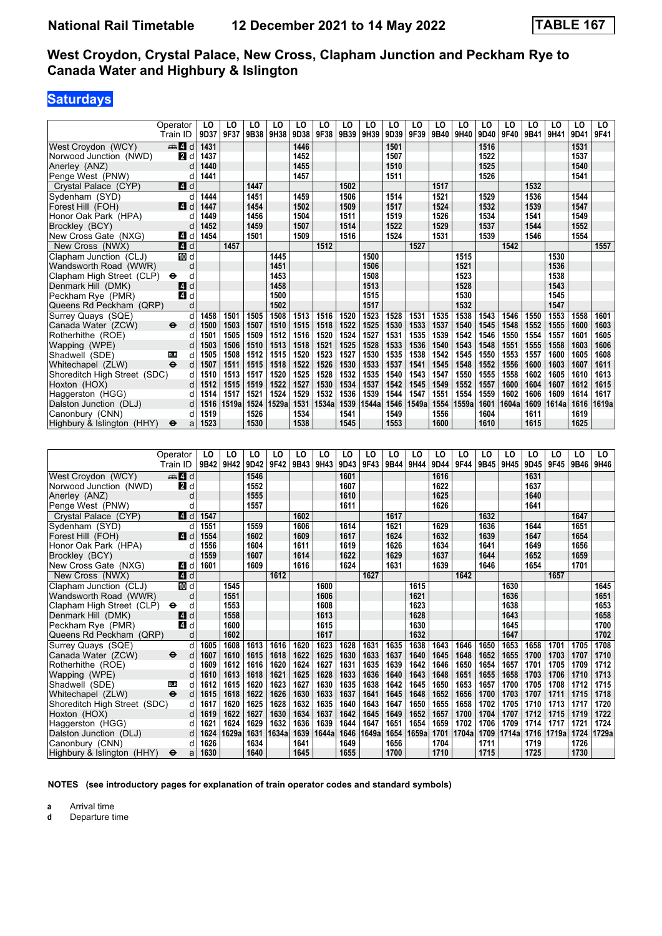# **Saturdays**

|                              | Operator                          | LO   | LO    | LO   | LO    | LO   | LO    | LO   | LO    | LO   | LO    | LO   | LO    | LO   | LO    | LO   | LO    | LO   | LO.   |
|------------------------------|-----------------------------------|------|-------|------|-------|------|-------|------|-------|------|-------|------|-------|------|-------|------|-------|------|-------|
|                              | Train ID                          | 9D37 | 9F37  | 9B38 | 9H38  | 9D38 | 9F38  | 9B39 | 9H39  | 9D39 | 9F39  | 9B40 | 9H40  | 9D40 | 9F40  | 9B41 | 9H41  | 9D41 | 9F41  |
| West Croydon (WCY)           | den <b>Z</b> id                   | 1431 |       |      |       | 1446 |       |      |       | 1501 |       |      |       | 1516 |       |      |       | 1531 |       |
| Norwood Junction (NWD)       | <b>2</b> d                        | 1437 |       |      |       | 1452 |       |      |       | 1507 |       |      |       | 1522 |       |      |       | 1537 |       |
| Anerley (ANZ)                | d                                 | 1440 |       |      |       | 1455 |       |      |       | 1510 |       |      |       | 1525 |       |      |       | 1540 |       |
| Penge West (PNW)             | d                                 | 1441 |       |      |       | 1457 |       |      |       | 1511 |       |      |       | 1526 |       |      |       | 1541 |       |
| Crystal Palace (CYP)         | $\blacksquare$ d                  |      |       | 1447 |       |      |       | 1502 |       |      |       | 1517 |       |      |       | 1532 |       |      |       |
| Sydenham (SYD)               | d                                 | 1444 |       | 1451 |       | 1459 |       | 1506 |       | 1514 |       | 1521 |       | 1529 |       | 1536 |       | 1544 |       |
| Forest Hill (FOH)            | $\boldsymbol{A}$<br>d             | 1447 |       | 1454 |       | 1502 |       | 1509 |       | 1517 |       | 1524 |       | 1532 |       | 1539 |       | 1547 |       |
| Honor Oak Park (HPA)         | d                                 | 1449 |       | 1456 |       | 1504 |       | 1511 |       | 1519 |       | 1526 |       | 1534 |       | 1541 |       | 1549 |       |
| Brockley (BCY)               | d                                 | 1452 |       | 1459 |       | 1507 |       | 1514 |       | 1522 |       | 1529 |       | 1537 |       | 1544 |       | 1552 |       |
| New Cross Gate (NXG)         | 4<br>d                            | 1454 |       | 1501 |       | 1509 |       | 1516 |       | 1524 |       | 1531 |       | 1539 |       | 1546 |       | 1554 |       |
| New Cross (NWX)              | 4 d                               |      | 1457  |      |       |      | 1512  |      |       |      | 1527  |      |       |      | 1542  |      |       |      | 1557  |
| Clapham Junction (CLJ)       | 10 d                              |      |       |      | 1445  |      |       |      | 1500  |      |       |      | 1515  |      |       |      | 1530  |      |       |
| Wandsworth Road (WWR)        | d                                 |      |       |      | 1451  |      |       |      | 1506  |      |       |      | 1521  |      |       |      | 1536  |      |       |
| Clapham High Street (CLP)    | d<br>θ                            |      |       |      | 1453  |      |       |      | 1508  |      |       |      | 1523  |      |       |      | 1538  |      |       |
| Denmark Hill (DMK)           | d<br>[4]                          |      |       |      | 1458  |      |       |      | 1513  |      |       |      | 1528  |      |       |      | 1543  |      |       |
| Peckham Rye (PMR)            | 4<br>d                            |      |       |      | 1500  |      |       |      | 1515  |      |       |      | 1530  |      |       |      | 1545  |      |       |
| Queens Rd Peckham (QRP)      | d                                 |      |       |      | 1502  |      |       |      | 1517  |      |       |      | 1532  |      |       |      | 1547  |      |       |
| Surrey Quays (SQE)           | d                                 | 1458 | 1501  | 1505 | 1508  | 1513 | 1516  | 1520 | 1523  | 1528 | 1531  | 1535 | 1538  | 1543 | 1546  | 1550 | 1553  | 1558 | 1601  |
| Canada Water (ZCW)           | $\ddot{\boldsymbol{\Theta}}$<br>d | 1500 | 1503  | 1507 | 1510  | 1515 | 1518  | 1522 | 1525  | 1530 | 1533  | 1537 | 1540  | 1545 | 1548  | 1552 | 1555  | 1600 | 1603  |
| Rotherhithe (ROE)            | d                                 | 1501 | 1505  | 1509 | 1512  | 1516 | 1520  | 1524 | 1527  | 1531 | 1535  | 1539 | 1542  | 1546 | 1550  | 1554 | 1557  | 1601 | 1605  |
| Wapping (WPE)                | d                                 | 1503 | 1506  | 1510 | 1513  | 1518 | 1521  | 1525 | 1528  | 1533 | 1536  | 1540 | 1543  | 1548 | 1551  | 1555 | 1558  | 1603 | 1606  |
| Shadwell (SDE)               | d<br><b>DLR</b>                   | 1505 | 1508  | 1512 | 1515  | 1520 | 1523  | 1527 | 1530  | 1535 | 1538  | 1542 | 1545  | 1550 | 1553  | 1557 | 1600  | 1605 | 1608  |
| Whitechapel (ZLW)            | $\ddot{\mathbf{e}}$<br>d          | 1507 | 1511  | 1515 | 1518  | 1522 | 1526  | 1530 | 1533  | 1537 | 1541  | 1545 | 1548  | 1552 | 1556  | 1600 | 1603  | 1607 | 1611  |
| Shoreditch High Street (SDC) | d                                 | 1510 | 1513  | 1517 | 1520  | 1525 | 1528  | 1532 | 1535  | 1540 | 1543  | 1547 | 1550  | 1555 | 1558  | 1602 | 1605  | 1610 | 1613  |
| Hoxton (HOX)                 | d                                 | 1512 | 1515  | 1519 | 1522  | 1527 | 1530  | 1534 | 1537  | 1542 | 1545  | 1549 | 1552  | 1557 | 1600  | 1604 | 1607  | 1612 | 1615  |
| Haggerston (HGG)             | d                                 | 1514 | 1517  | 1521 | 1524  | 1529 | 1532  | 1536 | 1539  | 1544 | 1547  | 1551 | 1554  | 1559 | 1602  | 1606 | 1609  | 1614 | 1617  |
| Dalston Junction (DLJ)       | d                                 | 1516 | 1519a | 1524 | 1529a | 1531 | 1534a | 1539 | 1544a | 1546 | 1549a | 1554 | 1559a | 1601 | 1604a | 1609 | 1614a | 1616 | 1619a |
| Canonbury (CNN)              | d                                 | 1519 |       | 1526 |       | 1534 |       | 1541 |       | 1549 |       | 1556 |       | 1604 |       | 1611 |       | 1619 |       |
| Highbury & Islington (HHY)   | $\ddot{\mathbf{e}}$<br>a          | 1523 |       | 1530 |       | 1538 |       | 1545 |       | 1553 |       | 1600 |       | 1610 |       | 1615 |       | 1625 |       |
|                              |                                   |      |       |      |       |      |       |      |       |      |       |      |       |      |       |      |       |      |       |
|                              |                                   |      |       |      |       |      |       |      |       |      |       |      |       |      |       |      |       |      |       |
|                              | Operator                          | LO   | LO    | LO   | LO    | LO   | LO    | LO   | LO    | LO   | LO    | LO   | LO    | LO   | LO    | LO   | LO    | LO   | LO    |
|                              | Train ID                          | 9B42 | 9H42  | 9D42 | 9F42  | 9B43 | 9H43  | 9D43 | 9F43  | 9B44 | 9H44  | 9D44 | 9F44  | 9B45 | 9H45  | 9D45 | 9F45  | 9B46 | 9H46  |
| West Croydon (WCY)           | d d                               |      |       | 1546 |       |      |       | 1601 |       |      |       | 1616 |       |      |       | 1631 |       |      |       |

|                              | Train ID                          |      | 9642   91142 |      | 9D4Z   9F4Z |      | УB43 ∣УН43 | <b>YD45</b> | YF45. |      | <b>9644 9M44</b> | YV44 | Yr44  | <b>9B43   9H43</b> |       | 9D43 I | YF4J  |      | <b>9B40   9H40</b> |
|------------------------------|-----------------------------------|------|--------------|------|-------------|------|------------|-------------|-------|------|------------------|------|-------|--------------------|-------|--------|-------|------|--------------------|
| West Croydon (WCY)           | d d                               |      |              | 1546 |             |      |            | 1601        |       |      |                  | 1616 |       |                    |       | 1631   |       |      |                    |
| Norwood Junction (NWD)       | <b>2</b> d                        |      |              | 1552 |             |      |            | 1607        |       |      |                  | 1622 |       |                    |       | 1637   |       |      |                    |
| Anerley (ANZ)                | d                                 |      |              | 1555 |             |      |            | 1610        |       |      |                  | 1625 |       |                    |       | 1640   |       |      |                    |
| Penge West (PNW)             |                                   |      |              | 1557 |             |      |            | 1611        |       |      |                  | 1626 |       |                    |       | 1641   |       |      |                    |
| Crystal Palace (CYP)         | 4 d                               | 1547 |              |      |             | 1602 |            |             |       | 1617 |                  |      |       | 1632               |       |        |       | 1647 |                    |
| Sydenham (SYD)               | d                                 | 1551 |              | 1559 |             | 1606 |            | 1614        |       | 1621 |                  | 1629 |       | 1636               |       | 1644   |       | 1651 |                    |
| Forest Hill (FOH)            | 4d                                | 1554 |              | 1602 |             | 1609 |            | 1617        |       | 1624 |                  | 1632 |       | 1639               |       | 1647   |       | 1654 |                    |
| Honor Oak Park (HPA)         | d                                 | 1556 |              | 1604 |             | 1611 |            | 1619        |       | 1626 |                  | 1634 |       | 1641               |       | 1649   |       | 1656 |                    |
| Brockley (BCY)               |                                   | 1559 |              | 1607 |             | 1614 |            | 1622        |       | 1629 |                  | 1637 |       | 1644               |       | 1652   |       | 1659 |                    |
| New Cross Gate (NXG)         | ZI d                              | 1601 |              | 1609 |             | 1616 |            | 1624        |       | 1631 |                  | 1639 |       | 1646               |       | 1654   |       | 1701 |                    |
| New Cross (NWX)              | 4d                                |      |              |      | 1612        |      |            |             | 1627  |      |                  |      | 1642  |                    |       |        | 1657  |      |                    |
| Clapham Junction (CLJ)       | <b>iD</b> d                       |      | 1545         |      |             |      | 1600       |             |       |      | 1615             |      |       |                    | 1630  |        |       |      | 1645               |
| Wandsworth Road (WWR)        | d                                 |      | 1551         |      |             |      | 1606       |             |       |      | 1621             |      |       |                    | 1636  |        |       |      | 1651               |
| Clapham High Street (CLP)    | $\bullet$<br>d                    |      | 1553         |      |             |      | 1608       |             |       |      | 1623             |      |       |                    | 1638  |        |       |      | 1653               |
| Denmark Hill (DMK)           | 4 d                               |      | 1558         |      |             |      | 1613       |             |       |      | 1628             |      |       |                    | 1643  |        |       |      | 1658               |
| Peckham Rye (PMR)            | 4 d                               |      | 1600         |      |             |      | 1615       |             |       |      | 1630             |      |       |                    | 1645  |        |       |      | 1700               |
| Queens Rd Peckham (QRP)      | d                                 |      | 1602         |      |             |      | 1617       |             |       |      | 1632             |      |       |                    | 1647  |        |       |      | 1702               |
| Surrey Quays (SQE)           | d                                 | 1605 | 1608         | 1613 | 1616        | 1620 | 1623       | 1628        | 1631  | 1635 | 1638             | 1643 | 1646  | 1650               | 1653  | 1658   | 1701  | 1705 | 1708               |
| Canada Water (ZCW)           | $\ddot{\mathbf{e}}$<br>d          | 1607 | 1610         | 1615 | 1618        | 1622 | 1625       | 1630        | 1633  | 1637 | 1640             | 1645 | 1648  | 1652               | 1655  | 1700   | 1703  | 1707 | 1710               |
| Rotherhithe (ROE)            | d                                 | 1609 | 1612         | 1616 | 1620        | 1624 | 1627       | 1631        | 1635  | 1639 | 1642             | 1646 | 1650  | 1654               | 1657  | 1701   | 1705  | 1709 | 1712               |
| Wapping (WPE)                |                                   | 1610 | 1613         | 1618 | 1621        | 1625 | 1628       | 1633        | 1636  | 1640 | 1643             | 1648 | 1651  | 1655               | 1658  | 1703   | 1706  | 1710 | 1713               |
| Shadwell (SDE)               | <b>DLR</b><br>d                   | 1612 | 1615         | 1620 | 1623        | 1627 | 1630       | 1635        | 1638  | 1642 | 1645             | 1650 | 1653  | 1657               | 1700  | 1705   | 1708  | 1712 | 1715               |
| Whitechapel (ZLW)            | $\ddot{\boldsymbol{\Theta}}$<br>d | 1615 | 1618         | 1622 | 1626        | 1630 | 1633       | 1637        | 1641  | 1645 | 1648             | 1652 | 1656  | 1700               | 1703  | 1707   | 1711  | 1715 | 1718               |
| Shoreditch High Street (SDC) | d                                 | 1617 | 1620         | 1625 | 1628        | 1632 | 1635       | 1640        | 1643  | 1647 | 1650             | 1655 | 1658  | 1702               | 1705  | 1710   | 1713  | 1717 | 1720               |
| Hoxton (HOX)                 | d                                 | 1619 | 1622         | 1627 | 1630        | 1634 | 1637       | 1642        | 1645  | 1649 | 1652             | 1657 | 1700  | 1704               | 1707  | 1712   | 1715  | 1719 | 1722               |
| Haggerston (HGG)             | d                                 | 1621 | 1624         | 1629 | 1632        | 1636 | 1639       | 1644        | 1647  | 1651 | 1654             | 1659 | 1702  | 1706               | 1709  | 1714   | 1717  | 1721 | 1724               |
| Dalston Junction (DLJ)       | d                                 | 1624 | 1629a        | 1631 | 1634a       | 1639 | 1644a      | 1646        | 1649a | 1654 | 1659a            | 1701 | 1704a | 1709               | 1714a | 1716   | 1719a | 1724 | 1729a              |
| Canonbury (CNN)              | d                                 | 1626 |              | 1634 |             | 1641 |            | 1649        |       | 1656 |                  | 1704 |       | 1711               |       | 1719   |       | 1726 |                    |
| Highbury & Islington (HHY)   | $\bullet$<br>a                    | 1630 |              | 1640 |             | 1645 |            | 1655        |       | 1700 |                  | 1710 |       | 1715               |       | 1725   |       | 1730 |                    |

**NOTES (see introductory pages for explanation of train operator codes and standard symbols)**

**a** Arrival time<br>**d** Departure t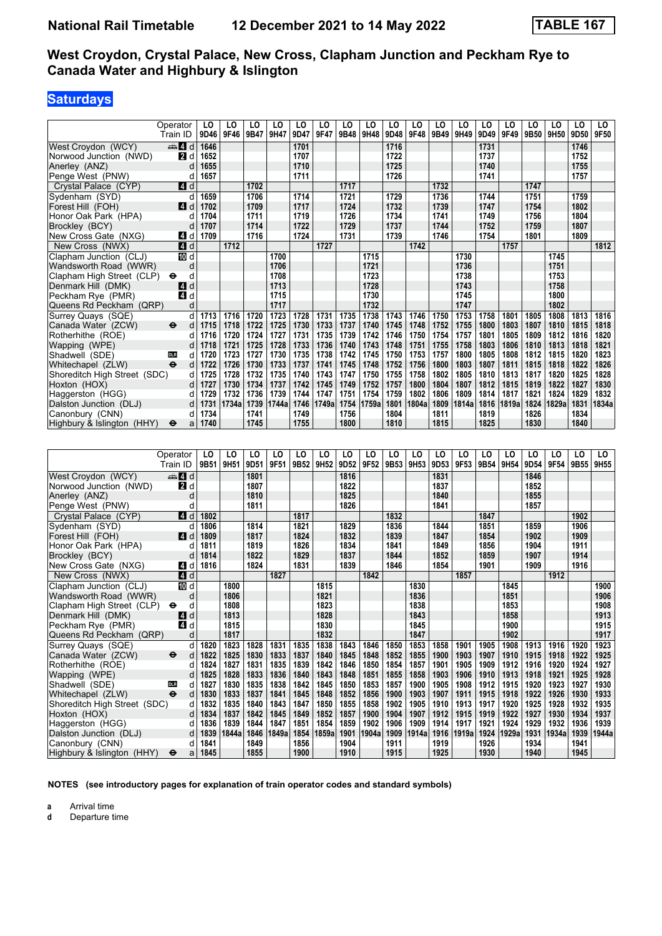# **Saturdays**

|                              | Operator                          | LO   | LO    | LO   | LO    | LO   | LO    | LO   | LO    | LO               | LO    | LO   | LO    | LO   | LO    | LO   | LO    | LO   | LO.   |
|------------------------------|-----------------------------------|------|-------|------|-------|------|-------|------|-------|------------------|-------|------|-------|------|-------|------|-------|------|-------|
|                              | Train ID                          | 9D46 | 9F46  | 9B47 | 9H47  | 9D47 | 9F47  | 9B48 | 9H48  | 9D48             | 9F48  | 9B49 | 9H49  | 9D49 | 9F49  | 9B50 | 9H50  | 9D50 | 9F50  |
| West Crovdon (WCY)           | $\oplus$ 4 d                      | 1646 |       |      |       | 1701 |       |      |       | $\frac{1716}{ }$ |       |      |       | 1731 |       |      |       | 1746 |       |
| Norwood Junction (NWD)       | <b>2</b> d                        | 1652 |       |      |       | 1707 |       |      |       | 1722             |       |      |       | 1737 |       |      |       | 1752 |       |
| Anerley (ANZ)                | d                                 | 1655 |       |      |       | 1710 |       |      |       | 1725             |       |      |       | 1740 |       |      |       | 1755 |       |
| Penge West (PNW)             | d                                 | 1657 |       |      |       | 1711 |       |      |       | 1726             |       |      |       | 1741 |       |      |       | 1757 |       |
| Crystal Palace (CYP)         | $\blacksquare$ d                  |      |       | 1702 |       |      |       | 1717 |       |                  |       | 1732 |       |      |       | 1747 |       |      |       |
| Sydenham (SYD)               | d                                 | 1659 |       | 1706 |       | 1714 |       | 1721 |       | 1729             |       | 1736 |       | 1744 |       | 1751 |       | 1759 |       |
| Forest Hill (FOH)            | $\blacksquare$ d                  | 1702 |       | 1709 |       | 1717 |       | 1724 |       | 1732             |       | 1739 |       | 1747 |       | 1754 |       | 1802 |       |
| Honor Oak Park (HPA)         | d                                 | 1704 |       | 1711 |       | 1719 |       | 1726 |       | 1734             |       | 1741 |       | 1749 |       | 1756 |       | 1804 |       |
| Brockley (BCY)               | d                                 | 1707 |       | 1714 |       | 1722 |       | 1729 |       | 1737             |       | 1744 |       | 1752 |       | 1759 |       | 1807 |       |
| New Cross Gate (NXG)         | 4 d                               | 1709 |       | 1716 |       | 1724 |       | 1731 |       | 1739             |       | 1746 |       | 1754 |       | 1801 |       | 1809 |       |
| New Cross (NWX)              | 4d                                |      | 1712  |      |       |      | 1727  |      |       |                  | 1742  |      |       |      | 1757  |      |       |      | 1812  |
| Clapham Junction (CLJ)       | <b>ID</b> d                       |      |       |      | 1700  |      |       |      | 1715  |                  |       |      | 1730  |      |       |      | 1745  |      |       |
| Wandsworth Road (WWR)        | d                                 |      |       |      | 1706  |      |       |      | 1721  |                  |       |      | 1736  |      |       |      | 1751  |      |       |
| Clapham High Street (CLP)    | d<br>⊖                            |      |       |      | 1708  |      |       |      | 1723  |                  |       |      | 1738  |      |       |      | 1753  |      |       |
| Denmark Hill (DMK)           | d<br>$\overline{4}$               |      |       |      | 1713  |      |       |      | 1728  |                  |       |      | 1743  |      |       |      | 1758  |      |       |
| Peckham Rye (PMR)            | 4 d                               |      |       |      | 1715  |      |       |      | 1730  |                  |       |      | 1745  |      |       |      | 1800  |      |       |
| Queens Rd Peckham (QRP)      | d                                 |      |       |      | 1717  |      |       |      | 1732  |                  |       |      | 1747  |      |       |      | 1802  |      |       |
| Surrey Quays (SQE)           | d                                 | 1713 | 1716  | 1720 | 1723  | 1728 | 1731  | 1735 | 1738  | 1743             | 1746  | 1750 | 1753  | 1758 | 1801  | 1805 | 1808  | 1813 | 1816  |
| Canada Water (ZCW)           | $\ddot{\boldsymbol{\Theta}}$<br>d | 1715 | 1718  | 1722 | 1725  | 1730 | 1733  | 1737 | 1740  | 1745             | 1748  | 1752 | 1755  | 1800 | 1803  | 1807 | 1810  | 1815 | 1818  |
| Rotherhithe (ROE)            | d                                 | 1716 | 1720  | 1724 | 1727  | 1731 | 1735  | 1739 | 1742  | 1746             | 1750  | 1754 | 1757  | 1801 | 1805  | 1809 | 1812  | 1816 | 1820  |
| Wapping (WPE)                | d                                 | 1718 | 1721  | 1725 | 1728  | 1733 | 1736  | 1740 | 1743  | 1748             | 1751  | 1755 | 1758  | 1803 | 1806  | 1810 | 1813  | 1818 | 1821  |
| Shadwell (SDE)               | d<br><b>DLR</b>                   | 1720 | 1723  | 1727 | 1730  | 1735 | 1738  | 1742 | 1745  | 1750             | 1753  | 1757 | 1800  | 1805 | 1808  | 1812 | 1815  | 1820 | 1823  |
| Whitechapel (ZLW)            | $\ddot{\mathbf{e}}$<br>d          | 1722 | 1726  | 1730 | 1733  | 1737 | 1741  | 1745 | 1748  | 1752             | 1756  | 1800 | 1803  | 1807 | 1811  | 1815 | 1818  | 1822 | 1826  |
| Shoreditch High Street (SDC) | d                                 | 1725 | 1728  | 1732 | 1735  | 1740 | 1743  | 1747 | 1750  | 1755             | 1758  | 1802 | 1805  | 1810 | 1813  | 1817 | 1820  | 1825 | 1828  |
| Hoxton (HOX)                 | d                                 | 1727 | 1730  | 1734 | 1737  | 1742 | 1745  | 1749 | 1752  | 1757             | 1800  | 1804 | 1807  | 1812 | 1815  | 1819 | 1822  | 1827 | 1830  |
| Haggerston (HGG)             | d                                 | 1729 | 1732  | 1736 | 1739  | 1744 | 1747  | 1751 | 1754  | 1759             | 1802  | 1806 | 1809  | 1814 | 1817  | 1821 | 1824  | 1829 | 1832  |
| Dalston Junction (DLJ)       | d                                 | 1731 | 1734a | 1739 | 1744a | 1746 | 1749a | 1754 | 1759a | 1801             | 1804a | 1809 | 1814a | 1816 | 1819a | 1824 | 1829a | 1831 | 1834a |
| Canonbury (CNN)              | d                                 | 1734 |       | 1741 |       | 1749 |       | 1756 |       | 1804             |       | 1811 |       | 1819 |       | 1826 |       | 1834 |       |
| Highbury & Islington (HHY)   | $\bullet$<br>a                    | 1740 |       | 1745 |       | 1755 |       | 1800 |       | 1810             |       | 1815 |       | 1825 |       | 1830 |       | 1840 |       |
|                              |                                   |      |       |      |       |      |       |      |       |                  |       |      |       |      |       |      |       |      |       |
|                              |                                   |      |       |      |       |      |       |      |       |                  |       |      |       |      |       |      |       |      |       |
|                              | Operator                          | LO   | LO    | LO   | LO    | LO   | LO    | LO   | LO    | LO               | LO    | LO   | LO    | LO   | LO    | LO   | LO    | LO   | LO.   |
|                              | Train ID                          | 9B51 | 9H51  | 9D51 | 9F51  | 9B52 | 9H52  | 9D52 | 9F52  | 9B53             | 9H53  | 9D53 | 9F53  | 9B54 | 9H54  | 9D54 | 9F54  | 9B55 | 9H55  |
| West Croydon (WCY)           | $\bigoplus$ d                     |      |       | 1801 |       |      |       | 1816 |       |                  |       | 1831 |       |      |       | 1846 |       |      |       |
| Norwood Junction (NWD)       | 2d                                |      |       | 1807 |       |      |       | 1822 |       |                  |       | 1837 |       |      |       | 1852 |       |      |       |
| Anerley (ANZ)                | d                                 |      |       | 1810 |       |      |       | 1825 |       |                  |       | 1840 |       |      |       | 1855 |       |      |       |
| Penge West (PNW)             | d                                 |      |       | 1811 |       |      |       | 1826 |       |                  |       | 1841 |       |      |       | 1857 |       |      |       |
| Crystal Palace (CYP)         | ZI d                              | 1802 |       |      |       | 1817 |       |      |       | 1832             |       |      |       | 1847 |       |      |       | 1902 |       |
| Sydenham (SYD)               | d                                 | 1806 |       | 1814 |       | 1821 |       | 1829 |       | 1836             |       | 1844 |       | 1851 |       | 1859 |       | 1906 |       |
| Forest Hill (FOH)            | 4 d                               | 1809 |       | 1817 |       | 1824 |       | 1832 |       | 1839             |       | 1847 |       | 1854 |       | 1902 |       | 1909 |       |
| Honor Oak Park (HPA)         | d                                 | 1811 |       | 1819 |       | 1826 |       | 1834 |       | 1841             |       | 1849 |       | 1856 |       | 1904 |       | 1911 |       |
| Brockley (BCY)               | d                                 | 1814 |       | 1822 |       | 1829 |       | 1837 |       | 1844             |       | 1852 |       | 1859 |       | 1907 |       | 1914 |       |

| Anerley (ANZ)                | d                                 |      |       | 1810 |       |      |       | 1825 |       |      |       | 1840 |       |      |       | 1855 |       |      |       |
|------------------------------|-----------------------------------|------|-------|------|-------|------|-------|------|-------|------|-------|------|-------|------|-------|------|-------|------|-------|
| Penge West (PNW)             |                                   |      |       | 1811 |       |      |       | 1826 |       |      |       | 1841 |       |      |       | 1857 |       |      |       |
| Crystal Palace (CYP)         | 4 d                               | 1802 |       |      |       | 1817 |       |      |       | 1832 |       |      |       | 1847 |       |      |       | 1902 |       |
| Sydenham (SYD)               |                                   | 1806 |       | 1814 |       | 1821 |       | 1829 |       | 1836 |       | 1844 |       | 1851 |       | 1859 |       | 1906 |       |
| Forest Hill (FOH)            | 4 d                               | 1809 |       | 1817 |       | 1824 |       | 1832 |       | 1839 |       | 1847 |       | 1854 |       | 1902 |       | 1909 |       |
| Honor Oak Park (HPA)         | d                                 | 1811 |       | 1819 |       | 1826 |       | 1834 |       | 1841 |       | 1849 |       | 1856 |       | 1904 |       | 1911 |       |
| Brockley (BCY)               |                                   | 1814 |       | 1822 |       | 1829 |       | 1837 |       | 1844 |       | 1852 |       | 1859 |       | 1907 |       | 1914 |       |
| New Cross Gate (NXG)         | ZI d                              | 1816 |       | 1824 |       | 1831 |       | 1839 |       | 1846 |       | 1854 |       | 1901 |       | 1909 |       | 1916 |       |
| New Cross (NWX)              | 4d                                |      |       |      | 1827  |      |       |      | 1842  |      |       |      | 1857  |      |       |      | 1912  |      |       |
| Clapham Junction (CLJ)       | TD d                              |      | 1800  |      |       |      | 1815  |      |       |      | 1830  |      |       |      | 1845  |      |       |      | 1900  |
| Wandsworth Road (WWR)        | C                                 |      | 1806  |      |       |      | 1821  |      |       |      | 1836  |      |       |      | 1851  |      |       |      | 1906  |
| Clapham High Street (CLP)    | $\bullet$<br>d                    |      | 1808  |      |       |      | 1823  |      |       |      | 1838  |      |       |      | 1853  |      |       |      | 1908  |
| Denmark Hill (DMK)           | 4 d                               |      | 1813  |      |       |      | 1828  |      |       |      | 1843  |      |       |      | 1858  |      |       |      | 1913  |
| Peckham Rye (PMR)            | 4 d                               |      | 1815  |      |       |      | 1830  |      |       |      | 1845  |      |       |      | 1900  |      |       |      | 1915  |
| Queens Rd Peckham (QRP)      | d                                 |      | 1817  |      |       |      | 1832  |      |       |      | 1847  |      |       |      | 1902  |      |       |      | 1917  |
| Surrey Quays (SQE)           | d                                 | 1820 | 1823  | 1828 | 1831  | 1835 | 1838  | 1843 | 1846  | 1850 | 1853  | 1858 | 1901  | 1905 | 1908  | 1913 | 1916  | 1920 | 1923  |
| Canada Water (ZCW)           | $\ddot{\mathbf{e}}$<br>d          | 1822 | 1825  | 1830 | 1833  | 1837 | 1840  | 1845 | 1848  | 1852 | 1855  | 1900 | 1903  | 1907 | 1910  | 1915 | 1918  | 1922 | 1925  |
| Rotherhithe (ROE)            |                                   | 1824 | 1827  | 1831 | 1835  | 1839 | 1842  | 1846 | 1850  | 1854 | 1857  | 1901 | 1905  | 1909 | 1912  | 1916 | 1920  | 1924 | 1927  |
| Wapping (WPE)                |                                   | 1825 | 1828  | 1833 | 1836  | 1840 | 1843  | 1848 | 1851  | 1855 | 1858  | 1903 | 1906  | 1910 | 1913  | 1918 | 1921  | 1925 | 1928  |
| Shadwell (SDE)               | <b>DLR</b><br>d                   | 1827 | 1830  | 1835 | 1838  | 1842 | 1845  | 1850 | 1853  | 1857 | 1900  | 1905 | 1908  | 1912 | 1915  | 1920 | 1923  | 1927 | 1930  |
| Whitechapel (ZLW)            | $\ddot{\boldsymbol{\Theta}}$<br>d | 1830 | 1833  | 1837 | 1841  | 1845 | 1848  | 1852 | 1856  | 1900 | 1903  | 1907 | 1911  | 1915 | 1918  | 1922 | 1926  | 1930 | 1933  |
| Shoreditch High Street (SDC) | d                                 | 1832 | 1835  | 1840 | 1843  | 1847 | 1850  | 1855 | 1858  | 1902 | 1905  | 1910 | 1913  | 1917 | 1920  | 1925 | 1928  | 1932 | 1935  |
| Hoxton (HOX)                 | d                                 | 1834 | 1837  | 1842 | 1845  | 1849 | 1852  | 1857 | 1900  | 1904 | 1907  | 1912 | 1915  | 1919 | 1922  | 1927 | 1930  | 1934 | 1937  |
| Haggerston (HGG)             |                                   | 1836 | 1839  | 1844 | 1847  | 1851 | 1854  | 1859 | 1902  | 1906 | 1909  | 1914 | 1917  | 1921 | 1924  | 1929 | 1932  | 1936 | 1939  |
| Dalston Junction (DLJ)       | d                                 | 1839 | 1844a | 1846 | 1849a | 1854 | 1859a | 1901 | 1904a | 1909 | 1914a | 1916 | 1919a | 1924 | 1929a | 1931 | 1934a | 1939 | 1944a |
| Canonbury (CNN)              | d                                 | 1841 |       | 1849 |       | 1856 |       | 1904 |       | 1911 |       | 1919 |       | 1926 |       | 1934 |       | 1941 |       |
| Highbury & Islington (HHY)   | $\bullet$<br>a                    | 1845 |       | 1855 |       | 1900 |       | 1910 |       | 1915 |       | 1925 |       | 1930 |       | 1940 |       | 1945 |       |

**NOTES (see introductory pages for explanation of train operator codes and standard symbols)**

**a** Arrival time<br>**d** Departure t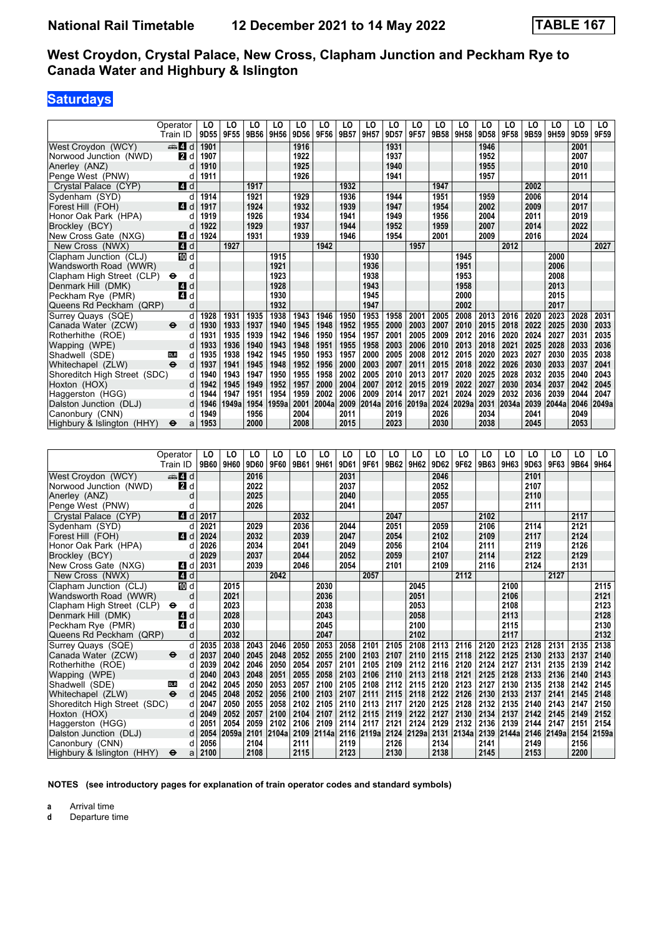# **Saturdays**

|                              | Operator                 | LO             | LO    | LO   | LO    | LO   | LO    | LO   | LO    | LO   | LO             | LO   | LO    | LO   | LO    | LO             | LO    | LO             | LO    |
|------------------------------|--------------------------|----------------|-------|------|-------|------|-------|------|-------|------|----------------|------|-------|------|-------|----------------|-------|----------------|-------|
|                              | Train ID                 | 9D55           | 9F55  | 9B56 | 9H56  | 9D56 | 9F56  | 9B57 | 9H57  | 9D57 | 9F57           | 9B58 | 9H58  | 9D58 | 9F58  | 9B59           | 9H59  | 9D59           | 9F59  |
| West Croydon (WCY)           | d d                      | 1901           |       |      |       | 1916 |       |      |       | 1931 |                |      |       | 1946 |       |                |       | 2001           |       |
| Norwood Junction (NWD)       | И<br>d                   | 1907           |       |      |       | 1922 |       |      |       | 1937 |                |      |       | 1952 |       |                |       | 2007           |       |
| Anerley (ANZ)                | d                        | 1910           |       |      |       | 1925 |       |      |       | 1940 |                |      |       | 1955 |       |                |       | 2010           |       |
| Penge West (PNW)             | d                        | 1911           |       |      |       | 1926 |       |      |       | 1941 |                |      |       | 1957 |       |                |       | 2011           |       |
| Crystal Palace (CYP)         | $\blacksquare$ d         |                |       | 1917 |       |      |       | 1932 |       |      |                | 1947 |       |      |       | 2002           |       |                |       |
| Sydenham (SYD)               | d                        | 1914           |       | 1921 |       | 1929 |       | 1936 |       | 1944 |                | 1951 |       | 1959 |       | 2006           |       | 2014           |       |
| Forest Hill (FOH)            | 4 d                      | 1917           |       | 1924 |       | 1932 |       | 1939 |       | 1947 |                | 1954 |       | 2002 |       | 2009           |       | 2017           |       |
| Honor Oak Park (HPA)         | d                        | 1919           |       | 1926 |       | 1934 |       | 1941 |       | 1949 |                | 1956 |       | 2004 |       | 2011           |       | 2019           |       |
| Brockley (BCY)               | d                        | 1922           |       | 1929 |       | 1937 |       | 1944 |       | 1952 |                | 1959 |       | 2007 |       | 2014           |       | 2022           |       |
| New Cross Gate (NXG)         | ZI d                     | 1924           |       | 1931 |       | 1939 |       | 1946 |       | 1954 |                | 2001 |       | 2009 |       | 2016           |       | 2024           |       |
| New Cross (NWX)              | $\blacksquare$ d         |                | 1927  |      |       |      | 1942  |      |       |      | 1957           |      |       |      | 2012  |                |       |                | 2027  |
| Clapham Junction (CLJ)       | TO d                     |                |       |      | 1915  |      |       |      | 1930  |      |                |      | 1945  |      |       |                | 2000  |                |       |
| Wandsworth Road (WWR)        | d                        |                |       |      | 1921  |      |       |      | 1936  |      |                |      | 1951  |      |       |                | 2006  |                |       |
| Clapham High Street (CLP)    | $\bullet$<br>d           |                |       |      | 1923  |      |       |      | 1938  |      |                |      | 1953  |      |       |                | 2008  |                |       |
| Denmark Hill (DMK)           | d<br>4                   |                |       |      | 1928  |      |       |      | 1943  |      |                |      | 1958  |      |       |                | 2013  |                |       |
| Peckham Rye (PMR)            | $\boldsymbol{A}$<br>d    |                |       |      | 1930  |      |       |      | 1945  |      |                |      | 2000  |      |       |                | 2015  |                |       |
| Queens Rd Peckham (QRP)      | d                        |                |       |      | 1932  |      |       |      | 1947  |      |                |      | 2002  |      |       |                | 2017  |                |       |
| Surrey Quays (SQE)           | d                        | 1928           | 1931  | 1935 | 1938  | 1943 | 1946  | 1950 | 1953  | 1958 | 2001           | 2005 | 2008  | 2013 | 2016  | 2020           | 2023  | 2028           | 2031  |
| Canada Water (ZCW)           | ⊖<br>d                   | 1930           | 1933  | 1937 | 1940  | 1945 | 1948  | 1952 | 1955  | 2000 | 2003           | 2007 | 2010  | 2015 | 2018  | 2022           | 2025  | 2030           | 2033  |
| Rotherhithe (ROE)            | d                        | 1931           | 1935  | 1939 | 1942  | 1946 | 1950  | 1954 | 1957  | 2001 | 2005           | 2009 | 2012  | 2016 | 2020  | 2024           | 2027  | 2031           | 2035  |
| Wapping (WPE)                | d                        | 1933           | 1936  | 1940 | 1943  | 1948 | 1951  | 1955 | 1958  | 2003 | 2006           | 2010 | 2013  | 2018 | 2021  | 2025           | 2028  | 2033           | 2036  |
| Shadwell (SDE)               | <b>DLR</b><br>d          | 1935           | 1938  | 1942 | 1945  | 1950 | 1953  | 1957 | 2000  | 2005 | 2008           | 2012 | 2015  | 2020 | 2023  | 2027           | 2030  | 2035           | 2038  |
| Whitechapel (ZLW)            | $\ddot{\mathbf{e}}$<br>d | 1937           | 1941  | 1945 | 1948  | 1952 | 1956  | 2000 | 2003  | 2007 | 2011           | 2015 | 2018  | 2022 | 2026  | 2030           | 2033  | 2037           | 2041  |
| Shoreditch High Street (SDC) | d                        | 1940           | 1943  | 1947 | 1950  | 1955 | 1958  | 2002 | 2005  | 2010 | 2013           | 2017 | 2020  | 2025 | 2028  | 2032           | 2035  | 2040           | 2043  |
| Hoxton (HOX)                 | d                        | 1942           | 1945  | 1949 | 1952  | 1957 | 2000  | 2004 | 2007  | 2012 | 2015           | 2019 | 2022  | 2027 | 2030  | 2034           | 2037  | 2042           | 2045  |
| Haggerston (HGG)             | d                        | 1944           | 1947  | 1951 | 1954  | 1959 | 2002  | 2006 | 2009  | 2014 | 2017           | 2021 | 2024  | 2029 | 2032  | 2036           | 2039  | 2044           | 2047  |
| Dalston Junction (DLJ)       | d                        | 1946           | 1949a | 1954 | 1959a | 2001 | 2004a | 2009 | 2014a | 2016 | 2019a          | 2024 | 2029a | 2031 | 2034a | 2039           | 2044a | 2046           | 2049a |
| Canonbury (CNN)              | d                        | 1949           |       | 1956 |       | 2004 |       | 2011 |       | 2019 |                | 2026 |       | 2034 |       | 2041           |       | 2049           |       |
| Highbury & Islington (HHY)   | ⊖<br>a                   | 1953           |       | 2000 |       | 2008 |       | 2015 |       | 2023 |                | 2030 |       | 2038 |       | 2045           |       | 2053           |       |
|                              |                          |                |       |      |       |      |       |      |       |      |                |      |       |      |       |                |       |                |       |
|                              | Operator                 | L <sub>0</sub> | LO    | LO   | LO    | LO   | LO    | LO   | LO    | LO   | L <sub>0</sub> | LO   | LO    | LO   | LO    | L <sub>0</sub> | LO    | L <sub>0</sub> | LO    |
|                              | Train ID                 | 9B60           | 9H60  | 9D60 | 9F60  | 9B61 | 9H61  | 9D61 | 9F61  | 9B62 | 9H62           | 9D62 | 9F62  | 9B63 | 9H63  | 9D63           | 9F63  | 9B64           | 9H64  |
| West Croydon (WCY)           | $\oplus$ 4 d             |                |       | 2016 |       |      |       | 2031 |       |      |                | 2046 |       |      |       | 2101           |       |                |       |
| Norwood Junction (NWD)       | 2d                       |                |       | 2022 |       |      |       | 2037 |       |      |                | 2052 |       |      |       | 2107           |       |                |       |
| Anerley (ANZ)                | d                        |                |       | 2025 |       |      |       | 2040 |       |      |                | 2055 |       |      |       | 2110           |       |                |       |
| Penge West (PNW)             | d                        |                |       | 2026 |       |      |       | 2041 |       |      |                | 2057 |       |      |       | 2111           |       |                |       |
| Crystal Palace (CYP)         | 4<br>d                   | 2017           |       |      |       | 2032 |       |      |       | 2047 |                |      |       | 2102 |       |                |       | 2117           |       |

| Anerley (ANZ)                | d                                 |      |       | 2025 |       |      |            | 2040 |            |      |            | 2055 |            |      |            | 2110 |            |            |      |
|------------------------------|-----------------------------------|------|-------|------|-------|------|------------|------|------------|------|------------|------|------------|------|------------|------|------------|------------|------|
| Penge West (PNW)             |                                   |      |       | 2026 |       |      |            | 2041 |            |      |            | 2057 |            |      |            | 2111 |            |            |      |
| Crystal Palace (CYP)         | 4d                                | 2017 |       |      |       | 2032 |            |      |            | 2047 |            |      |            | 2102 |            |      |            | 2117       |      |
| Sydenham (SYD)               |                                   | 2021 |       | 2029 |       | 2036 |            | 2044 |            | 2051 |            | 2059 |            | 2106 |            | 2114 |            | 2121       |      |
| Forest Hill (FOH)            | ZI d                              | 2024 |       | 2032 |       | 2039 |            | 2047 |            | 2054 |            | 2102 |            | 2109 |            | 2117 |            | 2124       |      |
| Honor Oak Park (HPA)         |                                   | 2026 |       | 2034 |       | 2041 |            | 2049 |            | 2056 |            | 2104 |            | 2111 |            | 2119 |            | 2126       |      |
| Brockley (BCY)               |                                   | 2029 |       | 2037 |       | 2044 |            | 2052 |            | 2059 |            | 2107 |            | 2114 |            | 2122 |            | 2129       |      |
| New Cross Gate (NXG)         | <b>4</b> d                        | 2031 |       | 2039 |       | 2046 |            | 2054 |            | 2101 |            | 2109 |            | 2116 |            | 2124 |            | 2131       |      |
| New Cross (NWX)              | 4d                                |      |       |      | 2042  |      |            |      | 2057       |      |            |      | 2112       |      |            |      | 2127       |            |      |
| Clapham Junction (CLJ)       | III d                             |      | 2015  |      |       |      | 2030       |      |            |      | 2045       |      |            |      | 2100       |      |            |            | 2115 |
| Wandsworth Road (WWR)        | d                                 |      | 2021  |      |       |      | 2036       |      |            |      | 2051       |      |            |      | 2106       |      |            |            | 2121 |
| Clapham High Street (CLP)    | $\bullet$<br>d                    |      | 2023  |      |       |      | 2038       |      |            |      | 2053       |      |            |      | 2108       |      |            |            | 2123 |
| Denmark Hill (DMK)           | ZI d                              |      | 2028  |      |       |      | 2043       |      |            |      | 2058       |      |            |      | 2113       |      |            |            | 2128 |
| Peckham Rye (PMR)            | 4 d                               |      | 2030  |      |       |      | 2045       |      |            |      | 2100       |      |            |      | 2115       |      |            |            | 2130 |
| Queens Rd Peckham (QRP)      | d                                 |      | 2032  |      |       |      | 2047       |      |            |      | 2102       |      |            |      | 2117       |      |            |            | 2132 |
| Surrey Quays (SQE)           | d                                 | 2035 | 2038  | 2043 | 2046  | 2050 | 2053       | 2058 | 2101       | 2105 | 2108       | 2113 | 2116       | 2120 | 2123       | 2128 | 2131       | 2135       | 2138 |
| Canada Water (ZCW)           | $\ddot{\boldsymbol{\Theta}}$<br>d | 2037 | 2040  | 2045 | 2048  | 2052 | 2055       | 2100 | 2103       | 2107 | 2110       | 2115 | 2118       | 2122 | 2125       | 2130 | 2133       | 2137       | 2140 |
| Rotherhithe (ROE)            |                                   | 2039 | 2042  | 2046 | 2050  | 2054 | 2057       | 2101 | 2105       | 2109 | 2112       | 2116 | 2120       | 2124 | 2127       | 2131 | 2135       | 2139       | 2142 |
| Wapping (WPE)                |                                   | 2040 | 2043  | 2048 | 2051  | 2055 | 2058       | 2103 | 2106       | 2110 | 2113       | 2118 | 2121       | 2125 | 2128       | 2133 | 2136       | 2140       | 2143 |
| Shadwell (SDE)<br><b>DLR</b> | d                                 | 2042 | 2045  | 2050 | 2053  | 2057 | 2100       | 2105 | 2108       | 2112 | 2115       | 2120 | 2123       | 2127 | 2130       | 2135 | 2138       | 2142       | 2145 |
| Whitechapel (ZLW)            | $\ddot{\boldsymbol{\Theta}}$<br>d | 2045 | 2048  | 2052 | 2056  | 2100 | 2103       | 2107 | 2111       | 2115 | 2118       | 2122 | 2126       | 2130 | 2133       | 2137 | 2141       | 2145       | 2148 |
| Shoreditch High Street (SDC) | d                                 | 2047 | 2050  | 2055 | 2058  | 2102 | 2105       | 2110 | 2113       | 2117 | 2120       | 2125 | 2128       | 2132 | 2135       | 2140 | 2143       | 2147       | 2150 |
| Hoxton (HOX)                 |                                   | 2049 | 2052  | 2057 | 2100  | 2104 | 2107       | 2112 | 2115       | 2119 | 2122       | 2127 | 2130       | 2134 | 2137       | 2142 | 2145       | 2149       | 2152 |
| Haggerston (HGG)             |                                   | 2051 | 2054  | 2059 | 2102  | 2106 | 2109       | 2114 | 2117       | 2121 | 2124       | 2129 | 2132       | 2136 | 2139       | 2144 | 2147       | 2151       | 2154 |
| Dalston Junction (DLJ)       | d l                               | 2054 | 2059a | 2101 | 2104a |      | 2109 2114a |      | 2116 2119a |      | 2124 2129a |      | 2131 2134a |      | 2139 2144a |      | 2146 2149a | 2154 2159a |      |
| Canonbury (CNN)              |                                   | 2056 |       | 2104 |       | 2111 |            | 2119 |            | 2126 |            | 2134 |            | 2141 |            | 2149 |            | 2156       |      |
| Highbury & Islington (HHY)   | $\bullet$<br>a                    | 2100 |       | 2108 |       | 2115 |            | 2123 |            | 2130 |            | 2138 |            | 2145 |            | 2153 |            | 2200       |      |

**NOTES (see introductory pages for explanation of train operator codes and standard symbols)**

**a** Arrival time<br>**d** Departure t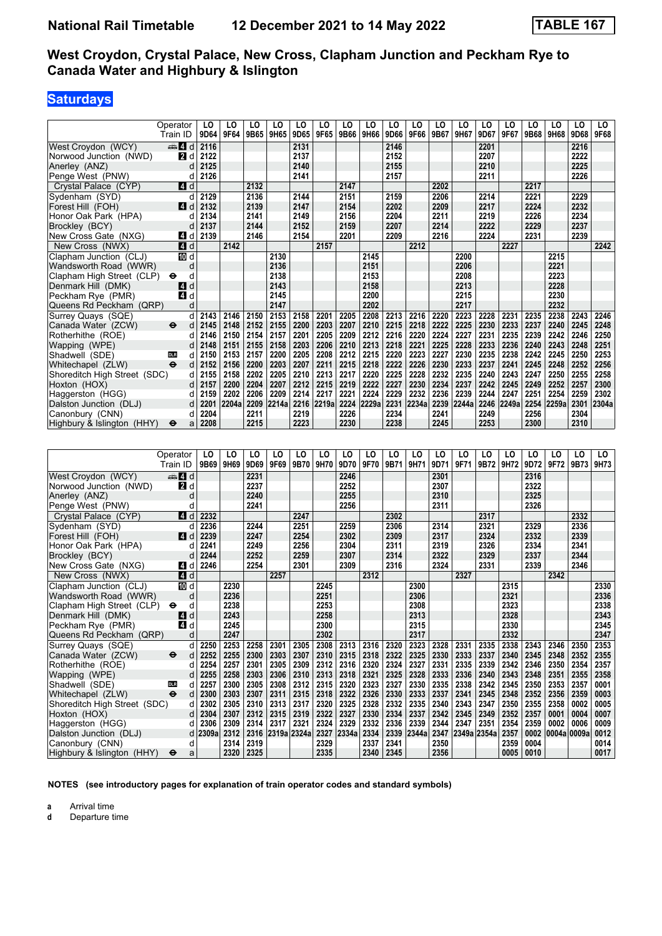## **Saturdays**

|                                                 | Operator          | LO           | LO                           | LO           | LO           | LO   | LO                     | LO           | LO           | LO                           | LO           | LO   | LO           | LO        | LO                  | LO                | LO           | LO           | LO           |
|-------------------------------------------------|-------------------|--------------|------------------------------|--------------|--------------|------|------------------------|--------------|--------------|------------------------------|--------------|------|--------------|-----------|---------------------|-------------------|--------------|--------------|--------------|
|                                                 | Train ID          | 9D64         | 9F64                         | 9B65         | 9H65         | 9D65 | 9F65                   | 9B66         | 9H66         | 9D66                         | 9F66         | 9B67 | 9H67         | 9D67      | 9F67                | 9B68              | 9H68         | 9D68         | 9F68         |
| West Croydon (WCY)                              | $\Rightarrow$ 4 d | 2116         |                              |              |              | 2131 |                        |              |              | 2146                         |              |      |              | 2201      |                     |                   |              | 2216         |              |
| Norwood Junction (NWD)                          | <b>2</b> d        | 2122         |                              |              |              | 2137 |                        |              |              | 2152                         |              |      |              | 2207      |                     |                   |              | 2222         |              |
| Anerley (ANZ)                                   | d                 | 2125         |                              |              |              | 2140 |                        |              |              | 2155                         |              |      |              | 2210      |                     |                   |              | 2225         |              |
| Penge West (PNW)                                | d                 | 2126         |                              |              |              | 2141 |                        |              |              | 2157                         |              |      |              | 2211      |                     |                   |              | 2226         |              |
| Crystal Palace (CYP)                            | 4 d               |              |                              | 2132         |              |      |                        | 2147         |              |                              |              | 2202 |              |           |                     | 2217              |              |              |              |
| Sydenham (SYD)                                  | d                 | 2129         |                              | 2136         |              | 2144 |                        | 2151         |              | 2159                         |              | 2206 |              | 2214      |                     | 2221              |              | 2229         |              |
| Forest Hill (FOH)                               | ZI d              | 2132         |                              | 2139         |              | 2147 |                        | 2154         |              | 2202                         |              | 2209 |              | 2217      |                     | 2224              |              | 2232         |              |
| Honor Oak Park (HPA)                            | d                 | 2134         |                              | 2141         |              | 2149 |                        | 2156         |              | 2204                         |              | 2211 |              | 2219      |                     | 2226              |              | 2234         |              |
| Brockley (BCY)                                  | d                 | 2137         |                              | 2144         |              | 2152 |                        | 2159         |              | 2207                         |              | 2214 |              | 2222      |                     | 2229              |              | 2237         |              |
| New Cross Gate (NXG)                            | 4 d               | 2139         |                              | 2146         |              | 2154 |                        | 2201         |              | 2209                         |              | 2216 |              | 2224      |                     | 2231              |              | 2239         | 2242         |
| New Cross (NWX)                                 | 4 d               |              | 2142                         |              |              |      | 2157                   |              |              |                              | 2212         |      |              |           | 2227                |                   |              |              |              |
| Clapham Junction (CLJ)                          | <b>ID</b> d       |              |                              |              | 2130         |      |                        |              | 2145         |                              |              |      | 2200         |           |                     |                   | 2215         |              |              |
| Wandsworth Road (WWR)                           | d<br>d            |              |                              |              | 2136<br>2138 |      |                        |              | 2151<br>2153 |                              |              |      | 2206<br>2208 |           |                     |                   | 2221<br>2223 |              |              |
| Clapham High Street (CLP)<br>Denmark Hill (DMK) | θ<br>4 d          |              |                              |              | 2143         |      |                        |              | 2158         |                              |              |      | 2213         |           |                     |                   | 2228         |              |              |
| Peckham Rye (PMR)                               | 4 d               |              |                              |              | 2145         |      |                        |              | 2200         |                              |              |      | 2215         |           |                     |                   | 2230         |              |              |
| Queens Rd Peckham (QRP)                         | d                 |              |                              |              | 2147         |      |                        |              | 2202         |                              |              |      | 2217         |           |                     |                   | 2232         |              |              |
| Surrey Quays (SQE)                              | d                 | 2143         | 2146                         | 2150         | 2153         | 2158 | 2201                   | 2205         | 2208         | 2213                         | 2216         | 2220 | 2223         | 2228      | 2231                | 2235              | 2238         | 2243         | 2246         |
| Canada Water (ZCW)                              | $\bullet$<br>d    | 2145         | 2148                         | 2152         | 2155         | 2200 | 2203                   | 2207         | 2210         | 2215                         | 2218         | 2222 | 2225         | 2230      | 2233                | 2237              | 2240         | 2245         | 2248         |
| Rotherhithe (ROE)                               | d                 | 2146         | 2150                         | 2154         | 2157         | 2201 | 2205                   | 2209         | 2212         | 2216                         | 2220         | 2224 | 2227         | 2231      | 2235                | 2239              | 2242         | 2246         | 2250         |
| Wapping (WPE)                                   | d                 | 2148         | 2151                         | 2155         | 2158         | 2203 | 2206                   | 2210         | 2213         | 2218                         | 2221         | 2225 | 2228         | 2233      | 2236                | 2240              | 2243         | 2248         | 2251         |
| Shadwell (SDE)                                  | d<br><b>DLR</b>   | 2150         | 2153                         | 2157         | 2200         | 2205 | 2208                   | 2212         | 2215         | 2220                         | 2223         | 2227 | 2230         | 2235      | 2238                | 2242              | 2245         | 2250         | 2253         |
| Whitechapel (ZLW)                               | d                 | 2152         | 2156                         | 2200         | 2203         | 2207 | 2211                   | 2215         | 2218         | 2222                         | 2226         | 2230 | 2233         | 2237      | 2241                | 2245              | 2248         | 2252         | 2256         |
| Shoreditch High Street (SDC)                    | d                 | 2155         | 2158                         | 2202         | 2205         | 2210 | 2213                   | 2217         | 2220         | 2225                         | 2228         | 2232 | 2235         | 2240      | 2243                | 2247              | 2250         | 2255         | 2258         |
| Hoxton (HOX)                                    | d                 | 2157         | 2200                         | 2204         | 2207         | 2212 | 2215                   | 2219         | 2222         | 2227                         | 2230         | 2234 | 2237         | 2242      | 2245                | 2249              | 2252         | 2257         | 2300         |
| Haggerston (HGG)                                | d                 | 2159         | 2202                         | 2206         | 2209         | 2214 | 2217                   | 2221         | 2224         | 2229                         | 2232         | 2236 | 2239         | 2244      | 2247                | 2251              | 2254         | 2259         | 2302         |
| Dalston Junction (DLJ)                          | d                 | 2201         | 2204a                        | 2209         | 2214a        | 2216 | 2219a                  | 2224         | 2229a        | 2231                         | 2234a        | 2239 | 2244a        | 2246      | 2249a               | 2254              | 2259a        | 2301         | 2304a        |
|                                                 |                   |              |                              |              |              |      |                        |              |              |                              |              |      |              |           |                     |                   |              |              |              |
| Canonbury (CNN)                                 | d                 | 2204         |                              | 2211         |              | 2219 |                        | 2226         |              | 2234                         |              | 2241 |              | 2249      |                     | 2256              |              | 2304         |              |
| Highbury & Islington (HHY)                      | a<br>⊖            | 2208         |                              | 2215         |              | 2223 |                        | 2230         |              | 2238                         |              | 2245 |              | 2253      |                     | 2300              |              | 2310         |              |
|                                                 |                   |              |                              |              |              |      |                        |              |              |                              |              |      |              |           |                     |                   |              |              |              |
|                                                 |                   |              |                              |              |              |      |                        |              |              |                              |              |      |              |           |                     |                   |              |              |              |
|                                                 | Operator          | LO           | LO                           | LO           | LO           | LO   | LO                     | LO           | LO           | LO                           | LO           | LO   | LO           | LO        | LO                  | LO                | LO           | LO           | LO           |
|                                                 | Train ID          |              | 9B69 9H69                    | 9D69         | 9F69         | 9B70 | 9H70                   | 9D70         | 9F70         | 9B71                         | 9H71         | 9D71 | 9F71         | 9B72 9H72 |                     | 9D72              | 9F72         | 9B73         | 9H73         |
| West Croydon (WCY)                              | $\blacksquare$ d  |              |                              | 2231         |              |      |                        | 2246         |              |                              |              | 2301 |              |           |                     | 2316              |              |              |              |
| Norwood Junction (NWD)                          | 2d                |              |                              | 2237         |              |      |                        | 2252         |              |                              |              | 2307 |              |           |                     | 2322              |              |              |              |
| Anerley (ANZ)                                   | d                 |              |                              | 2240         |              |      |                        | 2255         |              |                              |              | 2310 |              |           |                     | 2325              |              |              |              |
| Penge West (PNW)                                | d                 |              |                              | 2241         |              |      |                        | 2256         |              |                              |              | 2311 |              |           |                     | 2326              |              |              |              |
| Crystal Palace (CYP)                            | 14<br>d           | 2232         |                              |              |              | 2247 |                        |              |              | 2302                         |              |      |              | 2317      |                     |                   |              | 2332         |              |
| Sydenham (SYD)                                  | d                 | 2236         |                              | 2244         |              | 2251 |                        | 2259         |              | 2306                         |              | 2314 |              | 2321      |                     | 2329              |              | 2336         |              |
| Forest Hill (FOH)                               | ZI d              | 2239         |                              | 2247         |              | 2254 |                        | 2302         |              | 2309                         |              | 2317 |              | 2324      |                     | 2332              |              | 2339         |              |
| Honor Oak Park (HPA)                            | d                 | 2241         |                              | 2249         |              | 2256 |                        | 2304         |              | 2311                         |              | 2319 |              | 2326      |                     | 2334              |              | 2341         |              |
| Brockley (BCY)                                  | d                 | 2244         |                              | 2252         |              | 2259 |                        | 2307         |              | 2314                         |              | 2322 |              | 2329      |                     | 2337              |              | 2344         |              |
| New Cross Gate (NXG)                            | 4 d               | 2246         |                              | 2254         |              | 2301 |                        | 2309         |              | 2316                         |              | 2324 |              | 2331      |                     | 2339              |              | 2346         |              |
| New Cross (NWX)                                 | 4 d               |              |                              |              | 2257         |      |                        |              | 2312         |                              |              |      | 2327         |           |                     |                   | 2342         |              |              |
| Clapham Junction (CLJ)                          | TO d              |              | 2230                         |              |              |      | 2245                   |              |              |                              | 2300         |      |              |           | 2315                |                   |              |              | 2330         |
| Wandsworth Road (WWR)                           | d                 |              | 2236                         |              |              |      | 2251                   |              |              |                              | 2306         |      |              |           | 2321                |                   |              |              | 2336         |
| Clapham High Street (CLP)                       | d<br>⊖            |              | 2238                         |              |              |      | 2253                   |              |              |                              | 2308         |      |              |           | 2323                |                   |              |              | 2338         |
| Denmark Hill (DMK)                              | ZJ d              |              | 2243                         |              |              |      | 2258                   |              |              |                              | 2313         |      |              |           | 2328                |                   |              |              | 2343         |
| Peckham Rye (PMR)                               | 4 d               |              | 2245<br>2247                 |              |              |      | 2300                   |              |              |                              | 2315         |      |              |           | 2330                |                   |              |              | 2345<br>2347 |
| Queens Rd Peckham (QRP)<br>Surrey Quays (SQE)   | d<br>d            | 2250         | 2253                         | 2258         | 2301         | 2305 | 2302<br>2308           |              |              | 2320                         | 2317<br>2323 | 2328 | 2331         | 2335      | 2332<br>2338        | 2343              | 2346         | 2350         | 2353         |
| Canada Water (ZCW)                              | ⊖<br>d            | 2252         | 2255                         |              | 2303         | 2307 | 2310                   | 2313<br>2315 | 2316<br>2318 | 2322                         | 2325         | 2330 |              | 2337      | 2340                | 2345              | 2348         | 2352         | 2355         |
| Rotherhithe (ROE)                               | d                 | 2254         | 2257                         | 2300<br>2301 | 2305         | 2309 | 2312                   | 2316         | 2320         | 2324                         | 2327         | 2331 | 2333<br>2335 | 2339      | 2342                | 2346              | 2350         | 2354         | 2357         |
| Wapping (WPE)                                   | d                 | 2255         | 2258                         | 2303         | 2306         | 2310 | 2313                   | 2318         | 2321         | 2325                         | 2328         | 2333 | 2336         | 2340      | 2343                | 2348              | 2351         | 2355         | 2358         |
| Shadwell (SDE)                                  | d<br><b>DLR</b>   | 2257<br>2300 | 2300<br>  2303   2307   2311 | 2305         | 2308         | 2312 | 2315<br>2315 2318 2322 | 2320         | 2323<br>2326 | 2327<br>  2330   2333   2337 | 2330         | 2335 | 2338<br>2341 | 2342      | 2345<br>2345   2348 | 2350<br>2352 2356 | 2353         | 2357<br>2359 | 0001         |

Shoreditch High Street (SDC) d 2302 2305 2310 2313 2317 2320 2325 2328 2332 2335 2340 2343 2347 2350 2355 2358 0002 0005<br>Hoxton (HOX) d 2304 2307 2312 2315 2319 2322 2327 2330 2334 2337 2342 2345 2349 2352 2357 0001 0004 0 Hoxton (HOX) d | 2304 | 2307 | 2312 | 2315 | 2319 | 2322 | 2327 | 2330 | 2334 | 2337 | 2342 | 2345 | 2349 | 2352 | 2357 | 0001 | 0004 | 0007 Haggerston (HGG) d 2306 2309 2314 2317 2321 2324 2329 2332 2336 2339 2344 2347 2351 2354 2359 0002 0006 0009<br>Dalston Junction (DLJ) d 2309a 2312 2316 2319a 2324a 2327 2334a 2334 2339 2344a 2347 2349a 2354a 2357 0 Dalston Junction (DLJ) d 2309a 2312 2316 2319a 2324a 2327 2334a 2334 2339 2344a 2347 2349a 2354a 2357 0002 00004a 0009a 0012<br>Canonbury (CNN) d 2314 2319 2329 2337 2341 2350 2359 0004 0014  Canonbury (CNN) d **2314 2319 2329 2337 2341 2350 2359 0004 0014**  Highbury Islington (HHY) T a **2320 2325 2335 2340 2345 2356 0005 0010 0017**

**NOTES (see introductory pages for explanation of train operator codes and standard symbols)**

**a** Arrival time<br>**d** Departure t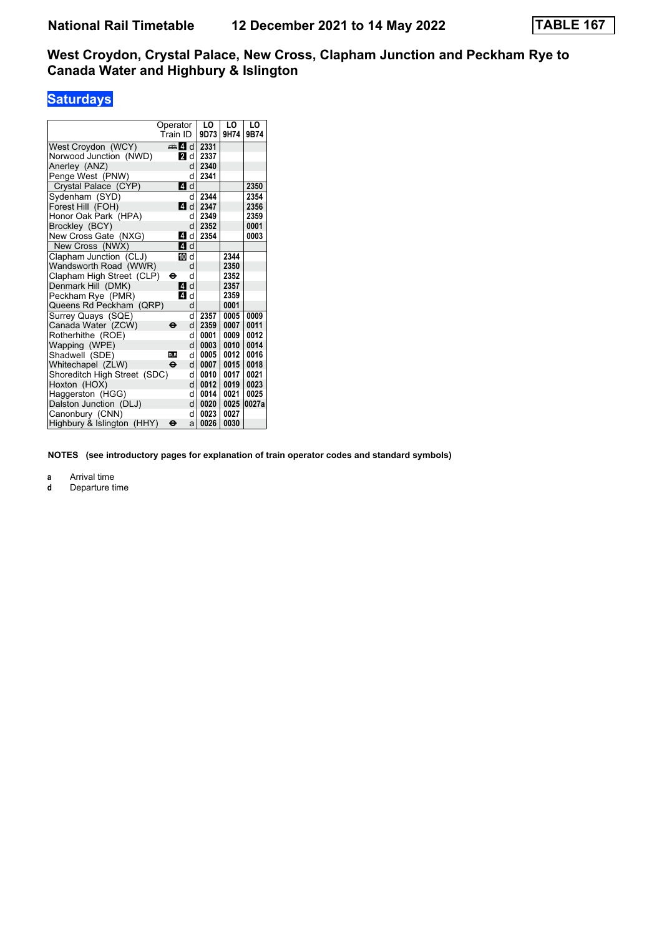# **Saturdays**

|                              | Operator            |   | LO   | LO   | LO    |
|------------------------------|---------------------|---|------|------|-------|
|                              | Train ID            |   | 9D73 | 9H74 | 9B74  |
| West Croydon (WCY)           | d d                 |   | 2331 |      |       |
| Norwood Junction (NWD)       | <b>2</b> d          |   | 2337 |      |       |
| Anerley (ANZ)                |                     | d | 2340 |      |       |
| Penge West (PNW)             |                     | d | 2341 |      |       |
| Crystal Palace (CYP)         | 4                   | d |      |      | 2350  |
| Sydenham (SYD)               |                     | d | 2344 |      | 2354  |
| Forest Hill (FOH)            | ZI d                |   | 2347 |      | 2356  |
| Honor Oak Park (HPA)         |                     | d | 2349 |      | 2359  |
| Brockley (BCY)               |                     | d | 2352 |      | 0001  |
| New Cross Gate (NXG)         | 14                  | d | 2354 |      | 0003  |
| New Cross (NWX)              | ZI d                |   |      |      |       |
| Clapham Junction (CLJ)       | Ю                   | d |      | 2344 |       |
| Wandsworth Road (WWR)        |                     | d |      | 2350 |       |
| Clapham High Street (CLP)    | θ                   | d |      | 2352 |       |
| Denmark Hill (DMK)           | <b>4</b>            | d |      | 2357 |       |
| Peckham Rye (PMR)            | <b>4</b>            | d |      | 2359 |       |
| Queens Rd Peckham<br>(QRP)   |                     | d |      | 0001 |       |
| Surrey Quays (SQE)           |                     | d | 2357 | 0005 | 0009  |
| Canada Water (ZCW)           | $\ddot{\mathbf{e}}$ | d | 2359 | 0007 | 0011  |
| Rotherhithe (ROE)            |                     | q | 0001 | 0009 | 0012  |
| Wapping (WPE)                |                     | d | 0003 | 0010 | 0014  |
| Shadwell (SDE)               | <b>DLR</b>          | d | 0005 | 0012 | 0016  |
| Whitechapel (ZLW)            | $\ddot{\mathbf{e}}$ | d | 0007 | 0015 | 0018  |
| Shoreditch High Street (SDC) |                     | d | 0010 | 0017 | 0021  |
| Hoxton (HOX)                 |                     | d | 0012 | 0019 | 0023  |
| Haggerston (HGG)             |                     | d | 0014 | 0021 | 0025  |
| Dalston Junction (DLJ)       |                     | d | 0020 | 0025 | 0027a |
| Canonbury (CNN)              |                     | d | 0023 | 0027 |       |
| Highbury & Islington (HHY)   | ⊖                   | a | 0026 | 0030 |       |

**NOTES (see introductory pages for explanation of train operator codes and standard symbols)**

**a** Arrival time<br>**d** Departure t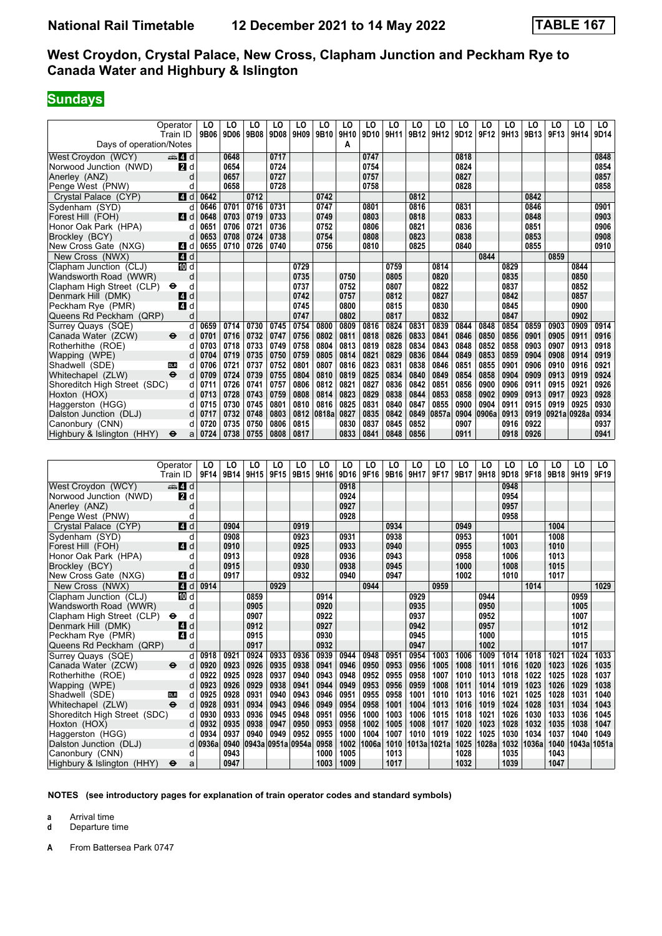## **Sundays**

|                              | Operator                  | LO   | LO   | LO   | LO   | LO   | LO    | LO        | LO   | LO   | LO   | LO    | LO   | LO    | LO   | LO   | LO          | LO   | LO   |
|------------------------------|---------------------------|------|------|------|------|------|-------|-----------|------|------|------|-------|------|-------|------|------|-------------|------|------|
| Days of operation/Notes      | Train ID                  | 9B06 | 9D06 | 9B08 | 9D08 | 9H09 | 9B10  | 9H10<br>А | 9D10 | 9H11 | 9B12 | 9H12  | 9D12 | 9F12  | 9H13 | 9B13 | 9F13        | 9H14 | 9D14 |
|                              |                           |      |      |      |      |      |       |           |      |      |      |       |      |       |      |      |             |      |      |
| West Croydon (WCY)           | d d                       |      | 0648 |      | 0717 |      |       |           | 0747 |      |      |       | 0818 |       |      |      |             |      | 0848 |
| Norwood Junction (NWD)       | 2d                        |      | 0654 |      | 0724 |      |       |           | 0754 |      |      |       | 0824 |       |      |      |             |      | 0854 |
| Anerley (ANZ)                | d                         |      | 0657 |      | 0727 |      |       |           | 0757 |      |      |       | 0827 |       |      |      |             |      | 0857 |
| Penge West (PNW)             | d                         |      | 0658 |      | 0728 |      |       |           | 0758 |      |      |       | 0828 |       |      |      |             |      | 0858 |
| Crystal Palace (CYP)         | 4 d                       | 0642 |      | 0712 |      |      | 0742  |           |      |      | 0812 |       |      |       |      | 0842 |             |      |      |
| Sydenham (SYD)               | d                         | 0646 | 0701 | 0716 | 0731 |      | 0747  |           | 0801 |      | 0816 |       | 0831 |       |      | 0846 |             |      | 0901 |
| Forest Hill (FOH)            | ZI d                      | 0648 | 0703 | 0719 | 0733 |      | 0749  |           | 0803 |      | 0818 |       | 0833 |       |      | 0848 |             |      | 0903 |
| Honor Oak Park (HPA)         | d                         | 0651 | 0706 | 0721 | 0736 |      | 0752  |           | 0806 |      | 0821 |       | 0836 |       |      | 0851 |             |      | 0906 |
| Brockley (BCY)               | d                         | 0653 | 0708 | 0724 | 0738 |      | 0754  |           | 0808 |      | 0823 |       | 0838 |       |      | 0853 |             |      | 0908 |
| New Cross Gate (NXG)         | 4 d                       | 0655 | 0710 | 0726 | 0740 |      | 0756  |           | 0810 |      | 0825 |       | 0840 |       |      | 0855 |             |      | 0910 |
| New Cross (NWX)              | $\blacksquare$ d          |      |      |      |      |      |       |           |      |      |      |       |      | 0844  |      |      | 0859        |      |      |
| Clapham Junction (CLJ)       | iD d                      |      |      |      |      | 0729 |       |           |      | 0759 |      | 0814  |      |       | 0829 |      |             | 0844 |      |
| Wandsworth Road (WWR)        | d                         |      |      |      |      | 0735 |       | 0750      |      | 0805 |      | 0820  |      |       | 0835 |      |             | 0850 |      |
| Clapham High Street (CLP)    | $\bullet$<br>d            |      |      |      |      | 0737 |       | 0752      |      | 0807 |      | 0822  |      |       | 0837 |      |             | 0852 |      |
| Denmark Hill (DMK)           | d<br>4                    |      |      |      |      | 0742 |       | 0757      |      | 0812 |      | 0827  |      |       | 0842 |      |             | 0857 |      |
| Peckham Rye (PMR)            | ZI d                      |      |      |      |      | 0745 |       | 0800      |      | 0815 |      | 0830  |      |       | 0845 |      |             | 0900 |      |
| Queens Rd Peckham (QRP)      | d                         |      |      |      |      | 0747 |       | 0802      |      | 0817 |      | 0832  |      |       | 0847 |      |             | 0902 |      |
| Surrey Quays (SQE)           | d                         | 0659 | 0714 | 0730 | 0745 | 0754 | 0800  | 0809      | 0816 | 0824 | 0831 | 0839  | 0844 | 0848  | 0854 | 0859 | 0903        | 0909 | 0914 |
| Canada Water (ZCW)           | $\ddot{\mathbf{e}}$<br>d  | 0701 | 0716 | 0732 | 0747 | 0756 | 0802  | 0811      | 0818 | 0826 | 0833 | 0841  | 0846 | 0850  | 0856 | 0901 | 0905        | 0911 | 0916 |
| Rotherhithe (ROE)            | d                         | 0703 | 0718 | 0733 | 0749 | 0758 | 0804  | 0813      | 0819 | 0828 | 0834 | 0843  | 0848 | 0852  | 0858 | 0903 | 0907        | 0913 | 0918 |
| Wapping (WPE)                |                           | 0704 | 0719 | 0735 | 0750 | 0759 | 0805  | 0814      | 0821 | 0829 | 0836 | 0844  | 0849 | 0853  | 0859 | 0904 | 0908        | 0914 | 0919 |
| Shadwell (SDE)               | <b>DLR</b><br>d           | 0706 | 0721 | 0737 | 0752 | 0801 | 0807  | 0816      | 0823 | 0831 | 0838 | 0846  | 0851 | 0855  | 0901 | 0906 | 0910        | 0916 | 0921 |
| Whitechapel (ZLW)            | $\ddot{\mathbf{e}}$<br>d  | 0709 | 0724 | 0739 | 0755 | 0804 | 0810  | 0819      | 0825 | 0834 | 0840 | 0849  | 0854 | 0858  | 0904 | 0909 | 0913        | 0919 | 0924 |
| Shoreditch High Street (SDC) | d                         | 0711 | 0726 | 0741 | 0757 | 0806 | 0812  | 0821      | 0827 | 0836 | 0842 | 0851  | 0856 | 0900  | 0906 | 0911 | 0915        | 0921 | 0926 |
| Hoxton (HOX)                 | d                         | 0713 | 0728 | 0743 | 0759 | 0808 | 0814  | 0823      | 0829 | 0838 | 0844 | 0853  | 0858 | 0902  | 0909 | 0913 | 0917        | 0923 | 0928 |
| Haggerston (HGG)             | d                         | 0715 | 0730 | 0745 | 0801 | 0810 | 0816  | 0825      | 0831 | 0840 | 0847 | 0855  | 0900 | 0904  | 0911 | 0915 | 0919        | 0925 | 0930 |
| Dalston Junction (DLJ)       | d                         | 0717 | 0732 | 0748 | 0803 | 0812 | 0818a | 0827      | 0835 | 0842 | 0849 | 0857a | 0904 | 0906a | 0913 | 0919 | 0921a 0928a |      | 0934 |
| Canonbury (CNN)              | d                         | 0720 | 0735 | 0750 | 0806 | 0815 |       | 0830      | 0837 | 0845 | 0852 |       | 0907 |       | 0916 | 0922 |             |      | 0937 |
| Highbury & Islington (HHY)   | $\ddot{\bm{\Theta}}$<br>a | 0724 | 0738 | 0755 | 0808 | 0817 |       | 0833      | 0841 | 0848 | 0856 |       | 0911 |       | 0918 | 0926 |             |      | 0941 |

|                              | Operator                 | LO      | LO   | LO   | LO                | LO   | LO   | LO   | LO    | LO   | LO   | LO          | LO   | LO    | LO   | LO    | LO   | LO    | LO    |
|------------------------------|--------------------------|---------|------|------|-------------------|------|------|------|-------|------|------|-------------|------|-------|------|-------|------|-------|-------|
|                              | Train ID                 | 9F14    | 9B14 | 9H15 | 9F15              | 9B15 | 9H16 | 9D16 | 9F16  | 9B16 | 9H17 | 9F17        | 9B17 | 9H18  | 9D18 | 9F18  | 9B18 | 9H19  | 9F19  |
| West Croydon (WCY)           | <b>第4d</b>               |         |      |      |                   |      |      | 0918 |       |      |      |             |      |       | 0948 |       |      |       |       |
| Norwood Junction (NWD)       | 2 d                      |         |      |      |                   |      |      | 0924 |       |      |      |             |      |       | 0954 |       |      |       |       |
| Anerley (ANZ)                | d                        |         |      |      |                   |      |      | 0927 |       |      |      |             |      |       | 0957 |       |      |       |       |
| Penge West (PNW)             |                          |         |      |      |                   |      |      | 0928 |       |      |      |             |      |       | 0958 |       |      |       |       |
| Crystal Palace (CYP)         | $\blacksquare$           |         | 0904 |      |                   | 0919 |      |      |       | 0934 |      |             | 0949 |       |      |       | 1004 |       |       |
| Sydenham (SYD)               | d                        |         | 0908 |      |                   | 0923 |      | 0931 |       | 0938 |      |             | 0953 |       | 1001 |       | 1008 |       |       |
| Forest Hill (FOH)            | <b>4</b> d               |         | 0910 |      |                   | 0925 |      | 0933 |       | 0940 |      |             | 0955 |       | 1003 |       | 1010 |       |       |
| Honor Oak Park (HPA)         | d                        |         | 0913 |      |                   | 0928 |      | 0936 |       | 0943 |      |             | 0958 |       | 1006 |       | 1013 |       |       |
| Brockley (BCY)               | d                        |         | 0915 |      |                   | 0930 |      | 0938 |       | 0945 |      |             | 1000 |       | 1008 |       | 1015 |       |       |
| New Cross Gate (NXG)         | ZI d                     |         | 0917 |      |                   | 0932 |      | 0940 |       | 0947 |      |             | 1002 |       | 1010 |       | 1017 |       |       |
| New Cross (NWX)              | 4d                       | 0914    |      |      | 0929              |      |      |      | 0944  |      |      | 0959        |      |       |      | 1014  |      |       | 1029  |
| Clapham Junction (CLJ)       | III d                    |         |      | 0859 |                   |      | 0914 |      |       |      | 0929 |             |      | 0944  |      |       |      | 0959  |       |
| Wandsworth Road (WWR)        | d                        |         |      | 0905 |                   |      | 0920 |      |       |      | 0935 |             |      | 0950  |      |       |      | 1005  |       |
| Clapham High Street (CLP)    | $\ddot{\mathbf{e}}$<br>d |         |      | 0907 |                   |      | 0922 |      |       |      | 0937 |             |      | 0952  |      |       |      | 1007  |       |
| Denmark Hill (DMK)           | d<br>14                  |         |      | 0912 |                   |      | 0927 |      |       |      | 0942 |             |      | 0957  |      |       |      | 1012  |       |
| Peckham Rye (PMR)            | 4<br>d                   |         |      | 0915 |                   |      | 0930 |      |       |      | 0945 |             |      | 1000  |      |       |      | 1015  |       |
| Queens Rd Peckham (QRP)      | d                        |         |      | 0917 |                   |      | 0932 |      |       |      | 0947 |             |      | 1002  |      |       |      | 1017  |       |
| Surrey Quays (SQE)           | d                        | 0918    | 0921 | 0924 | 0933              | 0936 | 0939 | 0944 | 0948  | 0951 | 0954 | 1003        | 1006 | 1009  | 1014 | 1018  | 1021 | 1024  | 1033  |
| Canada Water (ZCW)           | $\ddot{\mathbf{e}}$<br>d | 0920    | 0923 | 0926 | 0935              | 0938 | 0941 | 0946 | 0950  | 0953 | 0956 | 1005        | 1008 | 1011  | 1016 | 1020  | 1023 | 1026  | 1035  |
| Rotherhithe (ROE)            | d                        | 0922    | 0925 | 0928 | 0937              | 0940 | 0943 | 0948 | 0952  | 0955 | 0958 | 1007        | 1010 | 1013  | 1018 | 1022  | 1025 | 1028  | 1037  |
| Wapping (WPE)                |                          | 0923    | 0926 | 0929 | 0938              | 0941 | 0944 | 0949 | 0953  | 0956 | 0959 | 1008        | 1011 | 1014  | 1019 | 1023  | 1026 | 1029  | 1038  |
| Shadwell (SDE)               | <b>DLR</b><br>d          | 0925    | 0928 | 0931 | 0940              | 0943 | 0946 | 0951 | 0955  | 0958 | 1001 | 1010        | 1013 | 1016  | 1021 | 1025  | 1028 | 1031  | 1040  |
| Whitechapel (ZLW)            | $\ddot{\mathbf{e}}$<br>d | 0928    | 0931 | 0934 | 0943              | 0946 | 0949 | 0954 | 0958  | 1001 | 1004 | 1013        | 1016 | 1019  | 1024 | 1028  | 1031 | 1034  | 1043  |
| Shoreditch High Street (SDC) | d                        | 0930    | 0933 | 0936 | 0945              | 0948 | 0951 | 0956 | 1000  | 1003 | 1006 | 1015        | 1018 | 1021  | 1026 | 1030  | 1033 | 1036  | 1045  |
| Hoxton (HOX)                 | d                        | 0932    | 0935 | 0938 | 0947              | 0950 | 0953 | 0958 | 1002  | 1005 | 1008 | 1017        | 1020 | 1023  | 1028 | 1032  | 1035 | 1038  | 1047  |
| Haggerston (HGG)             | d                        | 0934    | 0937 | 0940 | 0949              | 0952 | 0955 | 1000 | 1004  | 1007 | 1010 | 1019        | 1022 | 1025  | 1030 | 1034  | 1037 | 1040  | 1049  |
| Dalston Junction (DLJ)       |                          | d 0936a | 0940 |      | 0943a 0951a 0954a |      | 0958 | 1002 | 1006a | 1010 |      | 1013a 1021a | 1025 | 1028a | 1032 | 1036a | 1040 | 1043a | 1051a |
| Canonbury (CNN)              | d                        |         | 0943 |      |                   |      | 1000 | 1005 |       | 1013 |      |             | 1028 |       | 1035 |       | 1043 |       |       |
| Highbury & Islington (HHY)   | $\bullet$<br>a           |         | 0947 |      |                   |      | 1003 | 1009 |       | 1017 |      |             | 1032 |       | 1039 |       | 1047 |       |       |

**NOTES (see introductory pages for explanation of train operator codes and standard symbols)**

**a** Arrival time<br>**d** Departure t

**d** Departure time

**A** From Battersea Park 0747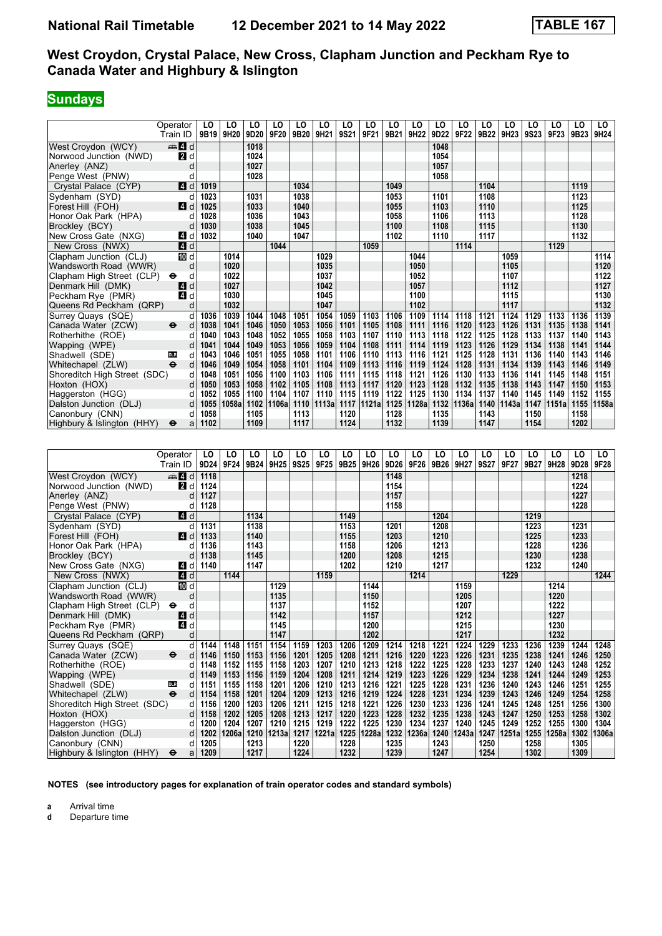## **Sundays**

|                              | Operator         | LO   | LO        | LO           | LO               | LO   | LO    | LO   | LO    | LO           | LO    | LO   | LO    | LO   | LO    | LO   | LO    | LO           | LO    |
|------------------------------|------------------|------|-----------|--------------|------------------|------|-------|------|-------|--------------|-------|------|-------|------|-------|------|-------|--------------|-------|
|                              | Train ID         |      | 9B19 9H20 | 9D20         | 9F20             | 9B20 | 9H21  | 9S21 | 9F21  | 9B21         | 9H22  | 9D22 | 9F22  | 9B22 | 9H23  | 9S23 | 9F23  | 9B23         | 9H24  |
| West Croydon (WCY)           | $\mathbf{A}$ d   |      |           | 1018         |                  |      |       |      |       |              |       | 1048 |       |      |       |      |       |              |       |
| Norwood Junction (NWD)       | 2d               |      |           | 1024         |                  |      |       |      |       |              |       | 1054 |       |      |       |      |       |              |       |
| Anerley (ANZ)                | d                |      |           | 1027         |                  |      |       |      |       |              |       | 1057 |       |      |       |      |       |              |       |
| Penge West (PNW)             | d                |      |           | 1028         |                  |      |       |      |       |              |       | 1058 |       |      |       |      |       |              |       |
| Crystal Palace (CYP)         | $\blacksquare$ d | 1019 |           |              |                  | 1034 |       |      |       | 1049         |       |      |       | 1104 |       |      |       | 1119         |       |
| Sydenham (SYD)               | d                | 1023 |           | 1031         |                  | 1038 |       |      |       | 1053         |       | 1101 |       | 1108 |       |      |       | 1123         |       |
| Forest Hill (FOH)            | ZI d             | 1025 |           | 1033         |                  | 1040 |       |      |       | 1055         |       | 1103 |       | 1110 |       |      |       | 1125         |       |
| Honor Oak Park (HPA)         | d                | 1028 |           | 1036         |                  | 1043 |       |      |       | 1058         |       | 1106 |       | 1113 |       |      |       | 1128         |       |
| Brockley (BCY)               | d                | 1030 |           | 1038         |                  | 1045 |       |      |       | 1100         |       | 1108 |       | 1115 |       |      |       | 1130         |       |
| New Cross Gate (NXG)         | ZI d             | 1032 |           | 1040         |                  | 1047 |       |      |       | 1102         |       | 1110 |       | 1117 |       |      |       | 1132         |       |
| New Cross (NWX)              | 4d               |      |           |              | 1044             |      |       |      | 1059  |              |       |      | 1114  |      |       |      | 1129  |              |       |
| Clapham Junction (CLJ)       | $\overline{m}$ d |      | 1014      |              |                  |      | 1029  |      |       |              | 1044  |      |       |      | 1059  |      |       |              | 1114  |
| Wandsworth Road (WWR)        | d                |      | 1020      |              |                  |      | 1035  |      |       |              | 1050  |      |       |      | 1105  |      |       |              | 1120  |
| Clapham High Street (CLP)    | d<br>$\bullet$   |      | 1022      |              |                  |      | 1037  |      |       |              | 1052  |      |       |      | 1107  |      |       |              | 1122  |
| Denmark Hill (DMK)           | ZI d             |      | 1027      |              |                  |      | 1042  |      |       |              | 1057  |      |       |      | 1112  |      |       |              | 1127  |
| Peckham Rye (PMR)            | ZI d             |      | 1030      |              |                  |      | 1045  |      |       |              | 1100  |      |       |      | 1115  |      |       |              | 1130  |
| Queens Rd Peckham (QRP)      | d                |      | 1032      |              |                  |      | 1047  |      |       |              | 1102  |      |       |      | 1117  |      |       |              | 1132  |
| Surrey Quays (SQE)           | d                | 1036 | 1039      | 1044         | 1048             | 1051 | 1054  | 1059 | 1103  | 1106         | 1109  | 1114 | 1118  | 1121 | 1124  | 1129 | 1133  | 1136         | 1139  |
| Canada Water (ZCW)           | d<br>⊖           | 1038 | 1041      | 1046         | 1050             | 1053 | 1056  | 1101 | 1105  | 1108         | 1111  | 1116 | 1120  | 1123 | 1126  | 1131 | 1135  | 1138         | 1141  |
| Rotherhithe (ROE)            | d                | 1040 | 1043      | 1048         | 1052             | 1055 | 1058  | 1103 | 1107  | 1110         | 1113  | 1118 | 1122  | 1125 | 1128  | 1133 | 1137  | 1140         | 1143  |
| Wapping (WPE)                | d                | 1041 | 1044      | 1049         | 1053             | 1056 | 1059  | 1104 | 1108  | 1111         | 1114  | 1119 | 1123  | 1126 | 1129  | 1134 | 1138  | 1141         | 1144  |
| Shadwell (SDE)               | d<br><b>DLR</b>  | 1043 | 1046      | 1051         | 1055             | 1058 | 1101  | 1106 | 1110  | 1113         | 1116  | 1121 | 1125  | 1128 | 1131  | 1136 | 1140  | 1143         | 1146  |
| Whitechapel (ZLW)            | d                | 1046 | 1049      | 1054         | 1058             | 1101 | 1104  | 1109 | 1113  | 1116         | 1119  | 1124 | 1128  | 1131 | 1134  | 1139 | 1143  | 1146         | 1149  |
| Shoreditch High Street (SDC) | d                | 1048 | 1051      | 1056         | 1100             | 1103 | 1106  | 1111 | 1115  | 1118         | 1121  | 1126 | 1130  | 1133 | 1136  | 1141 | 1145  | 1148         | 1151  |
| Hoxton (HOX)                 | d                | 1050 | 1053      | 1058         | 1102             | 1105 | 1108  | 1113 | 1117  | 1120         | 1123  | 1128 | 1132  | 1135 | 1138  | 1143 | 1147  | 1150         | 1153  |
| Haggerston (HGG)             | d                | 1052 | 1055      | 1100         | 1104             | 1107 | 1110  | 1115 | 1119  | 1122         | 1125  | 1130 | 1134  | 1137 | 1140  | 1145 | 1149  | 1152         | 1155  |
| Dalston Junction (DLJ)       | d                | 1055 | 1058a     | 1102         | 1106a            | 1110 | 1113a | 1117 | 1121a | 1125         | 1128a | 1132 | 1136a | 1140 | 1143a | 1147 | 1151a | 1155         | 1158a |
| Canonbury (CNN)              | d                | 1058 |           | 1105         |                  | 1113 |       | 1120 |       | 1128         |       | 1135 |       | 1143 |       | 1150 |       | 1158         |       |
| Highbury & Islington (HHY)   | a<br>$\bullet$   | 1102 |           | 1109         |                  | 1117 |       | 1124 |       | 1132         |       | 1139 |       | 1147 |       | 1154 |       | 1202         |       |
|                              |                  |      |           |              |                  |      |       |      |       |              |       |      |       |      |       |      |       |              |       |
|                              | Operator         | LO   | LO        | LO           | LO               | LO   | LO    | LO   | LO    | LO           | LO    | LO   | LO    | LO   | LO    | LO   | LO    | LO           | LO    |
|                              | Train ID         | 9D24 | 9F24      | 9B24         | 9H <sub>25</sub> | 9S25 | 9F25  | 9B25 | 9H26  | 9D26         | 9F26  | 9B26 | 9H27  | 9S27 | 9F27  | 9B27 | 9H28  | 9D28         | 9F28  |
| West Croydon (WCY)           | $\mathbf{A}$ d   | 1118 |           |              |                  |      |       |      |       | 1148         |       |      |       |      |       |      |       | 1218         |       |
| Norwood Junction (NWD)       | <b>2</b> d       | 1124 |           |              |                  |      |       |      |       | 1154         |       |      |       |      |       |      |       | 1224         |       |
| Anerley (ANZ)                | d                | 1127 |           |              |                  |      |       |      |       | 1157         |       |      |       |      |       |      |       | 1227         |       |
| Penge West (PNW)             | d                | 1128 |           |              |                  |      |       |      |       | 1158         |       |      |       |      |       |      |       | 1228         |       |
|                              | 4 d              |      |           | 1134         |                  |      |       | 1149 |       |              |       | 1204 |       |      |       | 1219 |       |              |       |
| Crystal Palace (CYP)         |                  |      |           |              |                  |      |       |      |       |              |       |      |       |      |       |      |       |              |       |
| Sydenham (SYD)               | d                | 1131 |           | 1138         |                  |      |       | 1153 |       | 1201         |       | 1208 |       |      |       | 1223 |       | 1231         |       |
| Forest Hill (FOH)            | ZI d             | 1133 |           | 1140<br>1143 |                  |      |       | 1155 |       | 1203<br>1206 |       | 1210 |       |      |       | 1225 |       | 1233<br>1236 |       |
| Honor Oak Park (HPA)         | d                | 1136 |           |              |                  |      |       | 1158 |       |              |       | 1213 |       |      |       | 1228 |       |              |       |
| Brockley (BCY)               | d                | 1138 |           | 1145         |                  |      |       | 1200 |       | 1208         |       | 1215 |       |      |       | 1230 |       | 1238         |       |
| New Cross Gate (NXG)         | 4 d              | 1140 |           | 1147         |                  |      |       | 1202 |       | 1210         |       | 1217 |       |      |       | 1232 |       | 1240         |       |
| New Cross (NWX)              | 4d               |      | 1144      |              |                  |      | 1159  |      |       |              | 1214  |      |       |      | 1229  |      |       |              | 1244  |
| Clapham Junction (CLJ)       | <b>ID</b> d      |      |           |              | 1129             |      |       |      | 1144  |              |       |      | 1159  |      |       |      | 1214  |              |       |
| Wandsworth Road (WWR)        | d                |      |           |              | 1135             |      |       |      | 1150  |              |       |      | 1205  |      |       |      | 1220  |              |       |

 Wandsworth Road (WWR) d **1135 1150 1205 1220** Clapham High Street (CLP)  $\Theta$  d **1137 1137 1152 1152 1207 1222 1222 1227 1227**  Denmark Hill (DMK) z d **1142 1157 1212 1227**

 4ueens Rd Peckham (4RP) d **1147 1202 1217 1232**

Shadwell (SDE) 00 00 d 1151 1155 1158 1201 1206 1210 1213 1216 1221 1225 1228 1231 1236 1240 1243

Dalston Junction (DLJ) d 1202 1206a 1210 1213a 1217 1221a 1225 1228a 1232 1236a 1240 1243a 1247 1251a 1255<br>Canonbury (CNN) d 1205 1213 1213 1220 1228 1235 1243 1243 1250 1250

Surrey Quays (SQE) d 1144 1148 1151 1154 1159 1203 1206 1209 1214 1218 1221 1224 1229 1233 1236 1239 1244 1248<br>Canada Water (ZCW)  $\qquad \qquad \qquad \qquad$  d 1146 1150 1153 1156 1201 1205 1208 1211 1216 1220 1223 1226 1231 1235 1238 Canada Water (ZCW) → d 1146 1150 1153 1156 1201 1205 1208 1211 1216 1220 1223 1226 1231 1235 1238 1241 1246 1250<br>Rotherhithe (ROE) d 1148 1152 1155 1158 1203 1207 1210 1213 1218 1222 1225 1228 1233 1237 1240 1243 1248 125 Rotherhithe (ROE) (2014 1148 1152 1155 1158 1203 1207 1210 1213 1218 1222 1225 1228 1233 1237 1240 1243 1252 1<br>Wapping (WPE) (2014 1249 1253 1156 1159 1204 1208 1211 1214 1219 1223 1226 1229 1234 1238 1241 1244 1249 1253 Wapping (WPE) d 1149 1153 1156 1159 1204 1208 1211 1214 1219 1223 1226 1229 1234 1238 1241 1244 1249 1253<br>Shadwell (SDE) 00 d 1151 1155 1158 1201 1206 1210 1213 1216 1221 1225 1228 1231 1236 1240 1243 1246 1251 1255

Whitechapel (ZLW) <del>O</del> d | 1154 | 1158 | 1201 | 1204 | 1209 | 1213 | 1216 | 1219 | 1224 | 1228 | 1231 | 1234 | 1239 | 1243 | 1246 | 1249 | 1254 | 1258<br>Shoreditch High Street (SDC) d | 1156 | 1200 | 1203 | 1206 | 1211 Shoreditch High Street (SDC) d | 1156 | 1200 | 1203 | 1206 | 1211 | 1215 | 1218 | 1221 | 1226 | 1230 | 1231 | 1236 | 1241 | 1245 | 1248 | 1251 | 1256 | 1300<br>Hoxton (HOX) d | 1158 | 1202 | 1205 | 1208 | 1213 | 1217 | 1220 | Hoxton (HOX) d | 1158 | 1202 | 1203 | 1208 | 1213 | 1217 | 1220 | 1223 | 1228 | 1232 | 1235 | 1238 | 1247 | 1250 | 1253 | 1258 | 1302 Haggerston (HGG) d 1200 1204 1207 1210 1215 1219 1222 1225 1230 1234 1237 1240 1245 1249 1252 1255 1300 1304<br>Dalston Junction (DLJ) d 1202 1206a 1210 1213a 1217 1221a 1225 1228a 1232 1236a 1240 1243a 1247 1251a

 Canonbury (CNN) d **1205 1213 1220 1228 1235 1243 1250 1258 1305**  Highbury Islington (HHY) T a **1209 1217 1224 1232 1239 1247 1254 1302 1309**

**NOTES (see introductory pages for explanation of train operator codes and standard symbols)**

**a** Arrival time<br>**d** Departure t

**d** Departure time

 $Peckham Rye (PMR)$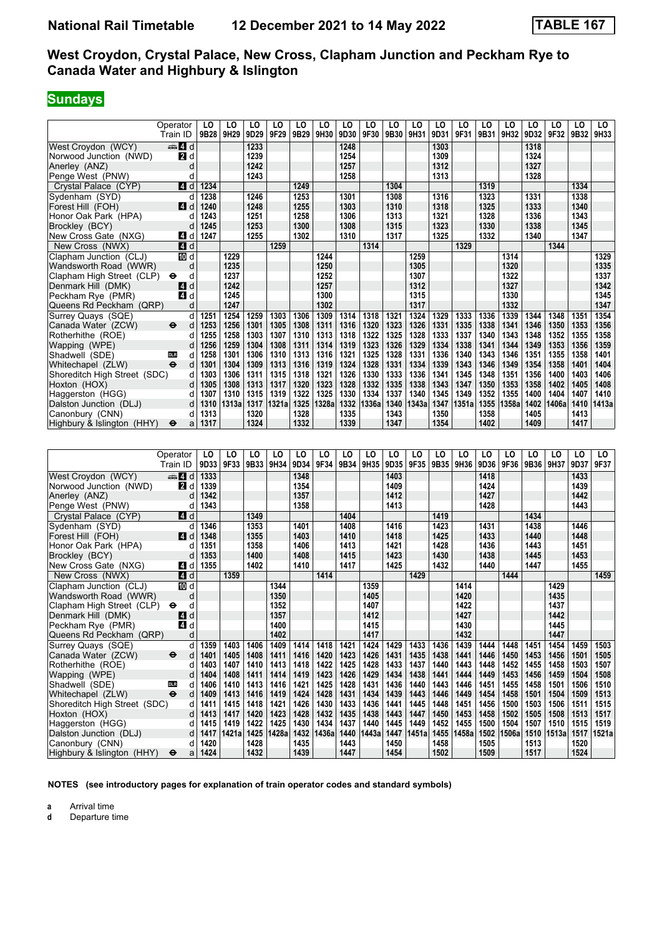# **Sundays**

|                              | Operator<br>Train ID | LO<br>9B28 | LO<br>9H29 | LO<br>9D29 | LO<br>9F29 | LO<br>9B29 | LO<br>9H30 | LO<br>9D30 | LO<br>9F30 | LO<br>9B30 | LO<br>9H31 | LO<br>9D31 | LO<br>9F31 | LO<br>9B31 | LO<br>9H32 | LO<br>9D32 | LO<br>9F32 | LO<br>9B32 | LO<br>9H33 |
|------------------------------|----------------------|------------|------------|------------|------------|------------|------------|------------|------------|------------|------------|------------|------------|------------|------------|------------|------------|------------|------------|
| West Crovdon (WCY)           | $\oplus$ 4 d         |            |            | 1233       |            |            |            | 1248       |            |            |            | 1303       |            |            |            | 1318       |            |            |            |
| Norwood Junction (NWD)       | $\blacksquare$       |            |            | 1239       |            |            |            | 1254       |            |            |            | 1309       |            |            |            | 1324       |            |            |            |
| Anerley (ANZ)                | d                    |            |            | 1242       |            |            |            | 1257       |            |            |            | 1312       |            |            |            | 1327       |            |            |            |
| Penge West (PNW)             | d                    |            |            | 1243       |            |            |            | 1258       |            |            |            | 1313       |            |            |            | 1328       |            |            |            |
| Crystal Palace (CYP)         | $\blacksquare$ d     | 1234       |            |            |            | 1249       |            |            |            | 1304       |            |            |            | 1319       |            |            |            | 1334       |            |
| Sydenham (SYD)               | d                    | 1238       |            | 1246       |            | 1253       |            | 1301       |            | 1308       |            | 1316       |            | 1323       |            | 1331       |            | 1338       |            |
| Forest Hill (FOH)            | 4d                   | 1240       |            | 1248       |            | 1255       |            | 1303       |            | 1310       |            | 1318       |            | 1325       |            | 1333       |            | 1340       |            |
| Honor Oak Park (HPA)         | d                    | 1243       |            | 1251       |            | 1258       |            | 1306       |            | 1313       |            | 1321       |            | 1328       |            | 1336       |            | 1343       |            |
| Brockley (BCY)               | d                    | 1245       |            | 1253       |            | 1300       |            | 1308       |            | 1315       |            | 1323       |            | 1330       |            | 1338       |            | 1345       |            |
| New Cross Gate (NXG)         | ZI d                 | 1247       |            | 1255       |            | 1302       |            | 1310       |            | 1317       |            | 1325       |            | 1332       |            | 1340       |            | 1347       |            |
| New Cross (NWX)              | 4d                   |            |            |            | 1259       |            |            |            | 1314       |            |            |            | 1329       |            |            |            | 1344       |            |            |
| Clapham Junction (CLJ)       | <b>ID</b> d          |            | 1229       |            |            |            | 1244       |            |            |            | 1259       |            |            |            | 1314       |            |            |            | 1329       |
| Wandsworth Road (WWR)        | d                    |            | 1235       |            |            |            | 1250       |            |            |            | 1305       |            |            |            | 1320       |            |            |            | 1335       |
| Clapham High Street (CLP)    | ⊖<br>d               |            | 1237       |            |            |            | 1252       |            |            |            | 1307       |            |            |            | 1322       |            |            |            | 1337       |
| Denmark Hill (DMK)           | d<br><b>4</b>        |            | 1242       |            |            |            | 1257       |            |            |            | 1312       |            |            |            | 1327       |            |            |            | 1342       |
| Peckham Rye (PMR)            | 4 d                  |            | 1245       |            |            |            | 1300       |            |            |            | 1315       |            |            |            | 1330       |            |            |            | 1345       |
| Queens Rd Peckham (QRP)      | d                    |            | 1247       |            |            |            | 1302       |            |            |            | 1317       |            |            |            | 1332       |            |            |            | 1347       |
| Surrey Quays (SQE)           | d                    | 1251       | 1254       | 1259       | 1303       | 1306       | 1309       | 1314       | 1318       | 1321       | 1324       | 1329       | 1333       | 1336       | 1339       | 1344       | 1348       | 1351       | 1354       |
| Canada Water (ZCW)           | ⊖<br>d               | 1253       | 1256       | 1301       | 1305       | 1308       | 1311       | 1316       | 1320       | 1323       | 1326       | 1331       | 1335       | 1338       | 1341       | 1346       | 1350       | 1353       | 1356       |
| Rotherhithe (ROE)            | d                    | 1255       | 1258       | 1303       | 1307       | 1310       | 1313       | 1318       | 1322       | 1325       | 1328       | 1333       | 1337       | 1340       | 1343       | 1348       | 1352       | 1355       | 1358       |
| Wapping (WPE)                | d                    | 1256       | 1259       | 1304       | 1308       | 1311       | 1314       | 1319       | 1323       | 1326       | 1329       | 1334       | 1338       | 1341       | 1344       | 1349       | 1353       | 1356       | 1359       |
| Shadwell (SDE)               | <b>DLR</b><br>d      | 1258       | 1301       | 1306       | 1310       | 1313       | 1316       | 1321       | 1325       | 1328       | 1331       | 1336       | 1340       | 1343       | 1346       | 1351       | 1355       | 1358       | 1401       |
| Whitechapel (ZLW)            | $\ddot{ }$<br>d      | 1301       | 1304       | 1309       | 1313       | 1316       | 1319       | 1324       | 1328       | 1331       | 1334       | 1339       | 1343       | 1346       | 1349       | 1354       | 1358       | 1401       | 1404       |
| Shoreditch High Street (SDC) | d                    | 1303       | 1306       | 1311       | 1315       | 1318       | 1321       | 1326       | 1330       | 1333       | 1336       | 1341       | 1345       | 1348       | 1351       | 1356       | 1400       | 1403       | 1406       |
| Hoxton (HOX)                 | d                    | 1305       | 1308       | 1313       | 1317       | 1320       | 1323       | 1328       | 1332       | 1335       | 1338       | 1343       | 1347       | 1350       | 1353       | 1358       | 1402       | 1405       | 1408       |
| Haggerston (HGG)             | d                    | 1307       | 1310       | 1315       | 1319       | 1322       | 1325       | 1330       | 1334       | 1337       | 1340       | 1345       | 1349       | 1352       | 1355       | 1400       | 1404       | 1407       | 1410       |
| Dalston Junction (DLJ)       | d                    | 1310       | 1313a      | 1317       | 1321a      | 1325       | 1328a      | 1332       | 1336a      | 1340       | 1343a      | 1347       | 1351a      | 1355       | 1358a      | 1402       | 1406a      | 1410       | 1413a      |
| Canonbury (CNN)              | d                    | 1313       |            | 1320       |            | 1328       |            | 1335       |            | 1343       |            | 1350       |            | 1358       |            | 1405       |            | 1413       |            |
| Highbury & Islington (HHY)   | ⊖<br>a               | 1317       |            | 1324       |            | 1332       |            | 1339       |            | 1347       |            | 1354       |            | 1402       |            | 1409       |            | 1417       |            |
|                              |                      |            |            |            |            |            |            |            |            |            |            |            |            |            |            |            |            |            |            |
|                              | Operator             | LO         | LO         | LO         | LO         | LO         | LO         | LO         | LO         | LO         | LO         | LO         | LO         | LO         | LO         | LO         | LO         | LO         | LO         |
|                              | Train ID             | 9D33       | 9F33       | 9B33       | 9H34       | 9D34       | 9F34       | 9B34       | 9H35       | 9D35       | 9F35       | 9B35       | 9H36       | 9D36       | 9F36       | 9B36       | 9H37       | 9D37       | 9F37       |
| West Crovdon (WCY)           | $\mathbb{Z}$ d       | 1333       |            |            |            | 1348       |            |            |            | 1403       |            |            |            | 1418       |            |            |            | 1433       |            |
| Norwood Junction (NWD)       | <b>2</b> d           | 1339       |            |            |            | 1354       |            |            |            | 1409       |            |            |            | 1424       |            |            |            | 1439       |            |
| Anerley (ANZ)                | d                    | 1342       |            |            |            | 1357       |            |            |            | 1412       |            |            |            | 1427       |            |            |            | 1442       |            |
| Penge West (PNW)             | d                    | 1343       |            |            |            | 1358       |            |            |            | 1413       |            |            |            | 1428       |            |            |            | 1443       |            |
| Crystal Palace (CYP)         | ZI d                 |            |            | 1349       |            |            |            | 1404       |            |            |            | 1419       |            |            |            | 1434       |            |            |            |
|                              |                      |            |            |            |            |            |            |            |            |            |            |            |            |            |            |            |            |            |            |

| Penge West (PNW)             | d                                 | 1343 |       |      |       | 1358 |       |      |       | 1413 |       |      |       | 1428 |       |      |       | 1443 |       |
|------------------------------|-----------------------------------|------|-------|------|-------|------|-------|------|-------|------|-------|------|-------|------|-------|------|-------|------|-------|
| Crystal Palace (CYP)         | 4 d                               |      |       | 1349 |       |      |       | 1404 |       |      |       | 1419 |       |      |       | 1434 |       |      |       |
| Sydenham (SYD)               |                                   | 1346 |       | 1353 |       | 1401 |       | 1408 |       | 1416 |       | 1423 |       | 1431 |       | 1438 |       | 1446 |       |
| Forest Hill (FOH)            | <b>4</b> d                        | 1348 |       | 1355 |       | 1403 |       | 1410 |       | 1418 |       | 1425 |       | 1433 |       | 1440 |       | 1448 |       |
| Honor Oak Park (HPA)         |                                   | 1351 |       | 1358 |       | 1406 |       | 1413 |       | 1421 |       | 1428 |       | 1436 |       | 1443 |       | 1451 |       |
| Brockley (BCY)               |                                   | 1353 |       | 1400 |       | 1408 |       | 1415 |       | 1423 |       | 1430 |       | 1438 |       | 1445 |       | 1453 |       |
| New Cross Gate (NXG)         | 4 d                               | 1355 |       | 1402 |       | 1410 |       | 1417 |       | 1425 |       | 1432 |       | 1440 |       | 1447 |       | 1455 |       |
| New Cross (NWX)              | 4 d                               |      | 1359  |      |       |      | 1414  |      |       |      | 1429  |      |       |      | 1444  |      |       |      | 1459  |
| Clapham Junction (CLJ)       | <b>ID</b> d                       |      |       |      | 1344  |      |       |      | 1359  |      |       |      | 1414  |      |       |      | 1429  |      |       |
| Wandsworth Road (WWR)        | d                                 |      |       |      | 1350  |      |       |      | 1405  |      |       |      | 1420  |      |       |      | 1435  |      |       |
| Clapham High Street (CLP)    | $\bullet$<br>d                    |      |       |      | 1352  |      |       |      | 1407  |      |       |      | 1422  |      |       |      | 1437  |      |       |
| Denmark Hill (DMK)           | 4 d                               |      |       |      | 1357  |      |       |      | 1412  |      |       |      | 1427  |      |       |      | 1442  |      |       |
| Peckham Rye (PMR)            | 4 d                               |      |       |      | 1400  |      |       |      | 1415  |      |       |      | 1430  |      |       |      | 1445  |      |       |
| Queens Rd Peckham (QRP)      | d                                 |      |       |      | 1402  |      |       |      | 1417  |      |       |      | 1432  |      |       |      | 1447  |      |       |
| Surrey Quays (SQE)           |                                   | 1359 | 1403  | 1406 | 1409  | 1414 | 1418  | 1421 | 1424  | 1429 | 1433  | 1436 | 1439  | 1444 | 1448  | 1451 | 1454  | 1459 | 1503  |
| Canada Water (ZCW)           | $\ddot{\mathbf{e}}$               | 1401 | 1405  | 1408 | 1411  | 1416 | 1420  | 1423 | 1426  | 1431 | 1435  | 1438 | 1441  | 1446 | 1450  | 1453 | 1456  | 1501 | 1505  |
| Rotherhithe (ROE)            |                                   | 1403 | 1407  | 1410 | 1413  | 1418 | 1422  | 1425 | 1428  | 1433 | 1437  | 1440 | 1443  | 1448 | 1452  | 1455 | 1458  | 1503 | 1507  |
| Wapping (WPE)                |                                   | 1404 | 1408  | 1411 | 1414  | 1419 | 1423  | 1426 | 1429  | 1434 | 1438  | 1441 | 1444  | 1449 | 1453  | 1456 | 1459  | 1504 | 1508  |
| Shadwell (SDE)               | <b>DLR</b><br>d                   | 1406 | 1410  | 1413 | 1416  | 1421 | 1425  | 1428 | 1431  | 1436 | 1440  | 1443 | 1446  | 1451 | 1455  | 1458 | 1501  | 1506 | 1510  |
| Whitechapel (ZLW)            | $\ddot{\boldsymbol{\Theta}}$<br>d | 1409 | 1413  | 1416 | 1419  | 1424 | 1428  | 1431 | 1434  | 1439 | 1443  | 1446 | 1449  | 1454 | 1458  | 1501 | 1504  | 1509 | 1513  |
| Shoreditch High Street (SDC) |                                   | 1411 | 1415  | 1418 | 1421  | 1426 | 1430  | 1433 | 1436  | 1441 | 1445  | 1448 | 1451  | 1456 | 1500  | 1503 | 1506  | 1511 | 1515  |
| Hoxton (HOX)                 | d                                 | 1413 | 1417  | 1420 | 1423  | 1428 | 1432  | 1435 | 1438  | 1443 | 1447  | 1450 | 1453  | 1458 | 1502  | 1505 | 1508  | 1513 | 1517  |
| Haggerston (HGG)             | d                                 | 1415 | 1419  | 1422 | 1425  | 1430 | 1434  | 1437 | 1440  | 1445 | 1449  | 1452 | 1455  | 1500 | 1504  | 1507 | 1510  | 1515 | 1519  |
| Dalston Junction (DLJ)       | d.                                | 1417 | 1421a | 1425 | 1428a | 1432 | 1436a | 1440 | 1443a | 1447 | 1451a | 1455 | 1458a | 1502 | 1506a | 1510 | 1513a | 1517 | 1521a |
| Canonbury (CNN)              | d                                 | 1420 |       | 1428 |       | 1435 |       | 1443 |       | 1450 |       | 1458 |       | 1505 |       | 1513 |       | 1520 |       |
| Highbury & Islington (HHY)   | $\bullet$<br>a                    | 1424 |       | 1432 |       | 1439 |       | 1447 |       | 1454 |       | 1502 |       | 1509 |       | 1517 |       | 1524 |       |

**NOTES (see introductory pages for explanation of train operator codes and standard symbols)**

**a** Arrival time<br>**d** Departure t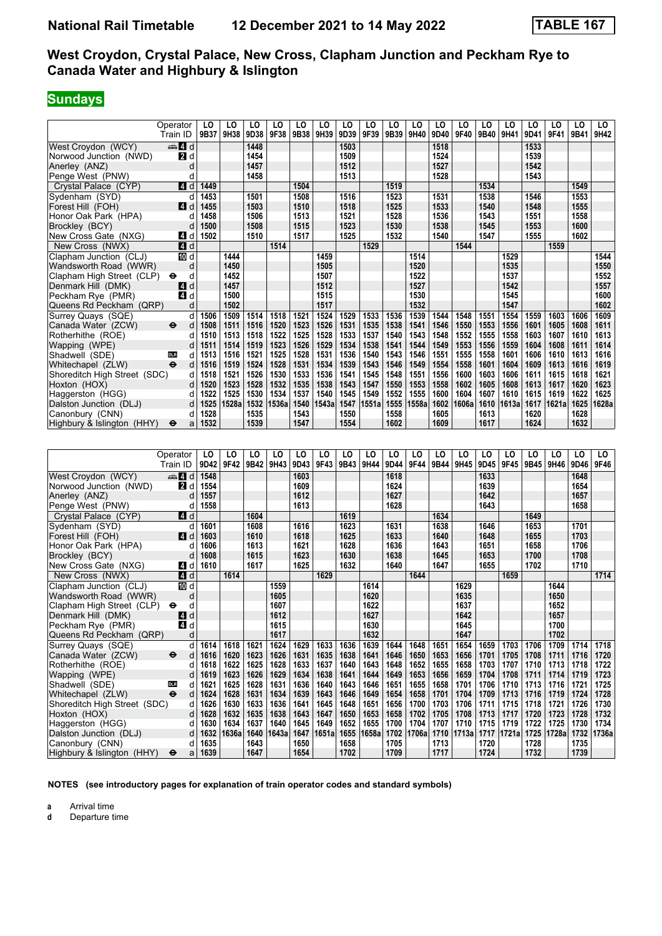# **Sundays**

|                              | Operator                  | LO   | LO    | LO         | LO    | LO   | LO    | LO   | LO    | LO   | LO    | LO   | LO    | LO   | LO    | LO        | LO     | LO   | LO    |
|------------------------------|---------------------------|------|-------|------------|-------|------|-------|------|-------|------|-------|------|-------|------|-------|-----------|--------|------|-------|
|                              | Train ID                  | 9B37 | 9H38  | 9D38       | 9F38  | 9B38 | 9H39  | 9D39 | 9F39  | 9B39 | 9H40  | 9D40 | 9F40  | 9B40 | 9H41  | 9D41      | 9F41   | 9B41 | 9H42  |
| West Croydon (WCY)           | d d                       |      |       | 1448       |       |      |       | 1503 |       |      |       | 1518 |       |      |       | 1533      |        |      |       |
| Norwood Junction (NWD)       | 2d                        |      |       | 1454       |       |      |       | 1509 |       |      |       | 1524 |       |      |       | 1539      |        |      |       |
| Anerley (ANZ)                | d                         |      |       | 1457       |       |      |       | 1512 |       |      |       | 1527 |       |      |       | 1542      |        |      |       |
| Penge West (PNW)             | d                         |      |       | 1458       |       |      |       | 1513 |       |      |       | 1528 |       |      |       | 1543      |        |      |       |
| Crystal Palace (CYP)         | ZI d                      | 1449 |       |            |       | 1504 |       |      |       | 1519 |       |      |       | 1534 |       |           |        | 1549 |       |
| Sydenham (SYD)               | d                         | 1453 |       | 1501       |       | 1508 |       | 1516 |       | 1523 |       | 1531 |       | 1538 |       | 1546      |        | 1553 |       |
| Forest Hill (FOH)            | $\blacksquare$<br>d       | 1455 |       | 1503       |       | 1510 |       | 1518 |       | 1525 |       | 1533 |       | 1540 |       | 1548      |        | 1555 |       |
| Honor Oak Park (HPA)         | d                         | 1458 |       | 1506       |       | 1513 |       | 1521 |       | 1528 |       | 1536 |       | 1543 |       | 1551      |        | 1558 |       |
| Brockley (BCY)               | d                         | 1500 |       | 1508       |       | 1515 |       | 1523 |       | 1530 |       | 1538 |       | 1545 |       | 1553      |        | 1600 |       |
| New Cross Gate (NXG)         | $\overline{A}$<br>d       | 1502 |       | 1510       |       | 1517 |       | 1525 |       | 1532 |       | 1540 |       | 1547 |       | 1555      |        | 1602 |       |
| New Cross (NWX)              | 4d                        |      |       |            | 1514  |      |       |      | 1529  |      |       |      | 1544  |      |       |           | 1559   |      |       |
| Clapham Junction (CLJ)       | 10 d                      |      | 1444  |            |       |      | 1459  |      |       |      | 1514  |      |       |      | 1529  |           |        |      | 1544  |
| Wandsworth Road (WWR)        | d                         |      | 1450  |            |       |      | 1505  |      |       |      | 1520  |      |       |      | 1535  |           |        |      | 1550  |
| Clapham High Street (CLP)    | d<br>⊖                    |      | 1452  |            |       |      | 1507  |      |       |      | 1522  |      |       |      | 1537  |           |        |      | 1552  |
| Denmark Hill (DMK)           | 4 d                       |      | 1457  |            |       |      | 1512  |      |       |      | 1527  |      |       |      | 1542  |           |        |      | 1557  |
| Peckham Rye (PMR)            | 4 d                       |      | 1500  |            |       |      | 1515  |      |       |      | 1530  |      |       |      | 1545  |           |        |      | 1600  |
| Queens Rd Peckham (QRP)      | d                         |      | 1502  |            |       |      | 1517  |      |       |      | 1532  |      |       |      | 1547  |           |        |      | 1602  |
| Surrey Quays (SQE)           | d                         | 1506 | 1509  | 1514       | 1518  | 1521 | 1524  | 1529 | 1533  | 1536 | 1539  | 1544 | 1548  | 1551 | 1554  | 1559      | 1603   | 1606 | 1609  |
| Canada Water (ZCW)           | $\bullet$<br>d            | 1508 | 1511  | 1516       | 1520  | 1523 | 1526  | 1531 | 1535  | 1538 | 1541  | 1546 | 1550  | 1553 | 1556  | 1601      | 1605   | 1608 | 1611  |
| Rotherhithe (ROE)            | d                         | 1510 | 1513  | 1518       | 1522  | 1525 | 1528  | 1533 | 1537  | 1540 | 1543  | 1548 | 1552  | 1555 | 1558  | 1603      | 1607   | 1610 | 1613  |
| Wapping (WPE)                | d                         | 1511 | 1514  | 1519       | 1523  | 1526 | 1529  | 1534 | 1538  | 1541 | 1544  | 1549 | 1553  | 1556 | 1559  | 1604      | 1608   | 1611 | 1614  |
| Shadwell (SDE)               | d<br><b>DLR</b>           | 1513 | 1516  | 1521       | 1525  | 1528 | 1531  | 1536 | 1540  | 1543 | 1546  | 1551 | 1555  | 1558 | 1601  | 1606      | 1610   | 1613 | 1616  |
| Whitechapel (ZLW)            | $\ddot{\mathbf{e}}$<br>d  | 1516 | 1519  | 1524       | 1528  | 1531 | 1534  | 1539 | 1543  | 1546 | 1549  | 1554 | 1558  | 1601 | 1604  | 1609      | 1613   | 1616 | 1619  |
| Shoreditch High Street (SDC) | d                         | 1518 | 1521  | 1526       | 1530  | 1533 | 1536  | 1541 | 1545  | 1548 | 1551  | 1556 | 1600  | 1603 | 1606  | 1611      | 1615   | 1618 | 1621  |
| Hoxton (HOX)                 | d                         | 1520 | 1523  | 1528       | 1532  | 1535 | 1538  | 1543 | 1547  | 1550 | 1553  | 1558 | 1602  | 1605 | 1608  | 1613      | 1617   | 1620 | 1623  |
| Haggerston (HGG)             | d                         | 1522 | 1525  | 1530       | 1534  | 1537 | 1540  | 1545 | 1549  | 1552 | 1555  | 1600 | 1604  | 1607 | 1610  | 1615      | 1619   | 1622 | 1625  |
| Dalston Junction (DLJ)       | d                         | 1525 | 1528a | 1532       | 1536a | 1540 | 1543a | 1547 | 1551a | 1555 | 1558a | 1602 | 1606a | 1610 | 1613a | 1617      | 1621al | 1625 | 1628a |
| Canonbury (CNN)              | d                         | 1528 |       | 1535       |       | 1543 |       | 1550 |       | 1558 |       | 1605 |       | 1613 |       | 1620      |        | 1628 |       |
| Highbury & Islington (HHY)   | $\ddot{\bm{\Theta}}$<br>a | 1532 |       | 1539       |       | 1547 |       | 1554 |       | 1602 |       | 1609 |       | 1617 |       | 1624      |        | 1632 |       |
|                              |                           |      |       |            |       |      |       |      |       |      |       |      |       |      |       |           |        |      |       |
|                              |                           |      |       |            |       |      |       |      |       |      |       |      |       |      |       |           |        |      |       |
|                              | Operator                  | LO   | LO    | LO         | LO    | LO   | LO    | LO   | LO    | LO   | LO    | LO   | LO    | LO   | LO    | LO        | LO     | LO   | LO    |
|                              | Train ID                  | 9D42 | 9F42  | 9B42 9H43  |       | 9D43 | 9F43  | 9B43 | 9H44  | 9D44 | 9F44  | 9B44 | 9H45  | 9D45 | 9F45  | 9B45 9H46 |        | 9D46 | 9F46  |
| West Croydon (WCY)           | den and a                 | 1548 |       |            |       | 1603 |       |      |       | 1618 |       |      |       | 1633 |       |           |        | 1648 |       |
| Norwood Junction (NWD)       | <b>2</b> d                | 1554 |       |            |       | 1609 |       |      |       | 1624 |       |      |       | 1639 |       |           |        | 1654 |       |
| Anerley (ANZ)                | d                         | 1557 |       |            |       | 1612 |       |      |       | 1627 |       |      |       | 1642 |       |           |        | 1657 |       |
| Penge West (PNW)             | d                         | 1558 |       |            |       | 1613 |       |      |       | 1628 |       |      |       | 1643 |       |           |        | 1658 |       |
| $C + 1$ Delace $(O)/D$       | $\blacksquare$            |      |       | $\sqrt{2}$ |       |      |       | 1010 |       |      |       | 1001 |       |      |       | 1010      |        |      |       |

| N                            | 74 U                     | 1 J J 4 |       |      |       | פטטו |       |      |       | 1944 |       |      |            | פטו  |       |      |       | 10J4 |       |
|------------------------------|--------------------------|---------|-------|------|-------|------|-------|------|-------|------|-------|------|------------|------|-------|------|-------|------|-------|
| Anerley (ANZ)                |                          | 1557    |       |      |       | 1612 |       |      |       | 1627 |       |      |            | 1642 |       |      |       | 1657 |       |
| Penge West (PNW)             |                          | 1558    |       |      |       | 1613 |       |      |       | 1628 |       |      |            | 1643 |       |      |       | 1658 |       |
| Crystal Palace (CYP)         | ZI d                     |         |       | 1604 |       |      |       | 1619 |       |      |       | 1634 |            |      |       | 1649 |       |      |       |
| Sydenham (SYD)               |                          | 1601    |       | 1608 |       | 1616 |       | 1623 |       | 1631 |       | 1638 |            | 1646 |       | 1653 |       | 1701 |       |
| Forest Hill (FOH)            | <b>4</b> d               | 1603    |       | 1610 |       | 1618 |       | 1625 |       | 1633 |       | 1640 |            | 1648 |       | 1655 |       | 1703 |       |
| Honor Oak Park (HPA)         |                          | 1606    |       | 1613 |       | 1621 |       | 1628 |       | 1636 |       | 1643 |            | 1651 |       | 1658 |       | 1706 |       |
| Brockley (BCY)               |                          | 1608    |       | 1615 |       | 1623 |       | 1630 |       | 1638 |       | 1645 |            | 1653 |       | 1700 |       | 1708 |       |
| New Cross Gate (NXG)         | 4 d                      | 1610    |       | 1617 |       | 1625 |       | 1632 |       | 1640 |       | 1647 |            | 1655 |       | 1702 |       | 1710 |       |
| New Cross (NWX)              | 4d                       |         | 1614  |      |       |      | 1629  |      |       |      | 1644  |      |            |      | 1659  |      |       |      | 1714  |
| Clapham Junction (CLJ)       | TD d                     |         |       |      | 1559  |      |       |      | 1614  |      |       |      | 1629       |      |       |      | 1644  |      |       |
| Wandsworth Road (WWR)        | d                        |         |       |      | 1605  |      |       |      | 1620  |      |       |      | 1635       |      |       |      | 1650  |      |       |
| Clapham High Street (CLP)    | $\bullet$<br>C           |         |       |      | 1607  |      |       |      | 1622  |      |       |      | 1637       |      |       |      | 1652  |      |       |
| Denmark Hill (DMK)           | ZI d                     |         |       |      | 1612  |      |       |      | 1627  |      |       |      | 1642       |      |       |      | 1657  |      |       |
| Peckham Rye (PMR)            | <b>4</b> d               |         |       |      | 1615  |      |       |      | 1630  |      |       |      | 1645       |      |       |      | 1700  |      |       |
| Queens Rd Peckham (QRP)      | d                        |         |       |      | 1617  |      |       |      | 1632  |      |       |      | 1647       |      |       |      | 1702  |      |       |
| Surrey Quays (SQE)           | d                        | 1614    | 1618  | 1621 | 1624  | 1629 | 1633  | 1636 | 1639  | 1644 | 1648  | 1651 | 1654       | 1659 | 1703  | 1706 | 1709  | 1714 | 1718  |
| Canada Water (ZCW)           | $\ddot{\mathbf{e}}$      | 1616    | 1620  | 1623 | 1626  | 1631 | 1635  | 1638 | 1641  | 1646 | 1650  | 1653 | 1656       | 1701 | 1705  | 1708 | 1711  | 1716 | 1720  |
| Rotherhithe (ROE)            | d                        | 1618    | 1622  | 1625 | 1628  | 1633 | 1637  | 1640 | 1643  | 1648 | 1652  | 1655 | 1658       | 1703 | 1707  | 1710 | 1713  | 1718 | 1722  |
| Wapping (WPE)                |                          | 1619    | 1623  | 1626 | 1629  | 1634 | 1638  | 1641 | 1644  | 1649 | 1653  | 1656 | 1659       | 1704 | 1708  | 1711 | 1714  | 1719 | 1723  |
| Shadwell (SDE)               | <b>DLR</b><br>d          | 1621    | 1625  | 1628 | 1631  | 1636 | 1640  | 1643 | 1646  | 1651 | 1655  | 1658 | 1701       | 1706 | 1710  | 1713 | 1716  | 1721 | 1725  |
| Whitechapel (ZLW)            | $\ddot{\mathbf{e}}$<br>d | 1624    | 1628  | 1631 | 1634  | 1639 | 1643  | 1646 | 1649  | 1654 | 1658  | 1701 | 1704       | 1709 | 1713  | 1716 | 1719  | 1724 | 1728  |
| Shoreditch High Street (SDC) |                          | 1626    | 1630  | 1633 | 1636  | 1641 | 1645  | 1648 | 1651  | 1656 | 1700  | 1703 | 1706       | 1711 | 1715  | 1718 | 1721  | 1726 | 1730  |
| Hoxton (HOX)                 |                          | 1628    | 1632  | 1635 | 1638  | 1643 | 1647  | 1650 | 1653  | 1658 | 1702  | 1705 | 1708       | 1713 | 1717  | 1720 | 1723  | 1728 | 1732  |
| Haggerston (HGG)             |                          | 1630    | 1634  | 1637 | 1640  | 1645 | 1649  | 1652 | 1655  | 1700 | 1704  | 1707 | 1710       | 1715 | 1719  | 1722 | 1725  | 1730 | 1734  |
| Dalston Junction (DLJ)       | d                        | 1632    | 1636a | 1640 | 1643a | 1647 | 1651a | 1655 | 1658a | 1702 | 1706a |      | 1710 1713a | 1717 | 1721a | 1725 | 1728a | 1732 | 1736a |
| Canonbury (CNN)              |                          | 1635    |       | 1643 |       | 1650 |       | 1658 |       | 1705 |       | 1713 |            | 1720 |       | 1728 |       | 1735 |       |
| Highbury & Islington (HHY)   | $\bullet$<br>a           | 1639    |       | 1647 |       | 1654 |       | 1702 |       | 1709 |       | 1717 |            | 1724 |       | 1732 |       | 1739 |       |

**NOTES (see introductory pages for explanation of train operator codes and standard symbols)**

**a** Arrival time<br>**d** Departure t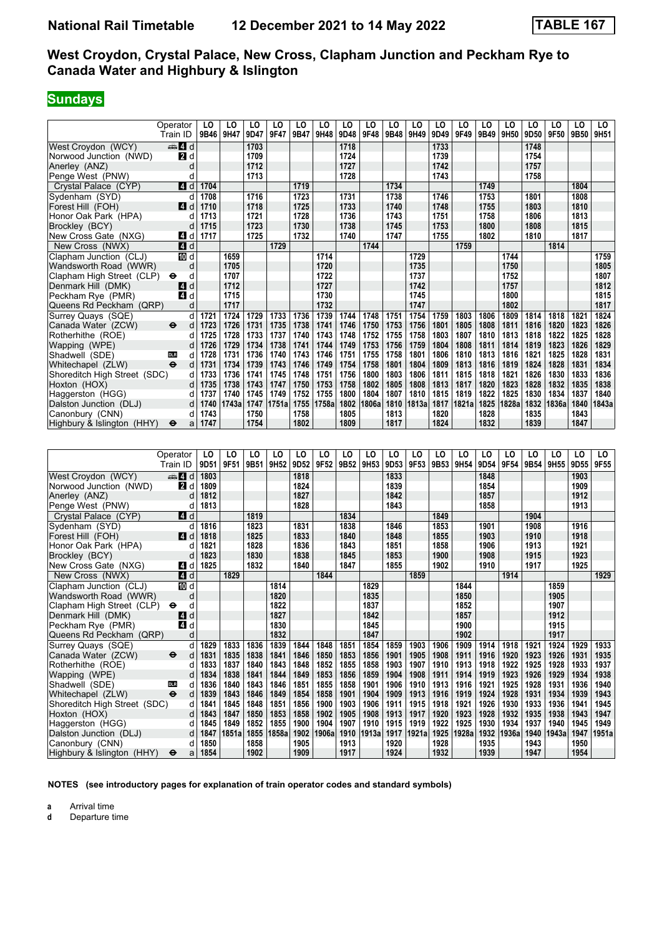## **Sundays**

|                                                    | Operator<br>Train ID | LO<br>9B46 | LO<br>9H47 | LO<br>9D47 | LO<br>9F47 | LO<br>9B47 | LO<br>9H48   | LO<br>9D48 | LO<br>9F48 | LO<br>9B48   | LO<br>9H49   | LO<br>9D49 | LO<br>9F49 | LO<br>9B49 | LO<br>9H50   | LO<br>9D50 | LO<br>9F50 | LO<br>9B50 | LO<br>9H <sub>51</sub> |
|----------------------------------------------------|----------------------|------------|------------|------------|------------|------------|--------------|------------|------------|--------------|--------------|------------|------------|------------|--------------|------------|------------|------------|------------------------|
| West Crovdon (WCY)                                 | $\oplus$ 4 d         |            |            | 1703       |            |            |              | 1718       |            |              |              | 1733       |            |            |              | 1748       |            |            |                        |
| Norwood Junction (NWD)                             | $\blacksquare$ d     |            |            | 1709       |            |            |              | 1724       |            |              |              | 1739       |            |            |              | 1754       |            |            |                        |
| Anerley (ANZ)                                      | d                    |            |            | 1712       |            |            |              | 1727       |            |              |              | 1742       |            |            |              | 1757       |            |            |                        |
| Penge West (PNW)                                   | d                    |            |            | 1713       |            |            |              | 1728       |            |              |              | 1743       |            |            |              | 1758       |            |            |                        |
| Crystal Palace (CYP)                               | $\blacksquare$ d     | 1704       |            |            |            | 1719       |              |            |            | 1734         |              |            |            | 1749       |              |            |            | 1804       |                        |
| Sydenham (SYD)                                     | d                    | 1708       |            | 1716       |            | 1723       |              | 1731       |            | 1738         |              | 1746       |            | 1753       |              | 1801       |            | 1808       |                        |
| Forest Hill (FOH)                                  | 4d                   | 1710       |            | 1718       |            | 1725       |              | 1733       |            | 1740         |              | 1748       |            | 1755       |              | 1803       |            | 1810       |                        |
| Honor Oak Park (HPA)                               | d                    | 1713       |            | 1721       |            | 1728       |              | 1736       |            | 1743         |              | 1751       |            | 1758       |              | 1806       |            | 1813       |                        |
| Brockley (BCY)                                     | d                    | 1715       |            | 1723       |            | 1730       |              | 1738       |            | 1745         |              | 1753       |            | 1800       |              | 1808       |            | 1815       |                        |
| New Cross Gate (NXG)                               | 4 d                  | 1717       |            | 1725       |            | 1732       |              | 1740       |            | 1747         |              | 1755       |            | 1802       |              | 1810       |            | 1817       |                        |
| New Cross (NWX)                                    | $\blacksquare$ d     |            |            |            | 1729       |            |              |            | 1744       |              |              |            | 1759       |            |              |            | 1814       |            |                        |
| Clapham Junction (CLJ)                             | <b>ID</b> d          |            | 1659       |            |            |            | 1714         |            |            |              | 1729         |            |            |            | 1744         |            |            |            | 1759                   |
|                                                    |                      |            | 1705       |            |            |            |              |            |            |              |              |            |            |            |              |            |            |            |                        |
| Wandsworth Road (WWR)<br>Clapham High Street (CLP) | d<br>d<br>θ          |            | 1707       |            |            |            | 1720<br>1722 |            |            |              | 1735<br>1737 |            |            |            | 1750<br>1752 |            |            |            | 1805<br>1807           |
|                                                    |                      |            | 1712       |            |            |            | 1727         |            |            |              | 1742         |            |            |            | 1757         |            |            |            | 1812                   |
| Denmark Hill (DMK)<br>Peckham Rye (PMR)            | 41 d<br>ZI d         |            | 1715       |            |            |            | 1730         |            |            |              | 1745         |            |            |            | 1800         |            |            |            | 1815                   |
| Queens Rd Peckham (QRP)                            | d                    |            | 1717       |            |            |            | 1732         |            |            |              | 1747         |            |            |            | 1802         |            |            |            | 1817                   |
|                                                    | d                    | 1721       | 1724       | 1729       | 1733       | 1736       | 1739         | 1744       | 1748       | 1751         | 1754         | 1759       | 1803       | 1806       | 1809         | 1814       | 1818       | 1821       | 1824                   |
| Surrey Quays (SQE)                                 | ⊖                    | 1723       | 1726       | 1731       | 1735       | 1738       | 1741         | 1746       | 1750       |              | 1756         | 1801       | 1805       | 1808       | 1811         | 1816       | 1820       | 1823       | 1826                   |
| Canada Water (ZCW)                                 | d<br>d               | 1725       | 1728       | 1733       | 1737       | 1740       | 1743         | 1748       | 1752       | 1753<br>1755 | 1758         | 1803       | 1807       | 1810       | 1813         | 1818       | 1822       | 1825       | 1828                   |
| Rotherhithe (ROE)                                  | d                    | 1726       | 1729       | 1734       | 1738       | 1741       | 1744         | 1749       | 1753       | 1756         | 1759         | 1804       | 1808       | 1811       | 1814         | 1819       | 1823       | 1826       | 1829                   |
| Wapping (WPE)<br>Shadwell (SDE)                    | d<br><b>DLR</b>      | 1728       | 1731       | 1736       | 1740       | 1743       | 1746         | 1751       | 1755       | 1758         | 1801         | 1806       | 1810       | 1813       | 1816         | 1821       | 1825       | 1828       | 1831                   |
| Whitechapel (ZLW)                                  | $\ddot{ }$<br>d      | 1731       | 1734       | 1739       | 1743       | 1746       | 1749         | 1754       | 1758       | 1801         | 1804         | 1809       | 1813       | 1816       | 1819         | 1824       | 1828       | 1831       | 1834                   |
| Shoreditch High Street (SDC)                       | d                    | 1733       | 1736       | 1741       | 1745       | 1748       | 1751         | 1756       | 1800       | 1803         | 1806         | 1811       | 1815       | 1818       | 1821         | 1826       | 1830       | 1833       | 1836                   |
| Hoxton (HOX)                                       | d                    | 1735       | 1738       | 1743       | 1747       | 1750       | 1753         | 1758       | 1802       | 1805         | 1808         | 1813       | 1817       | 1820       | 1823         | 1828       | 1832       | 1835       | 1838                   |
| Haggerston (HGG)                                   | d                    | 1737       | 1740       | 1745       | 1749       | 1752       | 1755         | 1800       | 1804       | 1807         | 1810         | 1815       | 1819       | 1822       | 1825         | 1830       | 1834       | 1837       | 1840                   |
| Dalston Junction (DLJ)                             | d                    | 1740       | 1743a      | 1747       | 1751a      | 1755       | 1758a        | 1802       | 1806a      | 1810         | 1813a        | 1817       | 1821a      | 1825       | 1828a        | 1832       | 1836a      | 1840       | 1843a                  |
| Canonbury (CNN)                                    | d                    | 1743       |            | 1750       |            | 1758       |              | 1805       |            | 1813         |              | 1820       |            | 1828       |              | 1835       |            | 1843       |                        |
| Highbury & Islington (HHY)                         | $\bullet$<br>a       | 1747       |            | 1754       |            | 1802       |              | 1809       |            | 1817         |              | 1824       |            | 1832       |              | 1839       |            | 1847       |                        |
|                                                    |                      |            |            |            |            |            |              |            |            |              |              |            |            |            |              |            |            |            |                        |
|                                                    |                      |            |            |            |            |            |              |            |            |              |              |            |            |            |              |            |            |            |                        |
|                                                    | Operator             | LO         | LO         | LO         | LO         | LO         | LO           | LO         | LO         | LO           | LO           | LO         | LO         | LO         | LO           | LO         | LO         | LO         | LO                     |
|                                                    | Train ID             | 9D51       | 9F51       | 9B51       | 9H52       | 9D52       | 9F52         | 9B52 9H53  |            | 9D53         | 9F53         | 9B53       | 9H54       | 9D54       | 9F54         | 9B54       | 9H55       | 9D55       | 9F55                   |
| West Croydon (WCY)                                 | $\oplus$ 4 d         | 1803       |            |            |            | 1818       |              |            |            | 1833         |              |            |            | 1848       |              |            |            | 1903       |                        |
| Norwood Junction (NWD)                             | 2d                   | 1809       |            |            |            | 1824       |              |            |            | 1839         |              |            |            | 1854       |              |            |            | 1909       |                        |
| Anerley (ANZ)                                      | d                    | 1812       |            |            |            | 1827       |              |            |            | 1842         |              |            |            | 1857       |              |            |            | 1912       |                        |
| Penge West (PNW)                                   | d                    | 1813       |            |            |            | 1828       |              |            |            | 1843         |              |            |            | 1858       |              |            |            | 1913       |                        |
| Crystal Palace (CYP)                               | 4d                   |            |            | 1819       |            |            |              | 1834       |            |              |              | 1849       |            |            |              | 1904       |            |            |                        |
| Sydenham (SYD)                                     | d                    | 1816       |            | 1823       |            | 1831       |              | 1838       |            | 1846         |              | 1853       |            | 1901       |              | 1908       |            | 1916       |                        |
| Forest Hill (FOH)                                  | ZI d                 | 1818       |            | 1825       |            | 1833       |              | 1840       |            | 1848         |              | 1855       |            | 1903       |              | 1910       |            | 1918       |                        |
| Honor Oak Park (HPA)                               | d                    | 1821       |            | 1828       |            | 1836       |              | 1843       |            | 1851         |              | 1858       |            | 1906       |              | 1913       |            | 1921       |                        |
| Brockley (BCY)                                     | d                    | 1823       |            | 1830       |            | 1838       |              | 1845       |            | 1853         |              | 1900       |            | 1908       |              | 1915       |            | 1923       |                        |
| New Cross Gate (NXG)                               | 4 d                  | 1825       |            | 1832       |            | 1840       |              | 1847       |            | 1855         |              | 1902       |            | 1910       |              | 1917       |            | 1925       |                        |
| New Cross (NWX)                                    | 4d                   |            | 1829       |            |            |            | 1844         |            |            |              | 1859         |            |            |            | 1914         |            |            |            | 1929                   |
| Clapham Junction (CLJ)                             | TO d                 |            |            |            | 1814       |            |              |            | 1829       |              |              |            | 1844       |            |              |            | 1859       |            |                        |
|                                                    |                      |            |            |            |            |            |              |            |            |              |              |            |            |            |              |            |            |            |                        |

 Clapham -unction (CL-) d **1814 1829 1844 1859**  Wandsworth Road (WWR) d **1820 1835 1850 1905** Clapham High Street (CLP) ← d **1822 1822 1837 1852 1907 1852 1907 1907 Denmark Hill (DMK) 1912**<br>
Peckham Rye (PMR) **1913 1848 1842 1857 1857 1913 1915** 

 4ueens Rd Peckham (4RP) d **1832 1847 1902 1917**

Dalston Junction (DLJ) d 1847 1851a 1855 1858a 1902 1906a 1910 1913a 1917 1921a 1925 1928a 1932 1936a 1940<br>Canonbury (CNN) d 1850 1858 1905 1913 1920 1928 1935 1943<br>Highbury & Islington (HHY) → a 1854 1902 1909 1917 1924

 Canonbury (CNN) d **1850 1858 1905 1913 1920 1928 1935 1943 1950**  Highbury Islington (HHY) T a **1854 1902 1909 1917 1924 1932 1939 1947 1954**

Surrey Quays (SQE) d 1829 1833 1836 1839 1844 1848 1851 1854 1859 1903 1906 1909 1914 1918 1921 1924 1929 1933<br>Canada Water (ZCW) → d 1831 1835 1838 1841 1846 1850 1853 1856 1901 1905 1908 1911 1916 1920 1923 1926 1931 19 Canada Water (ZCW) ● d 1831 1835 1838 1841 1846 1850 1853 1856 1901 1905 1908 1911 1916 1920 1923 1926 1931 1935<br>Rotherhithe (ROE) d 1833 1837 1840 1843 1848 1852 1855 1858 1903 1907 1910 1913 1918 1922 1925 1928 1933 Rotherhithe (ROE) d | 1833 | 1837 | 1840 | 1843 | 1848 | 1852 | 1855 | 1858 | 1903 | 1907 | 1910 | 1913 | 1918 | 1922 | 1925 | 1928 | 1933 | 1937<br>Wapping (WPE) d | 1834 | 1838 | 1841 | 1844 | 1849 | 1853 | 1856 Wapping (WPE) d 1834 1838 1841 1844 1849 1853 1856 1859 1904 1908 1911 1914 1919 1923 1926 1929 1934 1938<br>Shadwell (SDF) on one d 1836 1840 1843 1846 1851 1855 1858 1901 1906 1910 1913 1916 1921 1925 1928 1931 1936 1940 Shadwell (SDE) **1936** 1936 1840 1843 1846 1851 1855 1858 1901 1906 1910 1913 1916 1921 1925 1928 1931 1936 1940<br>Whitechapel (ZLW) → d 1839 1843 1846 1849 1854 1858 1901 1904 1909 1913 1916 1919 1924 1928 1931 1934 1939 19 Whitechapel (ZLW) ● d | 1839 | 1843 | 1846 | 1849 | 1854 | 1858 | 1901 | 1904 | 1909 | 1913 | 1916 | 1919 | 1924 | 1928 | 1931 | 1934 | 1939 | 1943<br>Shoreditch High Street (SDC) d | 1841 | 1845 | 1848 | 1851 | 1856 | 1900 Shoreditch High Street (SDC) d | 1841 | 1845 | 1848 | 1851 | 1856 | 1900 | 1903 | 1906 | 1911 | 1915 | 1918 | 1921 | 1926 | 1930 | 1933 | 1936 | 1941 | 1945<br>Hoxton (HOX) d | 1843 | 1847 | 1850 | 1853 | 1858 | 1902 | 1905 | Hoxton (HOX) d | 1843 | 1847 | 1850 | 1853 | 1858 | 1902 | 1905 | 1908 | 1913 | 1917 | 1920 | 1923 | 1928 | 1932 | 1935 | 1938 | 1943 | 1947 | Haggerston (HGG) d | 1845 | 1849 | 1852 | 1855 | 1900 | 1904 | 1907 | 1910 | 1915 | 1919 | 1922 | 1925 | 1930 | 1934 | 1937 | 1940 | 1945 | 1949<br>Dalston Junction (DLJ) d | 1847 | 1851a | 1855 | 1858a | 1902 | 19

**NOTES (see introductory pages for explanation of train operator codes and standard symbols)**

**a** Arrival time<br>**d** Departure t

**d** Departure time

**Peckham Rye (PMR)**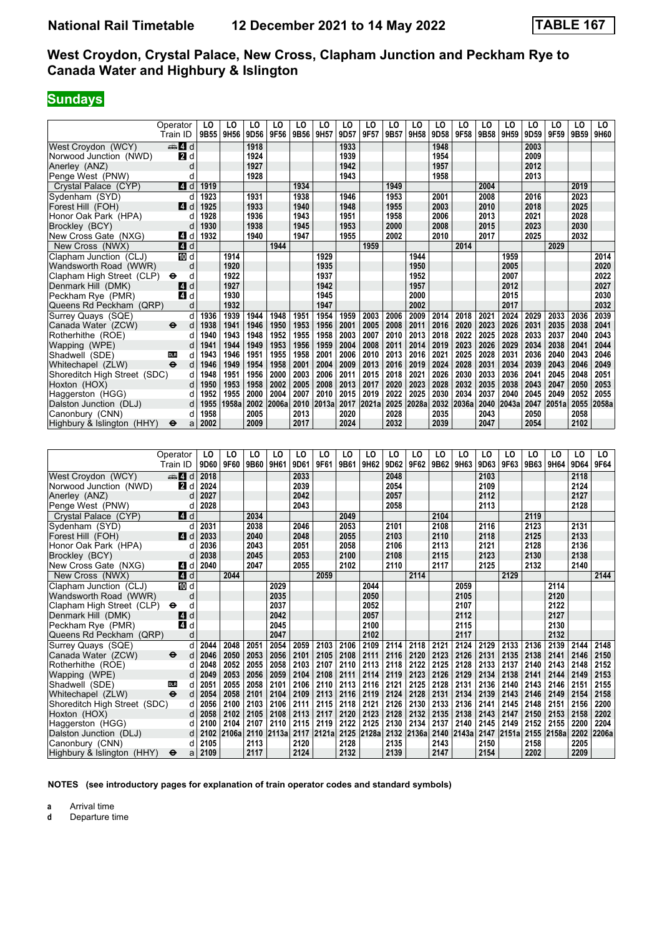# **Sundays**

|                              | Operator            | LO   | LO    | LO   | LO    | LO   | LO    | LO   | LO    | LO   | LO    | LO   | LO    | LO   | LO    | LO   | LO    | LO   | LO.   |
|------------------------------|---------------------|------|-------|------|-------|------|-------|------|-------|------|-------|------|-------|------|-------|------|-------|------|-------|
|                              | Train ID            | 9B55 | 9H56  | 9D56 | 9F56  | 9B56 | 9H57  | 9D57 | 9F57  | 9B57 | 9H58  | 9D58 | 9F58  | 9B58 | 9H59  | 9D59 | 9F59  | 9B59 | 9H60  |
| West Crovdon (WCY)           | #I d                |      |       | 1918 |       |      |       | 1933 |       |      |       | 1948 |       |      |       | 2003 |       |      |       |
| Norwood Junction (NWD)       | <b>2</b> d          |      |       | 1924 |       |      |       | 1939 |       |      |       | 1954 |       |      |       | 2009 |       |      |       |
| Anerley (ANZ)                | d                   |      |       | 1927 |       |      |       | 1942 |       |      |       | 1957 |       |      |       | 2012 |       |      |       |
| Penge West (PNW)             | d                   |      |       | 1928 |       |      |       | 1943 |       |      |       | 1958 |       |      |       | 2013 |       |      |       |
| Crystal Palace (CYP)         | 4 d                 | 1919 |       |      |       | 1934 |       |      |       | 1949 |       |      |       | 2004 |       |      |       | 2019 |       |
| Sydenham (SYD)               | d                   | 1923 |       | 1931 |       | 1938 |       | 1946 |       | 1953 |       | 2001 |       | 2008 |       | 2016 |       | 2023 |       |
| Forest Hill (FOH)            | $\blacksquare$<br>d | 1925 |       | 1933 |       | 1940 |       | 1948 |       | 1955 |       | 2003 |       | 2010 |       | 2018 |       | 2025 |       |
| Honor Oak Park (HPA)         | d                   | 1928 |       | 1936 |       | 1943 |       | 1951 |       | 1958 |       | 2006 |       | 2013 |       | 2021 |       | 2028 |       |
| Brockley (BCY)               | d                   | 1930 |       | 1938 |       | 1945 |       | 1953 |       | 2000 |       | 2008 |       | 2015 |       | 2023 |       | 2030 |       |
| New Cross Gate (NXG)         | $\overline{A}$<br>d | 1932 |       | 1940 |       | 1947 |       | 1955 |       | 2002 |       | 2010 |       | 2017 |       | 2025 |       | 2032 |       |
| New Cross (NWX)              | $\overline{a}$ d    |      |       |      | 1944  |      |       |      | 1959  |      |       |      | 2014  |      |       |      | 2029  |      |       |
| Clapham Junction (CLJ)       | TO d                |      | 1914  |      |       |      | 1929  |      |       |      | 1944  |      |       |      | 1959  |      |       |      | 2014  |
| Wandsworth Road (WWR)        | d                   |      | 1920  |      |       |      | 1935  |      |       |      | 1950  |      |       |      | 2005  |      |       |      | 2020  |
| Clapham High Street (CLP)    | d<br>θ              |      | 1922  |      |       |      | 1937  |      |       |      | 1952  |      |       |      | 2007  |      |       |      | 2022  |
| Denmark Hill (DMK)           | d<br>[4]            |      | 1927  |      |       |      | 1942  |      |       |      | 1957  |      |       |      | 2012  |      |       |      | 2027  |
| Peckham Rye (PMR)            | 4<br>d              |      | 1930  |      |       |      | 1945  |      |       |      | 2000  |      |       |      | 2015  |      |       |      | 2030  |
| Queens Rd Peckham (QRP)      | d                   |      | 1932  |      |       |      | 1947  |      |       |      | 2002  |      |       |      | 2017  |      |       |      | 2032  |
| Surrey Quays (SQE)           | d                   | 1936 | 1939  | 1944 | 1948  | 1951 | 1954  | 1959 | 2003  | 2006 | 2009  | 2014 | 2018  | 2021 | 2024  | 2029 | 2033  | 2036 | 2039  |
| Canada Water (ZCW)           | d<br>$\bullet$      | 1938 | 1941  | 1946 | 1950  | 1953 | 1956  | 2001 | 2005  | 2008 | 2011  | 2016 | 2020  | 2023 | 2026  | 2031 | 2035  | 2038 | 2041  |
| Rotherhithe (ROE)            | d                   | 1940 | 1943  | 1948 | 1952  | 1955 | 1958  | 2003 | 2007  | 2010 | 2013  | 2018 | 2022  | 2025 | 2028  | 2033 | 2037  | 2040 | 2043  |
| Wapping (WPE)                | d                   | 1941 | 1944  | 1949 | 1953  | 1956 | 1959  | 2004 | 2008  | 2011 | 2014  | 2019 | 2023  | 2026 | 2029  | 2034 | 2038  | 2041 | 2044  |
| Shadwell (SDE)               | d<br>DLR            | 1943 | 1946  | 1951 | 1955  | 1958 | 2001  | 2006 | 2010  | 2013 | 2016  | 2021 | 2025  | 2028 | 2031  | 2036 | 2040  | 2043 | 2046  |
| Whitechapel (ZLW)            | d<br>$\bullet$      | 1946 | 1949  | 1954 | 1958  | 2001 | 2004  | 2009 | 2013  | 2016 | 2019  | 2024 | 2028  | 2031 | 2034  | 2039 | 2043  | 2046 | 2049  |
| Shoreditch High Street (SDC) | d                   | 1948 | 1951  | 1956 | 2000  | 2003 | 2006  | 2011 | 2015  | 2018 | 2021  | 2026 | 2030  | 2033 | 2036  | 2041 | 2045  | 2048 | 2051  |
| Hoxton (HOX)                 | d                   | 1950 | 1953  | 1958 | 2002  | 2005 | 2008  | 2013 | 2017  | 2020 | 2023  | 2028 | 2032  | 2035 | 2038  | 2043 | 2047  | 2050 | 2053  |
| Haggerston (HGG)             | d                   | 1952 | 1955  | 2000 | 2004  | 2007 | 2010  | 2015 | 2019  | 2022 | 2025  | 2030 | 2034  | 2037 | 2040  | 2045 | 2049  | 2052 | 2055  |
| Dalston Junction (DLJ)       | d                   | 1955 | 1958a | 2002 | 2006a | 2010 | 2013a | 2017 | 2021a | 2025 | 2028a | 2032 | 2036a | 2040 | 2043a | 2047 | 2051a | 2055 | 2058a |
| Canonbury (CNN)              | d                   | 1958 |       | 2005 |       | 2013 |       | 2020 |       | 2028 |       | 2035 |       | 2043 |       | 2050 |       | 2058 |       |
| Highbury & Islington (HHY)   | $\bullet$<br>a      | 2002 |       | 2009 |       | 2017 |       | 2024 |       | 2032 |       | 2039 |       | 2047 |       | 2054 |       | 2102 |       |
|                              |                     |      |       |      |       |      |       |      |       |      |       |      |       |      |       |      |       |      |       |
|                              |                     |      |       |      |       |      |       |      |       |      |       |      |       |      |       |      |       |      |       |
|                              | Operator            | LO   | LO    | LO   | LO    | LO   | LO    | LO   | LO    | LO   | LO    | LO   | LO    | LO   | LO    | LO   | LO    | LO   | LO    |
|                              | Train ID            | 9D60 | 9F60  | 9B60 | 9H61  | 9D61 | 9F61  | 9B61 | 9H62  | 9D62 | 9F62  | 9B62 | 9H63  | 9D63 | 9F63  | 9B63 | 9H64  | 9D64 | 9F64  |
| West Crovdon (WCY)           | $\oplus$ 4 d        | 2018 |       |      |       | 2033 |       |      |       | 2048 |       |      |       | 2103 |       |      |       | 2118 |       |
| Norwood Junction (NWD)       | <b>2</b> d          | 2024 |       |      |       | 2039 |       |      |       | 2054 |       |      |       | 2109 |       |      |       | 2124 |       |
| Anerley (ANZ)                | d                   | 2027 |       |      |       | 2042 |       |      |       | 2057 |       |      |       | 2112 |       |      |       | 2127 |       |
|                              |                     |      |       |      |       |      |       |      |       |      |       |      |       |      |       |      |       |      |       |

| Norwood Junction (NWD)       | 21 d                              | 2024 |            |      |            | 2039 |            |      |            | 2054 |            |      |            | 2109 |       |      |            | 2124 |       |
|------------------------------|-----------------------------------|------|------------|------|------------|------|------------|------|------------|------|------------|------|------------|------|-------|------|------------|------|-------|
| Anerley (ANZ)                |                                   | 2027 |            |      |            | 2042 |            |      |            | 2057 |            |      |            | 2112 |       |      |            | 2127 |       |
| Penge West (PNW)             |                                   | 2028 |            |      |            | 2043 |            |      |            | 2058 |            |      |            | 2113 |       |      |            | 2128 |       |
| Crystal Palace (CYP)         | 4 d                               |      |            | 2034 |            |      |            | 2049 |            |      |            | 2104 |            |      |       | 2119 |            |      |       |
| Sydenham (SYD)               |                                   | 2031 |            | 2038 |            | 2046 |            | 2053 |            | 2101 |            | 2108 |            | 2116 |       | 2123 |            | 2131 |       |
| Forest Hill (FOH)            | <b>4</b> d                        | 2033 |            | 2040 |            | 2048 |            | 2055 |            | 2103 |            | 2110 |            | 2118 |       | 2125 |            | 2133 |       |
| Honor Oak Park (HPA)         |                                   | 2036 |            | 2043 |            | 2051 |            | 2058 |            | 2106 |            | 2113 |            | 2121 |       | 2128 |            | 2136 |       |
| Brockley (BCY)               |                                   | 2038 |            | 2045 |            | 2053 |            | 2100 |            | 2108 |            | 2115 |            | 2123 |       | 2130 |            | 2138 |       |
| New Cross Gate (NXG)         | ZI d                              | 2040 |            | 2047 |            | 2055 |            | 2102 |            | 2110 |            | 2117 |            | 2125 |       | 2132 |            | 2140 |       |
| New Cross (NWX)              | 4 d                               |      | 2044       |      |            |      | 2059       |      |            |      | 2114       |      |            |      | 2129  |      |            |      | 2144  |
| Clapham Junction (CLJ)       | <b>iD</b> d                       |      |            |      | 2029       |      |            |      | 2044       |      |            |      | 2059       |      |       |      | 2114       |      |       |
| Wandsworth Road (WWR)        | d                                 |      |            |      | 2035       |      |            |      | 2050       |      |            |      | 2105       |      |       |      | 2120       |      |       |
| Clapham High Street (CLP)    | $\bullet$<br>d                    |      |            |      | 2037       |      |            |      | 2052       |      |            |      | 2107       |      |       |      | 2122       |      |       |
| Denmark Hill (DMK)           | ZI d                              |      |            |      | 2042       |      |            |      | 2057       |      |            |      | 2112       |      |       |      | 2127       |      |       |
| Peckham Rye (PMR)            | 4 d                               |      |            |      | 2045       |      |            |      | 2100       |      |            |      | 2115       |      |       |      | 2130       |      |       |
| Queens Rd Peckham (QRP)      | d                                 |      |            |      | 2047       |      |            |      | 2102       |      |            |      | 2117       |      |       |      | 2132       |      |       |
| Surrey Quays (SQE)           | d                                 | 2044 | 2048       | 2051 | 2054       | 2059 | 2103       | 2106 | 2109       | 2114 | 2118       | 2121 | 2124       | 2129 | 2133  | 2136 | 2139       | 2144 | 2148  |
| Canada Water (ZCW)           | $\ddot{\mathbf{e}}$<br>d          | 2046 | 2050       | 2053 | 2056       | 2101 | 2105       | 2108 | 2111       | 2116 | 2120       | 2123 | 2126       | 2131 | 2135  | 2138 | 2141       | 2146 | 2150  |
| Rotherhithe (ROE)            | d                                 | 2048 | 2052       | 2055 | 2058       | 2103 | 2107       | 2110 | 2113       | 2118 | 2122       | 2125 | 2128       | 2133 | 2137  | 2140 | 2143       | 2148 | 2152  |
| Wapping (WPE)                |                                   | 2049 | 2053       | 2056 | 2059       | 2104 | 2108       | 2111 | 2114       | 2119 | 2123       | 2126 | 2129       | 2134 | 2138  | 2141 | 2144       | 2149 | 2153  |
| Shadwell (SDE)               | <b>DLR</b><br>d                   | 2051 | 2055       | 2058 | 2101       | 2106 | 2110       | 2113 | 2116       | 2121 | 2125       | 2128 | 2131       | 2136 | 2140  | 2143 | 2146       | 2151 | 2155  |
| Whitechapel (ZLW)            | $\ddot{\boldsymbol{\Theta}}$<br>d | 2054 | 2058       | 2101 | 2104       | 2109 | 2113       | 2116 | 2119       | 2124 | 2128       | 2131 | 2134       | 2139 | 2143  | 2146 | 2149       | 2154 | 2158  |
| Shoreditch High Street (SDC) | d                                 | 2056 | 2100       | 2103 | 2106       | 2111 | 2115       | 2118 | 2121       | 2126 | 2130       | 2133 | 2136       | 2141 | 2145  | 2148 | 2151       | 2156 | 2200  |
| Hoxton (HOX)                 |                                   | 2058 | 2102       | 2105 | 2108       | 2113 | 2117       | 2120 | 2123       | 2128 | 2132       | 2135 | 2138       | 2143 | 2147  | 2150 | 2153       | 2158 | 2202  |
| Haggerston (HGG)             |                                   | 2100 | 2104       | 2107 | 2110       | 2115 | 2119       | 2122 | 2125       | 2130 | 2134       | 2137 | 2140       | 2145 | 2149  | 2152 | 2155       | 2200 | 2204  |
| Dalston Junction (DLJ)       | d l                               |      | 2102 2106a |      | 2110 2113a |      | 2117 2121a |      | 2125 2128a |      | 2132 2136a |      | 2140 2143a | 2147 | 2151a |      | 2155 2158a | 2202 | 2206a |
| Canonbury (CNN)              | d.                                | 2105 |            | 2113 |            | 2120 |            | 2128 |            | 2135 |            | 2143 |            | 2150 |       | 2158 |            | 2205 |       |
| Highbury & Islington (HHY)   | $\bullet$<br>a                    | 2109 |            | 2117 |            | 2124 |            | 2132 |            | 2139 |            | 2147 |            | 2154 |       | 2202 |            | 2209 |       |

**NOTES (see introductory pages for explanation of train operator codes and standard symbols)**

**a** Arrival time<br>**d** Departure t